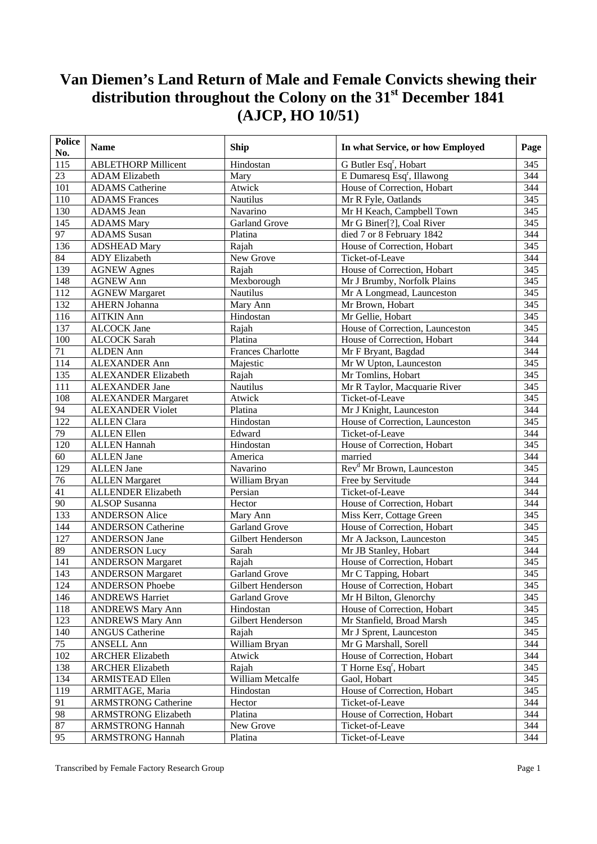| <b>Police</b><br>No. | <b>Name</b>                | Ship                     | In what Service, or how Employed       | Page             |
|----------------------|----------------------------|--------------------------|----------------------------------------|------------------|
| 115                  | <b>ABLETHORP Millicent</b> | Hindostan                | G Butler Esq <sup>r</sup> , Hobart     | 345              |
| $\overline{23}$      | <b>ADAM Elizabeth</b>      | Mary                     | E Dumaresq Esq <sup>r</sup> , Illawong | 344              |
| 101                  | <b>ADAMS</b> Catherine     | Atwick                   | House of Correction, Hobart            | 344              |
| 110                  | <b>ADAMS</b> Frances       | Nautilus                 | Mr R Fyle, Oatlands                    | 345              |
| 130                  | ADAMS Jean                 | Navarino                 | Mr H Keach, Campbell Town              | 345              |
| 145                  | <b>ADAMS</b> Mary          | <b>Garland Grove</b>     | Mr G Biner[?], Coal River              | 345              |
| $\overline{97}$      | <b>ADAMS</b> Susan         | Platina                  | died 7 or 8 February 1842              | 344              |
| 136                  | <b>ADSHEAD Mary</b>        | Rajah                    | House of Correction, Hobart            | 345              |
| 84                   | <b>ADY</b> Elizabeth       | New Grove                | Ticket-of-Leave                        | 344              |
| 139                  | <b>AGNEW Agnes</b>         | Rajah                    | House of Correction, Hobart            | 345              |
| 148                  | <b>AGNEW Ann</b>           | Mexborough               | Mr J Brumby, Norfolk Plains            | 345              |
| 112                  | <b>AGNEW Margaret</b>      | Nautilus                 | Mr A Longmead, Launceston              | 345              |
| 132                  | <b>AHERN Johanna</b>       | Mary Ann                 | Mr Brown, Hobart                       | 345              |
| 116                  | <b>AITKIN Ann</b>          | Hindostan                | Mr Gellie, Hobart                      | 345              |
| 137                  | <b>ALCOCK</b> Jane         | Rajah                    | House of Correction, Launceston        | 345              |
| 100                  | <b>ALCOCK</b> Sarah        | Platina                  | House of Correction, Hobart            | 344              |
| 71                   | <b>ALDEN Ann</b>           | <b>Frances Charlotte</b> | Mr F Bryant, Bagdad                    | 344              |
| 114                  | <b>ALEXANDER Ann</b>       | Majestic                 | Mr W Upton, Launceston                 | 345              |
| 135                  | ALEXANDER Elizabeth        | Rajah                    | Mr Tomlins, Hobart                     | 345              |
| 111                  | <b>ALEXANDER Jane</b>      | Nautilus                 | Mr R Taylor, Macquarie River           | 345              |
| 108                  | <b>ALEXANDER Margaret</b>  | Atwick                   | Ticket-of-Leave                        | 345              |
| 94                   | <b>ALEXANDER Violet</b>    | Platina                  | Mr J Knight, Launceston                | 344              |
| 122                  | <b>ALLEN Clara</b>         | Hindostan                | House of Correction, Launceston        | $\overline{345}$ |
| 79                   | <b>ALLEN</b> Ellen         | Edward                   | Ticket-of-Leave                        | 344              |
| 120                  | <b>ALLEN Hannah</b>        | Hindostan                | House of Correction, Hobart            | $\overline{345}$ |
| 60                   | <b>ALLEN</b> Jane          | America                  | married                                | 344              |
| 129                  | <b>ALLEN Jane</b>          | Navarino                 | Rev <sup>d</sup> Mr Brown, Launceston  | 345              |
| 76                   | <b>ALLEN</b> Margaret      | William Bryan            | Free by Servitude                      | 344              |
| 41                   | <b>ALLENDER Elizabeth</b>  | Persian                  | Ticket-of-Leave                        | 344              |
| 90                   | ALSOP Susanna              | Hector                   | House of Correction, Hobart            | 344              |
| 133                  | <b>ANDERSON Alice</b>      | Mary Ann                 | Miss Kerr, Cottage Green               | 345              |
| 144                  | <b>ANDERSON Catherine</b>  | <b>Garland Grove</b>     | House of Correction, Hobart            | $\overline{345}$ |
| 127                  | <b>ANDERSON Jane</b>       | Gilbert Henderson        | Mr A Jackson, Launceston               | 345              |
| 89                   | <b>ANDERSON Lucy</b>       | Sarah                    | Mr JB Stanley, Hobart                  | 344              |
| 141                  | <b>ANDERSON Margaret</b>   | Rajah                    | House of Correction, Hobart            | 345              |
| 143                  | <b>ANDERSON Margaret</b>   | <b>Garland Grove</b>     | Mr C Tapping, Hobart                   | 345              |
| 124                  | <b>ANDERSON Phoebe</b>     | Gilbert Henderson        | House of Correction, Hobart            | 345              |
| 146                  | <b>ANDREWS Harriet</b>     | Garland Grove            | Mr H Bilton, Glenorchy                 | 345              |
| 118                  | <b>ANDREWS Mary Ann</b>    | Hindostan                | House of Correction, Hobart            | 345              |
| 123                  | <b>ANDREWS Mary Ann</b>    | Gilbert Henderson        | Mr Stanfield, Broad Marsh              | 345              |
| 140                  | <b>ANGUS Catherine</b>     | Rajah                    | Mr J Sprent, Launceston                | 345              |
| 75                   | <b>ANSELL Ann</b>          | William Bryan            | Mr G Marshall, Sorell                  | 344              |
| 102                  | <b>ARCHER Elizabeth</b>    | Atwick                   | House of Correction, Hobart            | 344              |
| 138                  | <b>ARCHER Elizabeth</b>    | Rajah                    | T Horne Esq <sup>r</sup> , Hobart      | 345              |
| 134                  | <b>ARMISTEAD Ellen</b>     | William Metcalfe         | Gaol, Hobart                           | 345              |
| 119                  | ARMITAGE, Maria            | Hindostan                | House of Correction, Hobart            | 345              |
| 91                   | <b>ARMSTRONG Catherine</b> | Hector                   | Ticket-of-Leave                        | 344              |
| 98                   | <b>ARMSTRONG Elizabeth</b> | Platina                  | House of Correction, Hobart            | 344              |
| 87                   | <b>ARMSTRONG Hannah</b>    | New Grove                | Ticket-of-Leave                        | 344              |
| 95                   | <b>ARMSTRONG Hannah</b>    | Platina                  | Ticket-of-Leave                        | 344              |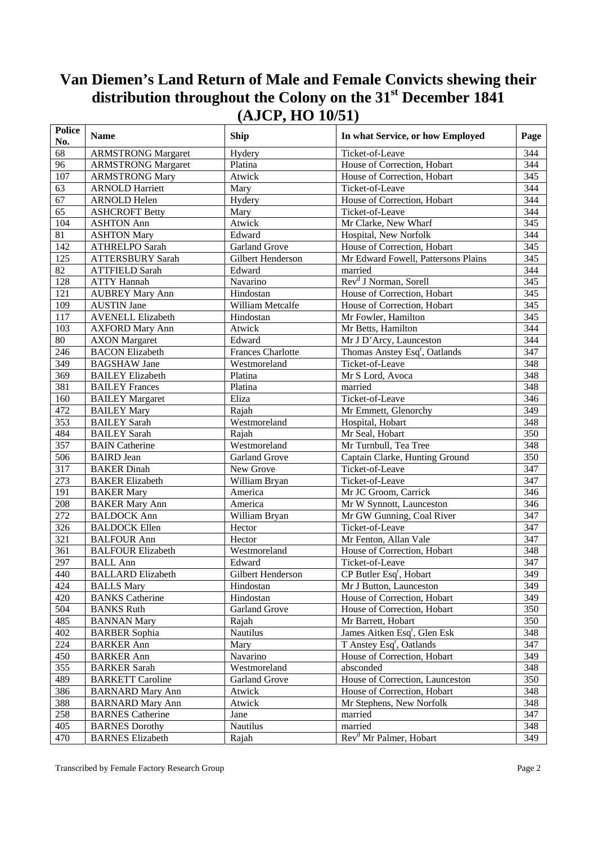| 68<br>Ticket-of-Leave<br>344<br><b>ARMSTRONG Margaret</b><br>Hydery<br>344<br>96<br><b>ARMSTRONG Margaret</b><br>Platina<br>House of Correction, Hobart<br>107<br>345<br><b>ARMSTRONG Mary</b><br>Atwick<br>House of Correction, Hobart<br>Ticket-of-Leave<br>344<br>63<br><b>ARNOLD Harriett</b><br>Mary<br>67<br>House of Correction, Hobart<br>344<br><b>ARNOLD Helen</b><br>Hydery<br>Ticket-of-Leave<br>344<br>65<br><b>ASHCROFT Betty</b><br>Mary<br>345<br>104<br><b>ASHTON Ann</b><br>Atwick<br>Mr Clarke, New Wharf<br>Edward<br>344<br>81<br>Hospital, New Norfolk<br><b>ASHTON Mary</b><br>$\frac{345}{2}$<br>Garland Grove<br>142<br>ATHRELPO Sarah<br>House of Correction, Hobart<br>345<br>125<br>Mr Edward Fowell, Pattersons Plains<br><b>ATTERSBURY Sarah</b><br>Gilbert Henderson<br>82<br>344<br>Edward<br><b>ATTFIELD Sarah</b><br>married<br>Rev <sup>d</sup> J Norman, Sorell<br>Navarino<br>345<br>128<br><b>ATTY Hannah</b><br>House of Correction, Hobart<br>345<br>121<br>Hindostan<br><b>AUBREY Mary Ann</b><br>109<br>William Metcalfe<br>House of Correction, Hobart<br>345<br><b>AUSTIN Jane</b><br>117<br><b>AVENELL Elizabeth</b><br>Hindostan<br>Mr Fowler, Hamilton<br>345<br>344<br>103<br>Mr Betts, Hamilton<br><b>AXFORD Mary Ann</b><br>Atwick<br>80<br>344<br><b>AXON</b> Margaret<br>Edward<br>Mr J D'Arcy, Launceston<br><b>BACON Elizabeth</b><br>Thomas Anstey Esq <sup>r</sup> , Oatlands<br>347<br>246<br><b>Frances Charlotte</b><br>349<br>Ticket-of-Leave<br>348<br><b>BAGSHAW Jane</b><br>Westmoreland<br>348<br>369<br><b>BAILEY</b> Elizabeth<br>Platina<br>Mr S Lord, Avoca<br>348<br>381<br><b>BAILEY Frances</b><br>Platina<br>married<br>160<br>Ticket-of-Leave<br>346<br><b>BAILEY Margaret</b><br>Eliza<br>472<br>Mr Emmett, Glenorchy<br>349<br><b>BAILEY Mary</b><br>Rajah<br>353<br>Westmoreland<br>Hospital, Hobart<br>348<br><b>BAILEY Sarah</b><br>$\overline{350}$<br>484<br><b>BAILEY Sarah</b><br>Rajah<br>Mr Seal, Hobart<br>357<br>348<br><b>BAIN</b> Catherine<br>Westmoreland<br>Mr Turnbull, Tea Tree<br>506<br>350<br><b>Garland Grove</b><br>Captain Clarke, Hunting Ground<br><b>BAIRD</b> Jean<br>317<br>347<br>New Grove<br>Ticket-of-Leave<br><b>BAKER</b> Dinah<br>$\overline{347}$<br>273<br>Ticket-of-Leave<br>William Bryan<br><b>BAKER Elizabeth</b><br>346<br>191<br>Mr JC Groom, Carrick<br><b>BAKER Mary</b><br>America<br>208<br>346<br><b>BAKER Mary Ann</b><br>America<br>Mr W Synnott, Launceston<br>$\overline{272}$<br>Mr GW Gunning, Coal River<br>347<br><b>BALDOCK Ann</b><br>William Bryan<br>326<br>Ticket-of-Leave<br>347<br><b>BALDOCK Ellen</b><br>Hector<br>321<br>347<br>Mr Fenton, Allan Vale<br><b>BALFOUR Ann</b><br>Hector<br>361<br>348<br><b>BALFOUR Elizabeth</b><br>House of Correction, Hobart<br>Westmoreland<br><b>BALL Ann</b><br>347<br>297<br>Ticket-of-Leave<br>Edward<br>349<br><b>BALLARD Elizabeth</b><br>CP Butler Esq <sup>r</sup> , Hobart<br>440<br>Gilbert Henderson<br>349<br>424<br><b>BALLS Mary</b><br>Mr J Button, Launceston<br>Hindostan<br>420<br><b>BANKS</b> Catherine<br>349<br>House of Correction, Hobart<br>Hindostan<br>504<br>350<br><b>BANKS Ruth</b><br>Garland Grove<br>House of Correction, Hobart<br>485<br>350<br><b>BANNAN Mary</b><br>Mr Barrett, Hobart<br>Rajah<br>402<br><b>BARBER Sophia</b><br><b>Nautilus</b><br>James Aitken Esq <sup>r</sup> , Glen Esk<br>348<br>224<br>T Anstey Esq <sup>r</sup> , Oatlands<br>347<br><b>BARKER Ann</b><br>Mary<br>Navarino<br>450<br><b>BARKER Ann</b><br>House of Correction, Hobart<br>349<br>355<br>Westmoreland<br>absconded<br>348<br><b>BARKER Sarah</b><br>489<br>House of Correction, Launceston<br>350<br><b>BARKETT Caroline</b><br>Garland Grove<br>386<br>348<br>House of Correction, Hobart<br><b>BARNARD Mary Ann</b><br>Atwick<br>388<br>348<br><b>BARNARD Mary Ann</b><br>Atwick<br>Mr Stephens, New Norfolk<br>258<br>married<br>347<br><b>BARNES</b> Catherine<br>Jane<br>405<br>married<br>Nautilus<br>348<br><b>BARNES Dorothy</b><br>Rev <sup>d</sup> Mr Palmer, Hobart<br>470<br>349<br><b>BARNES</b> Elizabeth | <b>Police</b><br>No. | <b>Name</b> | <b>Ship</b> | In what Service, or how Employed | Page |
|--------------------------------------------------------------------------------------------------------------------------------------------------------------------------------------------------------------------------------------------------------------------------------------------------------------------------------------------------------------------------------------------------------------------------------------------------------------------------------------------------------------------------------------------------------------------------------------------------------------------------------------------------------------------------------------------------------------------------------------------------------------------------------------------------------------------------------------------------------------------------------------------------------------------------------------------------------------------------------------------------------------------------------------------------------------------------------------------------------------------------------------------------------------------------------------------------------------------------------------------------------------------------------------------------------------------------------------------------------------------------------------------------------------------------------------------------------------------------------------------------------------------------------------------------------------------------------------------------------------------------------------------------------------------------------------------------------------------------------------------------------------------------------------------------------------------------------------------------------------------------------------------------------------------------------------------------------------------------------------------------------------------------------------------------------------------------------------------------------------------------------------------------------------------------------------------------------------------------------------------------------------------------------------------------------------------------------------------------------------------------------------------------------------------------------------------------------------------------------------------------------------------------------------------------------------------------------------------------------------------------------------------------------------------------------------------------------------------------------------------------------------------------------------------------------------------------------------------------------------------------------------------------------------------------------------------------------------------------------------------------------------------------------------------------------------------------------------------------------------------------------------------------------------------------------------------------------------------------------------------------------------------------------------------------------------------------------------------------------------------------------------------------------------------------------------------------------------------------------------------------------------------------------------------------------------------------------------------------------------------------------------------------------------------------------------------------------------------------------------------------------------------------------------------------------------------------------------------------------------------------------------------------------------------------------------------------------------------------------------------------------------------------------------------------------------------------------------------------------------------------------------|----------------------|-------------|-------------|----------------------------------|------|
|                                                                                                                                                                                                                                                                                                                                                                                                                                                                                                                                                                                                                                                                                                                                                                                                                                                                                                                                                                                                                                                                                                                                                                                                                                                                                                                                                                                                                                                                                                                                                                                                                                                                                                                                                                                                                                                                                                                                                                                                                                                                                                                                                                                                                                                                                                                                                                                                                                                                                                                                                                                                                                                                                                                                                                                                                                                                                                                                                                                                                                                                                                                                                                                                                                                                                                                                                                                                                                                                                                                                                                                                                                                                                                                                                                                                                                                                                                                                                                                                                                                                                                                                      |                      |             |             |                                  |      |
|                                                                                                                                                                                                                                                                                                                                                                                                                                                                                                                                                                                                                                                                                                                                                                                                                                                                                                                                                                                                                                                                                                                                                                                                                                                                                                                                                                                                                                                                                                                                                                                                                                                                                                                                                                                                                                                                                                                                                                                                                                                                                                                                                                                                                                                                                                                                                                                                                                                                                                                                                                                                                                                                                                                                                                                                                                                                                                                                                                                                                                                                                                                                                                                                                                                                                                                                                                                                                                                                                                                                                                                                                                                                                                                                                                                                                                                                                                                                                                                                                                                                                                                                      |                      |             |             |                                  |      |
|                                                                                                                                                                                                                                                                                                                                                                                                                                                                                                                                                                                                                                                                                                                                                                                                                                                                                                                                                                                                                                                                                                                                                                                                                                                                                                                                                                                                                                                                                                                                                                                                                                                                                                                                                                                                                                                                                                                                                                                                                                                                                                                                                                                                                                                                                                                                                                                                                                                                                                                                                                                                                                                                                                                                                                                                                                                                                                                                                                                                                                                                                                                                                                                                                                                                                                                                                                                                                                                                                                                                                                                                                                                                                                                                                                                                                                                                                                                                                                                                                                                                                                                                      |                      |             |             |                                  |      |
|                                                                                                                                                                                                                                                                                                                                                                                                                                                                                                                                                                                                                                                                                                                                                                                                                                                                                                                                                                                                                                                                                                                                                                                                                                                                                                                                                                                                                                                                                                                                                                                                                                                                                                                                                                                                                                                                                                                                                                                                                                                                                                                                                                                                                                                                                                                                                                                                                                                                                                                                                                                                                                                                                                                                                                                                                                                                                                                                                                                                                                                                                                                                                                                                                                                                                                                                                                                                                                                                                                                                                                                                                                                                                                                                                                                                                                                                                                                                                                                                                                                                                                                                      |                      |             |             |                                  |      |
|                                                                                                                                                                                                                                                                                                                                                                                                                                                                                                                                                                                                                                                                                                                                                                                                                                                                                                                                                                                                                                                                                                                                                                                                                                                                                                                                                                                                                                                                                                                                                                                                                                                                                                                                                                                                                                                                                                                                                                                                                                                                                                                                                                                                                                                                                                                                                                                                                                                                                                                                                                                                                                                                                                                                                                                                                                                                                                                                                                                                                                                                                                                                                                                                                                                                                                                                                                                                                                                                                                                                                                                                                                                                                                                                                                                                                                                                                                                                                                                                                                                                                                                                      |                      |             |             |                                  |      |
|                                                                                                                                                                                                                                                                                                                                                                                                                                                                                                                                                                                                                                                                                                                                                                                                                                                                                                                                                                                                                                                                                                                                                                                                                                                                                                                                                                                                                                                                                                                                                                                                                                                                                                                                                                                                                                                                                                                                                                                                                                                                                                                                                                                                                                                                                                                                                                                                                                                                                                                                                                                                                                                                                                                                                                                                                                                                                                                                                                                                                                                                                                                                                                                                                                                                                                                                                                                                                                                                                                                                                                                                                                                                                                                                                                                                                                                                                                                                                                                                                                                                                                                                      |                      |             |             |                                  |      |
|                                                                                                                                                                                                                                                                                                                                                                                                                                                                                                                                                                                                                                                                                                                                                                                                                                                                                                                                                                                                                                                                                                                                                                                                                                                                                                                                                                                                                                                                                                                                                                                                                                                                                                                                                                                                                                                                                                                                                                                                                                                                                                                                                                                                                                                                                                                                                                                                                                                                                                                                                                                                                                                                                                                                                                                                                                                                                                                                                                                                                                                                                                                                                                                                                                                                                                                                                                                                                                                                                                                                                                                                                                                                                                                                                                                                                                                                                                                                                                                                                                                                                                                                      |                      |             |             |                                  |      |
|                                                                                                                                                                                                                                                                                                                                                                                                                                                                                                                                                                                                                                                                                                                                                                                                                                                                                                                                                                                                                                                                                                                                                                                                                                                                                                                                                                                                                                                                                                                                                                                                                                                                                                                                                                                                                                                                                                                                                                                                                                                                                                                                                                                                                                                                                                                                                                                                                                                                                                                                                                                                                                                                                                                                                                                                                                                                                                                                                                                                                                                                                                                                                                                                                                                                                                                                                                                                                                                                                                                                                                                                                                                                                                                                                                                                                                                                                                                                                                                                                                                                                                                                      |                      |             |             |                                  |      |
|                                                                                                                                                                                                                                                                                                                                                                                                                                                                                                                                                                                                                                                                                                                                                                                                                                                                                                                                                                                                                                                                                                                                                                                                                                                                                                                                                                                                                                                                                                                                                                                                                                                                                                                                                                                                                                                                                                                                                                                                                                                                                                                                                                                                                                                                                                                                                                                                                                                                                                                                                                                                                                                                                                                                                                                                                                                                                                                                                                                                                                                                                                                                                                                                                                                                                                                                                                                                                                                                                                                                                                                                                                                                                                                                                                                                                                                                                                                                                                                                                                                                                                                                      |                      |             |             |                                  |      |
|                                                                                                                                                                                                                                                                                                                                                                                                                                                                                                                                                                                                                                                                                                                                                                                                                                                                                                                                                                                                                                                                                                                                                                                                                                                                                                                                                                                                                                                                                                                                                                                                                                                                                                                                                                                                                                                                                                                                                                                                                                                                                                                                                                                                                                                                                                                                                                                                                                                                                                                                                                                                                                                                                                                                                                                                                                                                                                                                                                                                                                                                                                                                                                                                                                                                                                                                                                                                                                                                                                                                                                                                                                                                                                                                                                                                                                                                                                                                                                                                                                                                                                                                      |                      |             |             |                                  |      |
|                                                                                                                                                                                                                                                                                                                                                                                                                                                                                                                                                                                                                                                                                                                                                                                                                                                                                                                                                                                                                                                                                                                                                                                                                                                                                                                                                                                                                                                                                                                                                                                                                                                                                                                                                                                                                                                                                                                                                                                                                                                                                                                                                                                                                                                                                                                                                                                                                                                                                                                                                                                                                                                                                                                                                                                                                                                                                                                                                                                                                                                                                                                                                                                                                                                                                                                                                                                                                                                                                                                                                                                                                                                                                                                                                                                                                                                                                                                                                                                                                                                                                                                                      |                      |             |             |                                  |      |
|                                                                                                                                                                                                                                                                                                                                                                                                                                                                                                                                                                                                                                                                                                                                                                                                                                                                                                                                                                                                                                                                                                                                                                                                                                                                                                                                                                                                                                                                                                                                                                                                                                                                                                                                                                                                                                                                                                                                                                                                                                                                                                                                                                                                                                                                                                                                                                                                                                                                                                                                                                                                                                                                                                                                                                                                                                                                                                                                                                                                                                                                                                                                                                                                                                                                                                                                                                                                                                                                                                                                                                                                                                                                                                                                                                                                                                                                                                                                                                                                                                                                                                                                      |                      |             |             |                                  |      |
|                                                                                                                                                                                                                                                                                                                                                                                                                                                                                                                                                                                                                                                                                                                                                                                                                                                                                                                                                                                                                                                                                                                                                                                                                                                                                                                                                                                                                                                                                                                                                                                                                                                                                                                                                                                                                                                                                                                                                                                                                                                                                                                                                                                                                                                                                                                                                                                                                                                                                                                                                                                                                                                                                                                                                                                                                                                                                                                                                                                                                                                                                                                                                                                                                                                                                                                                                                                                                                                                                                                                                                                                                                                                                                                                                                                                                                                                                                                                                                                                                                                                                                                                      |                      |             |             |                                  |      |
|                                                                                                                                                                                                                                                                                                                                                                                                                                                                                                                                                                                                                                                                                                                                                                                                                                                                                                                                                                                                                                                                                                                                                                                                                                                                                                                                                                                                                                                                                                                                                                                                                                                                                                                                                                                                                                                                                                                                                                                                                                                                                                                                                                                                                                                                                                                                                                                                                                                                                                                                                                                                                                                                                                                                                                                                                                                                                                                                                                                                                                                                                                                                                                                                                                                                                                                                                                                                                                                                                                                                                                                                                                                                                                                                                                                                                                                                                                                                                                                                                                                                                                                                      |                      |             |             |                                  |      |
|                                                                                                                                                                                                                                                                                                                                                                                                                                                                                                                                                                                                                                                                                                                                                                                                                                                                                                                                                                                                                                                                                                                                                                                                                                                                                                                                                                                                                                                                                                                                                                                                                                                                                                                                                                                                                                                                                                                                                                                                                                                                                                                                                                                                                                                                                                                                                                                                                                                                                                                                                                                                                                                                                                                                                                                                                                                                                                                                                                                                                                                                                                                                                                                                                                                                                                                                                                                                                                                                                                                                                                                                                                                                                                                                                                                                                                                                                                                                                                                                                                                                                                                                      |                      |             |             |                                  |      |
|                                                                                                                                                                                                                                                                                                                                                                                                                                                                                                                                                                                                                                                                                                                                                                                                                                                                                                                                                                                                                                                                                                                                                                                                                                                                                                                                                                                                                                                                                                                                                                                                                                                                                                                                                                                                                                                                                                                                                                                                                                                                                                                                                                                                                                                                                                                                                                                                                                                                                                                                                                                                                                                                                                                                                                                                                                                                                                                                                                                                                                                                                                                                                                                                                                                                                                                                                                                                                                                                                                                                                                                                                                                                                                                                                                                                                                                                                                                                                                                                                                                                                                                                      |                      |             |             |                                  |      |
|                                                                                                                                                                                                                                                                                                                                                                                                                                                                                                                                                                                                                                                                                                                                                                                                                                                                                                                                                                                                                                                                                                                                                                                                                                                                                                                                                                                                                                                                                                                                                                                                                                                                                                                                                                                                                                                                                                                                                                                                                                                                                                                                                                                                                                                                                                                                                                                                                                                                                                                                                                                                                                                                                                                                                                                                                                                                                                                                                                                                                                                                                                                                                                                                                                                                                                                                                                                                                                                                                                                                                                                                                                                                                                                                                                                                                                                                                                                                                                                                                                                                                                                                      |                      |             |             |                                  |      |
|                                                                                                                                                                                                                                                                                                                                                                                                                                                                                                                                                                                                                                                                                                                                                                                                                                                                                                                                                                                                                                                                                                                                                                                                                                                                                                                                                                                                                                                                                                                                                                                                                                                                                                                                                                                                                                                                                                                                                                                                                                                                                                                                                                                                                                                                                                                                                                                                                                                                                                                                                                                                                                                                                                                                                                                                                                                                                                                                                                                                                                                                                                                                                                                                                                                                                                                                                                                                                                                                                                                                                                                                                                                                                                                                                                                                                                                                                                                                                                                                                                                                                                                                      |                      |             |             |                                  |      |
|                                                                                                                                                                                                                                                                                                                                                                                                                                                                                                                                                                                                                                                                                                                                                                                                                                                                                                                                                                                                                                                                                                                                                                                                                                                                                                                                                                                                                                                                                                                                                                                                                                                                                                                                                                                                                                                                                                                                                                                                                                                                                                                                                                                                                                                                                                                                                                                                                                                                                                                                                                                                                                                                                                                                                                                                                                                                                                                                                                                                                                                                                                                                                                                                                                                                                                                                                                                                                                                                                                                                                                                                                                                                                                                                                                                                                                                                                                                                                                                                                                                                                                                                      |                      |             |             |                                  |      |
|                                                                                                                                                                                                                                                                                                                                                                                                                                                                                                                                                                                                                                                                                                                                                                                                                                                                                                                                                                                                                                                                                                                                                                                                                                                                                                                                                                                                                                                                                                                                                                                                                                                                                                                                                                                                                                                                                                                                                                                                                                                                                                                                                                                                                                                                                                                                                                                                                                                                                                                                                                                                                                                                                                                                                                                                                                                                                                                                                                                                                                                                                                                                                                                                                                                                                                                                                                                                                                                                                                                                                                                                                                                                                                                                                                                                                                                                                                                                                                                                                                                                                                                                      |                      |             |             |                                  |      |
|                                                                                                                                                                                                                                                                                                                                                                                                                                                                                                                                                                                                                                                                                                                                                                                                                                                                                                                                                                                                                                                                                                                                                                                                                                                                                                                                                                                                                                                                                                                                                                                                                                                                                                                                                                                                                                                                                                                                                                                                                                                                                                                                                                                                                                                                                                                                                                                                                                                                                                                                                                                                                                                                                                                                                                                                                                                                                                                                                                                                                                                                                                                                                                                                                                                                                                                                                                                                                                                                                                                                                                                                                                                                                                                                                                                                                                                                                                                                                                                                                                                                                                                                      |                      |             |             |                                  |      |
|                                                                                                                                                                                                                                                                                                                                                                                                                                                                                                                                                                                                                                                                                                                                                                                                                                                                                                                                                                                                                                                                                                                                                                                                                                                                                                                                                                                                                                                                                                                                                                                                                                                                                                                                                                                                                                                                                                                                                                                                                                                                                                                                                                                                                                                                                                                                                                                                                                                                                                                                                                                                                                                                                                                                                                                                                                                                                                                                                                                                                                                                                                                                                                                                                                                                                                                                                                                                                                                                                                                                                                                                                                                                                                                                                                                                                                                                                                                                                                                                                                                                                                                                      |                      |             |             |                                  |      |
|                                                                                                                                                                                                                                                                                                                                                                                                                                                                                                                                                                                                                                                                                                                                                                                                                                                                                                                                                                                                                                                                                                                                                                                                                                                                                                                                                                                                                                                                                                                                                                                                                                                                                                                                                                                                                                                                                                                                                                                                                                                                                                                                                                                                                                                                                                                                                                                                                                                                                                                                                                                                                                                                                                                                                                                                                                                                                                                                                                                                                                                                                                                                                                                                                                                                                                                                                                                                                                                                                                                                                                                                                                                                                                                                                                                                                                                                                                                                                                                                                                                                                                                                      |                      |             |             |                                  |      |
|                                                                                                                                                                                                                                                                                                                                                                                                                                                                                                                                                                                                                                                                                                                                                                                                                                                                                                                                                                                                                                                                                                                                                                                                                                                                                                                                                                                                                                                                                                                                                                                                                                                                                                                                                                                                                                                                                                                                                                                                                                                                                                                                                                                                                                                                                                                                                                                                                                                                                                                                                                                                                                                                                                                                                                                                                                                                                                                                                                                                                                                                                                                                                                                                                                                                                                                                                                                                                                                                                                                                                                                                                                                                                                                                                                                                                                                                                                                                                                                                                                                                                                                                      |                      |             |             |                                  |      |
|                                                                                                                                                                                                                                                                                                                                                                                                                                                                                                                                                                                                                                                                                                                                                                                                                                                                                                                                                                                                                                                                                                                                                                                                                                                                                                                                                                                                                                                                                                                                                                                                                                                                                                                                                                                                                                                                                                                                                                                                                                                                                                                                                                                                                                                                                                                                                                                                                                                                                                                                                                                                                                                                                                                                                                                                                                                                                                                                                                                                                                                                                                                                                                                                                                                                                                                                                                                                                                                                                                                                                                                                                                                                                                                                                                                                                                                                                                                                                                                                                                                                                                                                      |                      |             |             |                                  |      |
|                                                                                                                                                                                                                                                                                                                                                                                                                                                                                                                                                                                                                                                                                                                                                                                                                                                                                                                                                                                                                                                                                                                                                                                                                                                                                                                                                                                                                                                                                                                                                                                                                                                                                                                                                                                                                                                                                                                                                                                                                                                                                                                                                                                                                                                                                                                                                                                                                                                                                                                                                                                                                                                                                                                                                                                                                                                                                                                                                                                                                                                                                                                                                                                                                                                                                                                                                                                                                                                                                                                                                                                                                                                                                                                                                                                                                                                                                                                                                                                                                                                                                                                                      |                      |             |             |                                  |      |
|                                                                                                                                                                                                                                                                                                                                                                                                                                                                                                                                                                                                                                                                                                                                                                                                                                                                                                                                                                                                                                                                                                                                                                                                                                                                                                                                                                                                                                                                                                                                                                                                                                                                                                                                                                                                                                                                                                                                                                                                                                                                                                                                                                                                                                                                                                                                                                                                                                                                                                                                                                                                                                                                                                                                                                                                                                                                                                                                                                                                                                                                                                                                                                                                                                                                                                                                                                                                                                                                                                                                                                                                                                                                                                                                                                                                                                                                                                                                                                                                                                                                                                                                      |                      |             |             |                                  |      |
|                                                                                                                                                                                                                                                                                                                                                                                                                                                                                                                                                                                                                                                                                                                                                                                                                                                                                                                                                                                                                                                                                                                                                                                                                                                                                                                                                                                                                                                                                                                                                                                                                                                                                                                                                                                                                                                                                                                                                                                                                                                                                                                                                                                                                                                                                                                                                                                                                                                                                                                                                                                                                                                                                                                                                                                                                                                                                                                                                                                                                                                                                                                                                                                                                                                                                                                                                                                                                                                                                                                                                                                                                                                                                                                                                                                                                                                                                                                                                                                                                                                                                                                                      |                      |             |             |                                  |      |
|                                                                                                                                                                                                                                                                                                                                                                                                                                                                                                                                                                                                                                                                                                                                                                                                                                                                                                                                                                                                                                                                                                                                                                                                                                                                                                                                                                                                                                                                                                                                                                                                                                                                                                                                                                                                                                                                                                                                                                                                                                                                                                                                                                                                                                                                                                                                                                                                                                                                                                                                                                                                                                                                                                                                                                                                                                                                                                                                                                                                                                                                                                                                                                                                                                                                                                                                                                                                                                                                                                                                                                                                                                                                                                                                                                                                                                                                                                                                                                                                                                                                                                                                      |                      |             |             |                                  |      |
|                                                                                                                                                                                                                                                                                                                                                                                                                                                                                                                                                                                                                                                                                                                                                                                                                                                                                                                                                                                                                                                                                                                                                                                                                                                                                                                                                                                                                                                                                                                                                                                                                                                                                                                                                                                                                                                                                                                                                                                                                                                                                                                                                                                                                                                                                                                                                                                                                                                                                                                                                                                                                                                                                                                                                                                                                                                                                                                                                                                                                                                                                                                                                                                                                                                                                                                                                                                                                                                                                                                                                                                                                                                                                                                                                                                                                                                                                                                                                                                                                                                                                                                                      |                      |             |             |                                  |      |
|                                                                                                                                                                                                                                                                                                                                                                                                                                                                                                                                                                                                                                                                                                                                                                                                                                                                                                                                                                                                                                                                                                                                                                                                                                                                                                                                                                                                                                                                                                                                                                                                                                                                                                                                                                                                                                                                                                                                                                                                                                                                                                                                                                                                                                                                                                                                                                                                                                                                                                                                                                                                                                                                                                                                                                                                                                                                                                                                                                                                                                                                                                                                                                                                                                                                                                                                                                                                                                                                                                                                                                                                                                                                                                                                                                                                                                                                                                                                                                                                                                                                                                                                      |                      |             |             |                                  |      |
|                                                                                                                                                                                                                                                                                                                                                                                                                                                                                                                                                                                                                                                                                                                                                                                                                                                                                                                                                                                                                                                                                                                                                                                                                                                                                                                                                                                                                                                                                                                                                                                                                                                                                                                                                                                                                                                                                                                                                                                                                                                                                                                                                                                                                                                                                                                                                                                                                                                                                                                                                                                                                                                                                                                                                                                                                                                                                                                                                                                                                                                                                                                                                                                                                                                                                                                                                                                                                                                                                                                                                                                                                                                                                                                                                                                                                                                                                                                                                                                                                                                                                                                                      |                      |             |             |                                  |      |
|                                                                                                                                                                                                                                                                                                                                                                                                                                                                                                                                                                                                                                                                                                                                                                                                                                                                                                                                                                                                                                                                                                                                                                                                                                                                                                                                                                                                                                                                                                                                                                                                                                                                                                                                                                                                                                                                                                                                                                                                                                                                                                                                                                                                                                                                                                                                                                                                                                                                                                                                                                                                                                                                                                                                                                                                                                                                                                                                                                                                                                                                                                                                                                                                                                                                                                                                                                                                                                                                                                                                                                                                                                                                                                                                                                                                                                                                                                                                                                                                                                                                                                                                      |                      |             |             |                                  |      |
|                                                                                                                                                                                                                                                                                                                                                                                                                                                                                                                                                                                                                                                                                                                                                                                                                                                                                                                                                                                                                                                                                                                                                                                                                                                                                                                                                                                                                                                                                                                                                                                                                                                                                                                                                                                                                                                                                                                                                                                                                                                                                                                                                                                                                                                                                                                                                                                                                                                                                                                                                                                                                                                                                                                                                                                                                                                                                                                                                                                                                                                                                                                                                                                                                                                                                                                                                                                                                                                                                                                                                                                                                                                                                                                                                                                                                                                                                                                                                                                                                                                                                                                                      |                      |             |             |                                  |      |
|                                                                                                                                                                                                                                                                                                                                                                                                                                                                                                                                                                                                                                                                                                                                                                                                                                                                                                                                                                                                                                                                                                                                                                                                                                                                                                                                                                                                                                                                                                                                                                                                                                                                                                                                                                                                                                                                                                                                                                                                                                                                                                                                                                                                                                                                                                                                                                                                                                                                                                                                                                                                                                                                                                                                                                                                                                                                                                                                                                                                                                                                                                                                                                                                                                                                                                                                                                                                                                                                                                                                                                                                                                                                                                                                                                                                                                                                                                                                                                                                                                                                                                                                      |                      |             |             |                                  |      |
|                                                                                                                                                                                                                                                                                                                                                                                                                                                                                                                                                                                                                                                                                                                                                                                                                                                                                                                                                                                                                                                                                                                                                                                                                                                                                                                                                                                                                                                                                                                                                                                                                                                                                                                                                                                                                                                                                                                                                                                                                                                                                                                                                                                                                                                                                                                                                                                                                                                                                                                                                                                                                                                                                                                                                                                                                                                                                                                                                                                                                                                                                                                                                                                                                                                                                                                                                                                                                                                                                                                                                                                                                                                                                                                                                                                                                                                                                                                                                                                                                                                                                                                                      |                      |             |             |                                  |      |
|                                                                                                                                                                                                                                                                                                                                                                                                                                                                                                                                                                                                                                                                                                                                                                                                                                                                                                                                                                                                                                                                                                                                                                                                                                                                                                                                                                                                                                                                                                                                                                                                                                                                                                                                                                                                                                                                                                                                                                                                                                                                                                                                                                                                                                                                                                                                                                                                                                                                                                                                                                                                                                                                                                                                                                                                                                                                                                                                                                                                                                                                                                                                                                                                                                                                                                                                                                                                                                                                                                                                                                                                                                                                                                                                                                                                                                                                                                                                                                                                                                                                                                                                      |                      |             |             |                                  |      |
|                                                                                                                                                                                                                                                                                                                                                                                                                                                                                                                                                                                                                                                                                                                                                                                                                                                                                                                                                                                                                                                                                                                                                                                                                                                                                                                                                                                                                                                                                                                                                                                                                                                                                                                                                                                                                                                                                                                                                                                                                                                                                                                                                                                                                                                                                                                                                                                                                                                                                                                                                                                                                                                                                                                                                                                                                                                                                                                                                                                                                                                                                                                                                                                                                                                                                                                                                                                                                                                                                                                                                                                                                                                                                                                                                                                                                                                                                                                                                                                                                                                                                                                                      |                      |             |             |                                  |      |
|                                                                                                                                                                                                                                                                                                                                                                                                                                                                                                                                                                                                                                                                                                                                                                                                                                                                                                                                                                                                                                                                                                                                                                                                                                                                                                                                                                                                                                                                                                                                                                                                                                                                                                                                                                                                                                                                                                                                                                                                                                                                                                                                                                                                                                                                                                                                                                                                                                                                                                                                                                                                                                                                                                                                                                                                                                                                                                                                                                                                                                                                                                                                                                                                                                                                                                                                                                                                                                                                                                                                                                                                                                                                                                                                                                                                                                                                                                                                                                                                                                                                                                                                      |                      |             |             |                                  |      |
|                                                                                                                                                                                                                                                                                                                                                                                                                                                                                                                                                                                                                                                                                                                                                                                                                                                                                                                                                                                                                                                                                                                                                                                                                                                                                                                                                                                                                                                                                                                                                                                                                                                                                                                                                                                                                                                                                                                                                                                                                                                                                                                                                                                                                                                                                                                                                                                                                                                                                                                                                                                                                                                                                                                                                                                                                                                                                                                                                                                                                                                                                                                                                                                                                                                                                                                                                                                                                                                                                                                                                                                                                                                                                                                                                                                                                                                                                                                                                                                                                                                                                                                                      |                      |             |             |                                  |      |
|                                                                                                                                                                                                                                                                                                                                                                                                                                                                                                                                                                                                                                                                                                                                                                                                                                                                                                                                                                                                                                                                                                                                                                                                                                                                                                                                                                                                                                                                                                                                                                                                                                                                                                                                                                                                                                                                                                                                                                                                                                                                                                                                                                                                                                                                                                                                                                                                                                                                                                                                                                                                                                                                                                                                                                                                                                                                                                                                                                                                                                                                                                                                                                                                                                                                                                                                                                                                                                                                                                                                                                                                                                                                                                                                                                                                                                                                                                                                                                                                                                                                                                                                      |                      |             |             |                                  |      |
|                                                                                                                                                                                                                                                                                                                                                                                                                                                                                                                                                                                                                                                                                                                                                                                                                                                                                                                                                                                                                                                                                                                                                                                                                                                                                                                                                                                                                                                                                                                                                                                                                                                                                                                                                                                                                                                                                                                                                                                                                                                                                                                                                                                                                                                                                                                                                                                                                                                                                                                                                                                                                                                                                                                                                                                                                                                                                                                                                                                                                                                                                                                                                                                                                                                                                                                                                                                                                                                                                                                                                                                                                                                                                                                                                                                                                                                                                                                                                                                                                                                                                                                                      |                      |             |             |                                  |      |
|                                                                                                                                                                                                                                                                                                                                                                                                                                                                                                                                                                                                                                                                                                                                                                                                                                                                                                                                                                                                                                                                                                                                                                                                                                                                                                                                                                                                                                                                                                                                                                                                                                                                                                                                                                                                                                                                                                                                                                                                                                                                                                                                                                                                                                                                                                                                                                                                                                                                                                                                                                                                                                                                                                                                                                                                                                                                                                                                                                                                                                                                                                                                                                                                                                                                                                                                                                                                                                                                                                                                                                                                                                                                                                                                                                                                                                                                                                                                                                                                                                                                                                                                      |                      |             |             |                                  |      |
|                                                                                                                                                                                                                                                                                                                                                                                                                                                                                                                                                                                                                                                                                                                                                                                                                                                                                                                                                                                                                                                                                                                                                                                                                                                                                                                                                                                                                                                                                                                                                                                                                                                                                                                                                                                                                                                                                                                                                                                                                                                                                                                                                                                                                                                                                                                                                                                                                                                                                                                                                                                                                                                                                                                                                                                                                                                                                                                                                                                                                                                                                                                                                                                                                                                                                                                                                                                                                                                                                                                                                                                                                                                                                                                                                                                                                                                                                                                                                                                                                                                                                                                                      |                      |             |             |                                  |      |
|                                                                                                                                                                                                                                                                                                                                                                                                                                                                                                                                                                                                                                                                                                                                                                                                                                                                                                                                                                                                                                                                                                                                                                                                                                                                                                                                                                                                                                                                                                                                                                                                                                                                                                                                                                                                                                                                                                                                                                                                                                                                                                                                                                                                                                                                                                                                                                                                                                                                                                                                                                                                                                                                                                                                                                                                                                                                                                                                                                                                                                                                                                                                                                                                                                                                                                                                                                                                                                                                                                                                                                                                                                                                                                                                                                                                                                                                                                                                                                                                                                                                                                                                      |                      |             |             |                                  |      |
|                                                                                                                                                                                                                                                                                                                                                                                                                                                                                                                                                                                                                                                                                                                                                                                                                                                                                                                                                                                                                                                                                                                                                                                                                                                                                                                                                                                                                                                                                                                                                                                                                                                                                                                                                                                                                                                                                                                                                                                                                                                                                                                                                                                                                                                                                                                                                                                                                                                                                                                                                                                                                                                                                                                                                                                                                                                                                                                                                                                                                                                                                                                                                                                                                                                                                                                                                                                                                                                                                                                                                                                                                                                                                                                                                                                                                                                                                                                                                                                                                                                                                                                                      |                      |             |             |                                  |      |
|                                                                                                                                                                                                                                                                                                                                                                                                                                                                                                                                                                                                                                                                                                                                                                                                                                                                                                                                                                                                                                                                                                                                                                                                                                                                                                                                                                                                                                                                                                                                                                                                                                                                                                                                                                                                                                                                                                                                                                                                                                                                                                                                                                                                                                                                                                                                                                                                                                                                                                                                                                                                                                                                                                                                                                                                                                                                                                                                                                                                                                                                                                                                                                                                                                                                                                                                                                                                                                                                                                                                                                                                                                                                                                                                                                                                                                                                                                                                                                                                                                                                                                                                      |                      |             |             |                                  |      |
|                                                                                                                                                                                                                                                                                                                                                                                                                                                                                                                                                                                                                                                                                                                                                                                                                                                                                                                                                                                                                                                                                                                                                                                                                                                                                                                                                                                                                                                                                                                                                                                                                                                                                                                                                                                                                                                                                                                                                                                                                                                                                                                                                                                                                                                                                                                                                                                                                                                                                                                                                                                                                                                                                                                                                                                                                                                                                                                                                                                                                                                                                                                                                                                                                                                                                                                                                                                                                                                                                                                                                                                                                                                                                                                                                                                                                                                                                                                                                                                                                                                                                                                                      |                      |             |             |                                  |      |
|                                                                                                                                                                                                                                                                                                                                                                                                                                                                                                                                                                                                                                                                                                                                                                                                                                                                                                                                                                                                                                                                                                                                                                                                                                                                                                                                                                                                                                                                                                                                                                                                                                                                                                                                                                                                                                                                                                                                                                                                                                                                                                                                                                                                                                                                                                                                                                                                                                                                                                                                                                                                                                                                                                                                                                                                                                                                                                                                                                                                                                                                                                                                                                                                                                                                                                                                                                                                                                                                                                                                                                                                                                                                                                                                                                                                                                                                                                                                                                                                                                                                                                                                      |                      |             |             |                                  |      |
|                                                                                                                                                                                                                                                                                                                                                                                                                                                                                                                                                                                                                                                                                                                                                                                                                                                                                                                                                                                                                                                                                                                                                                                                                                                                                                                                                                                                                                                                                                                                                                                                                                                                                                                                                                                                                                                                                                                                                                                                                                                                                                                                                                                                                                                                                                                                                                                                                                                                                                                                                                                                                                                                                                                                                                                                                                                                                                                                                                                                                                                                                                                                                                                                                                                                                                                                                                                                                                                                                                                                                                                                                                                                                                                                                                                                                                                                                                                                                                                                                                                                                                                                      |                      |             |             |                                  |      |
|                                                                                                                                                                                                                                                                                                                                                                                                                                                                                                                                                                                                                                                                                                                                                                                                                                                                                                                                                                                                                                                                                                                                                                                                                                                                                                                                                                                                                                                                                                                                                                                                                                                                                                                                                                                                                                                                                                                                                                                                                                                                                                                                                                                                                                                                                                                                                                                                                                                                                                                                                                                                                                                                                                                                                                                                                                                                                                                                                                                                                                                                                                                                                                                                                                                                                                                                                                                                                                                                                                                                                                                                                                                                                                                                                                                                                                                                                                                                                                                                                                                                                                                                      |                      |             | Rajah       |                                  |      |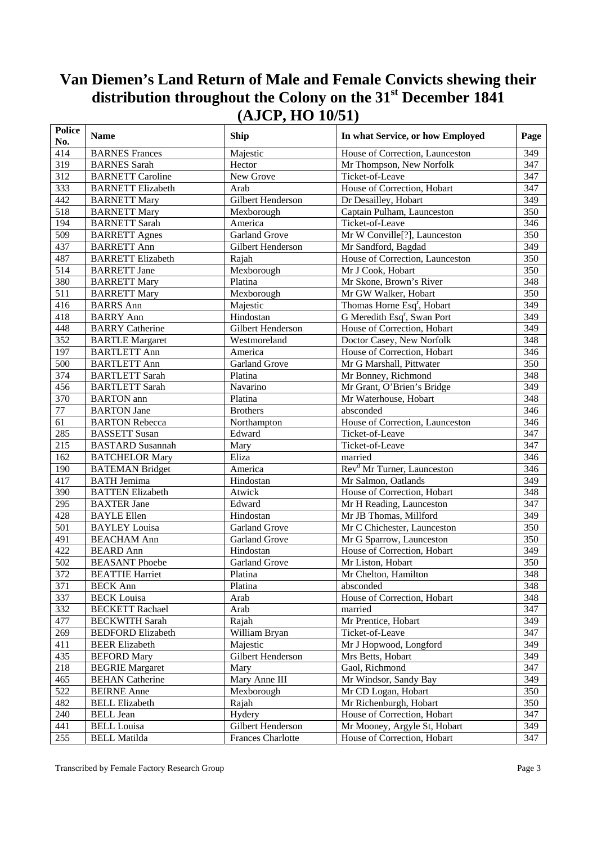| <b>Police</b><br>No. | <b>Name</b>              | <b>Ship</b>          | In what Service, or how Employed          | Page |
|----------------------|--------------------------|----------------------|-------------------------------------------|------|
| 414                  | <b>BARNES</b> Frances    | Majestic             | House of Correction, Launceston           | 349  |
| 319                  | <b>BARNES</b> Sarah      | Hector               | Mr Thompson, New Norfolk                  | 347  |
| 312                  | <b>BARNETT Caroline</b>  | New Grove            | Ticket-of-Leave                           | 347  |
| 333                  | <b>BARNETT Elizabeth</b> | Arab                 | House of Correction, Hobart               | 347  |
| 442                  | <b>BARNETT Mary</b>      | Gilbert Henderson    | Dr Desailley, Hobart                      | 349  |
| 518                  | <b>BARNETT Mary</b>      | Mexborough           | Captain Pulham, Launceston                | 350  |
| 194                  | <b>BARNETT</b> Sarah     | America              | Ticket-of-Leave                           | 346  |
| $\overline{509}$     | <b>BARRETT Agnes</b>     | Garland Grove        | Mr W Conville <sup>[?]</sup> , Launceston | 350  |
| 437                  | <b>BARRETT Ann</b>       | Gilbert Henderson    | Mr Sandford, Bagdad                       | 349  |
| 487                  | <b>BARRETT Elizabeth</b> | Rajah                | House of Correction, Launceston           | 350  |
| 514                  | <b>BARRETT</b> Jane      | Mexborough           | Mr J Cook, Hobart                         | 350  |
| 380                  | <b>BARRETT Mary</b>      | Platina              | Mr Skone, Brown's River                   | 348  |
| 511                  | <b>BARRETT Mary</b>      | Mexborough           | Mr GW Walker, Hobart                      | 350  |
| 416                  | <b>BARRS</b> Ann         | Majestic             | Thomas Horne Esq <sup>r</sup> , Hobart    | 349  |
| 418                  | <b>BARRY Ann</b>         | Hindostan            | G Meredith Esq <sup>r</sup> , Swan Port   | 349  |
| 448                  | <b>BARRY</b> Catherine   | Gilbert Henderson    | House of Correction, Hobart               | 349  |
| 352                  | <b>BARTLE Margaret</b>   | Westmoreland         | Doctor Casey, New Norfolk                 | 348  |
| 197                  | <b>BARTLETT Ann</b>      | America              | House of Correction, Hobart               | 346  |
| 500                  | <b>BARTLETT Ann</b>      | Garland Grove        | Mr G Marshall, Pittwater                  | 350  |
| 374                  | <b>BARTLETT Sarah</b>    | Platina              | Mr Bonney, Richmond                       | 348  |
| 456                  | <b>BARTLETT Sarah</b>    | Navarino             | Mr Grant, O'Brien's Bridge                | 349  |
| 370                  | <b>BARTON</b> ann        | Platina              | Mr Waterhouse, Hobart                     | 348  |
| $77\,$               | <b>BARTON</b> Jane       | <b>Brothers</b>      | absconded                                 | 346  |
| 61                   | <b>BARTON Rebecca</b>    | Northampton          | House of Correction, Launceston           | 346  |
| 285                  | <b>BASSETT Susan</b>     | Edward               | Ticket-of-Leave                           | 347  |
| 215                  | <b>BASTARD</b> Susannah  | Mary                 | Ticket-of-Leave                           | 347  |
| 162                  | <b>BATCHELOR Mary</b>    | Eliza                | married                                   | 346  |
| 190                  | <b>BATEMAN Bridget</b>   | America              | Rev <sup>d</sup> Mr Turner, Launceston    | 346  |
| 417                  | <b>BATH</b> Jemima       | Hindostan            | Mr Salmon, Oatlands                       | 349  |
| 390                  | <b>BATTEN Elizabeth</b>  | Atwick               | House of Correction, Hobart               | 348  |
| 295                  | <b>BAXTER Jane</b>       | Edward               | Mr H Reading, Launceston                  | 347  |
| 428                  | <b>BAYLE Ellen</b>       | Hindostan            | Mr JB Thomas, Millford                    | 349  |
| 501                  | <b>BAYLEY Louisa</b>     | <b>Garland Grove</b> | Mr C Chichester, Launceston               | 350  |
| 491                  | <b>BEACHAM Ann</b>       | Garland Grove        | Mr G Sparrow, Launceston                  | 350  |
| 422                  | <b>BEARD</b> Ann         | Hindostan            | House of Correction, Hobart               | 349  |
| 502                  | <b>BEASANT</b> Phoebe    | Garland Grove        | Mr Liston, Hobart                         | 350  |
| 372                  | <b>BEATTIE Harriet</b>   | Platina              | Mr Chelton, Hamilton                      | 348  |
| 371                  | <b>BECK Ann</b>          | Platina              | absconded                                 | 348  |
| 337                  | <b>BECK Louisa</b>       | Arab                 | House of Correction, Hobart               | 348  |
| 332                  | <b>BECKETT Rachael</b>   | Arab                 | married                                   | 347  |
| 477                  | <b>BECKWITH Sarah</b>    | Rajah                | Mr Prentice, Hobart                       | 349  |
| 269                  | <b>BEDFORD Elizabeth</b> | William Bryan        | Ticket-of-Leave                           | 347  |
| 411                  | <b>BEER Elizabeth</b>    | Majestic             | Mr J Hopwood, Longford                    | 349  |
| 435                  | <b>BEFORD</b> Mary       | Gilbert Henderson    | Mrs Betts, Hobart                         | 349  |
| 218                  | <b>BEGRIE Margaret</b>   | Mary                 | Gaol, Richmond                            | 347  |
| 465                  | <b>BEHAN</b> Catherine   | Mary Anne III        | Mr Windsor, Sandy Bay                     | 349  |
| 522                  | <b>BEIRNE Anne</b>       | Mexborough           | Mr CD Logan, Hobart                       | 350  |
| 482                  | <b>BELL Elizabeth</b>    | Rajah                | Mr Richenburgh, Hobart                    | 350  |
| 240                  | <b>BELL</b> Jean         | Hydery               | House of Correction, Hobart               | 347  |
| 441                  | <b>BELL Louisa</b>       | Gilbert Henderson    | Mr Mooney, Argyle St, Hobart              | 349  |
| 255                  | <b>BELL Matilda</b>      | Frances Charlotte    | House of Correction, Hobart               | 347  |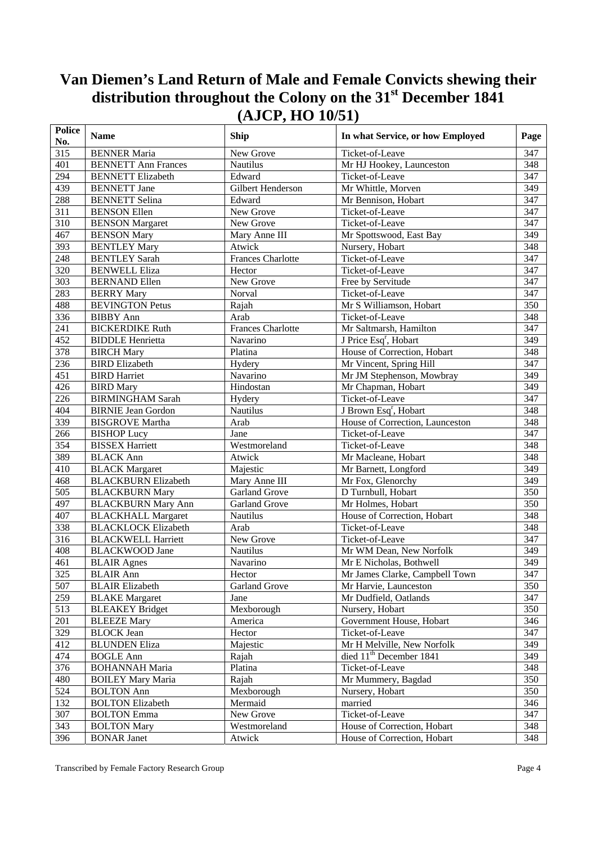| <b>Police</b><br>No. | <b>Name</b>                | <b>Ship</b>              | In what Service, or how Employed    | Page             |
|----------------------|----------------------------|--------------------------|-------------------------------------|------------------|
| 315                  | <b>BENNER Maria</b>        | New Grove                | Ticket-of-Leave                     | 347              |
| 401                  | <b>BENNETT Ann Frances</b> | Nautilus                 | Mr HJ Hookey, Launceston            | 348              |
| 294                  | <b>BENNETT Elizabeth</b>   | Edward                   | Ticket-of-Leave                     | 347              |
| 439                  | <b>BENNETT</b> Jane        | Gilbert Henderson        | Mr Whittle, Morven                  | 349              |
| 288                  | <b>BENNETT</b> Selina      | Edward                   | Mr Bennison, Hobart                 | 347              |
| 311                  | <b>BENSON Ellen</b>        | New Grove                | Ticket-of-Leave                     | 347              |
| 310                  | <b>BENSON</b> Margaret     | New Grove                | Ticket-of-Leave                     | 347              |
| 467                  | <b>BENSON Mary</b>         | Mary Anne III            | Mr Spottswood, East Bay             | 349              |
| 393                  | <b>BENTLEY Mary</b>        | Atwick                   | Nursery, Hobart                     | 348              |
| 248                  | <b>BENTLEY Sarah</b>       | <b>Frances Charlotte</b> | Ticket-of-Leave                     | 347              |
| 320                  | <b>BENWELL Eliza</b>       | Hector                   | Ticket-of-Leave                     | 347              |
| 303                  | <b>BERNAND Ellen</b>       | New Grove                | Free by Servitude                   | 347              |
| 283                  | <b>BERRY Mary</b>          | Norval                   | Ticket-of-Leave                     | 347              |
| 488                  | <b>BEVINGTON Petus</b>     | Rajah                    | Mr S Williamson, Hobart             | 350              |
| 336                  | <b>BIBBY</b> Ann           | Arab                     | Ticket-of-Leave                     | 348              |
| 241                  | <b>BICKERDIKE Ruth</b>     | <b>Frances Charlotte</b> | Mr Saltmarsh, Hamilton              | 347              |
| 452                  | <b>BIDDLE</b> Henrietta    | Navarino                 | J Price Esq <sup>r</sup> , Hobart   | 349              |
| 378                  | <b>BIRCH Mary</b>          | Platina                  | House of Correction, Hobart         | 348              |
| 236                  | <b>BIRD</b> Elizabeth      | Hydery                   | Mr Vincent, Spring Hill             | 347              |
| 451                  | <b>BIRD Harriet</b>        | Navarino                 | Mr JM Stephenson, Mowbray           | 349              |
| 426                  | <b>BIRD</b> Mary           | Hindostan                | Mr Chapman, Hobart                  | 349              |
| 226                  | <b>BIRMINGHAM Sarah</b>    | Hydery                   | Ticket-of-Leave                     | $\frac{347}{7}$  |
| 404                  | <b>BIRNIE Jean Gordon</b>  | Nautilus                 | J Brown Esq <sup>r</sup> , Hobart   | 348              |
| 339                  | <b>BISGROVE Martha</b>     | Arab                     | House of Correction, Launceston     | 348              |
| 266                  | <b>BISHOP Lucy</b>         | Jane                     | Ticket-of-Leave                     | 347              |
| 354                  | <b>BISSEX Harriett</b>     | Westmoreland             | Ticket-of-Leave                     | 348              |
| 389                  | <b>BLACK Ann</b>           | Atwick                   | Mr Macleane, Hobart                 | 348              |
| 410                  | <b>BLACK Margaret</b>      | Majestic                 | Mr Barnett, Longford                | 349              |
| 468                  | <b>BLACKBURN Elizabeth</b> | Mary Anne III            | Mr Fox, Glenorchy                   | 349              |
| $\overline{505}$     | <b>BLACKBURN Mary</b>      | <b>Garland Grove</b>     | D Turnbull, Hobart                  | $\overline{350}$ |
| 497                  | <b>BLACKBURN Mary Ann</b>  | <b>Garland Grove</b>     | Mr Holmes, Hobart                   | 350              |
| $\overline{407}$     | <b>BLACKHALL Margaret</b>  | Nautilus                 | House of Correction, Hobart         | 348              |
| 338                  | <b>BLACKLOCK Elizabeth</b> | Arab                     | Ticket-of-Leave                     | 348              |
| 316                  | <b>BLACKWELL Harriett</b>  | New Grove                | Ticket-of-Leave                     | 347              |
| 408                  | <b>BLACKWOOD Jane</b>      | Nautilus                 | Mr WM Dean, New Norfolk             | 349              |
| 461                  | <b>BLAIR Agnes</b>         | Navarino                 | Mr E Nicholas, Bothwell             | 349              |
| 325                  | <b>BLAIR Ann</b>           | Hector                   | Mr James Clarke, Campbell Town      | 347              |
| 507                  | <b>BLAIR Elizabeth</b>     | Garland Grove            | Mr Harvie, Launceston               | 350              |
| 259                  | <b>BLAKE</b> Margaret      | Jane                     | Mr Dudfield, Oatlands               | 347              |
| 513                  | <b>BLEAKEY Bridget</b>     | Mexborough               | Nursery, Hobart                     | 350              |
| 201                  | <b>BLEEZE</b> Mary         | America                  | Government House, Hobart            | 346              |
| 329                  | <b>BLOCK</b> Jean          | Hector                   | Ticket-of-Leave                     | 347              |
| 412                  | <b>BLUNDEN Eliza</b>       | Majestic                 | Mr H Melville, New Norfolk          | 349              |
| 474                  | <b>BOGLE Ann</b>           | Rajah                    | died 11 <sup>th</sup> December 1841 | 349              |
| 376                  | <b>BOHANNAH Maria</b>      | Platina                  | Ticket-of-Leave                     | 348              |
| 480                  | <b>BOILEY Mary Maria</b>   | Rajah                    | Mr Mummery, Bagdad                  | 350              |
| 524                  | <b>BOLTON Ann</b>          | Mexborough               | Nursery, Hobart                     | 350              |
| 132                  | <b>BOLTON Elizabeth</b>    | Mermaid                  | married                             | 346              |
| 307                  | <b>BOLTON Emma</b>         | New Grove                | Ticket-of-Leave                     | 347              |
| 343                  | <b>BOLTON Mary</b>         | Westmoreland             | House of Correction, Hobart         | 348              |
| 396                  | <b>BONAR Janet</b>         | Atwick                   | House of Correction, Hobart         | 348              |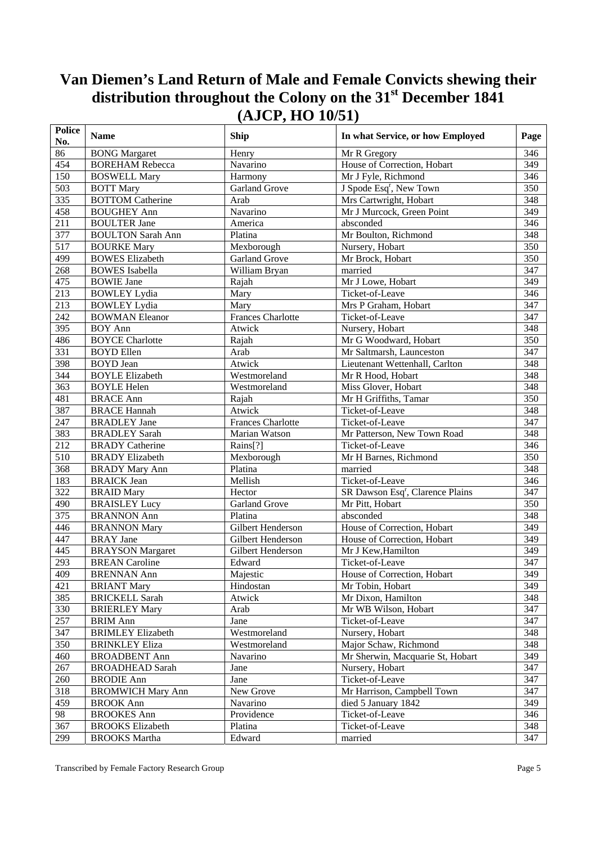| <b>Police</b><br>No. | <b>Name</b>              | <b>Ship</b>              | In what Service, or how Employed             | Page            |
|----------------------|--------------------------|--------------------------|----------------------------------------------|-----------------|
| 86                   | <b>BONG</b> Margaret     | Henry                    | Mr R Gregory                                 | 346             |
| 454                  | <b>BOREHAM Rebecca</b>   | Navarino                 | House of Correction, Hobart                  | 349             |
| 150                  | <b>BOSWELL Mary</b>      | Harmony                  | Mr J Fyle, Richmond                          | 346             |
| 503                  | <b>BOTT Mary</b>         | <b>Garland Grove</b>     | J Spode Esq <sup>r</sup> , New Town          | 350             |
| 335                  | <b>BOTTOM Catherine</b>  | Arab                     | Mrs Cartwright, Hobart                       | 348             |
| 458                  | <b>BOUGHEY Ann</b>       | Navarino                 | Mr J Murcock, Green Point                    | 349             |
| 211                  | <b>BOULTER Jane</b>      | America                  | absconded                                    | 346             |
| 377                  | <b>BOULTON Sarah Ann</b> | Platina                  | Mr Boulton, Richmond                         | 348             |
| $\overline{517}$     | <b>BOURKE Mary</b>       | Mexborough               | Nursery, Hobart                              | 350             |
| 499                  | <b>BOWES Elizabeth</b>   | Garland Grove            | Mr Brock, Hobart                             | 350             |
| 268                  | <b>BOWES</b> Isabella    | William Bryan            | married                                      | 347             |
| 475                  | <b>BOWIE Jane</b>        | Rajah                    | Mr J Lowe, Hobart                            | 349             |
| 213                  | <b>BOWLEY Lydia</b>      | Mary                     | Ticket-of-Leave                              | 346             |
| 213                  | <b>BOWLEY Lydia</b>      | Mary                     | Mrs P Graham, Hobart                         | 347             |
| 242                  | <b>BOWMAN</b> Eleanor    | <b>Frances Charlotte</b> | Ticket-of-Leave                              | 347             |
| 395                  | <b>BOY Ann</b>           | Atwick                   | Nursery, Hobart                              | 348             |
| 486                  | <b>BOYCE Charlotte</b>   | Rajah                    | Mr G Woodward, Hobart                        | 350             |
| 331                  | <b>BOYD Ellen</b>        | Arab                     | Mr Saltmarsh, Launceston                     | 347             |
| 398                  | <b>BOYD</b> Jean         | Atwick                   | Lieutenant Wettenhall, Carlton               | 348             |
| 344                  | <b>BOYLE Elizabeth</b>   | Westmoreland             | Mr R Hood, Hobart                            | 348             |
| 363                  | <b>BOYLE Helen</b>       | Westmoreland             | Miss Glover, Hobart                          | 348             |
| 481                  | <b>BRACE Ann</b>         | Rajah                    | Mr H Griffiths, Tamar                        | 350             |
| 387                  | <b>BRACE Hannah</b>      | Atwick                   | Ticket-of-Leave                              | 348             |
| 247                  | <b>BRADLEY</b> Jane      | <b>Frances Charlotte</b> | Ticket-of-Leave                              | 347             |
| 383                  | <b>BRADLEY Sarah</b>     | Marian Watson            | Mr Patterson, New Town Road                  | 348             |
| 212                  | <b>BRADY</b> Catherine   | Rains[?]                 | Ticket-of-Leave                              | 346             |
| 510                  | <b>BRADY</b> Elizabeth   | Mexborough               | Mr H Barnes, Richmond                        | 350             |
| 368                  | <b>BRADY Mary Ann</b>    | Platina                  | married                                      | 348             |
| 183                  | <b>BRAICK Jean</b>       | Mellish                  | Ticket-of-Leave                              | 346             |
| 322                  | <b>BRAID Mary</b>        | Hector                   | SR Dawson Esq <sup>r</sup> , Clarence Plains | $\frac{347}{ }$ |
| 490                  | <b>BRAISLEY Lucy</b>     | <b>Garland Grove</b>     | Mr Pitt, Hobart                              | 350             |
| $\overline{375}$     | <b>BRANNON Ann</b>       | Platina                  | absconded                                    | 348             |
| 446                  | <b>BRANNON Mary</b>      | Gilbert Henderson        | House of Correction, Hobart                  | 349             |
| 447                  | <b>BRAY</b> Jane         | Gilbert Henderson        | House of Correction, Hobart                  | 349             |
| $44\overline{5}$     | <b>BRAYSON</b> Margaret  | Gilbert Henderson        | Mr J Kew, Hamilton                           | 349             |
| 293                  | <b>BREAN</b> Caroline    | Edward                   | Ticket-of-Leave                              | 347             |
| 409                  | <b>BRENNAN Ann</b>       | Majestic                 | House of Correction, Hobart                  | 349             |
| 421                  | <b>BRIANT Mary</b>       | Hindostan                | Mr Tobin, Hobart                             | 349             |
| 385                  | <b>BRICKELL Sarah</b>    | Atwick                   | Mr Dixon, Hamilton                           | 348             |
| 330                  | <b>BRIERLEY Mary</b>     | Arab                     | Mr WB Wilson, Hobart                         | 347             |
| 257                  | <b>BRIM Ann</b>          | Jane                     | Ticket-of-Leave                              | 347             |
| 347                  | <b>BRIMLEY Elizabeth</b> | Westmoreland             | Nursery, Hobart                              | 348             |
| 350                  | <b>BRINKLEY Eliza</b>    | Westmoreland             | Major Schaw, Richmond                        | 348             |
| 460                  | <b>BROADBENT Ann</b>     | Navarino                 | Mr Sherwin, Macquarie St, Hobart             | 349             |
| 267                  | <b>BROADHEAD Sarah</b>   | Jane                     | Nursery, Hobart                              | 347             |
| 260                  | <b>BRODIE Ann</b>        | Jane                     | Ticket-of-Leave                              | 347             |
| 318                  | <b>BROMWICH Mary Ann</b> | New Grove                | Mr Harrison, Campbell Town                   | 347             |
| 459                  | <b>BROOK Ann</b>         | Navarino                 | died 5 January 1842                          | 349             |
| 98                   | <b>BROOKES</b> Ann       | Providence               | Ticket-of-Leave                              | 346             |
| 367                  | <b>BROOKS</b> Elizabeth  | Platina                  | Ticket-of-Leave                              | 348             |
| 299                  | <b>BROOKS</b> Martha     | Edward                   | married                                      | 347             |
|                      |                          |                          |                                              |                 |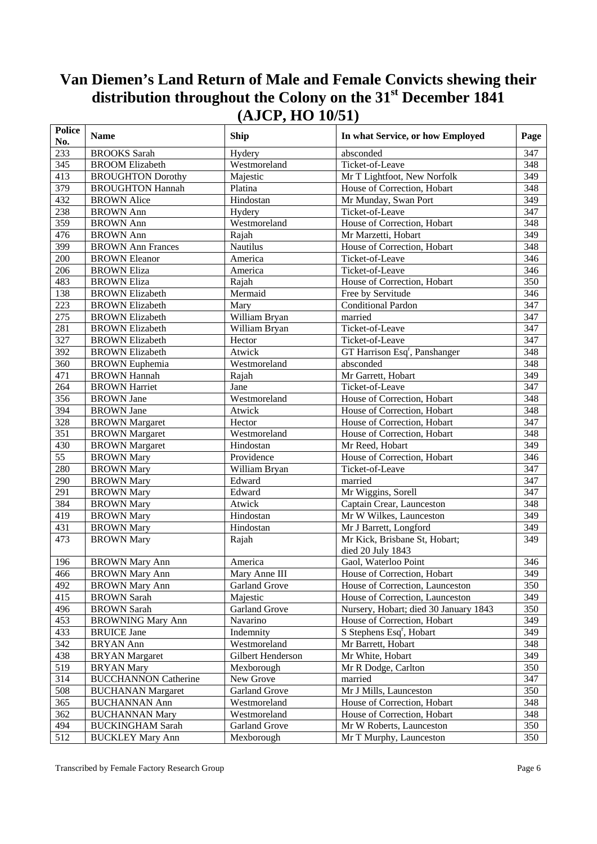| <b>Police</b><br>No. | <b>Name</b>                 | Ship                 | In what Service, or how Employed          | Page             |
|----------------------|-----------------------------|----------------------|-------------------------------------------|------------------|
| 233                  | <b>BROOKS</b> Sarah         | Hydery               | absconded                                 | 347              |
| 345                  | <b>BROOM Elizabeth</b>      | Westmoreland         | Ticket-of-Leave                           | 348              |
| 413                  | <b>BROUGHTON Dorothy</b>    | Majestic             | Mr T Lightfoot, New Norfolk               | 349              |
| 379                  | <b>BROUGHTON Hannah</b>     | Platina              | House of Correction, Hobart               | 348              |
| 432                  | <b>BROWN</b> Alice          | Hindostan            | Mr Munday, Swan Port                      | 349              |
| 238                  | <b>BROWN</b> Ann            | Hydery               | Ticket-of-Leave                           | 347              |
| 359                  | <b>BROWN</b> Ann            | Westmoreland         | House of Correction, Hobart               | 348              |
| 476                  | <b>BROWN</b> Ann            | Rajah                | Mr Marzetti, Hobart                       | 349              |
| 399                  | <b>BROWN</b> Ann Frances    | <b>Nautilus</b>      | House of Correction, Hobart               | 348              |
| 200                  | <b>BROWN Eleanor</b>        | America              | Ticket-of-Leave                           | 346              |
| 206                  | <b>BROWN Eliza</b>          | America              | Ticket-of-Leave                           | 346              |
| 483                  | <b>BROWN Eliza</b>          | Rajah                | House of Correction, Hobart               | 350              |
| 138                  | <b>BROWN Elizabeth</b>      | Mermaid              | Free by Servitude                         | 346              |
| 223                  | <b>BROWN Elizabeth</b>      | Mary                 | <b>Conditional Pardon</b>                 | 347              |
| 275                  | <b>BROWN Elizabeth</b>      | William Bryan        | married                                   | 347              |
| 281                  | <b>BROWN Elizabeth</b>      | William Bryan        | Ticket-of-Leave                           | 347              |
| 327                  | <b>BROWN Elizabeth</b>      | Hector               | Ticket-of-Leave                           | 347              |
| 392                  | <b>BROWN Elizabeth</b>      | Atwick               | GT Harrison Esq <sup>r</sup> , Panshanger | 348              |
| 360                  | <b>BROWN</b> Euphemia       | Westmoreland         | absconded                                 | 348              |
| 471                  | <b>BROWN Hannah</b>         | Rajah                | Mr Garrett, Hobart                        | 349              |
| 264                  | <b>BROWN Harriet</b>        | Jane                 | Ticket-of-Leave                           | $\overline{347}$ |
| 356                  | <b>BROWN</b> Jane           | Westmoreland         | House of Correction, Hobart               | 348              |
| 394                  | <b>BROWN</b> Jane           | Atwick               | House of Correction, Hobart               | 348              |
| 328                  | <b>BROWN</b> Margaret       | Hector               | House of Correction, Hobart               | 347              |
| $\overline{351}$     | <b>BROWN</b> Margaret       | Westmoreland         | House of Correction, Hobart               | 348              |
| 430                  | <b>BROWN</b> Margaret       | Hindostan            | Mr Reed, Hobart                           | 349              |
| 55                   | <b>BROWN</b> Mary           | Providence           | House of Correction, Hobart               | 346              |
| 280                  | <b>BROWN</b> Mary           | William Bryan        | Ticket-of-Leave                           | 347              |
| 290                  | <b>BROWN</b> Mary           | Edward               | married                                   | 347              |
| 291                  | <b>BROWN</b> Mary           | Edward               | Mr Wiggins, Sorell                        | $\overline{347}$ |
| 384                  | <b>BROWN</b> Mary           | Atwick               | Captain Crear, Launceston                 | 348              |
| 419                  | <b>BROWN</b> Mary           | Hindostan            | Mr W Wilkes, Launceston                   | 349              |
| 431                  | <b>BROWN</b> Mary           | Hindostan            | Mr J Barrett, Longford                    | 349              |
| 473                  | <b>BROWN Mary</b>           | Rajah                | Mr Kick, Brisbane St, Hobart;             | 349              |
|                      |                             |                      | died 20 July 1843                         |                  |
| 196                  | <b>BROWN Mary Ann</b>       | America              | Gaol, Waterloo Point                      | 346              |
| 466                  | <b>BROWN Mary Ann</b>       | Mary Anne III        | House of Correction, Hobart               | $\frac{349}{2}$  |
| 492                  | <b>BROWN Mary Ann</b>       | Garland Grove        | House of Correction, Launceston           | 350              |
| 415                  | <b>BROWN</b> Sarah          | Majestic             | House of Correction, Launceston           | 349              |
| 496                  | <b>BROWN</b> Sarah          | Garland Grove        | Nursery, Hobart; died 30 January 1843     | 350              |
| 453                  | <b>BROWNING Mary Ann</b>    | Navarino             | House of Correction, Hobart               | 349              |
| 433                  | <b>BRUICE Jane</b>          | Indemnity            | S Stephens Esq <sup>r</sup> , Hobart      | 349              |
| 342                  | <b>BRYAN</b> Ann            | Westmoreland         | Mr Barrett, Hobart                        | 348              |
| 438                  | <b>BRYAN</b> Margaret       | Gilbert Henderson    | Mr White, Hobart                          | 349              |
| 519                  | <b>BRYAN</b> Mary           | Mexborough           | Mr R Dodge, Carlton                       | 350              |
| 314                  | <b>BUCCHANNON Catherine</b> | New Grove            | married                                   | 347              |
|                      |                             | <b>Garland Grove</b> |                                           |                  |
| 508                  | <b>BUCHANAN Margaret</b>    |                      | Mr J Mills, Launceston                    | 350              |
| 365                  | <b>BUCHANNAN Ann</b>        | Westmoreland         | House of Correction, Hobart               | 348              |
| 362                  | <b>BUCHANNAN Mary</b>       | Westmoreland         | House of Correction, Hobart               | 348              |
| 494                  | <b>BUCKINGHAM Sarah</b>     | <b>Garland Grove</b> | Mr W Roberts, Launceston                  | 350              |
| 512                  | <b>BUCKLEY Mary Ann</b>     | Mexborough           | Mr T Murphy, Launceston                   | 350              |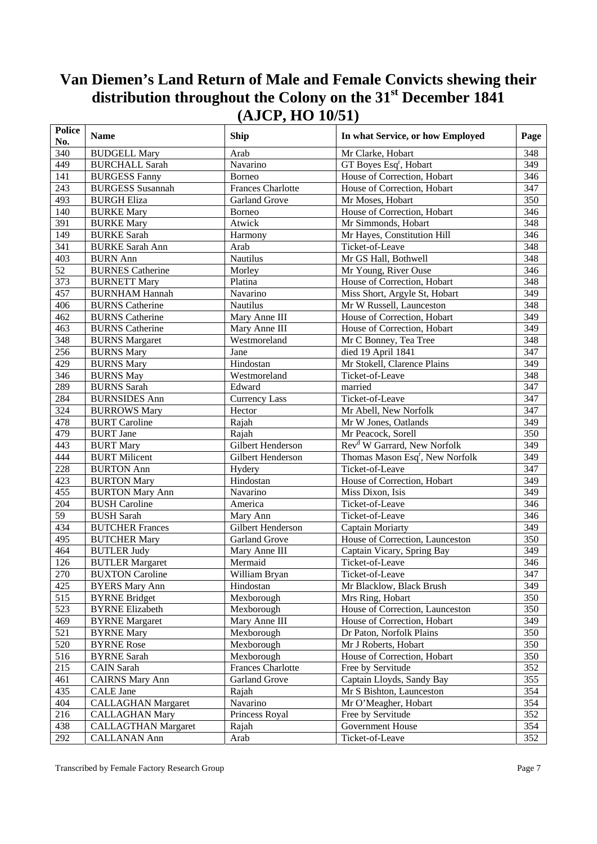| <b>Police</b><br>No. | <b>Name</b>                | Ship                     | In what Service, or how Employed            | Page            |
|----------------------|----------------------------|--------------------------|---------------------------------------------|-----------------|
| $\overline{340}$     | <b>BUDGELL Mary</b>        | Arab                     | Mr Clarke, Hobart                           | 348             |
| 449                  | <b>BURCHALL Sarah</b>      | Navarino                 | GT Boyes Esq <sup>r</sup> , Hobart          | 349             |
| 141                  | <b>BURGESS Fanny</b>       | Borneo                   | House of Correction, Hobart                 | 346             |
| 243                  | <b>BURGESS Susannah</b>    | <b>Frances Charlotte</b> | House of Correction, Hobart                 | 347             |
| 493                  | <b>BURGH Eliza</b>         | <b>Garland Grove</b>     | Mr Moses, Hobart                            | 350             |
| 140                  | <b>BURKE Mary</b>          | Borneo                   | House of Correction, Hobart                 | 346             |
| 391                  | <b>BURKE Mary</b>          | Atwick                   | Mr Simmonds, Hobart                         | 348             |
| 149                  | <b>BURKE Sarah</b>         | Harmony                  | Mr Hayes, Constitution Hill                 | 346             |
| 341                  | <b>BURKE Sarah Ann</b>     | Arab                     | Ticket-of-Leave                             | 348             |
| 403                  | <b>BURN</b> Ann            | <b>Nautilus</b>          | Mr GS Hall, Bothwell                        | 348             |
| 52                   | <b>BURNES Catherine</b>    | Morley                   | Mr Young, River Ouse                        | 346             |
| 373                  | <b>BURNETT Mary</b>        | Platina                  | House of Correction, Hobart                 | 348             |
| 457                  | <b>BURNHAM Hannah</b>      | Navarino                 | Miss Short, Argyle St, Hobart               | 349             |
| 406                  | <b>BURNS Catherine</b>     | <b>Nautilus</b>          | Mr W Russell, Launceston                    | 348             |
| 462                  | <b>BURNS</b> Catherine     | Mary Anne III            | House of Correction, Hobart                 | 349             |
| 463                  | <b>BURNS Catherine</b>     | Mary Anne III            | House of Correction, Hobart                 | 349             |
| 348                  | <b>BURNS</b> Margaret      | Westmoreland             | Mr C Bonney, Tea Tree                       | 348             |
| 256                  | <b>BURNS Mary</b>          | Jane                     | died 19 April 1841                          | 347             |
| 429                  | <b>BURNS Mary</b>          | Hindostan                | Mr Stokell, Clarence Plains                 | 349             |
| 346                  | <b>BURNS May</b>           | Westmoreland             | Ticket-of-Leave                             | 348             |
| 289                  | <b>BURNS</b> Sarah         | Edward                   | married                                     | 347             |
| 284                  | <b>BURNSIDES Ann</b>       | Currency Lass            | Ticket-of-Leave                             | 347             |
| 324                  | <b>BURROWS Mary</b>        | Hector                   | Mr Abell, New Norfolk                       | 347             |
| 478                  | <b>BURT Caroline</b>       | Rajah                    | Mr W Jones, Oatlands                        | 349             |
| 479                  | <b>BURT Jane</b>           | Rajah                    | Mr Peacock, Sorell                          | 350             |
| 443                  | <b>BURT Mary</b>           | Gilbert Henderson        | Rev <sup>d</sup> W Garrard, New Norfolk     | 349             |
| 444                  | <b>BURT Milicent</b>       | Gilbert Henderson        | Thomas Mason Esq <sup>r</sup> , New Norfolk | 349             |
| 228                  | <b>BURTON Ann</b>          | Hydery                   | Ticket-of-Leave                             | 347             |
| 423                  | <b>BURTON Mary</b>         | Hindostan                | House of Correction, Hobart                 | 349             |
| 455                  | <b>BURTON Mary Ann</b>     | Navarino                 | Miss Dixon, Isis                            | 349             |
| 204                  | <b>BUSH Caroline</b>       | America                  | Ticket-of-Leave                             | $\frac{1}{346}$ |
| 59                   | <b>BUSH Sarah</b>          | Mary Ann                 | Ticket-of-Leave                             | 346             |
| 434                  | <b>BUTCHER Frances</b>     | Gilbert Henderson        | <b>Captain Moriarty</b>                     | 349             |
| 495                  | <b>BUTCHER Mary</b>        | <b>Garland Grove</b>     | House of Correction, Launceston             | 350             |
| 464                  | <b>BUTLER Judy</b>         | Mary Anne III            | Captain Vicary, Spring Bay                  | 349             |
| 126                  | <b>BUTLER Margaret</b>     | Mermaid                  | Ticket-of-Leave                             | 346             |
| 270                  | <b>BUXTON Caroline</b>     | William Bryan            | Ticket-of-Leave                             | 347             |
| 425                  | <b>BYERS Mary Ann</b>      | Hindostan                | Mr Blacklow, Black Brush                    | 349             |
| 515                  | <b>BYRNE Bridget</b>       | Mexborough               | Mrs Ring, Hobart                            | 350             |
| 523                  | <b>BYRNE Elizabeth</b>     | Mexborough               | House of Correction, Launceston             | 350             |
| 469                  | <b>BYRNE</b> Margaret      | Mary Anne III            | House of Correction, Hobart                 | 349             |
| 521                  | <b>BYRNE Mary</b>          | Mexborough               | Dr Paton, Norfolk Plains                    | 350             |
| 520                  | <b>BYRNE Rose</b>          | Mexborough               | Mr J Roberts, Hobart                        | 350             |
| 516                  | <b>BYRNE Sarah</b>         | Mexborough               | House of Correction, Hobart                 | 350             |
| 215                  | <b>CAIN Sarah</b>          | Frances Charlotte        | Free by Servitude                           | 352             |
| 461                  | <b>CAIRNS Mary Ann</b>     | <b>Garland Grove</b>     | Captain Lloyds, Sandy Bay                   | 355             |
| 435                  | CALE Jane                  | Rajah                    | Mr S Bishton, Launceston                    | 354             |
| 404                  | <b>CALLAGHAN Margaret</b>  | Navarino                 | Mr O'Meagher, Hobart                        | 354             |
| 216                  | <b>CALLAGHAN Mary</b>      | Princess Royal           | Free by Servitude                           | 352             |
| 438                  | <b>CALLAGTHAN Margaret</b> | Rajah                    | Government House                            | 354             |
| 292                  | <b>CALLANAN Ann</b>        | Arab                     | Ticket-of-Leave                             | 352             |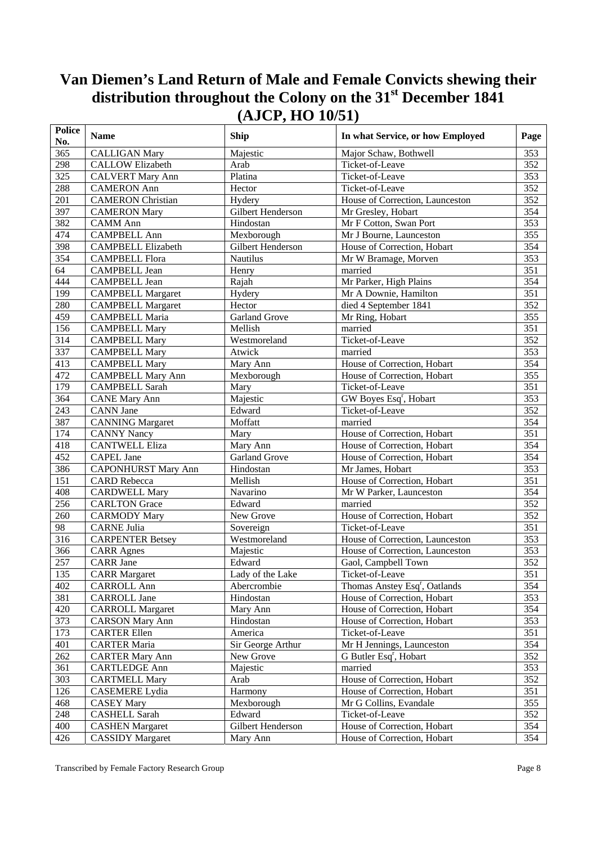| <b>Police</b><br>No. | <b>Name</b>                | Ship                 | In what Service, or how Employed          | Page             |
|----------------------|----------------------------|----------------------|-------------------------------------------|------------------|
| 365                  | <b>CALLIGAN Mary</b>       | Majestic             | Major Schaw, Bothwell                     | 353              |
| 298                  | <b>CALLOW Elizabeth</b>    | Arab                 | Ticket-of-Leave                           | 352              |
| 325                  | <b>CALVERT Mary Ann</b>    | Platina              | Ticket-of-Leave                           | 353              |
| 288                  | <b>CAMERON Ann</b>         | Hector               | Ticket-of-Leave                           | 352              |
| 201                  | <b>CAMERON</b> Christian   | Hydery               | House of Correction, Launceston           | 352              |
| 397                  | <b>CAMERON Mary</b>        | Gilbert Henderson    | Mr Gresley, Hobart                        | 354              |
| 382                  | <b>CAMM</b> Ann            | Hindostan            | Mr F Cotton, Swan Port                    | $\overline{353}$ |
| 474                  | <b>CAMPBELL Ann</b>        | Mexborough           | Mr J Bourne, Launceston                   | 355              |
| 398                  | <b>CAMPBELL Elizabeth</b>  | Gilbert Henderson    | House of Correction, Hobart               | 354              |
| 354                  | <b>CAMPBELL Flora</b>      | <b>Nautilus</b>      | Mr W Bramage, Morven                      | 353              |
| 64                   | <b>CAMPBELL Jean</b>       | Henry                | married                                   | 351              |
| 444                  | <b>CAMPBELL Jean</b>       | Rajah                | Mr Parker, High Plains                    | 354              |
| 199                  | <b>CAMPBELL Margaret</b>   | Hydery               | Mr A Downie, Hamilton                     | 351              |
| 280                  | <b>CAMPBELL Margaret</b>   | Hector               | died 4 September 1841                     | 352              |
| 459                  | <b>CAMPBELL Maria</b>      | <b>Garland Grove</b> | Mr Ring, Hobart                           | 355              |
| 156                  | <b>CAMPBELL Mary</b>       | Mellish              | married                                   | 351              |
| 314                  | <b>CAMPBELL Mary</b>       | Westmoreland         | Ticket-of-Leave                           | 352              |
| 337                  | <b>CAMPBELL Mary</b>       | Atwick               | married                                   | 353              |
| 413                  | <b>CAMPBELL Mary</b>       | Mary Ann             | House of Correction, Hobart               | 354              |
| 472                  | <b>CAMPBELL Mary Ann</b>   | Mexborough           | House of Correction, Hobart               | 355              |
| 179                  | <b>CAMPBELL Sarah</b>      | Mary                 | Ticket-of-Leave                           | 351              |
| 364                  | <b>CANE Mary Ann</b>       | Majestic             | GW Boyes Esq <sup>r</sup> , Hobart        | 353              |
| 243                  | <b>CANN</b> Jane           | Edward               | Ticket-of-Leave                           | 352              |
| 387                  | <b>CANNING</b> Margaret    | Moffatt              | married                                   | 354              |
| 174                  | <b>CANNY Nancy</b>         | Mary                 | House of Correction, Hobart               | $\overline{351}$ |
| 418                  | <b>CANTWELL Eliza</b>      | Mary Ann             | House of Correction, Hobart               | 354              |
| 452                  | <b>CAPEL Jane</b>          | <b>Garland Grove</b> | House of Correction, Hobart               | 354              |
| 386                  | <b>CAPONHURST Mary Ann</b> | Hindostan            | Mr James, Hobart                          | 353              |
| 151                  | <b>CARD</b> Rebecca        | Mellish              | House of Correction, Hobart               | 351              |
| 408                  | <b>CARDWELL Mary</b>       | Navarino             | Mr W Parker, Launceston                   | 354              |
| 256                  | <b>CARLTON</b> Grace       | Edward               | married                                   | 352              |
| 260                  | <b>CARMODY Mary</b>        | New Grove            | House of Correction, Hobart               | 352              |
| 98                   | <b>CARNE Julia</b>         | Sovereign            | Ticket-of-Leave                           | 351              |
| 316                  | <b>CARPENTER Betsey</b>    | Westmoreland         | House of Correction, Launceston           | 353              |
| 366                  | <b>CARR</b> Agnes          | Majestic             | House of Correction, Launceston           | 353              |
| 257                  | <b>CARR</b> Jane           | Edward               | Gaol, Campbell Town                       | 352              |
| 135                  | <b>CARR</b> Margaret       | Lady of the Lake     | Ticket-of-Leave                           | $\overline{351}$ |
| 402                  | <b>CARROLL Ann</b>         | Abercrombie          | Thomas Anstey Esq <sup>r</sup> , Oatlands | 354              |
| 381                  | <b>CARROLL Jane</b>        | Hindostan            | House of Correction, Hobart               | 353              |
| 420                  | <b>CARROLL Margaret</b>    | Mary Ann             | House of Correction, Hobart               | 354              |
| 373                  | <b>CARSON Mary Ann</b>     | Hindostan            | House of Correction, Hobart               | 353              |
| 173                  | <b>CARTER Ellen</b>        | America              | Ticket-of-Leave                           | 351              |
| 401                  | <b>CARTER Maria</b>        | Sir George Arthur    | Mr H Jennings, Launceston                 | 354              |
| 262                  | <b>CARTER Mary Ann</b>     | New Grove            | G Butler Esq <sup>r</sup> , Hobart        | 352              |
| 361                  |                            | Majestic             | married                                   | 353              |
| 303                  | <b>CARTLEDGE Ann</b>       | Arab                 | House of Correction, Hobart               | 352              |
|                      | <b>CARTMELL Mary</b>       |                      |                                           |                  |
| 126                  | <b>CASEMERE</b> Lydia      | Harmony              | House of Correction, Hobart               | 351              |
| 468                  | <b>CASEY Mary</b>          | Mexborough           | Mr G Collins, Evandale                    | 355              |
| $248\,$              | <b>CASHELL Sarah</b>       | Edward               | Ticket-of-Leave                           | 352              |
| 400                  | <b>CASHEN Margaret</b>     | Gilbert Henderson    | House of Correction, Hobart               | 354              |
| 426                  | <b>CASSIDY Margaret</b>    | Mary Ann             | House of Correction, Hobart               | 354              |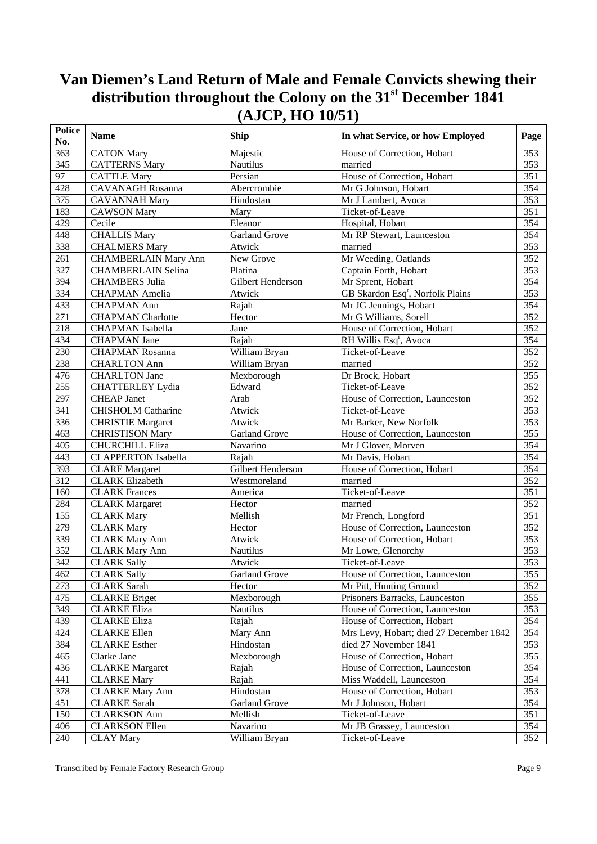| <b>Police</b><br>No. | <b>Name</b>                 | <b>Ship</b>           | In what Service, or how Employed             | Page             |
|----------------------|-----------------------------|-----------------------|----------------------------------------------|------------------|
| 363                  | <b>CATON Mary</b>           | Majestic              | House of Correction, Hobart                  | 353              |
| 345                  | <b>CATTERNS Mary</b>        | <b>Nautilus</b>       | married                                      | 353              |
| 97                   | <b>CATTLE Mary</b>          | Persian               | House of Correction, Hobart                  | 351              |
| 428                  | <b>CAVANAGH Rosanna</b>     | Abercrombie           | Mr G Johnson, Hobart                         | 354              |
| 375                  | <b>CAVANNAH Mary</b>        | Hindostan             | Mr J Lambert, Avoca                          | 353              |
| 183                  | <b>CAWSON Mary</b>          | Mary                  | Ticket-of-Leave                              | 351              |
| 429                  | Cecile                      | Eleanor               | Hospital, Hobart                             | 354              |
| 448                  | <b>CHALLIS Mary</b>         | <b>Garland Grove</b>  | Mr RP Stewart, Launceston                    | $\overline{354}$ |
| 338                  | <b>CHALMERS Mary</b>        | Atwick                | married                                      | 353              |
| 261                  | <b>CHAMBERLAIN Mary Ann</b> | New Grove             | Mr Weeding, Oatlands                         | 352              |
| 327                  | <b>CHAMBERLAIN Selina</b>   | Platina               | Captain Forth, Hobart                        | 353              |
| 394                  | <b>CHAMBERS Julia</b>       | Gilbert Henderson     | Mr Sprent, Hobart                            | 354              |
| 334                  | <b>CHAPMAN</b> Amelia       | Atwick                | GB Skardon Esq <sup>r</sup> , Norfolk Plains | 353              |
| 433                  | <b>CHAPMAN Ann</b>          | Rajah                 | Mr JG Jennings, Hobart                       | 354              |
| $\overline{271}$     | <b>CHAPMAN</b> Charlotte    | Hector                | Mr G Williams, Sorell                        | 352              |
| 218                  | <b>CHAPMAN</b> Isabella     | Jane                  | House of Correction, Hobart                  | 352              |
| 434                  | <b>CHAPMAN Jane</b>         | Rajah                 | RH Willis Esq <sup>r</sup> , Avoca           | 354              |
| 230                  | <b>CHAPMAN Rosanna</b>      | William Bryan         | Ticket-of-Leave                              | 352              |
| 238                  | <b>CHARLTON Ann</b>         | William Bryan         | married                                      | 352              |
| 476                  | <b>CHARLTON Jane</b>        | Mexborough            | Dr Brock, Hobart                             | 355              |
| 255                  | <b>CHATTERLEY Lydia</b>     | Edward                | Ticket-of-Leave                              | 352              |
| 297                  | <b>CHEAP Janet</b>          | Arab                  | House of Correction, Launceston              | $\overline{352}$ |
| 341                  | <b>CHISHOLM Catharine</b>   | Atwick                | Ticket-of-Leave                              | 353              |
| 336                  | <b>CHRISTIE Margaret</b>    | Atwick                | Mr Barker, New Norfolk                       | 353              |
| 463                  | <b>CHRISTISON Mary</b>      | Garland Grove         | House of Correction, Launceston              | 355              |
| 405                  | <b>CHURCHILL Eliza</b>      | Navarino              | Mr J Glover, Morven                          | 354              |
| 443                  | <b>CLAPPERTON Isabella</b>  | Rajah                 | Mr Davis, Hobart                             | 354              |
| 393                  | <b>CLARE</b> Margaret       | Gilbert Henderson     | House of Correction, Hobart                  | 354              |
| $\overline{312}$     | <b>CLARK Elizabeth</b>      | Westmoreland          | married                                      | $\overline{352}$ |
| 160                  | <b>CLARK</b> Frances        | America               | Ticket-of-Leave                              | 351              |
| 284                  | <b>CLARK</b> Margaret       | Hector                | married                                      | 352              |
| 155                  | <b>CLARK Mary</b>           | Mellish               | Mr French, Longford                          | 351              |
| 279                  | <b>CLARK Mary</b>           | Hector                | House of Correction, Launceston              | 352              |
| 339                  | <b>CLARK Mary Ann</b>       | Atwick                | House of Correction, Hobart                  | 353              |
| 352                  | <b>CLARK Mary Ann</b>       | Nautilus              | Mr Lowe, Glenorchy                           | 353              |
| 342                  | <b>CLARK Sally</b>          | Atwick                | Ticket-of-Leave                              | 353              |
| 462                  | <b>CLARK Sally</b>          | Garland Grove         | House of Correction, Launceston              | $\overline{355}$ |
| 273                  | <b>CLARK</b> Sarah          | Hector                | Mr Pitt, Hunting Ground                      | 352              |
| 475                  | <b>CLARKE Briget</b>        | Mexborough            | Prisoners Barracks, Launceston               | 355              |
| 349                  | <b>CLARKE</b> Eliza         | Nautilus              | House of Correction, Launceston              | 353              |
| 439                  | <b>CLARKE</b> Eliza         | Rajah                 | House of Correction, Hobart                  | 354              |
| 424                  | <b>CLARKE Ellen</b>         |                       | Mrs Levy, Hobart; died 27 December 1842      | 354              |
| 384                  | <b>CLARKE</b> Esther        | Mary Ann<br>Hindostan | died 27 November 1841                        |                  |
|                      |                             |                       |                                              | 353              |
| 465                  | Clarke Jane                 | Mexborough            | House of Correction, Hobart                  | 355              |
| 436                  | <b>CLARKE</b> Margaret      | Rajah                 | House of Correction, Launceston              | 354              |
| 441                  | <b>CLARKE Mary</b>          | Rajah                 | Miss Waddell, Launceston                     | 354              |
| 378                  | <b>CLARKE Mary Ann</b>      | Hindostan             | House of Correction, Hobart                  | 353              |
| 451                  | <b>CLARKE</b> Sarah         | Garland Grove         | Mr J Johnson, Hobart                         | 354              |
| 150                  | <b>CLARKSON</b> Ann         | Mellish               | Ticket-of-Leave                              | 351              |
| 406                  | <b>CLARKSON Ellen</b>       | Navarino              | Mr JB Grassey, Launceston                    | 354              |
| 240                  | <b>CLAY Mary</b>            | William Bryan         | Ticket-of-Leave                              | 352              |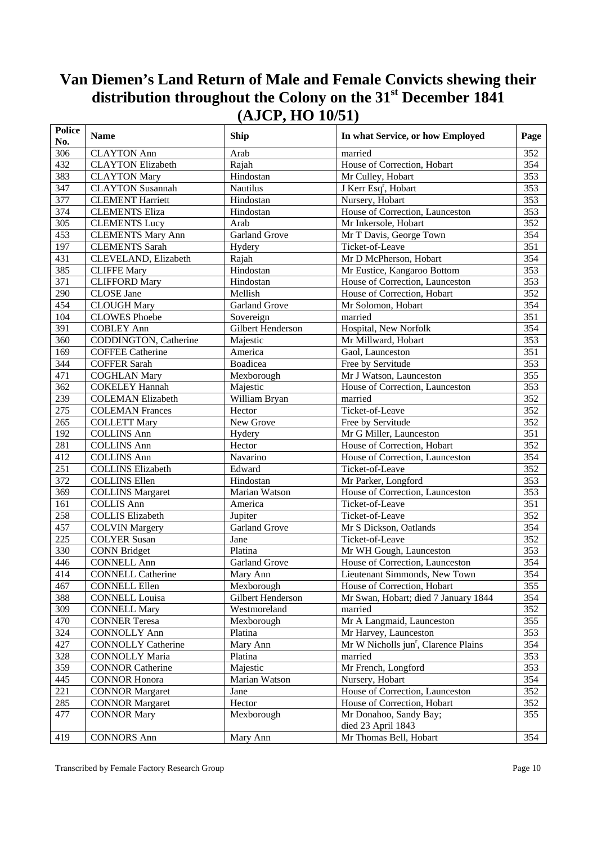| <b>Police</b><br>No. | <b>Name</b>               | <b>Ship</b>          | In what Service, or how Employed                 | Page             |
|----------------------|---------------------------|----------------------|--------------------------------------------------|------------------|
| 306                  | <b>CLAYTON Ann</b>        | Arab                 | married                                          | 352              |
| 432                  | <b>CLAYTON Elizabeth</b>  | Rajah                | House of Correction, Hobart                      | 354              |
| 383                  | <b>CLAYTON Mary</b>       | Hindostan            | Mr Culley, Hobart                                | 353              |
| 347                  | <b>CLAYTON Susannah</b>   | <b>Nautilus</b>      | J Kerr Esq <sup>r</sup> , Hobart                 | 353              |
| 377                  | <b>CLEMENT Harriett</b>   | Hindostan            | Nursery, Hobart                                  | 353              |
| 374                  | <b>CLEMENTS Eliza</b>     | Hindostan            | House of Correction, Launceston                  | 353              |
| $\overline{305}$     | <b>CLEMENTS Lucy</b>      | Arab                 | Mr Inkersole, Hobart                             | $\overline{352}$ |
| 453                  | <b>CLEMENTS Mary Ann</b>  | <b>Garland Grove</b> | Mr T Davis, George Town                          | 354              |
| 197                  | <b>CLEMENTS</b> Sarah     | Hydery               | Ticket-of-Leave                                  | $\overline{351}$ |
| 431                  | CLEVELAND, Elizabeth      | Rajah                | Mr D McPherson, Hobart                           | 354              |
| 385                  | <b>CLIFFE Mary</b>        | Hindostan            | Mr Eustice, Kangaroo Bottom                      | 353              |
| 371                  | <b>CLIFFORD Mary</b>      | Hindostan            | House of Correction, Launceston                  | 353              |
| 290                  | <b>CLOSE</b> Jane         | Mellish              | House of Correction, Hobart                      | 352              |
| 454                  | <b>CLOUGH Mary</b>        | <b>Garland Grove</b> | Mr Solomon, Hobart                               | 354              |
| 104                  | <b>CLOWES Phoebe</b>      | Sovereign            | married                                          | 351              |
| 391                  | <b>COBLEY Ann</b>         | Gilbert Henderson    | Hospital, New Norfolk                            | 354              |
| 360                  | CODDINGTON, Catherine     | Majestic             | Mr Millward, Hobart                              | 353              |
| 169                  | <b>COFFEE Catherine</b>   | America              | Gaol, Launceston                                 | 351              |
| 344                  | <b>COFFER Sarah</b>       | Boadicea             | Free by Servitude                                | 353              |
| 471                  | <b>COGHLAN Mary</b>       | Mexborough           | Mr J Watson, Launceston                          | 355              |
| 362                  | <b>COKELEY Hannah</b>     | Majestic             | House of Correction, Launceston                  | 353              |
| 239                  | <b>COLEMAN Elizabeth</b>  | William Bryan        | married                                          | 352              |
| $\overline{275}$     | <b>COLEMAN Frances</b>    | Hector               | Ticket-of-Leave                                  | 352              |
| 265                  | <b>COLLETT Mary</b>       | New Grove            | Free by Servitude                                | 352              |
| 192                  | <b>COLLINS Ann</b>        | Hydery               | Mr G Miller, Launceston                          | $\overline{351}$ |
| 281                  | <b>COLLINS Ann</b>        | Hector               | House of Correction, Hobart                      | 352              |
| 412                  | <b>COLLINS Ann</b>        | Navarino             | House of Correction, Launceston                  | 354              |
| 251                  | <b>COLLINS Elizabeth</b>  | Edward               | Ticket-of-Leave                                  | 352              |
| 372                  | <b>COLLINS Ellen</b>      | Hindostan            | Mr Parker, Longford                              | 353              |
| 369                  | <b>COLLINS Margaret</b>   | Marian Watson        | House of Correction, Launceston                  | 353              |
| 161                  | <b>COLLIS Ann</b>         | America              | Ticket-of-Leave                                  | 351              |
| 258                  | <b>COLLIS Elizabeth</b>   | Jupiter              | Ticket-of-Leave                                  | 352              |
| 457                  | <b>COLVIN Margery</b>     | <b>Garland Grove</b> | Mr S Dickson, Oatlands                           | 354              |
| 225                  | <b>COLYER Susan</b>       | Jane                 | Ticket-of-Leave                                  | 352              |
| 330                  | <b>CONN Bridget</b>       | Platina              | Mr WH Gough, Launceston                          | 353              |
| 446                  | <b>CONNELL Ann</b>        | Garland Grove        | House of Correction, Launceston                  | 354              |
| 414                  | <b>CONNELL Catherine</b>  | Mary Ann             | Lieutenant Simmonds, New Town                    | 354              |
| 467                  | <b>CONNELL Ellen</b>      | Mexborough           | House of Correction, Hobart                      | 355              |
| 388                  | <b>CONNELL Louisa</b>     | Gilbert Henderson    | Mr Swan, Hobart; died 7 January 1844             | 354              |
| 309                  | <b>CONNELL Mary</b>       | Westmoreland         | married                                          | 352              |
| 470                  | <b>CONNER Teresa</b>      | Mexborough           | Mr A Langmaid, Launceston                        | 355              |
| 324                  | <b>CONNOLLY Ann</b>       | Platina              | Mr Harvey, Launceston                            | 353              |
| 427                  | <b>CONNOLLY Catherine</b> | Mary Ann             | Mr W Nicholls jun <sup>r</sup> , Clarence Plains | 354              |
| 328                  | <b>CONNOLLY Maria</b>     | Platina              | married                                          | 353              |
| 359                  | <b>CONNOR Catherine</b>   | Majestic             | Mr French, Longford                              | 353              |
| 445                  | <b>CONNOR Honora</b>      | Marian Watson        | Nursery, Hobart                                  | 354              |
| 221                  | <b>CONNOR Margaret</b>    | Jane                 | House of Correction, Launceston                  | 352              |
| 285                  | <b>CONNOR Margaret</b>    | Hector               | House of Correction, Hobart                      | 352              |
| 477                  | <b>CONNOR Mary</b>        | Mexborough           | Mr Donahoo, Sandy Bay;                           | 355              |
|                      |                           |                      | died 23 April 1843                               |                  |
| 419                  | <b>CONNORS Ann</b>        | Mary Ann             | Mr Thomas Bell, Hobart                           | 354              |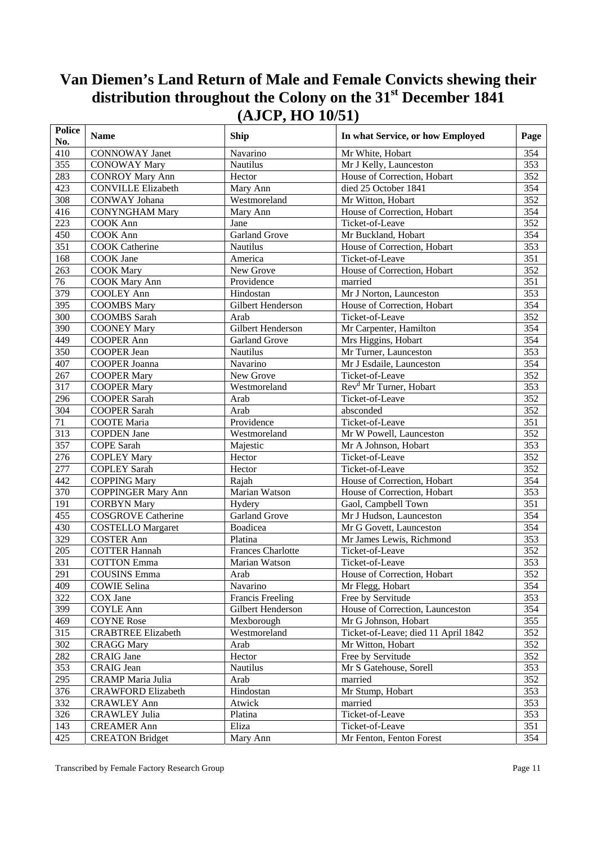| <b>Police</b><br>No. | <b>Name</b>               | <b>Ship</b>              | In what Service, or how Employed    | Page             |
|----------------------|---------------------------|--------------------------|-------------------------------------|------------------|
| 410                  | <b>CONNOWAY Janet</b>     | Navarino                 | Mr White, Hobart                    | 354              |
| 355                  | <b>CONOWAY Mary</b>       | <b>Nautilus</b>          | Mr J Kelly, Launceston              | 353              |
| 283                  | <b>CONROY Mary Ann</b>    | Hector                   | House of Correction, Hobart         | 352              |
| 423                  | <b>CONVILLE Elizabeth</b> | Mary Ann                 | died 25 October 1841                | 354              |
| 308                  | <b>CONWAY Johana</b>      | Westmoreland             | Mr Witton, Hobart                   | 352              |
| 416                  | <b>CONYNGHAM Mary</b>     | Mary Ann                 | House of Correction, Hobart         | 354              |
| 223                  | COOK Ann                  | Jane                     | Ticket-of-Leave                     | 352              |
| 450                  | <b>COOK</b> Ann           | <b>Garland Grove</b>     | Mr Buckland, Hobart                 | 354              |
| 351                  | <b>COOK Catherine</b>     | Nautilus                 | House of Correction, Hobart         | 353              |
| 168                  | COOK Jane                 | America                  | Ticket-of-Leave                     | 351              |
| 263                  | <b>COOK Mary</b>          | New Grove                | House of Correction, Hobart         | 352              |
| 76                   | <b>COOK Mary Ann</b>      | Providence               | married                             | 351              |
| 379                  | <b>COOLEY Ann</b>         | Hindostan                | Mr J Norton, Launceston             | 353              |
| 395                  | <b>COOMBS Mary</b>        | Gilbert Henderson        | House of Correction, Hobart         | 354              |
| $\overline{300}$     | <b>COOMBS</b> Sarah       | Arab                     | Ticket-of-Leave                     | 352              |
| 390                  | <b>COONEY Mary</b>        | Gilbert Henderson        | Mr Carpenter, Hamilton              | 354              |
| 449                  | <b>COOPER Ann</b>         | <b>Garland Grove</b>     | Mrs Higgins, Hobart                 | 354              |
| 350                  | <b>COOPER Jean</b>        | Nautilus                 | Mr Turner, Launceston               | 353              |
| 407                  | COOPER Joanna             | Navarino                 | Mr J Esdaile, Launceston            | 354              |
| 267                  | <b>COOPER Mary</b>        | New Grove                | Ticket-of-Leave                     | 352              |
| 317                  | <b>COOPER Mary</b>        | Westmoreland             | Rev <sup>d</sup> Mr Turner, Hobart  | 353              |
| 296                  | <b>COOPER Sarah</b>       | Arab                     | Ticket-of-Leave                     | 352              |
| 304                  | <b>COOPER Sarah</b>       | Arab                     | absconded                           | 352              |
| 71                   | <b>COOTE</b> Maria        | Providence               | Ticket-of-Leave                     | 351              |
| 313                  | <b>COPDEN Jane</b>        | Westmoreland             | Mr W Powell, Launceston             | 352              |
| 357                  | <b>COPE Sarah</b>         | Majestic                 | Mr A Johnson, Hobart                | 353              |
| 276                  | <b>COPLEY Mary</b>        | Hector                   | Ticket-of-Leave                     | 352              |
| 277                  | <b>COPLEY Sarah</b>       | Hector                   | Ticket-of-Leave                     | 352              |
| 442                  | <b>COPPING Mary</b>       | Rajah                    | House of Correction, Hobart         | 354              |
| 370                  | <b>COPPINGER Mary Ann</b> | Marian Watson            | House of Correction, Hobart         | 353              |
| 191                  | <b>CORBYN Mary</b>        | Hydery                   | Gaol, Campbell Town                 | $\overline{351}$ |
| 455                  | <b>COSGROVE</b> Catherine | <b>Garland Grove</b>     | Mr J Hudson, Launceston             | 354              |
| 430                  | <b>COSTELLO</b> Margaret  | Boadicea                 | Mr G Govett, Launceston             | 354              |
| 329                  | <b>COSTER Ann</b>         | Platina                  | Mr James Lewis, Richmond            | 353              |
| 205                  | <b>COTTER Hannah</b>      | <b>Frances Charlotte</b> | Ticket-of-Leave                     | 352              |
| 331                  | <b>COTTON Emma</b>        | Marian Watson            | Ticket-of-Leave                     | 353              |
| 291                  | <b>COUSINS Emma</b>       | Arab                     | House of Correction, Hobart         | 352              |
| 409                  | <b>COWIE Selina</b>       | Navarino                 | Mr Flegg, Hobart                    | 354              |
| 322                  | COX Jane                  | <b>Francis Freeling</b>  | Free by Servitude                   | 353              |
| 399                  | <b>COYLE Ann</b>          | Gilbert Henderson        | House of Correction, Launceston     | 354              |
| 469                  | <b>COYNE Rose</b>         | Mexborough               | Mr G Johnson, Hobart                | 355              |
| 315                  | <b>CRABTREE Elizabeth</b> | Westmoreland             | Ticket-of-Leave; died 11 April 1842 | 352              |
| 302                  | <b>CRAGG Mary</b>         | Arab                     | Mr Witton, Hobart                   | 352              |
| 282                  | <b>CRAIG</b> Jane         | Hector                   | Free by Servitude                   | 352              |
| 353                  | <b>CRAIG</b> Jean         | Nautilus                 | Mr S Gatehouse, Sorell              | 353              |
| 295                  | <b>CRAMP</b> Maria Julia  | Arab                     | married                             | 352              |
| 376                  | <b>CRAWFORD Elizabeth</b> | Hindostan                | Mr Stump, Hobart                    | 353              |
| 332                  | <b>CRAWLEY Ann</b>        | Atwick                   | married                             | 353              |
| 326                  | <b>CRAWLEY Julia</b>      | Platina                  | Ticket-of-Leave                     | 353              |
| 143                  | <b>CREAMER Ann</b>        | Eliza                    | Ticket-of-Leave                     | 351              |
| 425                  | <b>CREATON Bridget</b>    | Mary Ann                 | Mr Fenton, Fenton Forest            | 354              |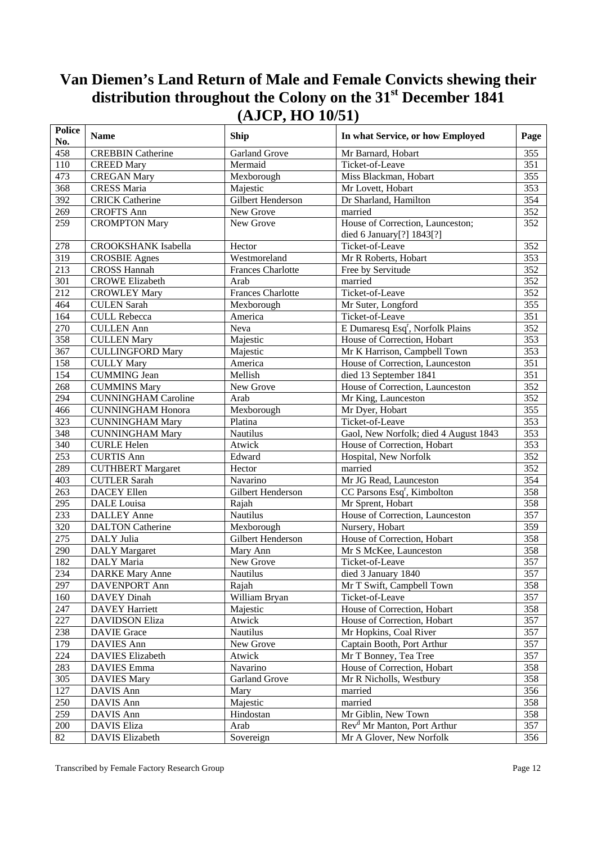| <b>Police</b><br>No. | <b>Name</b>                | Ship                     | In what Service, or how Employed             | Page             |
|----------------------|----------------------------|--------------------------|----------------------------------------------|------------------|
| 458                  | <b>CREBBIN Catherine</b>   | <b>Garland Grove</b>     | Mr Barnard, Hobart                           | 355              |
| 110                  | <b>CREED Mary</b>          | Mermaid                  | Ticket-of-Leave                              | 351              |
| 473                  | <b>CREGAN Mary</b>         | Mexborough               | Miss Blackman, Hobart                        | 355              |
| 368                  | <b>CRESS Maria</b>         | Majestic                 | Mr Lovett, Hobart                            | 353              |
| 392                  | <b>CRICK Catherine</b>     | Gilbert Henderson        | Dr Sharland, Hamilton                        | 354              |
| 269                  | <b>CROFTS Ann</b>          | New Grove                | married                                      | 352              |
| 259                  | <b>CROMPTON Mary</b>       | New Grove                | House of Correction, Launceston;             | 352              |
|                      |                            |                          | died 6 January[?] 1843[?]                    |                  |
| 278                  | <b>CROOKSHANK Isabella</b> | Hector                   | Ticket-of-Leave                              | 352              |
| 319                  | <b>CROSBIE</b> Agnes       | Westmoreland             | Mr R Roberts, Hobart                         | 353              |
| 213                  | <b>CROSS Hannah</b>        | <b>Frances Charlotte</b> | Free by Servitude                            | 352              |
| 301                  | <b>CROWE Elizabeth</b>     | Arab                     | married                                      | 352              |
| 212                  | <b>CROWLEY Mary</b>        | <b>Frances Charlotte</b> | Ticket-of-Leave                              | 352              |
| 464                  | <b>CULEN Sarah</b>         | Mexborough               | Mr Suter, Longford                           | 355              |
| 164                  | <b>CULL Rebecca</b>        | America                  | Ticket-of-Leave                              | 351              |
| 270                  | <b>CULLEN Ann</b>          | Neva                     | E Dumaresq Esq <sup>r</sup> , Norfolk Plains | 352              |
| 358                  | <b>CULLEN Mary</b>         | Majestic                 | House of Correction, Hobart                  | 353              |
| 367                  | <b>CULLINGFORD Mary</b>    | Majestic                 | Mr K Harrison, Campbell Town                 | 353              |
| 158                  | <b>CULLY Mary</b>          | America                  | House of Correction, Launceston              | $\overline{351}$ |
| 154                  | <b>CUMMING Jean</b>        | Mellish                  | died 13 September 1841                       | 351              |
| 268                  | <b>CUMMINS Mary</b>        | New Grove                | House of Correction, Launceston              | 352              |
| 294                  | <b>CUNNINGHAM Caroline</b> | Arab                     | Mr King, Launceston                          | 352              |
| 466                  | <b>CUNNINGHAM Honora</b>   | Mexborough               | Mr Dyer, Hobart                              | 355              |
| 323                  | <b>CUNNINGHAM Mary</b>     | Platina                  | Ticket-of-Leave                              | 353              |
| 348                  | <b>CUNNINGHAM Mary</b>     | Nautilus                 | Gaol, New Norfolk; died 4 August 1843        | 353              |
| 340                  | <b>CURLE Helen</b>         | Atwick                   | House of Correction, Hobart                  | $\overline{353}$ |
| 253                  | <b>CURTIS Ann</b>          | Edward                   | Hospital, New Norfolk                        | 352              |
| 289                  | <b>CUTHBERT Margaret</b>   | Hector                   | married                                      | 352              |
| 403                  | <b>CUTLER Sarah</b>        | Navarino                 | Mr JG Read, Launceston                       | 354              |
| 263                  | <b>DACEY Ellen</b>         | Gilbert Henderson        | CC Parsons Esq <sup>r</sup> , Kimbolton      | 358              |
| 295                  | DALE Louisa                | Rajah                    | Mr Sprent, Hobart                            | 358              |
| 233                  | <b>DALLEY Anne</b>         | <b>Nautilus</b>          | House of Correction, Launceston              | 357              |
| 320                  | <b>DALTON Catherine</b>    | Mexborough               | Nursery, Hobart                              | 359              |
| 275                  | DALY Julia                 | Gilbert Henderson        | House of Correction, Hobart                  | 358              |
| 290                  | <b>DALY</b> Margaret       | Mary Ann                 | Mr S McKee, Launceston                       | 358              |
| 182                  | DALY Maria                 | New Grove                | Ticket-of-Leave                              | 357              |
| 234                  | <b>DARKE Mary Anne</b>     | Nautilus                 | died 3 January 1840                          | 357              |
| 297                  | DAVENPORT Ann              | Rajah                    | Mr T Swift, Campbell Town                    | 358              |
| 160                  | <b>DAVEY Dinah</b>         | William Bryan            | Ticket-of-Leave                              | 357              |
| 247                  | <b>DAVEY Harriett</b>      | Majestic                 | House of Correction, Hobart                  | 358              |
| 227                  | <b>DAVIDSON Eliza</b>      | Atwick                   | House of Correction, Hobart                  | 357              |
| 238                  | <b>DAVIE Grace</b>         | Nautilus                 | Mr Hopkins, Coal River                       | 357              |
| 179                  | <b>DAVIES</b> Ann          | New Grove                | Captain Booth, Port Arthur                   | 357              |
| 224                  | <b>DAVIES</b> Elizabeth    | Atwick                   | Mr T Bonney, Tea Tree                        | 357              |
| 283                  | <b>DAVIES</b> Emma         | Navarino                 | House of Correction, Hobart                  | 358              |
| 305                  | <b>DAVIES Mary</b>         | Garland Grove            | Mr R Nicholls, Westbury                      | 358              |
| 127                  | DAVIS Ann                  | Mary                     | married                                      | 356              |
| 250                  | DAVIS Ann                  | Majestic                 | married                                      | 358              |
| 259                  | DAVIS Ann                  | Hindostan                | Mr Giblin, New Town                          | 358              |
| 200                  | <b>DAVIS Eliza</b>         | Arab                     | Rev <sup>d</sup> Mr Manton, Port Arthur      | 357              |
| $82\,$               | <b>DAVIS Elizabeth</b>     | Sovereign                | Mr A Glover, New Norfolk                     | 356              |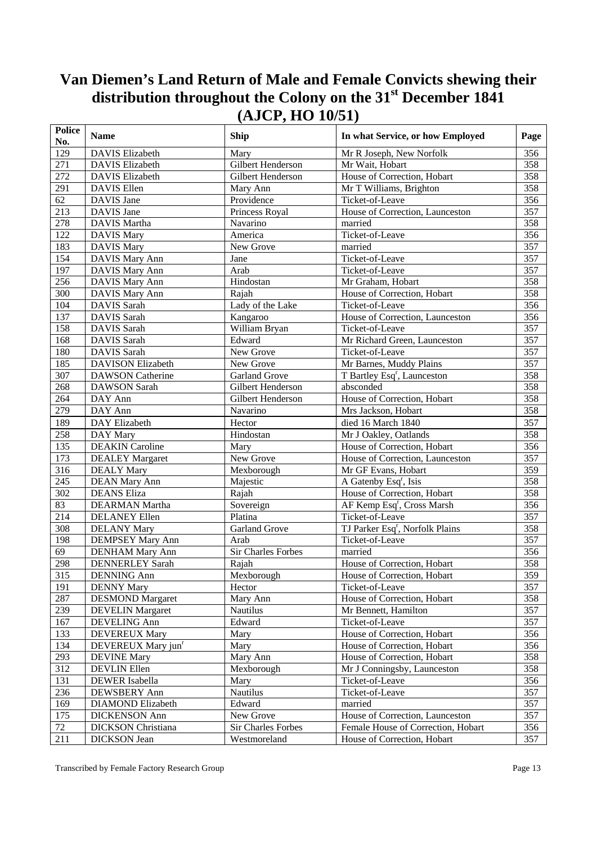| <b>Police</b><br>No. | <b>Name</b>                    | <b>Ship</b>          | In what Service, or how Employed            | Page             |
|----------------------|--------------------------------|----------------------|---------------------------------------------|------------------|
| 129                  | <b>DAVIS</b> Elizabeth         | Mary                 | Mr R Joseph, New Norfolk                    | 356              |
| 271                  | <b>DAVIS Elizabeth</b>         | Gilbert Henderson    | Mr Wait, Hobart                             | 358              |
| 272                  | <b>DAVIS Elizabeth</b>         | Gilbert Henderson    | House of Correction, Hobart                 | 358              |
| 291                  | DAVIS Ellen                    | Mary Ann             | Mr T Williams, Brighton                     | 358              |
| 62                   | DAVIS Jane                     | Providence           | Ticket-of-Leave                             | 356              |
| 213                  | DAVIS Jane                     | Princess Royal       | House of Correction, Launceston             | 357              |
| 278                  | DAVIS Martha                   | Navarino             | married                                     | 358              |
| 122                  | <b>DAVIS Mary</b>              | America              | Ticket-of-Leave                             | $\overline{356}$ |
| 183                  | <b>DAVIS Mary</b>              | New Grove            | married                                     | 357              |
| 154                  | DAVIS Mary Ann                 | Jane                 | Ticket-of-Leave                             | 357              |
| 197                  | DAVIS Mary Ann                 | Arab                 | Ticket-of-Leave                             | 357              |
| 256                  | DAVIS Mary Ann                 | Hindostan            | Mr Graham, Hobart                           | 358              |
| 300                  | DAVIS Mary Ann                 | Rajah                | House of Correction, Hobart                 | 358              |
| 104                  | DAVIS Sarah                    | Lady of the Lake     | Ticket-of-Leave                             | 356              |
| 137                  | DAVIS Sarah                    | Kangaroo             | House of Correction, Launceston             | $\overline{356}$ |
| 158                  | DAVIS Sarah                    | William Bryan        | Ticket-of-Leave                             | 357              |
| 168                  | DAVIS Sarah                    | Edward               | Mr Richard Green, Launceston                | 357              |
| 180                  | DAVIS Sarah                    | New Grove            | Ticket-of-Leave                             | 357              |
| 185                  | <b>DAVISON Elizabeth</b>       | New Grove            | Mr Barnes, Muddy Plains                     | 357              |
| 307                  | <b>DAWSON Catherine</b>        | <b>Garland Grove</b> | T Bartley Esq <sup>r</sup> , Launceston     | 358              |
| 268                  | <b>DAWSON</b> Sarah            | Gilbert Henderson    | absconded                                   | 358              |
| 264                  | DAY Ann                        | Gilbert Henderson    | House of Correction, Hobart                 | 358              |
| 279                  | DAY Ann                        | Navarino             | Mrs Jackson, Hobart                         | 358              |
| 189                  | DAY Elizabeth                  | Hector               | died 16 March 1840                          | 357              |
| 258                  | DAY Mary                       | Hindostan            | Mr J Oakley, Oatlands                       | 358              |
| 135                  | <b>DEAKIN</b> Caroline         | Mary                 | House of Correction, Hobart                 | 356              |
| 173                  | <b>DEALEY</b> Margaret         | New Grove            | House of Correction, Launceston             | 357              |
| 316                  | <b>DEALY Mary</b>              | Mexborough           | Mr GF Evans, Hobart                         | 359              |
| 245                  | <b>DEAN Mary Ann</b>           | Majestic             | A Gatenby Esq <sup>r</sup> , Isis           | 358              |
| 302                  | <b>DEANS</b> Eliza             | Rajah                | House of Correction, Hobart                 | 358              |
| 83                   | DEARMAN Martha                 | Sovereign            | AF Kemp Esq <sup>r</sup> , Cross Marsh      | 356              |
| 214                  | <b>DELANEY Ellen</b>           | Platina              | Ticket-of-Leave                             | $\overline{357}$ |
| 308                  | <b>DELANY Mary</b>             | <b>Garland Grove</b> | TJ Parker Esq <sup>r</sup> , Norfolk Plains | 358              |
| 198                  | <b>DEMPSEY Mary Ann</b>        | Arab                 | Ticket-of-Leave                             | $\overline{357}$ |
| 69                   | <b>DENHAM Mary Ann</b>         | Sir Charles Forbes   | married                                     | 356              |
| 298                  | <b>DENNERLEY Sarah</b>         | Rajah                | House of Correction, Hobart                 | 358              |
| $\overline{315}$     | <b>DENNING</b> Ann             | Mexborough           | House of Correction, Hobart                 | 359              |
| 191                  | <b>DENNY Mary</b>              | Hector               | Ticket-of-Leave                             | 357              |
| 287                  | <b>DESMOND Margaret</b>        | Mary Ann             | House of Correction, Hobart                 | 358              |
| 239                  | <b>DEVELIN</b> Margaret        | Nautilus             | Mr Bennett, Hamilton                        | 357              |
| 167                  | DEVELING Ann                   | Edward               | Ticket-of-Leave                             | 357              |
| 133                  | <b>DEVEREUX Mary</b>           | Mary                 | House of Correction, Hobart                 | 356              |
| 134                  | DEVEREUX Mary jun <sup>r</sup> | Mary                 | House of Correction, Hobart                 | 356              |
| 293                  | <b>DEVINE Mary</b>             | Mary Ann             | House of Correction, Hobart                 | 358              |
| 312                  | DEVLIN Ellen                   | Mexborough           | Mr J Conningsby, Launceston                 | 358              |
| 131                  | DEWER Isabella                 | Mary                 | Ticket-of-Leave                             | 356              |
| 236                  | DEWSBERY Ann                   | Nautilus             | Ticket-of-Leave                             | 357              |
| 169                  | <b>DIAMOND</b> Elizabeth       | Edward               | married                                     | 357              |
| 175                  | <b>DICKENSON Ann</b>           | New Grove            | House of Correction, Launceston             | 357              |
| 72                   | <b>DICKSON</b> Christiana      | Sir Charles Forbes   | Female House of Correction, Hobart          | 356              |
| 211                  | <b>DICKSON</b> Jean            | Westmoreland         | House of Correction, Hobart                 | 357              |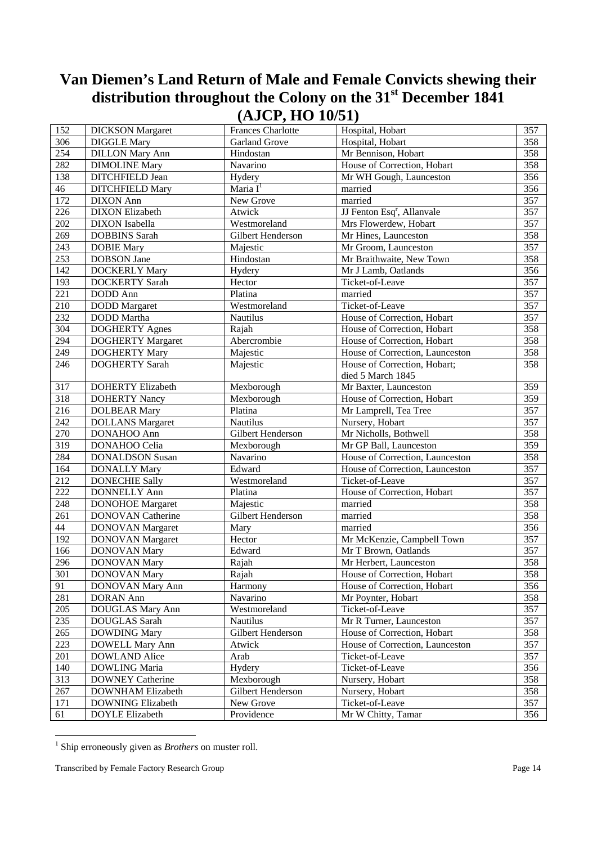| 152    | <b>DICKSON</b> Margaret  | Frances Charlotte    | Hospital, Hobart                       | 357 |
|--------|--------------------------|----------------------|----------------------------------------|-----|
| 306    | <b>DIGGLE Mary</b>       | <b>Garland Grove</b> | Hospital, Hobart                       | 358 |
| 254    | <b>DILLON Mary Ann</b>   | Hindostan            | Mr Bennison, Hobart                    | 358 |
| 282    | <b>DIMOLINE Mary</b>     | Navarino             | House of Correction, Hobart            | 358 |
| 138    | DITCHFIELD Jean          | Hydery               | Mr WH Gough, Launceston                | 356 |
| $46\,$ | <b>DITCHFIELD Mary</b>   | Maria $I^1$          | married                                | 356 |
| 172    | <b>DIXON</b> Ann         | New Grove            | married                                | 357 |
| 226    | <b>DIXON</b> Elizabeth   | Atwick               | JJ Fenton Esq <sup>r</sup> , Allanvale | 357 |
| 202    | <b>DIXON</b> Isabella    | Westmoreland         | Mrs Flowerdew, Hobart                  | 357 |
| 269    | <b>DOBBINS</b> Sarah     | Gilbert Henderson    | Mr Hines, Launceston                   | 358 |
| 243    | <b>DOBIE Mary</b>        | Majestic             | Mr Groom, Launceston                   | 357 |
| 253    | <b>DOBSON</b> Jane       | Hindostan            | Mr Braithwaite, New Town               | 358 |
| 142    | <b>DOCKERLY Mary</b>     | Hydery               | Mr J Lamb, Oatlands                    | 356 |
| 193    | <b>DOCKERTY Sarah</b>    | Hector               | Ticket-of-Leave                        | 357 |
| 221    | DODD Ann                 | Platina              | married                                | 357 |
| 210    | <b>DODD</b> Margaret     | Westmoreland         | Ticket-of-Leave                        | 357 |
| 232    | <b>DODD</b> Martha       | <b>Nautilus</b>      | House of Correction, Hobart            | 357 |
| 304    | <b>DOGHERTY Agnes</b>    | Rajah                | House of Correction, Hobart            | 358 |
| 294    | <b>DOGHERTY Margaret</b> | Abercrombie          | House of Correction, Hobart            | 358 |
| 249    | <b>DOGHERTY Mary</b>     | Majestic             | House of Correction, Launceston        | 358 |
| 246    | <b>DOGHERTY Sarah</b>    | Majestic             | House of Correction, Hobart;           | 358 |
|        |                          |                      | died 5 March 1845                      |     |
| 317    | <b>DOHERTY Elizabeth</b> | Mexborough           | Mr Baxter, Launceston                  | 359 |
| 318    | <b>DOHERTY Nancy</b>     | Mexborough           | House of Correction, Hobart            | 359 |
| 216    | <b>DOLBEAR Mary</b>      | Platina              | Mr Lamprell, Tea Tree                  | 357 |
| 242    | <b>DOLLANS</b> Margaret  | <b>Nautilus</b>      | Nursery, Hobart                        | 357 |
| 270    | DONAHOO Ann              | Gilbert Henderson    | Mr Nicholls, Bothwell                  | 358 |
| 319    | DONAHOO Celia            | Mexborough           | Mr GP Ball, Launceston                 | 359 |
| 284    | <b>DONALDSON Susan</b>   | Navarino             | House of Correction, Launceston        | 358 |
| 164    | <b>DONALLY Mary</b>      | Edward               | House of Correction, Launceston        | 357 |
| 212    | <b>DONECHIE Sally</b>    | Westmoreland         | Ticket-of-Leave                        | 357 |
| 222    | <b>DONNELLY Ann</b>      | Platina              | House of Correction, Hobart            | 357 |
| 248    | <b>DONOHOE Margaret</b>  | Majestic             | married                                | 358 |
| 261    | <b>DONOVAN Catherine</b> | Gilbert Henderson    | married                                | 358 |
| 44     | <b>DONOVAN Margaret</b>  | Mary                 | married                                | 356 |
| 192    | <b>DONOVAN Margaret</b>  | Hector               | Mr McKenzie, Campbell Town             | 357 |
| 166    | <b>DONOVAN Mary</b>      | Edward               | Mr T Brown, Oatlands                   | 357 |
| 296    | <b>DONOVAN Mary</b>      | Rajah                | Mr Herbert, Launceston                 | 358 |
| 301    | <b>DONOVAN Mary</b>      | Rajah                | House of Correction, Hobart            | 358 |
| 91     | DONOVAN Mary Ann         | Harmony              | House of Correction, Hobart            | 356 |
| 281    | <b>DORAN</b> Ann         | Navarino             | Mr Poynter, Hobart                     | 358 |
| 205    | DOUGLAS Mary Ann         | Westmoreland         | Ticket-of-Leave                        | 357 |
| 235    | DOUGLAS Sarah            | <b>Nautilus</b>      | Mr R Turner, Launceston                | 357 |
| 265    | <b>DOWDING Mary</b>      | Gilbert Henderson    | House of Correction, Hobart            | 358 |
| 223    | <b>DOWELL Mary Ann</b>   | Atwick               | House of Correction, Launceston        | 357 |
| 201    | <b>DOWLAND Alice</b>     | Arab                 | Ticket-of-Leave                        | 357 |
| 140    | DOWLING Maria            | Hydery               | Ticket-of-Leave                        | 356 |
| 313    | <b>DOWNEY Catherine</b>  | Mexborough           | Nursery, Hobart                        | 358 |
| 267    | DOWNHAM Elizabeth        | Gilbert Henderson    | Nursery, Hobart                        | 358 |
| 171    | DOWNING Elizabeth        | New Grove            | Ticket-of-Leave                        | 357 |
| 61     | <b>DOYLE Elizabeth</b>   | Providence           | Mr W Chitty, Tamar                     | 356 |

 1 Ship erroneously given as *Brothers* on muster roll.

Transcribed by Female Factory Research Group Page 14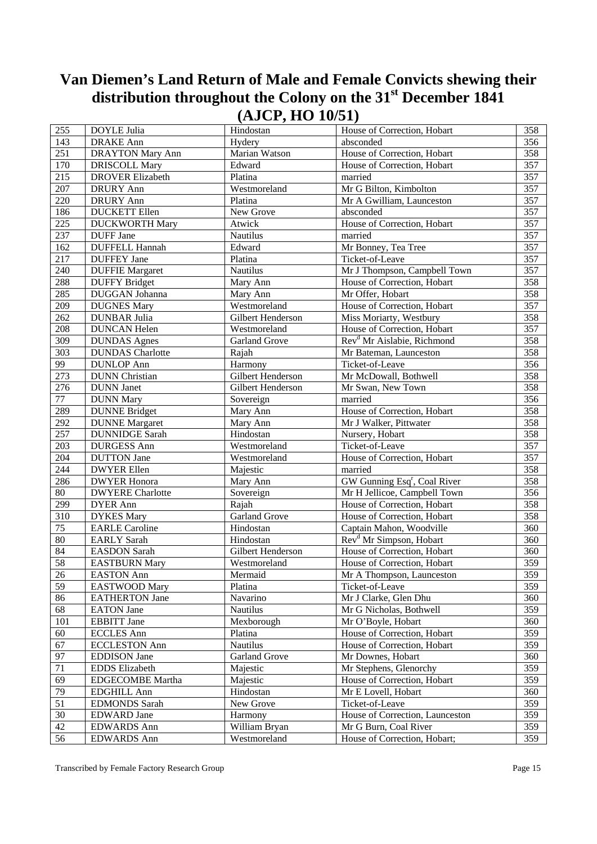| 255      | <b>DOYLE Julia</b>      | $(2 - 3 - 9 - 9 - 9)$<br>Hindostan | House of Correction, Hobart                      | 358 |
|----------|-------------------------|------------------------------------|--------------------------------------------------|-----|
| 143      | <b>DRAKE</b> Ann        | Hydery                             | absconded                                        | 356 |
| 251      | <b>DRAYTON Mary Ann</b> | Marian Watson                      | House of Correction, Hobart                      | 358 |
| 170      |                         |                                    | House of Correction, Hobart                      | 357 |
| 215      | <b>DRISCOLL Mary</b>    | Edward                             |                                                  | 357 |
|          | <b>DROVER Elizabeth</b> | Platina                            | married                                          |     |
| $207\,$  | DRURY Ann               | Westmoreland                       | Mr G Bilton, Kimbolton                           | 357 |
| 220      | <b>DRURY</b> Ann        | Platina                            | Mr A Gwilliam, Launceston                        | 357 |
| 186      | <b>DUCKETT</b> Ellen    | New Grove                          | absconded                                        | 357 |
| 225      | <b>DUCKWORTH Mary</b>   | Atwick                             | House of Correction, Hobart                      | 357 |
| 237      | DUFF Jane               | Nautilus                           | married                                          | 357 |
| 162      | <b>DUFFELL Hannah</b>   | Edward                             | Mr Bonney, Tea Tree                              | 357 |
| 217      | <b>DUFFEY Jane</b>      | Platina                            | Ticket-of-Leave                                  | 357 |
| 240      | <b>DUFFIE Margaret</b>  | Nautilus                           | Mr J Thompson, Campbell Town                     | 357 |
| 288      | <b>DUFFY Bridget</b>    | Mary Ann                           | House of Correction, Hobart                      | 358 |
| 285      | DUGGAN Johanna          | Mary Ann                           | Mr Offer, Hobart                                 | 358 |
| 209      | <b>DUGNES Mary</b>      | Westmoreland                       | House of Correction, Hobart                      | 357 |
| 262      | <b>DUNBAR Julia</b>     | Gilbert Henderson                  | Miss Moriarty, Westbury                          | 358 |
| 208      | <b>DUNCAN Helen</b>     | Westmoreland                       | House of Correction, Hobart                      | 357 |
| 309      | <b>DUNDAS</b> Agnes     | Garland Grove                      | Rev <sup>d</sup> Mr Aislabie, Richmond           | 358 |
| 303      | <b>DUNDAS</b> Charlotte | Rajah                              | Mr Bateman, Launceston                           | 358 |
| 99       | <b>DUNLOP</b> Ann       | Harmony                            | Ticket-of-Leave                                  | 356 |
| 273      | <b>DUNN</b> Christian   | Gilbert Henderson                  | Mr McDowall, Bothwell                            | 358 |
| 276      | <b>DUNN</b> Janet       | Gilbert Henderson                  | Mr Swan, New Town                                | 358 |
| $77\,$   | <b>DUNN Mary</b>        | Sovereign                          | married                                          | 356 |
| 289      | <b>DUNNE Bridget</b>    | Mary Ann                           | House of Correction, Hobart                      | 358 |
| 292      | <b>DUNNE</b> Margaret   | Mary Ann                           | Mr J Walker, Pittwater                           | 358 |
| 257      | <b>DUNNIDGE Sarah</b>   | Hindostan                          | Nursery, Hobart                                  | 358 |
| 203      | <b>DURGESS Ann</b>      | Westmoreland                       | Ticket-of-Leave                                  | 357 |
| 204      | <b>DUTTON</b> Jane      | Westmoreland                       | House of Correction, Hobart                      | 357 |
| 244      | <b>DWYER Ellen</b>      | Majestic                           | married                                          | 358 |
| 286      | <b>DWYER Honora</b>     | Mary Ann                           | GW Gunning Esq <sup>r</sup> , Coal River         | 358 |
| $80\,$   | <b>DWYERE</b> Charlotte | Sovereign                          | Mr H Jellicoe, Campbell Town                     | 356 |
| 299      | <b>DYER Ann</b>         | Rajah                              | House of Correction, Hobart                      | 358 |
| 310      | <b>DYKES</b> Mary       | Garland Grove                      | House of Correction, Hobart                      | 358 |
| 75       | <b>EARLE Caroline</b>   | Hindostan                          | Captain Mahon, Woodville                         | 360 |
| 80       | <b>EARLY</b> Sarah      | Hindostan                          | Rev <sup>d</sup> Mr Simpson, Hobart              | 360 |
| 84       | <b>EASDON</b> Sarah     | Gilbert Henderson                  | House of Correction, Hobart                      | 360 |
| 58       | <b>EASTBURN Mary</b>    | Westmoreland                       | House of Correction, Hobart                      | 359 |
| 26       | EASTON Ann              | Mermaid                            | Mr A Thompson, Launceston                        | 359 |
| 59       | EASTWOOD Mary           | Platina                            | Ticket-of-Leave                                  | 359 |
| 86       | <b>EATHERTON Jane</b>   | Navarino                           | Mr J Clarke, Glen Dhu                            | 360 |
| 68       | <b>EATON</b> Jane       | <b>Nautilus</b>                    | Mr G Nicholas, Bothwell                          | 359 |
| 101      | <b>EBBITT</b> Jane      | Mexborough                         | Mr O'Boyle, Hobart                               | 360 |
| 60       | <b>ECCLES</b> Ann       | Platina                            | House of Correction, Hobart                      | 359 |
|          |                         |                                    |                                                  |     |
| 67<br>97 | <b>ECCLESTON Ann</b>    | Nautilus<br><b>Garland Grove</b>   | House of Correction, Hobart<br>Mr Downes, Hobart | 359 |
|          | <b>EDDISON</b> Jane     |                                    |                                                  | 360 |
| $71\,$   | <b>EDDS</b> Elizabeth   | Majestic                           | Mr Stephens, Glenorchy                           | 359 |
| 69       | EDGECOMBE Martha        | Majestic                           | House of Correction, Hobart                      | 359 |
| 79       | <b>EDGHILL Ann</b>      | Hindostan                          | Mr E Lovell, Hobart                              | 360 |
| 51       | <b>EDMONDS</b> Sarah    | New Grove                          | Ticket-of-Leave                                  | 359 |
| 30       | <b>EDWARD</b> Jane      | Harmony                            | House of Correction, Launceston                  | 359 |
| 42       | <b>EDWARDS Ann</b>      | William Bryan                      | Mr G Burn, Coal River                            | 359 |
| 56       | <b>EDWARDS Ann</b>      | Westmoreland                       | House of Correction, Hobart;                     | 359 |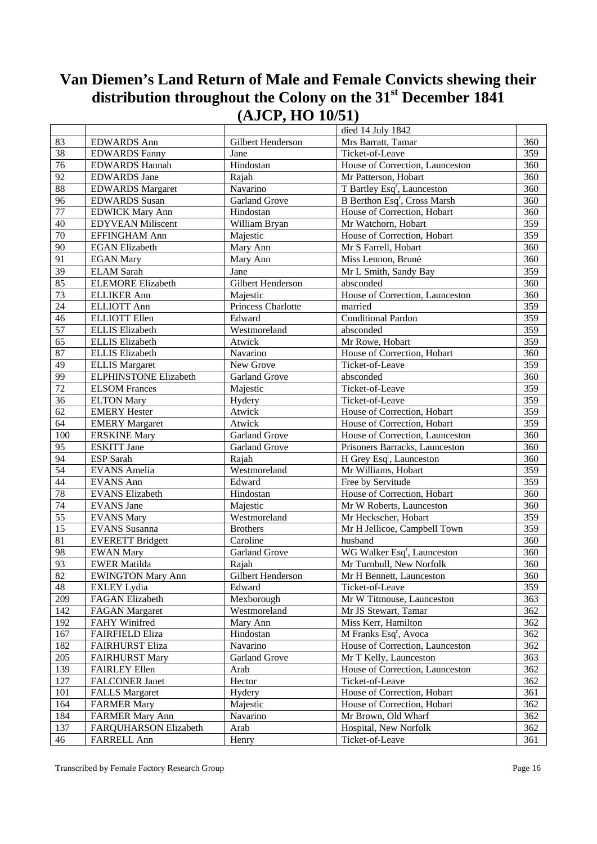|                 |                              |                      | died 14 July 1842                        |     |
|-----------------|------------------------------|----------------------|------------------------------------------|-----|
| 83              | <b>EDWARDS Ann</b>           | Gilbert Henderson    | Mrs Barratt, Tamar                       | 360 |
| 38              | <b>EDWARDS Fanny</b>         | Jane                 | Ticket-of-Leave                          | 359 |
| $\overline{76}$ | <b>EDWARDS Hannah</b>        | Hindostan            | House of Correction, Launceston          | 360 |
| 92              | <b>EDWARDS</b> Jane          | Rajah                | Mr Patterson, Hobart                     | 360 |
| 88              | <b>EDWARDS Margaret</b>      | Navarino             | T Bartley Esq <sup>r</sup> , Launceston  | 360 |
| $\overline{96}$ | <b>EDWARDS</b> Susan         | <b>Garland Grove</b> | B Berthon Esq <sup>r</sup> , Cross Marsh | 360 |
| $77 \,$         | <b>EDWICK Mary Ann</b>       | Hindostan            | House of Correction, Hobart              | 360 |
| 40              | <b>EDYVEAN Miliscent</b>     | William Bryan        | Mr Watchorn, Hobart                      | 359 |
| $70\,$          | EFFINGHAM Ann                | Majestic             | House of Correction, Hobart              | 359 |
| 90              | <b>EGAN</b> Elizabeth        | Mary Ann             | Mr S Farrell, Hobart                     | 360 |
| 91              | <b>EGAN Mary</b>             | Mary Ann             | Miss Lennon, Bruné                       | 360 |
| 39              | <b>ELAM Sarah</b>            | Jane                 | Mr L Smith, Sandy Bay                    | 359 |
| 85              | <b>ELEMORE</b> Elizabeth     | Gilbert Henderson    | absconded                                | 360 |
| 73              | <b>ELLIKER Ann</b>           | Majestic             | House of Correction, Launceston          | 360 |
| 24              | <b>ELLIOTT Ann</b>           | Princess Charlotte   | married                                  | 359 |
| 46              | <b>ELLIOTT Ellen</b>         | Edward               | <b>Conditional Pardon</b>                | 359 |
| $\overline{57}$ | <b>ELLIS</b> Elizabeth       | Westmoreland         | absconded                                | 359 |
| $\overline{65}$ | <b>ELLIS</b> Elizabeth       | Atwick               | Mr Rowe, Hobart                          | 359 |
| 87              | <b>ELLIS</b> Elizabeth       | Navarino             | House of Correction, Hobart              | 360 |
| 49              | <b>ELLIS Margaret</b>        | New Grove            | Ticket-of-Leave                          | 359 |
| 99              | <b>ELPHINSTONE Elizabeth</b> | <b>Garland Grove</b> | absconded                                | 360 |
| 72              | <b>ELSOM</b> Frances         | Majestic             | Ticket-of-Leave                          | 359 |
| 36              | <b>ELTON Mary</b>            | Hydery               | Ticket-of-Leave                          | 359 |
| 62              | <b>EMERY Hester</b>          | Atwick               | House of Correction, Hobart              | 359 |
| 64              | <b>EMERY Margaret</b>        | Atwick               | House of Correction, Hobart              | 359 |
| 100             | <b>ERSKINE Mary</b>          | Garland Grove        | House of Correction, Launceston          | 360 |
| $\overline{95}$ | <b>ESKITT</b> Jane           | <b>Garland Grove</b> | Prisoners Barracks, Launceston           | 360 |
| 94              | ESP Sarah                    | Rajah                | H Grey Esq <sup>r</sup> , Launceston     | 360 |
| $\overline{54}$ | <b>EVANS</b> Amelia          | Westmoreland         | Mr Williams, Hobart                      | 359 |
| 44              | <b>EVANS Ann</b>             | Edward               | Free by Servitude                        | 359 |
| 78              | <b>EVANS Elizabeth</b>       | Hindostan            | House of Correction, Hobart              | 360 |
| $\overline{74}$ | <b>EVANS</b> Jane            | Majestic             | Mr W Roberts, Launceston                 | 360 |
| $\overline{55}$ | <b>EVANS Mary</b>            | Westmoreland         | Mr Heckscher, Hobart                     | 359 |
| 15              | <b>EVANS</b> Susanna         | <b>Brothers</b>      | Mr H Jellicoe, Campbell Town             | 359 |
| 81              | <b>EVERETT Bridgett</b>      | Caroline             | husband                                  | 360 |
| 98              | <b>EWAN Mary</b>             | <b>Garland Grove</b> | WG Walker Esq <sup>r</sup> , Launceston  | 360 |
| 93              | <b>EWER Matilda</b>          | Rajah                | Mr Turnbull, New Norfolk                 | 360 |
| 82              | <b>EWINGTON Mary Ann</b>     | Gilbert Henderson    | Mr H Bennett, Launceston                 | 360 |
| $\sqrt{48}$     | <b>EXLEY Lydia</b>           | Edward               | Ticket-of-Leave                          | 359 |
| 209             | <b>FAGAN Elizabeth</b>       | Mexborough           | Mr W Titmouse, Launceston                | 363 |
| 142             | <b>FAGAN Margaret</b>        | Westmoreland         | Mr JS Stewart, Tamar                     | 362 |
| 192             | FAHY Winifred                | Mary Ann             | Miss Kerr, Hamilton                      | 362 |
| 167             | <b>FAIRFIELD Eliza</b>       | Hindostan            | M Franks Esq <sup>r</sup> , Avoca        | 362 |
| 182             | <b>FAIRHURST Eliza</b>       | Navarino             | House of Correction, Launceston          | 362 |
| 205             | <b>FAIRHURST Mary</b>        | <b>Garland Grove</b> | Mr T Kelly, Launceston                   | 363 |
| 139             | <b>FAIRLEY Ellen</b>         | Arab                 | House of Correction, Launceston          | 362 |
| 127             | <b>FALCONER Janet</b>        | Hector               | Ticket-of-Leave                          | 362 |
| 101             | <b>FALLS Margaret</b>        | Hydery               | House of Correction, Hobart              | 361 |
| 164             | <b>FARMER Mary</b>           | Majestic             | House of Correction, Hobart              | 362 |
| 184             | <b>FARMER Mary Ann</b>       | Navarino             | Mr Brown, Old Wharf                      | 362 |
| 137             | FARQUHARSON Elizabeth        | Arab                 | Hospital, New Norfolk                    | 362 |
| 46              | FARRELL Ann                  | Henry                | Ticket-of-Leave                          | 361 |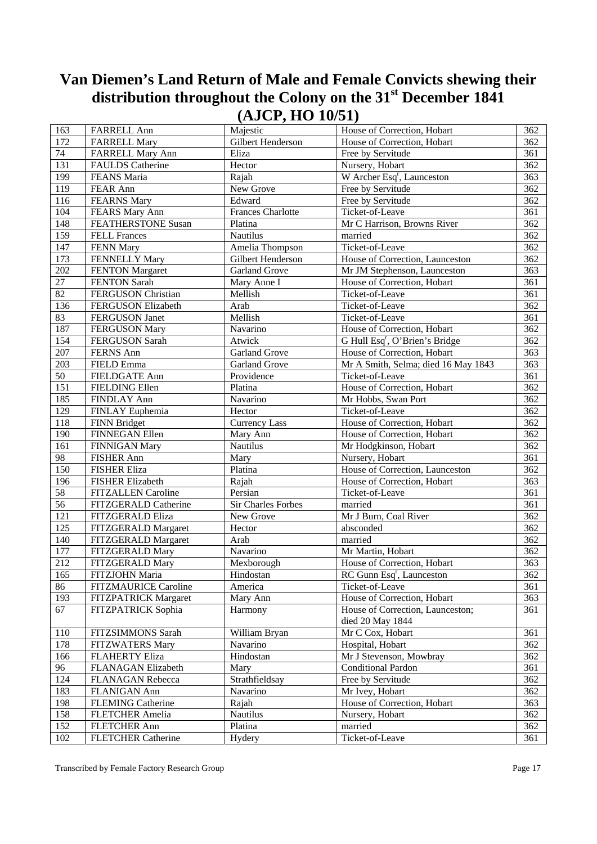| 163             | <b>FARRELL Ann</b>          | Majestic                 | House of Correction, Hobart                | 362 |
|-----------------|-----------------------------|--------------------------|--------------------------------------------|-----|
| 172             | <b>FARRELL Mary</b>         | Gilbert Henderson        | House of Correction, Hobart                | 362 |
| 74              | <b>FARRELL Mary Ann</b>     | Eliza                    | Free by Servitude                          | 361 |
| 131             | <b>FAULDS</b> Catherine     | Hector                   | Nursery, Hobart                            | 362 |
| 199             | FEANS Maria                 | Rajah                    | W Archer Esq <sup>r</sup> , Launceston     | 363 |
| 119             | FEAR Ann                    | New Grove                | Free by Servitude                          | 362 |
| 116             | <b>FEARNS Mary</b>          | Edward                   | Free by Servitude                          | 362 |
| 104             | FEARS Mary Ann              | <b>Frances Charlotte</b> | Ticket-of-Leave                            | 361 |
| 148             | FEATHERSTONE Susan          | Platina                  | Mr C Harrison, Browns River                | 362 |
| 159             | <b>FELL Frances</b>         | Nautilus                 | married                                    | 362 |
| 147             | <b>FENN Mary</b>            | Amelia Thompson          | Ticket-of-Leave                            | 362 |
| 173             | FENNELLY Mary               | Gilbert Henderson        | House of Correction, Launceston            | 362 |
| 202             | <b>FENTON Margaret</b>      | <b>Garland Grove</b>     | Mr JM Stephenson, Launceston               | 363 |
| $2\overline{7}$ | FENTON Sarah                | Mary Anne I              | House of Correction, Hobart                | 361 |
| 82              | FERGUSON Christian          | Mellish                  | Ticket-of-Leave                            | 361 |
| 136             | FERGUSON Elizabeth          | Arab                     | Ticket-of-Leave                            | 362 |
| 83              | <b>FERGUSON</b> Janet       | Mellish                  | Ticket-of-Leave                            | 361 |
| 187             | <b>FERGUSON Mary</b>        | Navarino                 | House of Correction, Hobart                | 362 |
| 154             | FERGUSON Sarah              | Atwick                   | G Hull Esq <sup>r</sup> , O'Brien's Bridge | 362 |
| 207             | FERNS Ann                   | <b>Garland Grove</b>     | House of Correction, Hobart                | 363 |
| 203             | FIELD Emma                  | <b>Garland Grove</b>     | Mr A Smith, Selma; died 16 May 1843        | 363 |
| 50              | FIELDGATE Ann               | Providence               | Ticket-of-Leave                            | 361 |
| 151             | <b>FIELDING Ellen</b>       | Platina                  | House of Correction, Hobart                | 362 |
| 185             | FINDLAY Ann                 | Navarino                 | Mr Hobbs, Swan Port                        | 362 |
| 129             | FINLAY Euphemia             | Hector                   | Ticket-of-Leave                            | 362 |
| 118             | <b>FINN Bridget</b>         | <b>Currency Lass</b>     | House of Correction, Hobart                | 362 |
| 190             | FINNEGAN Ellen              | Mary Ann                 | House of Correction, Hobart                | 362 |
| 161             | <b>FINNIGAN Mary</b>        | Nautilus                 | Mr Hodgkinson, Hobart                      | 362 |
| $\overline{98}$ | <b>FISHER Ann</b>           | Mary                     | Nursery, Hobart                            | 361 |
| 150             | <b>FISHER Eliza</b>         | Platina                  | House of Correction, Launceston            | 362 |
| 196             | <b>FISHER Elizabeth</b>     | Rajah                    | House of Correction, Hobart                | 363 |
| 58              | FITZALLEN Caroline          | Persian                  | Ticket-of-Leave                            | 361 |
| 56              | FITZGERALD Catherine        | Sir Charles Forbes       | married                                    | 361 |
| 121             | FITZGERALD Eliza            | New Grove                | Mr J Burn, Coal River                      | 362 |
| 125             | FITZGERALD Margaret         | Hector                   | absconded                                  | 362 |
| 140             | FITZGERALD Margaret         | Arab                     | married                                    | 362 |
| 177             | FITZGERALD Mary             | Navarino                 | Mr Martin, Hobart                          | 362 |
| 212             | <b>FITZGERALD Mary</b>      | Mexborough               | House of Correction, Hobart                | 363 |
| 165             | FITZJOHN Maria              | Hindostan                | RC Gunn Esq <sup>r</sup> , Launceston      | 362 |
| 86              | <b>FITZMAURICE Caroline</b> | America                  | Ticket-of-Leave                            | 361 |
| 193             | FITZPATRICK Margaret        | Mary Ann                 | House of Correction, Hobart                | 363 |
| 67              | FITZPATRICK Sophia          | Harmony                  | House of Correction, Launceston;           | 361 |
|                 |                             |                          | died 20 May 1844                           |     |
| 110             | FITZSIMMONS Sarah           | William Bryan            | Mr C Cox, Hobart                           | 361 |
| 178             | <b>FITZWATERS Mary</b>      | Navarino                 | Hospital, Hobart                           | 362 |
| 166             | <b>FLAHERTY Eliza</b>       | Hindostan                | Mr J Stevenson, Mowbray                    | 362 |
| 96              | FLANAGAN Elizabeth          | Mary                     | Conditional Pardon                         | 361 |
| 124             | FLANAGAN Rebecca            | Strathfieldsay           | Free by Servitude                          | 362 |
| 183             | FLANIGAN Ann                | Navarino                 | Mr Ivey, Hobart                            | 362 |
| 198             | <b>FLEMING Catherine</b>    | Rajah                    | House of Correction, Hobart                | 363 |
| 158             | FLETCHER Amelia             | Nautilus                 | Nursery, Hobart                            | 362 |
| 152             | <b>FLETCHER Ann</b>         | Platina                  | married                                    | 362 |
| 102             | FLETCHER Catherine          | Hydery                   | Ticket-of-Leave                            | 361 |
|                 |                             |                          |                                            |     |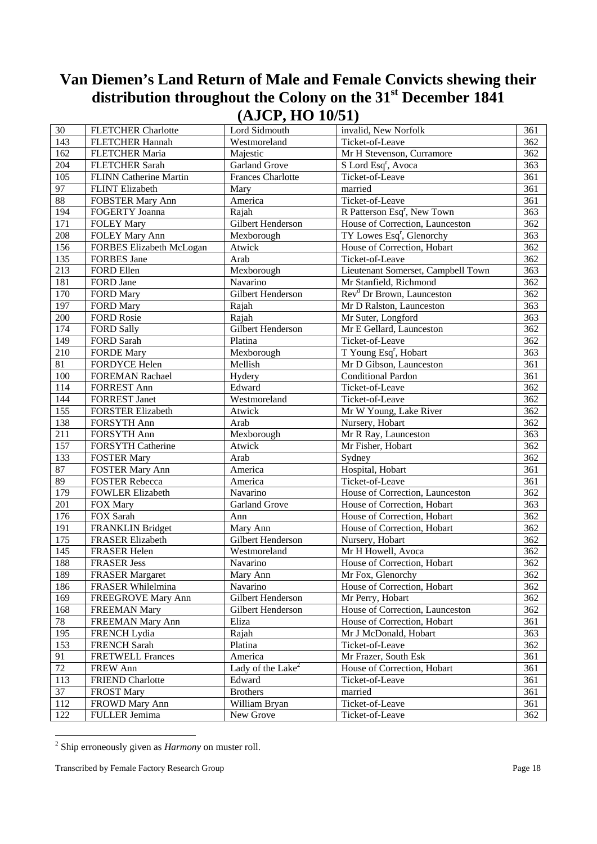| 30              | <b>FLETCHER Charlotte</b>     | Lord Sidmouth                 | invalid, New Norfolk                    | 361 |
|-----------------|-------------------------------|-------------------------------|-----------------------------------------|-----|
| 143             | <b>FLETCHER Hannah</b>        | Westmoreland                  | Ticket-of-Leave                         | 362 |
| 162             | <b>FLETCHER Maria</b>         | Majestic                      | Mr H Stevenson, Curramore               | 362 |
| 204             | <b>FLETCHER Sarah</b>         | <b>Garland Grove</b>          | S Lord Esq <sup>r</sup> , Avoca         | 363 |
| 105             | <b>FLINN Catherine Martin</b> | <b>Frances Charlotte</b>      | Ticket-of-Leave                         | 361 |
| 97              | <b>FLINT Elizabeth</b>        | Mary                          | married                                 | 361 |
| $\overline{88}$ | <b>FOBSTER Mary Ann</b>       | America                       | Ticket-of-Leave                         | 361 |
| 194             | FOGERTY Joanna                | Rajah                         | R Patterson Esq <sup>r</sup> , New Town | 363 |
| 171             | <b>FOLEY Mary</b>             | Gilbert Henderson             | House of Correction, Launceston         | 362 |
| 208             | FOLEY Mary Ann                | Mexborough                    | TY Lowes Esq <sup>r</sup> , Glenorchy   | 363 |
| 156             | FORBES Elizabeth McLogan      | Atwick                        | House of Correction, Hobart             | 362 |
| 135             | FORBES Jane                   | Arab                          | Ticket-of-Leave                         | 362 |
| 213             | FORD Ellen                    | Mexborough                    | Lieutenant Somerset, Campbell Town      | 363 |
| 181             | FORD Jane                     | Navarino                      | Mr Stanfield, Richmond                  | 362 |
| 170             | <b>FORD Mary</b>              | Gilbert Henderson             | Rev <sup>d</sup> Dr Brown, Launceston   | 362 |
| 197             | <b>FORD Mary</b>              | Rajah                         | Mr D Ralston, Launceston                | 363 |
| 200             | <b>FORD Rosie</b>             | Rajah                         | Mr Suter, Longford                      | 363 |
| 174             | <b>FORD Sally</b>             | Gilbert Henderson             | Mr E Gellard, Launceston                | 362 |
| 149             | <b>FORD Sarah</b>             | Platina                       | Ticket-of-Leave                         | 362 |
| 210             | <b>FORDE Mary</b>             | Mexborough                    | T Young Esq <sup>r</sup> , Hobart       | 363 |
| 81              | <b>FORDYCE Helen</b>          | Mellish                       | Mr D Gibson, Launceston                 | 361 |
| 100             | <b>FOREMAN Rachael</b>        | Hydery                        | Conditional Pardon                      | 361 |
| 114             | <b>FORREST Ann</b>            | Edward                        | Ticket-of-Leave                         | 362 |
| 144             | <b>FORREST Janet</b>          | Westmoreland                  | Ticket-of-Leave                         | 362 |
| 155             | <b>FORSTER Elizabeth</b>      | Atwick                        | Mr W Young, Lake River                  | 362 |
| 138             | FORSYTH Ann                   | Arab                          | Nursery, Hobart                         | 362 |
| 211             | FORSYTH Ann                   | Mexborough                    | Mr R Ray, Launceston                    | 363 |
| 157             | FORSYTH Catherine             | Atwick                        | Mr Fisher, Hobart                       | 362 |
| 133             | <b>FOSTER Mary</b>            | Arab                          | Sydney                                  | 362 |
| $\overline{87}$ | <b>FOSTER Mary Ann</b>        | America                       | Hospital, Hobart                        | 361 |
| 89              | <b>FOSTER Rebecca</b>         | America                       | Ticket-of-Leave                         | 361 |
| 179             | <b>FOWLER Elizabeth</b>       | Navarino                      | House of Correction, Launceston         | 362 |
| 201             | FOX Mary                      | <b>Garland Grove</b>          | House of Correction, Hobart             | 363 |
| 176             | FOX Sarah                     | Ann                           | House of Correction, Hobart             | 362 |
| 191             | <b>FRANKLIN Bridget</b>       | Mary Ann                      | House of Correction, Hobart             | 362 |
| 175             | <b>FRASER Elizabeth</b>       | Gilbert Henderson             | Nursery, Hobart                         | 362 |
| 145             | FRASER Helen                  | Westmoreland                  | Mr H Howell, Avoca                      | 362 |
| 188             | <b>FRASER Jess</b>            | Navarino                      | House of Correction, Hobart             | 362 |
| 189             | <b>FRASER Margaret</b>        | Mary Ann                      | Mr Fox, Glenorchy                       | 362 |
| 186             | FRASER Whilelmina             | Navarino                      | House of Correction, Hobart             | 362 |
| 169             | FREEGROVE Mary Ann            | Gilbert Henderson             | Mr Perry, Hobart                        | 362 |
| 168             | <b>FREEMAN Mary</b>           | Gilbert Henderson             | House of Correction, Launceston         | 362 |
| $78\,$          | FREEMAN Mary Ann              | Eliza                         | House of Correction, Hobart             | 361 |
| 195             | <b>FRENCH</b> Lydia           | Rajah                         | Mr J McDonald, Hobart                   | 363 |
| 153             | <b>FRENCH Sarah</b>           | Platina                       | Ticket-of-Leave                         | 362 |
| 91              | <b>FRETWELL Frances</b>       | America                       | Mr Frazer, South Esk                    | 361 |
| 72              | FREW Ann                      | Lady of the Lake <sup>2</sup> | House of Correction, Hobart             | 361 |
| 113             | <b>FRIEND Charlotte</b>       | Edward                        | Ticket-of-Leave                         | 361 |
| 37              | <b>FROST Mary</b>             | <b>Brothers</b>               | married                                 | 361 |
| 112             | FROWD Mary Ann                | William Bryan                 | Ticket-of-Leave                         | 361 |
| 122             | FULLER Jemima                 | New Grove                     | Ticket-of-Leave                         | 362 |

 2 Ship erroneously given as *Harmony* on muster roll.

Transcribed by Female Factory Research Group **Page 18**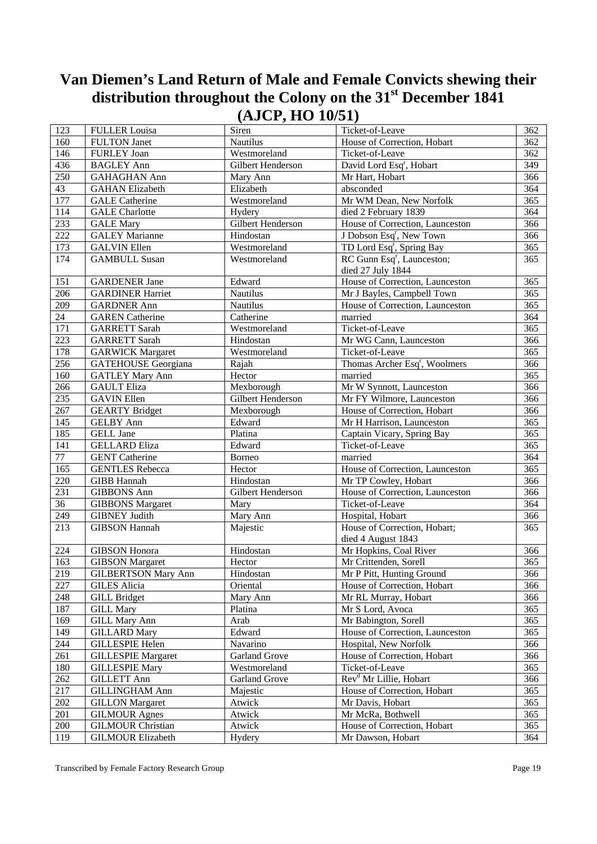| 123             | <b>FULLER Louisa</b>       | Siren             | Ticket-of-Leave                                             | 362 |
|-----------------|----------------------------|-------------------|-------------------------------------------------------------|-----|
| 160             | <b>FULTON Janet</b>        | Nautilus          | House of Correction, Hobart                                 | 362 |
| 146             | <b>FURLEY Joan</b>         | Westmoreland      | Ticket-of-Leave                                             | 362 |
| 436             | <b>BAGLEY Ann</b>          | Gilbert Henderson | David Lord Esq <sup>r</sup> , Hobart                        | 349 |
| 250             | <b>GAHAGHAN Ann</b>        | Mary Ann          | Mr Hart, Hobart                                             | 366 |
| 43              | <b>GAHAN Elizabeth</b>     | Elizabeth         | absconded                                                   | 364 |
| 177             | <b>GALE</b> Catherine      | Westmoreland      | Mr WM Dean, New Norfolk                                     | 365 |
| 114             | <b>GALE</b> Charlotte      | Hydery            | died 2 February 1839                                        | 364 |
| 233             | <b>GALE Mary</b>           | Gilbert Henderson | House of Correction, Launceston                             | 366 |
| 222             | <b>GALEY Marianne</b>      | Hindostan         | J Dobson Esq <sup>r</sup> , New Town                        | 366 |
| 173             | <b>GALVIN Ellen</b>        | Westmoreland      | TD Lord Esq <sup>r</sup> , Spring Bay                       | 365 |
| 174             | <b>GAMBULL Susan</b>       | Westmoreland      | RC Gunn Esq <sup>r</sup> , Launceston;<br>died 27 July 1844 | 365 |
| 151             | <b>GARDENER Jane</b>       | Edward            | House of Correction, Launceston                             | 365 |
| 206             | <b>GARDINER Harriet</b>    | <b>Nautilus</b>   | Mr J Bayles, Campbell Town                                  | 365 |
| 209             | <b>GARDNER Ann</b>         | Nautilus          | House of Correction, Launceston                             | 365 |
| 24              | <b>GAREN</b> Catherine     | Catherine         | married                                                     | 364 |
| 171             | <b>GARRETT Sarah</b>       | Westmoreland      | Ticket-of-Leave                                             | 365 |
| 223             | <b>GARRETT Sarah</b>       | Hindostan         | Mr WG Cann, Launceston                                      | 366 |
| 178             | <b>GARWICK Margaret</b>    | Westmoreland      | Ticket-of-Leave                                             | 365 |
| 256             | <b>GATEHOUSE</b> Georgiana | Rajah             | Thomas Archer Esq <sup>r</sup> , Woolmers                   | 366 |
| 160             | <b>GATLEY Mary Ann</b>     | Hector            | married                                                     | 365 |
| 266             | <b>GAULT Eliza</b>         | Mexborough        | Mr W Synnott, Launceston                                    | 366 |
| 235             | <b>GAVIN Ellen</b>         | Gilbert Henderson | Mr FY Wilmore, Launceston                                   | 366 |
| 267             | <b>GEARTY Bridget</b>      | Mexborough        | House of Correction, Hobart                                 | 366 |
| 145             | <b>GELBY</b> Ann           | Edward            | Mr H Harrison, Launceston                                   | 365 |
| 185             | <b>GELL Jane</b>           | Platina           | Captain Vicary, Spring Bay                                  | 365 |
| 141             | <b>GELLARD Eliza</b>       | Edward            | Ticket-of-Leave                                             | 365 |
| 77              | <b>GENT Catherine</b>      | Borneo            | married                                                     | 364 |
| 165             | <b>GENTLES Rebecca</b>     | Hector            | House of Correction, Launceston                             | 365 |
| 220             | <b>GIBB Hannah</b>         | Hindostan         | Mr TP Cowley, Hobart                                        | 366 |
| 231             | <b>GIBBONS</b> Ann         | Gilbert Henderson | House of Correction, Launceston                             | 366 |
| $\overline{36}$ | <b>GIBBONS</b> Margaret    | Mary              | Ticket-of-Leave                                             | 364 |
| 249             | <b>GIBNEY Judith</b>       | Mary Ann          | Hospital, Hobart                                            | 366 |
| 213             | <b>GIBSON Hannah</b>       | Majestic          | House of Correction, Hobart;                                | 365 |
|                 |                            |                   | died 4 August 1843                                          |     |
| 224             | <b>GIBSON</b> Honora       | Hindostan         | Mr Hopkins, Coal River                                      | 366 |
| 163             | <b>GIBSON</b> Margaret     | Hector            | Mr Crittenden, Sorell                                       | 365 |
| 219             | <b>GILBERTSON Mary Ann</b> | Hindostan         | Mr P Pitt, Hunting Ground                                   | 366 |
| 227             | <b>GILES Alicia</b>        | Oriental          | House of Correction, Hobart                                 | 366 |
| 248             | <b>GILL Bridget</b>        | Mary Ann          | Mr RL Murray, Hobart                                        | 366 |
| 187             | <b>GILL Mary</b>           | Platina           | Mr S Lord, Avoca                                            | 365 |
| 169             | <b>GILL Mary Ann</b>       | Arab              | Mr Babington, Sorell                                        | 365 |
| 149             | <b>GILLARD</b> Mary        | Edward            | House of Correction, Launceston                             | 365 |
| 244             | <b>GILLESPIE Helen</b>     | Navarino          | Hospital, New Norfolk                                       | 366 |
| 261             | <b>GILLESPIE Margaret</b>  | Garland Grove     | House of Correction, Hobart                                 | 366 |
| 180             | <b>GILLESPIE Mary</b>      | Westmoreland      | Ticket-of-Leave                                             | 365 |
| 262             | <b>GILLETT Ann</b>         | Garland Grove     | Rev <sup>d</sup> Mr Lillie, Hobart                          | 366 |
| 217             | <b>GILLINGHAM Ann</b>      | Majestic          | House of Correction, Hobart                                 | 365 |
| 202             | <b>GILLON</b> Margaret     | Atwick            | Mr Davis, Hobart                                            | 365 |
| 201             | <b>GILMOUR Agnes</b>       | Atwick            | Mr McRa, Bothwell                                           | 365 |
| 200             | <b>GILMOUR Christian</b>   | Atwick            | House of Correction, Hobart                                 | 365 |
| 119             | <b>GILMOUR Elizabeth</b>   | Hydery            | Mr Dawson, Hobart                                           | 364 |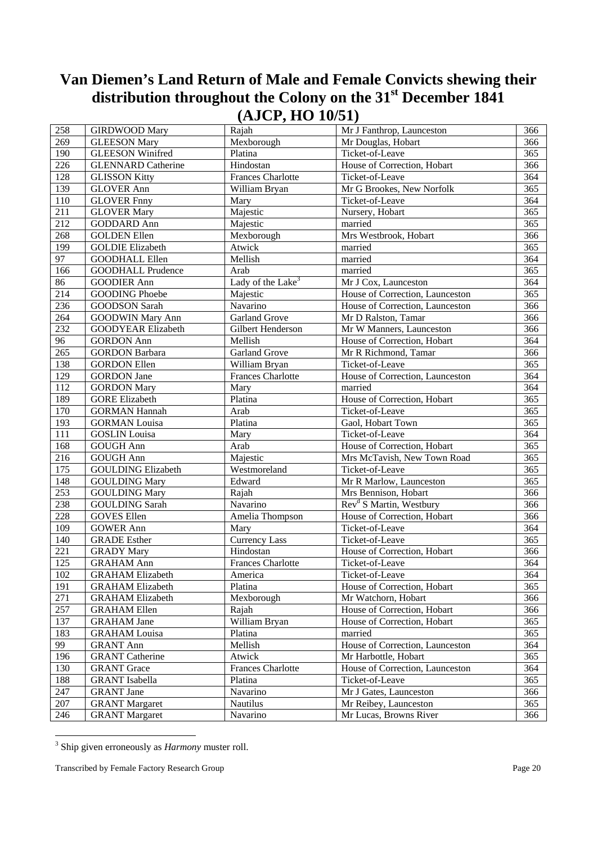| 258              | <b>GIRDWOOD Mary</b>      | Rajah                         | Mr J Fanthrop, Launceston           | 366 |
|------------------|---------------------------|-------------------------------|-------------------------------------|-----|
| 269              | <b>GLEESON Mary</b>       | Mexborough                    | Mr Douglas, Hobart                  | 366 |
| 190              | <b>GLEESON Winifred</b>   | Platina                       | Ticket-of-Leave                     | 365 |
| 226              | <b>GLENNARD Catherine</b> | Hindostan                     | House of Correction, Hobart         | 366 |
| 128              | <b>GLISSON Kitty</b>      | <b>Frances Charlotte</b>      | Ticket-of-Leave                     | 364 |
| 139              | <b>GLOVER Ann</b>         | William Bryan                 | Mr G Brookes, New Norfolk           | 365 |
| 110              | <b>GLOVER Fnny</b>        | Mary                          | Ticket-of-Leave                     | 364 |
| 211              | <b>GLOVER Mary</b>        | Majestic                      | Nursery, Hobart                     | 365 |
| 212              | <b>GODDARD Ann</b>        | Majestic                      | married                             | 365 |
| 268              | <b>GOLDEN</b> Ellen       | Mexborough                    | Mrs Westbrook, Hobart               | 366 |
| 199              | <b>GOLDIE Elizabeth</b>   | Atwick                        | married                             | 365 |
| 97               | <b>GOODHALL Ellen</b>     | Mellish                       | married                             | 364 |
| 166              | <b>GOODHALL Prudence</b>  | Arab                          | married                             | 365 |
| 86               | <b>GOODIER Ann</b>        | Lady of the Lake <sup>3</sup> | Mr J Cox, Launceston                | 364 |
| 214              | <b>GOODING Phoebe</b>     | Majestic                      | House of Correction, Launceston     | 365 |
| 236              | <b>GOODSON Sarah</b>      | Navarino                      | House of Correction, Launceston     | 366 |
| 264              | <b>GOODWIN Mary Ann</b>   | Garland Grove                 | Mr D Ralston, Tamar                 | 366 |
| 232              | GOODYEAR Elizabeth        | Gilbert Henderson             | Mr W Manners, Launceston            | 366 |
| 96               | <b>GORDON Ann</b>         | Mellish                       | House of Correction, Hobart         | 364 |
| 265              | <b>GORDON Barbara</b>     | <b>Garland Grove</b>          | Mr R Richmond, Tamar                | 366 |
| 138              | <b>GORDON Ellen</b>       | William Bryan                 | Ticket-of-Leave                     | 365 |
| 129              | <b>GORDON</b> Jane        | <b>Frances Charlotte</b>      | House of Correction, Launceston     | 364 |
| 112              | <b>GORDON Mary</b>        | Mary                          | married                             | 364 |
| 189              | <b>GORE Elizabeth</b>     | Platina                       | House of Correction, Hobart         | 365 |
| 170              | <b>GORMAN Hannah</b>      | Arab                          | Ticket-of-Leave                     | 365 |
| 193              | <b>GORMAN Louisa</b>      | Platina                       | Gaol, Hobart Town                   | 365 |
| 111              | <b>GOSLIN</b> Louisa      | Mary                          | Ticket-of-Leave                     | 364 |
| 168              | <b>GOUGH Ann</b>          | Arab                          | House of Correction, Hobart         | 365 |
| 216              | <b>GOUGH Ann</b>          | Majestic                      | Mrs McTavish, New Town Road         | 365 |
| $\overline{175}$ | <b>GOULDING Elizabeth</b> | Westmoreland                  | Ticket-of-Leave                     | 365 |
| 148              | <b>GOULDING Mary</b>      | Edward                        | Mr R Marlow, Launceston             | 365 |
| 253              | <b>GOULDING Mary</b>      | Rajah                         | Mrs Bennison, Hobart                | 366 |
| 238              | <b>GOULDING Sarah</b>     | Navarino                      | Rev <sup>d</sup> S Martin, Westbury | 366 |
| 228              | <b>GOVES Ellen</b>        | Amelia Thompson               | House of Correction, Hobart         | 366 |
| 109              | <b>GOWER Ann</b>          | Mary                          | Ticket-of-Leave                     | 364 |
| 140              | <b>GRADE</b> Esther       | <b>Currency Lass</b>          | Ticket-of-Leave                     | 365 |
| 221              | <b>GRADY Mary</b>         | Hindostan                     | House of Correction, Hobart         | 366 |
| 125              | <b>GRAHAM Ann</b>         | <b>Frances Charlotte</b>      | Ticket-of-Leave                     | 364 |
| 102              | <b>GRAHAM Elizabeth</b>   | America                       | Ticket-of-Leave                     | 364 |
| 191              | <b>GRAHAM Elizabeth</b>   | Platina                       | House of Correction, Hobart         | 365 |
| 271              | <b>GRAHAM Elizabeth</b>   | Mexborough                    | Mr Watchorn, Hobart                 | 366 |
| 257              | <b>GRAHAM Ellen</b>       | Rajah                         | House of Correction, Hobart         | 366 |
| 137              | <b>GRAHAM Jane</b>        | William Bryan                 | House of Correction, Hobart         | 365 |
| 183              | <b>GRAHAM Louisa</b>      | Platina                       | married                             | 365 |
| 99               | <b>GRANT Ann</b>          | Mellish                       | House of Correction, Launceston     | 364 |
| 196              | <b>GRANT</b> Catherine    | Atwick                        | Mr Harbottle, Hobart                | 365 |
| 130              | <b>GRANT</b> Grace        | <b>Frances Charlotte</b>      | House of Correction, Launceston     | 364 |
| 188              | <b>GRANT</b> Isabella     | Platina                       | Ticket-of-Leave                     | 365 |
| 247              | <b>GRANT</b> Jane         | Navarino                      | Mr J Gates, Launceston              | 366 |
| 207              | <b>GRANT Margaret</b>     | Nautilus                      | Mr Reibey, Launceston               | 365 |
| 246              | <b>GRANT Margaret</b>     | Navarino                      | Mr Lucas, Browns River              | 366 |

 3 Ship given erroneously as *Harmony* muster roll.

Transcribed by Female Factory Research Group **Page 20**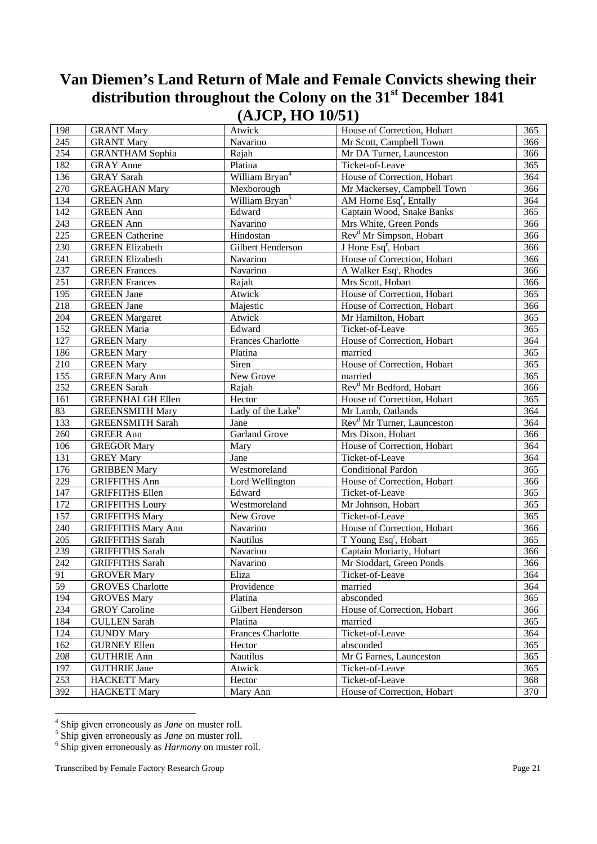| 198              | <b>GRANT Mary</b>         | Atwick                        | House of Correction, Hobart            | 365              |
|------------------|---------------------------|-------------------------------|----------------------------------------|------------------|
| 245              | <b>GRANT Mary</b>         | Navarino                      | Mr Scott, Campbell Town                | 366              |
| 254              | <b>GRANTHAM Sophia</b>    | Rajah                         | Mr DA Turner, Launceston               | 366              |
| 182              | <b>GRAY</b> Anne          | Platina                       | Ticket-of-Leave                        | 365              |
| 136              | <b>GRAY</b> Sarah         | William Bryan <sup>4</sup>    | House of Correction, Hobart            | 364              |
| 270              | <b>GREAGHAN Mary</b>      | Mexborough                    | Mr Mackersey, Campbell Town            | 366              |
| 134              | <b>GREEN</b> Ann          | William Bryan <sup>5</sup>    | AM Horne Esq <sup>r</sup> , Entally    | 364              |
| 142              | <b>GREEN</b> Ann          | Edward                        | Captain Wood, Snake Banks              | 365              |
| 243              | <b>GREEN</b> Ann          | Navarino                      | Mrs White, Green Ponds                 | 366              |
| 225              | <b>GREEN</b> Catherine    | Hindostan                     | Rev <sup>d</sup> Mr Simpson, Hobart    | 366              |
| 230              | <b>GREEN Elizabeth</b>    | Gilbert Henderson             | J Hone Esq <sup>r</sup> , Hobart       | 366              |
| 241              | <b>GREEN Elizabeth</b>    | Navarino                      | House of Correction, Hobart            | 366              |
| 237              | <b>GREEN</b> Frances      | Navarino                      | A Walker Esq <sup>r</sup> , Rhodes     | 366              |
| 251              | <b>GREEN</b> Frances      | Rajah                         | Mrs Scott, Hobart                      | $\overline{366}$ |
| 195              | <b>GREEN</b> Jane         | Atwick                        | House of Correction, Hobart            | 365              |
| 218              | <b>GREEN</b> Jane         | Majestic                      | House of Correction, Hobart            | 366              |
| 204              | <b>GREEN</b> Margaret     | Atwick                        | Mr Hamilton, Hobart                    | 365              |
| 152              | <b>GREEN</b> Maria        | Edward                        | Ticket-of-Leave                        | 365              |
| 127              | <b>GREEN Mary</b>         | <b>Frances Charlotte</b>      | House of Correction, Hobart            | 364              |
| 186              | <b>GREEN Mary</b>         | Platina                       | married                                | 365              |
| 210              | <b>GREEN Mary</b>         | Siren                         | House of Correction, Hobart            | 365              |
| 155              | <b>GREEN Mary Ann</b>     | New Grove                     | married                                | 365              |
| 252              | <b>GREEN Sarah</b>        | Rajah                         | Rev <sup>d</sup> Mr Bedford, Hobart    | 366              |
| 161              | <b>GREENHALGH Ellen</b>   | Hector                        | House of Correction, Hobart            | 365              |
| 83               | <b>GREENSMITH Mary</b>    | Lady of the Lake <sup>6</sup> | Mr Lamb, Oatlands                      | 364              |
| 133              | <b>GREENSMITH Sarah</b>   | Jane                          | Rev <sup>d</sup> Mr Turner, Launceston | 364              |
| 260              | <b>GREER Ann</b>          | <b>Garland Grove</b>          | Mrs Dixon, Hobart                      | 366              |
| 106              | <b>GREGOR Mary</b>        | Mary                          | House of Correction, Hobart            | 364              |
| 131              | <b>GREY Mary</b>          | Jane                          | Ticket-of-Leave                        | 364              |
| $\overline{176}$ | <b>GRIBBEN Mary</b>       | Westmoreland                  | <b>Conditional Pardon</b>              | $\overline{365}$ |
| 229              | <b>GRIFFITHS Ann</b>      | Lord Wellington               | House of Correction, Hobart            | 366              |
| 147              | <b>GRIFFITHS Ellen</b>    | Edward                        | Ticket-of-Leave                        | 365              |
| 172              | <b>GRIFFITHS Loury</b>    | Westmoreland                  | Mr Johnson, Hobart                     | 365              |
| 157              | <b>GRIFFITHS Mary</b>     | New Grove                     | Ticket-of-Leave                        | 365              |
| 240              | <b>GRIFFITHS Mary Ann</b> | Navarino                      | House of Correction, Hobart            | 366              |
| $205\,$          | <b>GRIFFITHS Sarah</b>    | Nautilus                      | T Young Esq <sup>r</sup> , Hobart      | 365              |
| 239              | <b>GRIFFITHS Sarah</b>    | Navarino                      | Captain Moriarty, Hobart               | 366              |
| 242              | <b>GRIFFITHS Sarah</b>    | Navarino                      | Mr Stoddart, Green Ponds               | 366              |
| 91               | <b>GROVER Mary</b>        | Eliza                         | Ticket-of-Leave                        | 364              |
| 59               | <b>GROVES</b> Charlotte   | Providence                    | married                                | 364              |
| 194              | <b>GROVES Mary</b>        | Platina                       | absconded                              | 365              |
| 234              | <b>GROY</b> Caroline      | Gilbert Henderson             | House of Correction, Hobart            | 366              |
| 184              | <b>GULLEN Sarah</b>       | Platina                       | married                                | 365              |
| 124              | <b>GUNDY Mary</b>         | <b>Frances Charlotte</b>      | Ticket-of-Leave                        | 364              |
| 162              | <b>GURNEY Ellen</b>       | Hector                        | absconded                              | 365              |
| 208              | <b>GUTHRIE Ann</b>        | <b>Nautilus</b>               | Mr G Farnes, Launceston                | 365              |
| 197              | <b>GUTHRIE Jane</b>       | Atwick                        | Ticket-of-Leave                        | 365              |
| 253              | <b>HACKETT Mary</b>       | Hector                        | Ticket-of-Leave                        | 368              |
| 392              | <b>HACKETT Mary</b>       | Mary Ann                      | House of Correction, Hobart            | 370              |

<sup>4&</sup>lt;br><sup>4</sup> Ship given erroneously as *Jane* on muster roll.

 $\frac{1}{6}$  Ship given erroneously as *Jane* on muster roll.

<sup>&</sup>lt;sup>6</sup> Ship given erroneously as *June* on muster roll.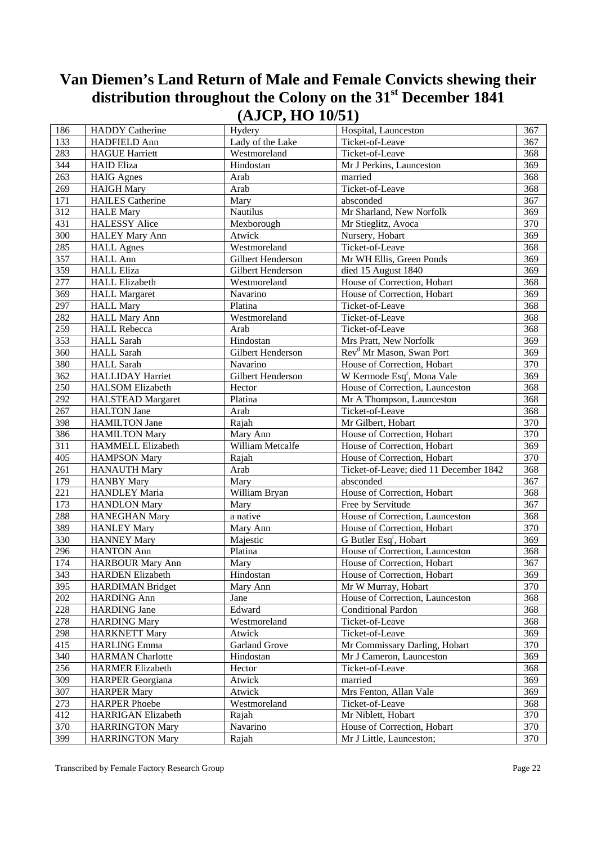| 186 | <b>HADDY</b> Catherine   | Hydery               | Hospital, Launceston                   | 367 |
|-----|--------------------------|----------------------|----------------------------------------|-----|
| 133 | HADFIELD Ann             | Lady of the Lake     | Ticket-of-Leave                        | 367 |
| 283 | <b>HAGUE Harriett</b>    | Westmoreland         | Ticket-of-Leave                        | 368 |
| 344 | <b>HAID Eliza</b>        | Hindostan            | Mr J Perkins, Launceston               | 369 |
| 263 | <b>HAIG</b> Agnes        | Arab                 | married                                | 368 |
| 269 | <b>HAIGH Mary</b>        | Arab                 | Ticket-of-Leave                        | 368 |
| 171 | <b>HAILES</b> Catherine  | Mary                 | absconded                              | 367 |
| 312 | <b>HALE</b> Mary         | <b>Nautilus</b>      | Mr Sharland, New Norfolk               | 369 |
| 431 | <b>HALESSY Alice</b>     | Mexborough           | Mr Stieglitz, Avoca                    | 370 |
| 300 | <b>HALEY Mary Ann</b>    | Atwick               | Nursery, Hobart                        | 369 |
| 285 | <b>HALL Agnes</b>        | Westmoreland         | Ticket-of-Leave                        | 368 |
| 357 | <b>HALL Ann</b>          | Gilbert Henderson    | Mr WH Ellis, Green Ponds               | 369 |
| 359 | <b>HALL Eliza</b>        | Gilbert Henderson    | died 15 August 1840                    | 369 |
| 277 | <b>HALL Elizabeth</b>    | Westmoreland         | House of Correction, Hobart            | 368 |
| 369 | <b>HALL Margaret</b>     | Navarino             | House of Correction, Hobart            | 369 |
| 297 | <b>HALL Mary</b>         | Platina              | Ticket-of-Leave                        | 368 |
| 282 | <b>HALL Mary Ann</b>     | Westmoreland         | Ticket-of-Leave                        | 368 |
| 259 | <b>HALL Rebecca</b>      | Arab                 | Ticket-of-Leave                        | 368 |
| 353 | <b>HALL Sarah</b>        | Hindostan            | Mrs Pratt, New Norfolk                 | 369 |
| 360 | <b>HALL Sarah</b>        | Gilbert Henderson    | Rev <sup>d</sup> Mr Mason, Swan Port   | 369 |
| 380 | <b>HALL Sarah</b>        | Navarino             | House of Correction, Hobart            | 370 |
| 362 | <b>HALLIDAY Harriet</b>  | Gilbert Henderson    | W Kermode Esq <sup>r</sup> , Mona Vale | 369 |
| 250 | <b>HALSOM Elizabeth</b>  | Hector               | House of Correction, Launceston        | 368 |
| 292 | <b>HALSTEAD Margaret</b> | Platina              | Mr A Thompson, Launceston              | 368 |
| 267 | <b>HALTON Jane</b>       | Arab                 | Ticket-of-Leave                        | 368 |
| 398 | <b>HAMILTON Jane</b>     | Rajah                | Mr Gilbert, Hobart                     | 370 |
| 386 | <b>HAMILTON Mary</b>     | Mary Ann             | House of Correction, Hobart            | 370 |
| 311 | HAMMELL Elizabeth        | William Metcalfe     | House of Correction, Hobart            | 369 |
| 405 | <b>HAMPSON Mary</b>      | Rajah                | House of Correction, Hobart            | 370 |
| 261 | <b>HANAUTH Mary</b>      | Arab                 | Ticket-of-Leave; died 11 December 1842 | 368 |
| 179 |                          | Mary                 | absconded                              | 367 |
|     | <b>HANBY Mary</b>        |                      |                                        |     |
| 221 | HANDLEY Maria            | William Bryan        | House of Correction, Hobart            | 368 |
| 173 | <b>HANDLON Mary</b>      | Mary                 | Free by Servitude                      | 367 |
| 288 | <b>HANEGHAN Mary</b>     | a native             | House of Correction, Launceston        | 368 |
| 389 | <b>HANLEY Mary</b>       | Mary Ann             | House of Correction, Hobart            | 370 |
| 330 | <b>HANNEY Mary</b>       | Majestic             | G Butler Esq <sup>r</sup> , Hobart     | 369 |
| 296 | <b>HANTON Ann</b>        | Platina              | House of Correction, Launceston        | 368 |
| 174 | <b>HARBOUR Mary Ann</b>  | Mary                 | House of Correction, Hobart            | 367 |
| 343 | <b>HARDEN</b> Elizabeth  | Hindostan            | House of Correction, Hobart            | 369 |
| 395 | <b>HARDIMAN</b> Bridget  | Mary Ann             | Mr W Murray, Hobart                    | 370 |
| 202 | <b>HARDING Ann</b>       | Jane                 | House of Correction, Launceston        | 368 |
| 228 | <b>HARDING Jane</b>      | Edward               | <b>Conditional Pardon</b>              | 368 |
| 278 | <b>HARDING Mary</b>      | Westmoreland         | Ticket-of-Leave                        | 368 |
| 298 | <b>HARKNETT Mary</b>     | Atwick               | Ticket-of-Leave                        | 369 |
| 415 | HARLING Emma             | <b>Garland Grove</b> | Mr Commissary Darling, Hobart          | 370 |
| 340 | <b>HARMAN</b> Charlotte  | Hindostan            | Mr J Cameron, Launceston               | 369 |
| 256 | <b>HARMER Elizabeth</b>  | Hector               | Ticket-of-Leave                        | 368 |
| 309 | <b>HARPER Georgiana</b>  | Atwick               | married                                | 369 |
| 307 | <b>HARPER Mary</b>       | Atwick               | Mrs Fenton, Allan Vale                 | 369 |
| 273 | <b>HARPER Phoebe</b>     | Westmoreland         | Ticket-of-Leave                        | 368 |
| 412 | HARRIGAN Elizabeth       | Rajah                | Mr Niblett, Hobart                     | 370 |
| 370 | <b>HARRINGTON Mary</b>   | Navarino             | House of Correction, Hobart            | 370 |
| 399 | <b>HARRINGTON Mary</b>   | Rajah                | Mr J Little, Launceston;               | 370 |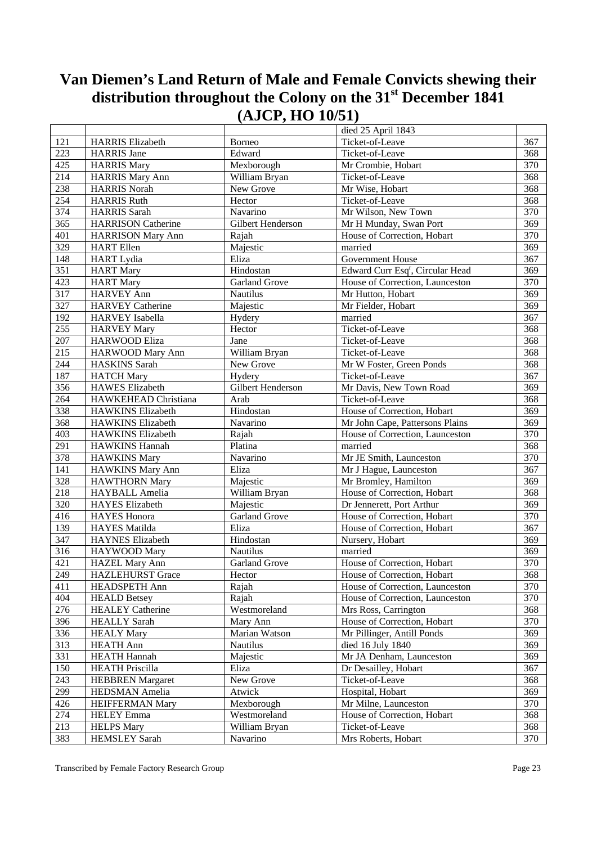| Ticket-of-Leave<br>121<br><b>HARRIS</b> Elizabeth<br>367<br>Borneo<br>223<br>Edward<br>368<br><b>HARRIS</b> Jane<br>Ticket-of-Leave<br>425<br>370<br>Mexborough<br><b>HARRIS Mary</b><br>Mr Crombie, Hobart<br>214<br>368<br><b>HARRIS Mary Ann</b><br>William Bryan<br>Ticket-of-Leave<br>238<br>New Grove<br>368<br><b>HARRIS Norah</b><br>Mr Wise, Hobart<br>254<br>Ticket-of-Leave<br>368<br>Hector<br><b>HARRIS Ruth</b><br>374<br>370<br><b>HARRIS</b> Sarah<br>Navarino<br>Mr Wilson, New Town<br>365<br>369<br><b>HARRISON Catherine</b><br>Gilbert Henderson<br>Mr H Munday, Swan Port<br>401<br>370<br>House of Correction, Hobart<br><b>HARRISON Mary Ann</b><br>Rajah<br>329<br>married<br>369<br><b>HART</b> Ellen<br>Majestic<br>148<br>Eliza<br>Government House<br>367<br><b>HART</b> Lydia<br>$\overline{351}$<br>Edward Curr Esq <sup>r</sup> , Circular Head<br>369<br>Hindostan<br><b>HART</b> Mary<br>423<br>370<br>Garland Grove<br>House of Correction, Launceston<br><b>HART</b> Mary<br>317<br>369<br><b>HARVEY Ann</b><br>Mr Hutton, Hobart<br>Nautilus<br>327<br><b>HARVEY Catherine</b><br>369<br>Majestic<br>Mr Fielder, Hobart<br>192<br>367<br>married<br><b>HARVEY</b> Isabella<br>Hydery<br>255<br>Ticket-of-Leave<br><b>HARVEY Mary</b><br>368<br>Hector<br>207<br>368<br><b>HARWOOD Eliza</b><br>Jane<br>Ticket-of-Leave<br>215<br>William Bryan<br>368<br>HARWOOD Mary Ann<br>Ticket-of-Leave<br>244<br>368<br>Mr W Foster, Green Ponds<br><b>HASKINS</b> Sarah<br>New Grove<br>187<br>367<br><b>HATCH Mary</b><br>Hydery<br>Ticket-of-Leave<br>356<br>Gilbert Henderson<br>Mr Davis, New Town Road<br><b>HAWES</b> Elizabeth<br>369<br>264<br>368<br>Ticket-of-Leave<br>HAWKEHEAD Christiana<br>Arab<br>338<br>369<br>Hindostan<br>House of Correction, Hobart<br><b>HAWKINS Elizabeth</b><br>368<br>369<br>Navarino<br>Mr John Cape, Pattersons Plains<br>HAWKINS Elizabeth<br>403<br>370<br>House of Correction, Launceston<br>HAWKINS Elizabeth<br>Rajah<br>291<br>368<br><b>HAWKINS Hannah</b><br>Platina<br>married<br>378<br>Mr JE Smith, Launceston<br>370<br><b>HAWKINS Mary</b><br>Navarino<br>141<br>Eliza<br>Mr J Hague, Launceston<br>367<br>HAWKINS Mary Ann<br>328<br>369<br>Mr Bromley, Hamilton<br><b>HAWTHORN Mary</b><br>Majestic<br>218<br>368<br>House of Correction, Hobart<br>HAYBALL Amelia<br>William Bryan<br>320<br>369<br><b>HAYES</b> Elizabeth<br>Dr Jennerett, Port Arthur<br>Majestic<br>416<br>370<br>Garland Grove<br>House of Correction, Hobart<br><b>HAYES</b> Honora<br>139<br>367<br>Eliza<br>House of Correction, Hobart<br><b>HAYES</b> Matilda<br>347<br>Hindostan<br>Nursery, Hobart<br>369<br><b>HAYNES</b> Elizabeth<br>316<br>Nautilus<br>married<br>369<br>HAYWOOD Mary<br>421<br>370<br><b>HAZEL Mary Ann</b><br>Garland Grove<br>House of Correction, Hobart<br>249<br>HAZLEHURST Grace<br>Hector<br>House of Correction, Hobart<br>368<br>370<br>411<br>HEADSPETH Ann<br>House of Correction, Launceston<br>Rajah<br>404<br><b>HEALD Betsey</b><br>Rajah<br>House of Correction, Launceston<br>370<br>276<br><b>HEALEY Catherine</b><br>Westmoreland<br>Mrs Ross, Carrington<br>368<br>396<br>House of Correction, Hobart<br><b>HEALLY Sarah</b><br>Mary Ann<br>370<br>336<br>Marian Watson<br>Mr Pillinger, Antill Ponds<br><b>HEALY Mary</b><br>369<br>313<br>died 16 July 1840<br><b>HEATH Ann</b><br>Nautilus<br>369<br>331<br>Majestic<br>Mr JA Denham, Launceston<br><b>HEATH Hannah</b><br>369<br>150<br>Eliza<br>Dr Desailley, Hobart<br><b>HEATH Priscilla</b><br>367<br>New Grove<br>Ticket-of-Leave<br>243<br><b>HEBBREN</b> Margaret<br>368<br>299<br>Hospital, Hobart<br><b>HEDSMAN</b> Amelia<br>Atwick<br>369<br>426<br>Mexborough<br>Mr Milne, Launceston<br>370<br><b>HEIFFERMAN Mary</b><br>274<br>HELEY Emma<br>House of Correction, Hobart<br>368<br>Westmoreland<br>213<br><b>HELPS Mary</b><br>William Bryan<br>Ticket-of-Leave<br>368<br>383<br><b>HEMSLEY Sarah</b><br>Navarino<br>Mrs Roberts, Hobart<br>370 |  | died 25 April 1843 |  |
|-----------------------------------------------------------------------------------------------------------------------------------------------------------------------------------------------------------------------------------------------------------------------------------------------------------------------------------------------------------------------------------------------------------------------------------------------------------------------------------------------------------------------------------------------------------------------------------------------------------------------------------------------------------------------------------------------------------------------------------------------------------------------------------------------------------------------------------------------------------------------------------------------------------------------------------------------------------------------------------------------------------------------------------------------------------------------------------------------------------------------------------------------------------------------------------------------------------------------------------------------------------------------------------------------------------------------------------------------------------------------------------------------------------------------------------------------------------------------------------------------------------------------------------------------------------------------------------------------------------------------------------------------------------------------------------------------------------------------------------------------------------------------------------------------------------------------------------------------------------------------------------------------------------------------------------------------------------------------------------------------------------------------------------------------------------------------------------------------------------------------------------------------------------------------------------------------------------------------------------------------------------------------------------------------------------------------------------------------------------------------------------------------------------------------------------------------------------------------------------------------------------------------------------------------------------------------------------------------------------------------------------------------------------------------------------------------------------------------------------------------------------------------------------------------------------------------------------------------------------------------------------------------------------------------------------------------------------------------------------------------------------------------------------------------------------------------------------------------------------------------------------------------------------------------------------------------------------------------------------------------------------------------------------------------------------------------------------------------------------------------------------------------------------------------------------------------------------------------------------------------------------------------------------------------------------------------------------------------------------------------------------------------------------------------------------------------------------------------------------------------------------------------------------------------------------------------------------------------------------------------------------------------------------------------------------------------------------------------------------------------------------------------------|--|--------------------|--|
|                                                                                                                                                                                                                                                                                                                                                                                                                                                                                                                                                                                                                                                                                                                                                                                                                                                                                                                                                                                                                                                                                                                                                                                                                                                                                                                                                                                                                                                                                                                                                                                                                                                                                                                                                                                                                                                                                                                                                                                                                                                                                                                                                                                                                                                                                                                                                                                                                                                                                                                                                                                                                                                                                                                                                                                                                                                                                                                                                                                                                                                                                                                                                                                                                                                                                                                                                                                                                                                                                                                                                                                                                                                                                                                                                                                                                                                                                                                                                                                                                             |  |                    |  |
|                                                                                                                                                                                                                                                                                                                                                                                                                                                                                                                                                                                                                                                                                                                                                                                                                                                                                                                                                                                                                                                                                                                                                                                                                                                                                                                                                                                                                                                                                                                                                                                                                                                                                                                                                                                                                                                                                                                                                                                                                                                                                                                                                                                                                                                                                                                                                                                                                                                                                                                                                                                                                                                                                                                                                                                                                                                                                                                                                                                                                                                                                                                                                                                                                                                                                                                                                                                                                                                                                                                                                                                                                                                                                                                                                                                                                                                                                                                                                                                                                             |  |                    |  |
|                                                                                                                                                                                                                                                                                                                                                                                                                                                                                                                                                                                                                                                                                                                                                                                                                                                                                                                                                                                                                                                                                                                                                                                                                                                                                                                                                                                                                                                                                                                                                                                                                                                                                                                                                                                                                                                                                                                                                                                                                                                                                                                                                                                                                                                                                                                                                                                                                                                                                                                                                                                                                                                                                                                                                                                                                                                                                                                                                                                                                                                                                                                                                                                                                                                                                                                                                                                                                                                                                                                                                                                                                                                                                                                                                                                                                                                                                                                                                                                                                             |  |                    |  |
|                                                                                                                                                                                                                                                                                                                                                                                                                                                                                                                                                                                                                                                                                                                                                                                                                                                                                                                                                                                                                                                                                                                                                                                                                                                                                                                                                                                                                                                                                                                                                                                                                                                                                                                                                                                                                                                                                                                                                                                                                                                                                                                                                                                                                                                                                                                                                                                                                                                                                                                                                                                                                                                                                                                                                                                                                                                                                                                                                                                                                                                                                                                                                                                                                                                                                                                                                                                                                                                                                                                                                                                                                                                                                                                                                                                                                                                                                                                                                                                                                             |  |                    |  |
|                                                                                                                                                                                                                                                                                                                                                                                                                                                                                                                                                                                                                                                                                                                                                                                                                                                                                                                                                                                                                                                                                                                                                                                                                                                                                                                                                                                                                                                                                                                                                                                                                                                                                                                                                                                                                                                                                                                                                                                                                                                                                                                                                                                                                                                                                                                                                                                                                                                                                                                                                                                                                                                                                                                                                                                                                                                                                                                                                                                                                                                                                                                                                                                                                                                                                                                                                                                                                                                                                                                                                                                                                                                                                                                                                                                                                                                                                                                                                                                                                             |  |                    |  |
|                                                                                                                                                                                                                                                                                                                                                                                                                                                                                                                                                                                                                                                                                                                                                                                                                                                                                                                                                                                                                                                                                                                                                                                                                                                                                                                                                                                                                                                                                                                                                                                                                                                                                                                                                                                                                                                                                                                                                                                                                                                                                                                                                                                                                                                                                                                                                                                                                                                                                                                                                                                                                                                                                                                                                                                                                                                                                                                                                                                                                                                                                                                                                                                                                                                                                                                                                                                                                                                                                                                                                                                                                                                                                                                                                                                                                                                                                                                                                                                                                             |  |                    |  |
|                                                                                                                                                                                                                                                                                                                                                                                                                                                                                                                                                                                                                                                                                                                                                                                                                                                                                                                                                                                                                                                                                                                                                                                                                                                                                                                                                                                                                                                                                                                                                                                                                                                                                                                                                                                                                                                                                                                                                                                                                                                                                                                                                                                                                                                                                                                                                                                                                                                                                                                                                                                                                                                                                                                                                                                                                                                                                                                                                                                                                                                                                                                                                                                                                                                                                                                                                                                                                                                                                                                                                                                                                                                                                                                                                                                                                                                                                                                                                                                                                             |  |                    |  |
|                                                                                                                                                                                                                                                                                                                                                                                                                                                                                                                                                                                                                                                                                                                                                                                                                                                                                                                                                                                                                                                                                                                                                                                                                                                                                                                                                                                                                                                                                                                                                                                                                                                                                                                                                                                                                                                                                                                                                                                                                                                                                                                                                                                                                                                                                                                                                                                                                                                                                                                                                                                                                                                                                                                                                                                                                                                                                                                                                                                                                                                                                                                                                                                                                                                                                                                                                                                                                                                                                                                                                                                                                                                                                                                                                                                                                                                                                                                                                                                                                             |  |                    |  |
|                                                                                                                                                                                                                                                                                                                                                                                                                                                                                                                                                                                                                                                                                                                                                                                                                                                                                                                                                                                                                                                                                                                                                                                                                                                                                                                                                                                                                                                                                                                                                                                                                                                                                                                                                                                                                                                                                                                                                                                                                                                                                                                                                                                                                                                                                                                                                                                                                                                                                                                                                                                                                                                                                                                                                                                                                                                                                                                                                                                                                                                                                                                                                                                                                                                                                                                                                                                                                                                                                                                                                                                                                                                                                                                                                                                                                                                                                                                                                                                                                             |  |                    |  |
|                                                                                                                                                                                                                                                                                                                                                                                                                                                                                                                                                                                                                                                                                                                                                                                                                                                                                                                                                                                                                                                                                                                                                                                                                                                                                                                                                                                                                                                                                                                                                                                                                                                                                                                                                                                                                                                                                                                                                                                                                                                                                                                                                                                                                                                                                                                                                                                                                                                                                                                                                                                                                                                                                                                                                                                                                                                                                                                                                                                                                                                                                                                                                                                                                                                                                                                                                                                                                                                                                                                                                                                                                                                                                                                                                                                                                                                                                                                                                                                                                             |  |                    |  |
|                                                                                                                                                                                                                                                                                                                                                                                                                                                                                                                                                                                                                                                                                                                                                                                                                                                                                                                                                                                                                                                                                                                                                                                                                                                                                                                                                                                                                                                                                                                                                                                                                                                                                                                                                                                                                                                                                                                                                                                                                                                                                                                                                                                                                                                                                                                                                                                                                                                                                                                                                                                                                                                                                                                                                                                                                                                                                                                                                                                                                                                                                                                                                                                                                                                                                                                                                                                                                                                                                                                                                                                                                                                                                                                                                                                                                                                                                                                                                                                                                             |  |                    |  |
|                                                                                                                                                                                                                                                                                                                                                                                                                                                                                                                                                                                                                                                                                                                                                                                                                                                                                                                                                                                                                                                                                                                                                                                                                                                                                                                                                                                                                                                                                                                                                                                                                                                                                                                                                                                                                                                                                                                                                                                                                                                                                                                                                                                                                                                                                                                                                                                                                                                                                                                                                                                                                                                                                                                                                                                                                                                                                                                                                                                                                                                                                                                                                                                                                                                                                                                                                                                                                                                                                                                                                                                                                                                                                                                                                                                                                                                                                                                                                                                                                             |  |                    |  |
|                                                                                                                                                                                                                                                                                                                                                                                                                                                                                                                                                                                                                                                                                                                                                                                                                                                                                                                                                                                                                                                                                                                                                                                                                                                                                                                                                                                                                                                                                                                                                                                                                                                                                                                                                                                                                                                                                                                                                                                                                                                                                                                                                                                                                                                                                                                                                                                                                                                                                                                                                                                                                                                                                                                                                                                                                                                                                                                                                                                                                                                                                                                                                                                                                                                                                                                                                                                                                                                                                                                                                                                                                                                                                                                                                                                                                                                                                                                                                                                                                             |  |                    |  |
|                                                                                                                                                                                                                                                                                                                                                                                                                                                                                                                                                                                                                                                                                                                                                                                                                                                                                                                                                                                                                                                                                                                                                                                                                                                                                                                                                                                                                                                                                                                                                                                                                                                                                                                                                                                                                                                                                                                                                                                                                                                                                                                                                                                                                                                                                                                                                                                                                                                                                                                                                                                                                                                                                                                                                                                                                                                                                                                                                                                                                                                                                                                                                                                                                                                                                                                                                                                                                                                                                                                                                                                                                                                                                                                                                                                                                                                                                                                                                                                                                             |  |                    |  |
|                                                                                                                                                                                                                                                                                                                                                                                                                                                                                                                                                                                                                                                                                                                                                                                                                                                                                                                                                                                                                                                                                                                                                                                                                                                                                                                                                                                                                                                                                                                                                                                                                                                                                                                                                                                                                                                                                                                                                                                                                                                                                                                                                                                                                                                                                                                                                                                                                                                                                                                                                                                                                                                                                                                                                                                                                                                                                                                                                                                                                                                                                                                                                                                                                                                                                                                                                                                                                                                                                                                                                                                                                                                                                                                                                                                                                                                                                                                                                                                                                             |  |                    |  |
|                                                                                                                                                                                                                                                                                                                                                                                                                                                                                                                                                                                                                                                                                                                                                                                                                                                                                                                                                                                                                                                                                                                                                                                                                                                                                                                                                                                                                                                                                                                                                                                                                                                                                                                                                                                                                                                                                                                                                                                                                                                                                                                                                                                                                                                                                                                                                                                                                                                                                                                                                                                                                                                                                                                                                                                                                                                                                                                                                                                                                                                                                                                                                                                                                                                                                                                                                                                                                                                                                                                                                                                                                                                                                                                                                                                                                                                                                                                                                                                                                             |  |                    |  |
|                                                                                                                                                                                                                                                                                                                                                                                                                                                                                                                                                                                                                                                                                                                                                                                                                                                                                                                                                                                                                                                                                                                                                                                                                                                                                                                                                                                                                                                                                                                                                                                                                                                                                                                                                                                                                                                                                                                                                                                                                                                                                                                                                                                                                                                                                                                                                                                                                                                                                                                                                                                                                                                                                                                                                                                                                                                                                                                                                                                                                                                                                                                                                                                                                                                                                                                                                                                                                                                                                                                                                                                                                                                                                                                                                                                                                                                                                                                                                                                                                             |  |                    |  |
|                                                                                                                                                                                                                                                                                                                                                                                                                                                                                                                                                                                                                                                                                                                                                                                                                                                                                                                                                                                                                                                                                                                                                                                                                                                                                                                                                                                                                                                                                                                                                                                                                                                                                                                                                                                                                                                                                                                                                                                                                                                                                                                                                                                                                                                                                                                                                                                                                                                                                                                                                                                                                                                                                                                                                                                                                                                                                                                                                                                                                                                                                                                                                                                                                                                                                                                                                                                                                                                                                                                                                                                                                                                                                                                                                                                                                                                                                                                                                                                                                             |  |                    |  |
|                                                                                                                                                                                                                                                                                                                                                                                                                                                                                                                                                                                                                                                                                                                                                                                                                                                                                                                                                                                                                                                                                                                                                                                                                                                                                                                                                                                                                                                                                                                                                                                                                                                                                                                                                                                                                                                                                                                                                                                                                                                                                                                                                                                                                                                                                                                                                                                                                                                                                                                                                                                                                                                                                                                                                                                                                                                                                                                                                                                                                                                                                                                                                                                                                                                                                                                                                                                                                                                                                                                                                                                                                                                                                                                                                                                                                                                                                                                                                                                                                             |  |                    |  |
|                                                                                                                                                                                                                                                                                                                                                                                                                                                                                                                                                                                                                                                                                                                                                                                                                                                                                                                                                                                                                                                                                                                                                                                                                                                                                                                                                                                                                                                                                                                                                                                                                                                                                                                                                                                                                                                                                                                                                                                                                                                                                                                                                                                                                                                                                                                                                                                                                                                                                                                                                                                                                                                                                                                                                                                                                                                                                                                                                                                                                                                                                                                                                                                                                                                                                                                                                                                                                                                                                                                                                                                                                                                                                                                                                                                                                                                                                                                                                                                                                             |  |                    |  |
|                                                                                                                                                                                                                                                                                                                                                                                                                                                                                                                                                                                                                                                                                                                                                                                                                                                                                                                                                                                                                                                                                                                                                                                                                                                                                                                                                                                                                                                                                                                                                                                                                                                                                                                                                                                                                                                                                                                                                                                                                                                                                                                                                                                                                                                                                                                                                                                                                                                                                                                                                                                                                                                                                                                                                                                                                                                                                                                                                                                                                                                                                                                                                                                                                                                                                                                                                                                                                                                                                                                                                                                                                                                                                                                                                                                                                                                                                                                                                                                                                             |  |                    |  |
|                                                                                                                                                                                                                                                                                                                                                                                                                                                                                                                                                                                                                                                                                                                                                                                                                                                                                                                                                                                                                                                                                                                                                                                                                                                                                                                                                                                                                                                                                                                                                                                                                                                                                                                                                                                                                                                                                                                                                                                                                                                                                                                                                                                                                                                                                                                                                                                                                                                                                                                                                                                                                                                                                                                                                                                                                                                                                                                                                                                                                                                                                                                                                                                                                                                                                                                                                                                                                                                                                                                                                                                                                                                                                                                                                                                                                                                                                                                                                                                                                             |  |                    |  |
|                                                                                                                                                                                                                                                                                                                                                                                                                                                                                                                                                                                                                                                                                                                                                                                                                                                                                                                                                                                                                                                                                                                                                                                                                                                                                                                                                                                                                                                                                                                                                                                                                                                                                                                                                                                                                                                                                                                                                                                                                                                                                                                                                                                                                                                                                                                                                                                                                                                                                                                                                                                                                                                                                                                                                                                                                                                                                                                                                                                                                                                                                                                                                                                                                                                                                                                                                                                                                                                                                                                                                                                                                                                                                                                                                                                                                                                                                                                                                                                                                             |  |                    |  |
|                                                                                                                                                                                                                                                                                                                                                                                                                                                                                                                                                                                                                                                                                                                                                                                                                                                                                                                                                                                                                                                                                                                                                                                                                                                                                                                                                                                                                                                                                                                                                                                                                                                                                                                                                                                                                                                                                                                                                                                                                                                                                                                                                                                                                                                                                                                                                                                                                                                                                                                                                                                                                                                                                                                                                                                                                                                                                                                                                                                                                                                                                                                                                                                                                                                                                                                                                                                                                                                                                                                                                                                                                                                                                                                                                                                                                                                                                                                                                                                                                             |  |                    |  |
|                                                                                                                                                                                                                                                                                                                                                                                                                                                                                                                                                                                                                                                                                                                                                                                                                                                                                                                                                                                                                                                                                                                                                                                                                                                                                                                                                                                                                                                                                                                                                                                                                                                                                                                                                                                                                                                                                                                                                                                                                                                                                                                                                                                                                                                                                                                                                                                                                                                                                                                                                                                                                                                                                                                                                                                                                                                                                                                                                                                                                                                                                                                                                                                                                                                                                                                                                                                                                                                                                                                                                                                                                                                                                                                                                                                                                                                                                                                                                                                                                             |  |                    |  |
|                                                                                                                                                                                                                                                                                                                                                                                                                                                                                                                                                                                                                                                                                                                                                                                                                                                                                                                                                                                                                                                                                                                                                                                                                                                                                                                                                                                                                                                                                                                                                                                                                                                                                                                                                                                                                                                                                                                                                                                                                                                                                                                                                                                                                                                                                                                                                                                                                                                                                                                                                                                                                                                                                                                                                                                                                                                                                                                                                                                                                                                                                                                                                                                                                                                                                                                                                                                                                                                                                                                                                                                                                                                                                                                                                                                                                                                                                                                                                                                                                             |  |                    |  |
|                                                                                                                                                                                                                                                                                                                                                                                                                                                                                                                                                                                                                                                                                                                                                                                                                                                                                                                                                                                                                                                                                                                                                                                                                                                                                                                                                                                                                                                                                                                                                                                                                                                                                                                                                                                                                                                                                                                                                                                                                                                                                                                                                                                                                                                                                                                                                                                                                                                                                                                                                                                                                                                                                                                                                                                                                                                                                                                                                                                                                                                                                                                                                                                                                                                                                                                                                                                                                                                                                                                                                                                                                                                                                                                                                                                                                                                                                                                                                                                                                             |  |                    |  |
|                                                                                                                                                                                                                                                                                                                                                                                                                                                                                                                                                                                                                                                                                                                                                                                                                                                                                                                                                                                                                                                                                                                                                                                                                                                                                                                                                                                                                                                                                                                                                                                                                                                                                                                                                                                                                                                                                                                                                                                                                                                                                                                                                                                                                                                                                                                                                                                                                                                                                                                                                                                                                                                                                                                                                                                                                                                                                                                                                                                                                                                                                                                                                                                                                                                                                                                                                                                                                                                                                                                                                                                                                                                                                                                                                                                                                                                                                                                                                                                                                             |  |                    |  |
|                                                                                                                                                                                                                                                                                                                                                                                                                                                                                                                                                                                                                                                                                                                                                                                                                                                                                                                                                                                                                                                                                                                                                                                                                                                                                                                                                                                                                                                                                                                                                                                                                                                                                                                                                                                                                                                                                                                                                                                                                                                                                                                                                                                                                                                                                                                                                                                                                                                                                                                                                                                                                                                                                                                                                                                                                                                                                                                                                                                                                                                                                                                                                                                                                                                                                                                                                                                                                                                                                                                                                                                                                                                                                                                                                                                                                                                                                                                                                                                                                             |  |                    |  |
|                                                                                                                                                                                                                                                                                                                                                                                                                                                                                                                                                                                                                                                                                                                                                                                                                                                                                                                                                                                                                                                                                                                                                                                                                                                                                                                                                                                                                                                                                                                                                                                                                                                                                                                                                                                                                                                                                                                                                                                                                                                                                                                                                                                                                                                                                                                                                                                                                                                                                                                                                                                                                                                                                                                                                                                                                                                                                                                                                                                                                                                                                                                                                                                                                                                                                                                                                                                                                                                                                                                                                                                                                                                                                                                                                                                                                                                                                                                                                                                                                             |  |                    |  |
|                                                                                                                                                                                                                                                                                                                                                                                                                                                                                                                                                                                                                                                                                                                                                                                                                                                                                                                                                                                                                                                                                                                                                                                                                                                                                                                                                                                                                                                                                                                                                                                                                                                                                                                                                                                                                                                                                                                                                                                                                                                                                                                                                                                                                                                                                                                                                                                                                                                                                                                                                                                                                                                                                                                                                                                                                                                                                                                                                                                                                                                                                                                                                                                                                                                                                                                                                                                                                                                                                                                                                                                                                                                                                                                                                                                                                                                                                                                                                                                                                             |  |                    |  |
|                                                                                                                                                                                                                                                                                                                                                                                                                                                                                                                                                                                                                                                                                                                                                                                                                                                                                                                                                                                                                                                                                                                                                                                                                                                                                                                                                                                                                                                                                                                                                                                                                                                                                                                                                                                                                                                                                                                                                                                                                                                                                                                                                                                                                                                                                                                                                                                                                                                                                                                                                                                                                                                                                                                                                                                                                                                                                                                                                                                                                                                                                                                                                                                                                                                                                                                                                                                                                                                                                                                                                                                                                                                                                                                                                                                                                                                                                                                                                                                                                             |  |                    |  |
|                                                                                                                                                                                                                                                                                                                                                                                                                                                                                                                                                                                                                                                                                                                                                                                                                                                                                                                                                                                                                                                                                                                                                                                                                                                                                                                                                                                                                                                                                                                                                                                                                                                                                                                                                                                                                                                                                                                                                                                                                                                                                                                                                                                                                                                                                                                                                                                                                                                                                                                                                                                                                                                                                                                                                                                                                                                                                                                                                                                                                                                                                                                                                                                                                                                                                                                                                                                                                                                                                                                                                                                                                                                                                                                                                                                                                                                                                                                                                                                                                             |  |                    |  |
|                                                                                                                                                                                                                                                                                                                                                                                                                                                                                                                                                                                                                                                                                                                                                                                                                                                                                                                                                                                                                                                                                                                                                                                                                                                                                                                                                                                                                                                                                                                                                                                                                                                                                                                                                                                                                                                                                                                                                                                                                                                                                                                                                                                                                                                                                                                                                                                                                                                                                                                                                                                                                                                                                                                                                                                                                                                                                                                                                                                                                                                                                                                                                                                                                                                                                                                                                                                                                                                                                                                                                                                                                                                                                                                                                                                                                                                                                                                                                                                                                             |  |                    |  |
|                                                                                                                                                                                                                                                                                                                                                                                                                                                                                                                                                                                                                                                                                                                                                                                                                                                                                                                                                                                                                                                                                                                                                                                                                                                                                                                                                                                                                                                                                                                                                                                                                                                                                                                                                                                                                                                                                                                                                                                                                                                                                                                                                                                                                                                                                                                                                                                                                                                                                                                                                                                                                                                                                                                                                                                                                                                                                                                                                                                                                                                                                                                                                                                                                                                                                                                                                                                                                                                                                                                                                                                                                                                                                                                                                                                                                                                                                                                                                                                                                             |  |                    |  |
|                                                                                                                                                                                                                                                                                                                                                                                                                                                                                                                                                                                                                                                                                                                                                                                                                                                                                                                                                                                                                                                                                                                                                                                                                                                                                                                                                                                                                                                                                                                                                                                                                                                                                                                                                                                                                                                                                                                                                                                                                                                                                                                                                                                                                                                                                                                                                                                                                                                                                                                                                                                                                                                                                                                                                                                                                                                                                                                                                                                                                                                                                                                                                                                                                                                                                                                                                                                                                                                                                                                                                                                                                                                                                                                                                                                                                                                                                                                                                                                                                             |  |                    |  |
|                                                                                                                                                                                                                                                                                                                                                                                                                                                                                                                                                                                                                                                                                                                                                                                                                                                                                                                                                                                                                                                                                                                                                                                                                                                                                                                                                                                                                                                                                                                                                                                                                                                                                                                                                                                                                                                                                                                                                                                                                                                                                                                                                                                                                                                                                                                                                                                                                                                                                                                                                                                                                                                                                                                                                                                                                                                                                                                                                                                                                                                                                                                                                                                                                                                                                                                                                                                                                                                                                                                                                                                                                                                                                                                                                                                                                                                                                                                                                                                                                             |  |                    |  |
|                                                                                                                                                                                                                                                                                                                                                                                                                                                                                                                                                                                                                                                                                                                                                                                                                                                                                                                                                                                                                                                                                                                                                                                                                                                                                                                                                                                                                                                                                                                                                                                                                                                                                                                                                                                                                                                                                                                                                                                                                                                                                                                                                                                                                                                                                                                                                                                                                                                                                                                                                                                                                                                                                                                                                                                                                                                                                                                                                                                                                                                                                                                                                                                                                                                                                                                                                                                                                                                                                                                                                                                                                                                                                                                                                                                                                                                                                                                                                                                                                             |  |                    |  |
|                                                                                                                                                                                                                                                                                                                                                                                                                                                                                                                                                                                                                                                                                                                                                                                                                                                                                                                                                                                                                                                                                                                                                                                                                                                                                                                                                                                                                                                                                                                                                                                                                                                                                                                                                                                                                                                                                                                                                                                                                                                                                                                                                                                                                                                                                                                                                                                                                                                                                                                                                                                                                                                                                                                                                                                                                                                                                                                                                                                                                                                                                                                                                                                                                                                                                                                                                                                                                                                                                                                                                                                                                                                                                                                                                                                                                                                                                                                                                                                                                             |  |                    |  |
|                                                                                                                                                                                                                                                                                                                                                                                                                                                                                                                                                                                                                                                                                                                                                                                                                                                                                                                                                                                                                                                                                                                                                                                                                                                                                                                                                                                                                                                                                                                                                                                                                                                                                                                                                                                                                                                                                                                                                                                                                                                                                                                                                                                                                                                                                                                                                                                                                                                                                                                                                                                                                                                                                                                                                                                                                                                                                                                                                                                                                                                                                                                                                                                                                                                                                                                                                                                                                                                                                                                                                                                                                                                                                                                                                                                                                                                                                                                                                                                                                             |  |                    |  |
|                                                                                                                                                                                                                                                                                                                                                                                                                                                                                                                                                                                                                                                                                                                                                                                                                                                                                                                                                                                                                                                                                                                                                                                                                                                                                                                                                                                                                                                                                                                                                                                                                                                                                                                                                                                                                                                                                                                                                                                                                                                                                                                                                                                                                                                                                                                                                                                                                                                                                                                                                                                                                                                                                                                                                                                                                                                                                                                                                                                                                                                                                                                                                                                                                                                                                                                                                                                                                                                                                                                                                                                                                                                                                                                                                                                                                                                                                                                                                                                                                             |  |                    |  |
|                                                                                                                                                                                                                                                                                                                                                                                                                                                                                                                                                                                                                                                                                                                                                                                                                                                                                                                                                                                                                                                                                                                                                                                                                                                                                                                                                                                                                                                                                                                                                                                                                                                                                                                                                                                                                                                                                                                                                                                                                                                                                                                                                                                                                                                                                                                                                                                                                                                                                                                                                                                                                                                                                                                                                                                                                                                                                                                                                                                                                                                                                                                                                                                                                                                                                                                                                                                                                                                                                                                                                                                                                                                                                                                                                                                                                                                                                                                                                                                                                             |  |                    |  |
|                                                                                                                                                                                                                                                                                                                                                                                                                                                                                                                                                                                                                                                                                                                                                                                                                                                                                                                                                                                                                                                                                                                                                                                                                                                                                                                                                                                                                                                                                                                                                                                                                                                                                                                                                                                                                                                                                                                                                                                                                                                                                                                                                                                                                                                                                                                                                                                                                                                                                                                                                                                                                                                                                                                                                                                                                                                                                                                                                                                                                                                                                                                                                                                                                                                                                                                                                                                                                                                                                                                                                                                                                                                                                                                                                                                                                                                                                                                                                                                                                             |  |                    |  |
|                                                                                                                                                                                                                                                                                                                                                                                                                                                                                                                                                                                                                                                                                                                                                                                                                                                                                                                                                                                                                                                                                                                                                                                                                                                                                                                                                                                                                                                                                                                                                                                                                                                                                                                                                                                                                                                                                                                                                                                                                                                                                                                                                                                                                                                                                                                                                                                                                                                                                                                                                                                                                                                                                                                                                                                                                                                                                                                                                                                                                                                                                                                                                                                                                                                                                                                                                                                                                                                                                                                                                                                                                                                                                                                                                                                                                                                                                                                                                                                                                             |  |                    |  |
|                                                                                                                                                                                                                                                                                                                                                                                                                                                                                                                                                                                                                                                                                                                                                                                                                                                                                                                                                                                                                                                                                                                                                                                                                                                                                                                                                                                                                                                                                                                                                                                                                                                                                                                                                                                                                                                                                                                                                                                                                                                                                                                                                                                                                                                                                                                                                                                                                                                                                                                                                                                                                                                                                                                                                                                                                                                                                                                                                                                                                                                                                                                                                                                                                                                                                                                                                                                                                                                                                                                                                                                                                                                                                                                                                                                                                                                                                                                                                                                                                             |  |                    |  |
|                                                                                                                                                                                                                                                                                                                                                                                                                                                                                                                                                                                                                                                                                                                                                                                                                                                                                                                                                                                                                                                                                                                                                                                                                                                                                                                                                                                                                                                                                                                                                                                                                                                                                                                                                                                                                                                                                                                                                                                                                                                                                                                                                                                                                                                                                                                                                                                                                                                                                                                                                                                                                                                                                                                                                                                                                                                                                                                                                                                                                                                                                                                                                                                                                                                                                                                                                                                                                                                                                                                                                                                                                                                                                                                                                                                                                                                                                                                                                                                                                             |  |                    |  |
|                                                                                                                                                                                                                                                                                                                                                                                                                                                                                                                                                                                                                                                                                                                                                                                                                                                                                                                                                                                                                                                                                                                                                                                                                                                                                                                                                                                                                                                                                                                                                                                                                                                                                                                                                                                                                                                                                                                                                                                                                                                                                                                                                                                                                                                                                                                                                                                                                                                                                                                                                                                                                                                                                                                                                                                                                                                                                                                                                                                                                                                                                                                                                                                                                                                                                                                                                                                                                                                                                                                                                                                                                                                                                                                                                                                                                                                                                                                                                                                                                             |  |                    |  |
|                                                                                                                                                                                                                                                                                                                                                                                                                                                                                                                                                                                                                                                                                                                                                                                                                                                                                                                                                                                                                                                                                                                                                                                                                                                                                                                                                                                                                                                                                                                                                                                                                                                                                                                                                                                                                                                                                                                                                                                                                                                                                                                                                                                                                                                                                                                                                                                                                                                                                                                                                                                                                                                                                                                                                                                                                                                                                                                                                                                                                                                                                                                                                                                                                                                                                                                                                                                                                                                                                                                                                                                                                                                                                                                                                                                                                                                                                                                                                                                                                             |  |                    |  |
|                                                                                                                                                                                                                                                                                                                                                                                                                                                                                                                                                                                                                                                                                                                                                                                                                                                                                                                                                                                                                                                                                                                                                                                                                                                                                                                                                                                                                                                                                                                                                                                                                                                                                                                                                                                                                                                                                                                                                                                                                                                                                                                                                                                                                                                                                                                                                                                                                                                                                                                                                                                                                                                                                                                                                                                                                                                                                                                                                                                                                                                                                                                                                                                                                                                                                                                                                                                                                                                                                                                                                                                                                                                                                                                                                                                                                                                                                                                                                                                                                             |  |                    |  |
|                                                                                                                                                                                                                                                                                                                                                                                                                                                                                                                                                                                                                                                                                                                                                                                                                                                                                                                                                                                                                                                                                                                                                                                                                                                                                                                                                                                                                                                                                                                                                                                                                                                                                                                                                                                                                                                                                                                                                                                                                                                                                                                                                                                                                                                                                                                                                                                                                                                                                                                                                                                                                                                                                                                                                                                                                                                                                                                                                                                                                                                                                                                                                                                                                                                                                                                                                                                                                                                                                                                                                                                                                                                                                                                                                                                                                                                                                                                                                                                                                             |  |                    |  |
|                                                                                                                                                                                                                                                                                                                                                                                                                                                                                                                                                                                                                                                                                                                                                                                                                                                                                                                                                                                                                                                                                                                                                                                                                                                                                                                                                                                                                                                                                                                                                                                                                                                                                                                                                                                                                                                                                                                                                                                                                                                                                                                                                                                                                                                                                                                                                                                                                                                                                                                                                                                                                                                                                                                                                                                                                                                                                                                                                                                                                                                                                                                                                                                                                                                                                                                                                                                                                                                                                                                                                                                                                                                                                                                                                                                                                                                                                                                                                                                                                             |  |                    |  |
|                                                                                                                                                                                                                                                                                                                                                                                                                                                                                                                                                                                                                                                                                                                                                                                                                                                                                                                                                                                                                                                                                                                                                                                                                                                                                                                                                                                                                                                                                                                                                                                                                                                                                                                                                                                                                                                                                                                                                                                                                                                                                                                                                                                                                                                                                                                                                                                                                                                                                                                                                                                                                                                                                                                                                                                                                                                                                                                                                                                                                                                                                                                                                                                                                                                                                                                                                                                                                                                                                                                                                                                                                                                                                                                                                                                                                                                                                                                                                                                                                             |  |                    |  |
|                                                                                                                                                                                                                                                                                                                                                                                                                                                                                                                                                                                                                                                                                                                                                                                                                                                                                                                                                                                                                                                                                                                                                                                                                                                                                                                                                                                                                                                                                                                                                                                                                                                                                                                                                                                                                                                                                                                                                                                                                                                                                                                                                                                                                                                                                                                                                                                                                                                                                                                                                                                                                                                                                                                                                                                                                                                                                                                                                                                                                                                                                                                                                                                                                                                                                                                                                                                                                                                                                                                                                                                                                                                                                                                                                                                                                                                                                                                                                                                                                             |  |                    |  |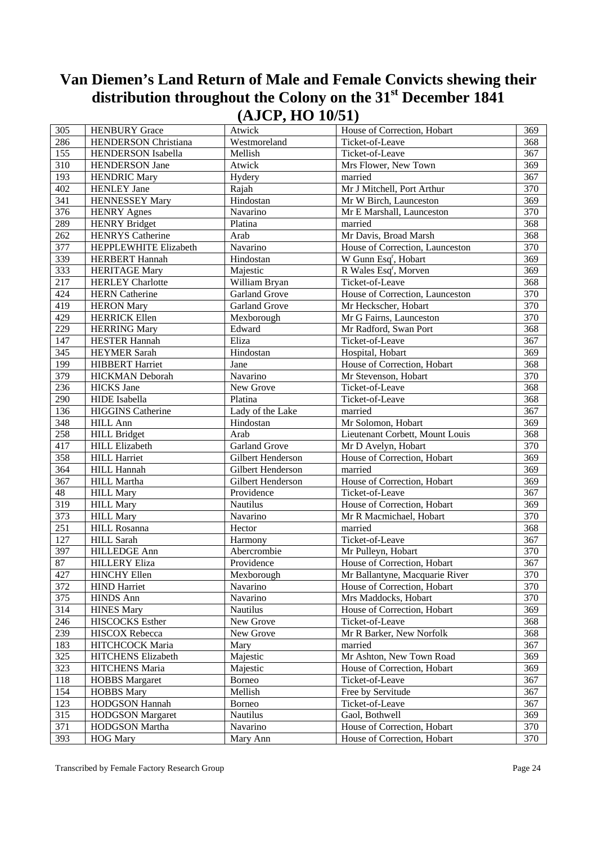| 305 | <b>HENBURY Grace</b>        | Atwick               | House of Correction, Hobart       | 369 |
|-----|-----------------------------|----------------------|-----------------------------------|-----|
| 286 | <b>HENDERSON</b> Christiana | Westmoreland         | Ticket-of-Leave                   | 368 |
| 155 | HENDERSON Isabella          | Mellish              | Ticket-of-Leave                   | 367 |
| 310 | <b>HENDERSON</b> Jane       | Atwick               | Mrs Flower, New Town              | 369 |
| 193 | <b>HENDRIC Mary</b>         | Hydery               | married                           | 367 |
| 402 | <b>HENLEY</b> Jane          | Rajah                | Mr J Mitchell, Port Arthur        | 370 |
| 341 | <b>HENNESSEY Mary</b>       | Hindostan            | Mr W Birch, Launceston            | 369 |
| 376 | <b>HENRY Agnes</b>          | Navarino             | Mr E Marshall, Launceston         | 370 |
| 289 | <b>HENRY Bridget</b>        | Platina              | married                           | 368 |
| 262 | <b>HENRYS</b> Catherine     | Arab                 | Mr Davis, Broad Marsh             | 368 |
| 377 | HEPPLEWHITE Elizabeth       | Navarino             | House of Correction, Launceston   | 370 |
| 339 | <b>HERBERT</b> Hannah       | Hindostan            | W Gunn Esq <sup>r</sup> , Hobart  | 369 |
| 333 | <b>HERITAGE Mary</b>        | Majestic             | R Wales Esq <sup>r</sup> , Morven | 369 |
| 217 | <b>HERLEY</b> Charlotte     | William Bryan        | Ticket-of-Leave                   | 368 |
| 424 | <b>HERN</b> Catherine       | <b>Garland Grove</b> | House of Correction, Launceston   | 370 |
| 419 | <b>HERON Mary</b>           | <b>Garland Grove</b> | Mr Heckscher, Hobart              | 370 |
| 429 | <b>HERRICK Ellen</b>        | Mexborough           | Mr G Fairns, Launceston           | 370 |
| 229 | <b>HERRING Mary</b>         | Edward               | Mr Radford, Swan Port             | 368 |
| 147 | <b>HESTER Hannah</b>        | Eliza                | Ticket-of-Leave                   | 367 |
| 345 | <b>HEYMER Sarah</b>         | Hindostan            | Hospital, Hobart                  | 369 |
| 199 | <b>HIBBERT</b> Harriet      | Jane                 | House of Correction, Hobart       | 368 |
| 379 | <b>HICKMAN</b> Deborah      | Navarino             | Mr Stevenson, Hobart              | 370 |
| 236 | <b>HICKS</b> Jane           | New Grove            | Ticket-of-Leave                   | 368 |
| 290 | <b>HIDE</b> Isabella        | Platina              | Ticket-of-Leave                   | 368 |
| 136 | <b>HIGGINS Catherine</b>    | Lady of the Lake     | married                           | 367 |
| 348 | <b>HILL Ann</b>             | Hindostan            | Mr Solomon, Hobart                | 369 |
| 258 | <b>HILL Bridget</b>         | Arab                 | Lieutenant Corbett, Mount Louis   | 368 |
| 417 | <b>HILL Elizabeth</b>       | <b>Garland Grove</b> | Mr D Avelyn, Hobart               | 370 |
| 358 | <b>HILL Harriet</b>         | Gilbert Henderson    | House of Correction, Hobart       | 369 |
| 364 | <b>HILL Hannah</b>          | Gilbert Henderson    | married                           | 369 |
| 367 | HILL Martha                 | Gilbert Henderson    | House of Correction, Hobart       | 369 |
| 48  | <b>HILL Mary</b>            | Providence           | Ticket-of-Leave                   | 367 |
| 319 | <b>HILL Mary</b>            | Nautilus             | House of Correction, Hobart       | 369 |
| 373 | <b>HILL Mary</b>            | Navarino             | Mr R Macmichael, Hobart           | 370 |
| 251 | <b>HILL Rosanna</b>         | Hector               | married                           | 368 |
| 127 | HILL Sarah                  | Harmony              | Ticket-of-Leave                   | 367 |
| 397 | <b>HILLEDGE Ann</b>         | Abercrombie          | Mr Pulleyn, Hobart                | 370 |
| 87  | <b>HILLERY Eliza</b>        | Providence           | House of Correction, Hobart       | 367 |
| 427 | <b>HINCHY Ellen</b>         | Mexborough           | Mr Ballantyne, Macquarie River    | 370 |
| 372 | <b>HIND Harriet</b>         | Navarino             | House of Correction, Hobart       | 370 |
| 375 | <b>HINDS Ann</b>            | Navarino             | Mrs Maddocks, Hobart              | 370 |
| 314 | <b>HINES Mary</b>           | Nautilus             | House of Correction, Hobart       | 369 |
| 246 | HISCOCKS Esther             | New Grove            | Ticket-of-Leave                   | 368 |
| 239 | HISCOX Rebecca              | New Grove            | Mr R Barker, New Norfolk          | 368 |
| 183 | HITCHCOCK Maria             | Mary                 | married                           | 367 |
| 325 | HITCHENS Elizabeth          | Majestic             | Mr Ashton, New Town Road          | 369 |
| 323 | HITCHENS Maria              | Majestic             | House of Correction, Hobart       | 369 |
| 118 | <b>HOBBS</b> Margaret       | Borneo               | Ticket-of-Leave                   | 367 |
| 154 | <b>HOBBS Mary</b>           | Mellish              | Free by Servitude                 | 367 |
| 123 | <b>HODGSON Hannah</b>       | Borneo               | Ticket-of-Leave                   | 367 |
| 315 | <b>HODGSON</b> Margaret     | Nautilus             | Gaol, Bothwell                    | 369 |
| 371 | HODGSON Martha              | Navarino             | House of Correction, Hobart       | 370 |
| 393 | <b>HOG Mary</b>             | Mary Ann             | House of Correction, Hobart       | 370 |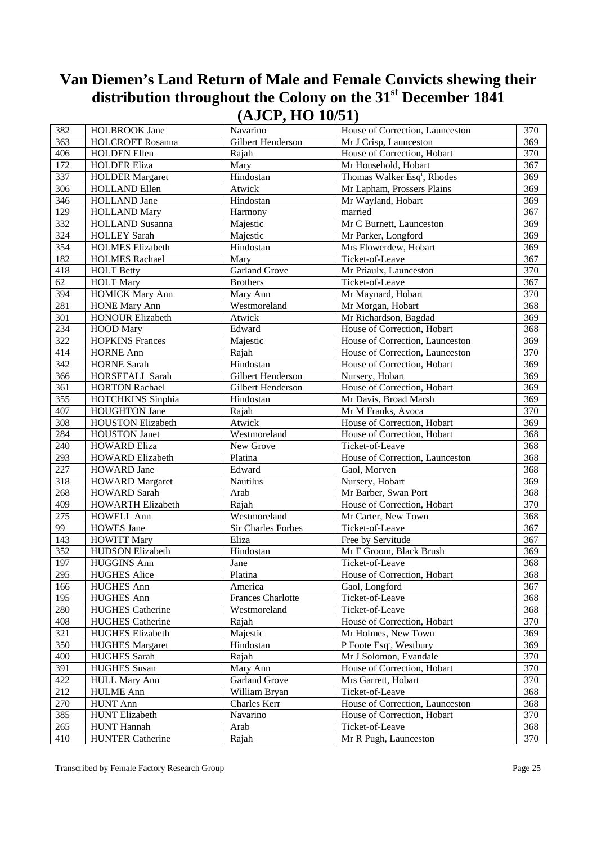| 382              | <b>HOLBROOK Jane</b>     | Navarino             | House of Correction, Launceston         | 370 |
|------------------|--------------------------|----------------------|-----------------------------------------|-----|
| 363              | <b>HOLCROFT Rosanna</b>  | Gilbert Henderson    | Mr J Crisp, Launceston                  | 369 |
| 406              | <b>HOLDEN</b> Ellen      | Rajah                | House of Correction, Hobart             | 370 |
| 172              | <b>HOLDER Eliza</b>      | Mary                 | Mr Household, Hobart                    | 367 |
| 337              | <b>HOLDER Margaret</b>   | Hindostan            | Thomas Walker Esq <sup>r</sup> , Rhodes | 369 |
| 306              | <b>HOLLAND Ellen</b>     | Atwick               | Mr Lapham, Prossers Plains              | 369 |
| 346              | HOLLAND Jane             | Hindostan            | Mr Wayland, Hobart                      | 369 |
| 129              | <b>HOLLAND Mary</b>      | Harmony              | married                                 | 367 |
| 332              | HOLLAND Susanna          | Majestic             | Mr C Burnett, Launceston                | 369 |
| 324              | <b>HOLLEY Sarah</b>      | Majestic             | Mr Parker, Longford                     | 369 |
| 354              | <b>HOLMES</b> Elizabeth  | Hindostan            | Mrs Flowerdew, Hobart                   | 369 |
| 182              | <b>HOLMES Rachael</b>    | Mary                 | Ticket-of-Leave                         | 367 |
| 418              | <b>HOLT Betty</b>        | <b>Garland Grove</b> | Mr Priaulx, Launceston                  | 370 |
| 62               | <b>HOLT Mary</b>         | <b>Brothers</b>      | Ticket-of-Leave                         | 367 |
| 394              | <b>HOMICK Mary Ann</b>   | Mary Ann             | Mr Maynard, Hobart                      | 370 |
| 281              | <b>HONE Mary Ann</b>     | Westmoreland         | Mr Morgan, Hobart                       | 368 |
| 301              | <b>HONOUR Elizabeth</b>  | Atwick               | Mr Richardson, Bagdad                   | 369 |
| 234              | <b>HOOD</b> Mary         | Edward               | House of Correction, Hobart             | 368 |
| 322              |                          |                      | House of Correction, Launceston         | 369 |
|                  | <b>HOPKINS Frances</b>   | Majestic             |                                         | 370 |
| 414<br>342       | <b>HORNE Ann</b>         | Rajah<br>Hindostan   | House of Correction, Launceston         | 369 |
| 366              | <b>HORNE Sarah</b>       |                      | House of Correction, Hobart             | 369 |
|                  | HORSEFALL Sarah          | Gilbert Henderson    | Nursery, Hobart                         |     |
| 361              | <b>HORTON Rachael</b>    | Gilbert Henderson    | House of Correction, Hobart             | 369 |
| 355              | HOTCHKINS Sinphia        | Hindostan            | Mr Davis, Broad Marsh                   | 369 |
| 407              | <b>HOUGHTON Jane</b>     | Rajah                | Mr M Franks, Avoca                      | 370 |
| 308              | <b>HOUSTON Elizabeth</b> | Atwick               | House of Correction, Hobart             | 369 |
| 284              | <b>HOUSTON Janet</b>     | Westmoreland         | House of Correction, Hobart             | 368 |
| 240              | <b>HOWARD Eliza</b>      | New Grove            | Ticket-of-Leave                         | 368 |
| 293              | <b>HOWARD Elizabeth</b>  | Platina              | House of Correction, Launceston         | 368 |
| 227              | <b>HOWARD</b> Jane       | Edward               | Gaol, Morven                            | 368 |
| 318              | <b>HOWARD</b> Margaret   | Nautilus             | Nursery, Hobart                         | 369 |
| 268              | <b>HOWARD Sarah</b>      | Arab                 | Mr Barber, Swan Port                    | 368 |
| 409              | <b>HOWARTH Elizabeth</b> | Rajah                | House of Correction, Hobart             | 370 |
| 275              | <b>HOWELL Ann</b>        | Westmoreland         | Mr Carter, New Town                     | 368 |
| 99               | <b>HOWES</b> Jane        | Sir Charles Forbes   | Ticket-of-Leave                         | 367 |
| 143              | <b>HOWITT Mary</b>       | Eliza                | Free by Servitude                       | 367 |
| 352              | HUDSON Elizabeth         | Hindostan            | Mr F Groom, Black Brush                 | 369 |
| 197              | <b>HUGGINS Ann</b>       | Jane                 | Ticket-of-Leave                         | 368 |
| 295              | <b>HUGHES Alice</b>      | Platina              | House of Correction, Hobart             | 368 |
| 166              | <b>HUGHES Ann</b>        | America              | Gaol, Longford                          | 367 |
| 195              | <b>HUGHES Ann</b>        | Frances Charlotte    | Ticket-of-Leave                         | 368 |
| 280              | <b>HUGHES</b> Catherine  | Westmoreland         | Ticket-of-Leave                         | 368 |
| 408              | <b>HUGHES Catherine</b>  | Rajah                | House of Correction, Hobart             | 370 |
| 321              | <b>HUGHES Elizabeth</b>  | Majestic             | Mr Holmes, New Town                     | 369 |
| 350              | <b>HUGHES Margaret</b>   | Hindostan            | P Foote Esq <sup>r</sup> , Westbury     | 369 |
| 400              | <b>HUGHES Sarah</b>      | Rajah                | Mr J Solomon, Evandale                  | 370 |
| 391              | <b>HUGHES</b> Susan      | Mary Ann             | House of Correction, Hobart             | 370 |
| 422              | <b>HULL Mary Ann</b>     | Garland Grove        | Mrs Garrett, Hobart                     | 370 |
| $21\overline{2}$ | <b>HULME Ann</b>         | William Bryan        | Ticket-of-Leave                         | 368 |
| 270              | <b>HUNT Ann</b>          | Charles Kerr         | House of Correction, Launceston         | 368 |
| 385              | <b>HUNT Elizabeth</b>    | Navarino             | House of Correction, Hobart             | 370 |
| 265              | <b>HUNT</b> Hannah       | Arab                 | Ticket-of-Leave                         | 368 |
| 410              | <b>HUNTER Catherine</b>  | Rajah                | Mr R Pugh, Launceston                   | 370 |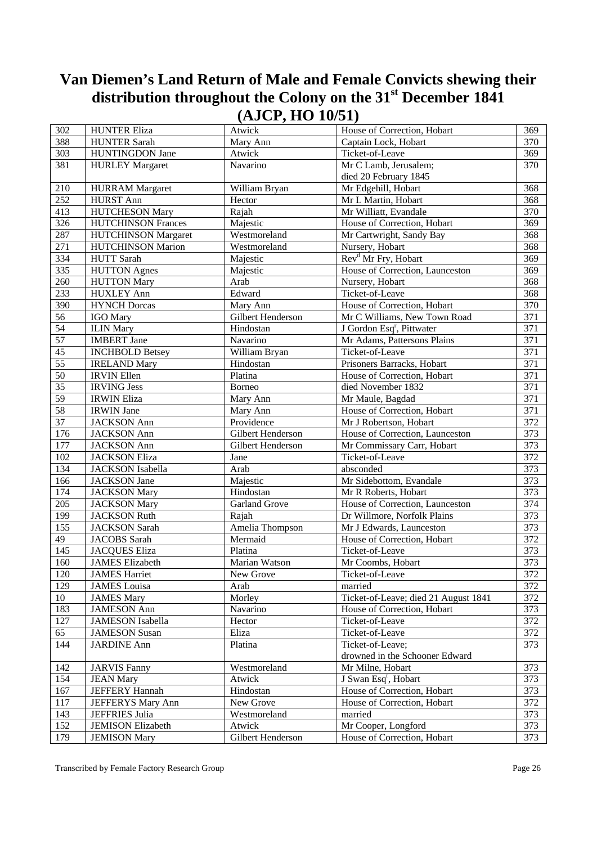| $\overline{302}$ | <b>HUNTER Eliza</b>                         | $\lambda$<br>Atwick | House of Correction, Hobart           | 369              |
|------------------|---------------------------------------------|---------------------|---------------------------------------|------------------|
| 388              | <b>HUNTER Sarah</b>                         | Mary Ann            | Captain Lock, Hobart                  | 370              |
| 303              | HUNTINGDON Jane                             | Atwick              | Ticket-of-Leave                       | 369              |
| 381              |                                             | Navarino            | Mr C Lamb, Jerusalem;                 | 370              |
|                  | <b>HURLEY Margaret</b>                      |                     | died 20 February 1845                 |                  |
|                  |                                             | William Bryan       | Mr Edgehill, Hobart                   | 368              |
| 210<br>252       | <b>HURRAM</b> Margaret                      |                     |                                       |                  |
|                  | <b>HURST Ann</b>                            | Hector              | Mr L Martin, Hobart                   | 368              |
| 413              | <b>HUTCHESON</b> Mary                       | Rajah               | Mr Williatt, Evandale                 | 370              |
| 326              | <b>HUTCHINSON Frances</b>                   | Majestic            | House of Correction, Hobart           | 369              |
| 287              | <b>HUTCHINSON Margaret</b>                  | Westmoreland        | Mr Cartwright, Sandy Bay              | 368              |
| 271              | HUTCHINSON Marion                           | Westmoreland        | Nursery, Hobart                       | 368              |
| 334              | <b>HUTT</b> Sarah                           | Majestic            | Rev <sup>d</sup> Mr Fry, Hobart       | 369              |
| 335              | <b>HUTTON</b> Agnes                         | Majestic            | House of Correction, Launceston       | 369              |
| 260              | <b>HUTTON Mary</b>                          | Arab                | Nursery, Hobart                       | 368              |
| 233              | <b>HUXLEY Ann</b>                           | Edward              | Ticket-of-Leave                       | 368              |
| 390              | <b>HYNCH Dorcas</b>                         | Mary Ann            | House of Correction, Hobart           | 370              |
| 56               | <b>IGO</b> Mary                             | Gilbert Henderson   | Mr C Williams, New Town Road          | 371              |
| $\overline{54}$  | <b>ILIN</b> Mary                            | Hindostan           | J Gordon Esq <sup>r</sup> , Pittwater | $\overline{371}$ |
| $\overline{57}$  | <b>IMBERT</b> Jane                          | Navarino            | Mr Adams, Pattersons Plains           | 371              |
| 45               | <b>INCHBOLD Betsey</b>                      | William Bryan       | Ticket-of-Leave                       | 371              |
| $\overline{55}$  | <b>IRELAND Mary</b>                         | Hindostan           | Prisoners Barracks, Hobart            | 371              |
| $\overline{50}$  | <b>IRVIN Ellen</b>                          | Platina             | House of Correction, Hobart           | 371              |
| $\overline{35}$  | <b>IRVING Jess</b>                          | Borneo              | died November 1832                    | $\overline{371}$ |
| $\overline{59}$  | <b>IRWIN Eliza</b>                          | Mary Ann            | Mr Maule, Bagdad                      | 371              |
| 58               | <b>IRWIN</b> Jane                           | Mary Ann            | House of Correction, Hobart           | 371              |
| $\overline{37}$  | <b>JACKSON</b> Ann                          | Providence          | Mr J Robertson, Hobart                | 372              |
| 176              | <b>JACKSON</b> Ann                          | Gilbert Henderson   | House of Correction, Launceston       | $\overline{373}$ |
| 177              | <b>JACKSON</b> Ann                          | Gilbert Henderson   | Mr Commissary Carr, Hobart            | 373              |
| 102              | <b>JACKSON Eliza</b>                        | Jane                | Ticket-of-Leave                       | 372              |
| 134              | <b>JACKSON</b> Isabella                     | Arab                | absconded                             | 373              |
| 166              | <b>JACKSON</b> Jane                         | Majestic            | Mr Sidebottom, Evandale               | $\frac{1}{373}$  |
| 174              | <b>JACKSON Mary</b>                         | Hindostan           | Mr R Roberts, Hobart                  | $\frac{1}{373}$  |
| 205              | <b>JACKSON Mary</b>                         | Garland Grove       | House of Correction, Launceston       | 374              |
| 199              | <b>JACKSON Ruth</b>                         | Rajah               | Dr Willmore, Norfolk Plains           | $\overline{373}$ |
| 155              | JACKSON Sarah                               | Amelia Thompson     | Mr J Edwards, Launceston              | 373              |
| 49               | JACOBS Sarah                                | Mermaid             | House of Correction, Hobart           | 372              |
| 145              | <b>JACQUES Eliza</b>                        | Platina             | Ticket-of-Leave                       | 373              |
| 160              | <b>JAMES</b> Elizabeth                      | Marian Watson       | Mr Coombs, Hobart                     | 373              |
|                  |                                             | New Grove           | Ticket-of-Leave                       |                  |
| 120              | <b>JAMES Harriet</b><br><b>JAMES</b> Louisa |                     |                                       | 372<br>372       |
| 129              |                                             | Arab                | married                               |                  |
| 10               | <b>JAMES Mary</b>                           | Morley              | Ticket-of-Leave; died 21 August 1841  | 372              |
| 183              | <b>JAMESON</b> Ann                          | Navarino            | House of Correction, Hobart           | 373              |
| 127              | <b>JAMESON</b> Isabella                     | Hector              | Ticket-of-Leave                       | 372              |
| 65               | <b>JAMESON Susan</b>                        | Eliza               | Ticket-of-Leave                       | 372              |
| 144              | <b>JARDINE Ann</b>                          | Platina             | Ticket-of-Leave;                      | 373              |
|                  |                                             |                     | drowned in the Schooner Edward        |                  |
| 142              | <b>JARVIS Fanny</b>                         | Westmoreland        | Mr Milne, Hobart                      | 373              |
| 154              | <b>JEAN Mary</b>                            | Atwick              | J Swan Esq <sup>r</sup> , Hobart      | 373              |
| 167              | <b>JEFFERY Hannah</b>                       | Hindostan           | House of Correction, Hobart           | 373              |
| 117              | JEFFERYS Mary Ann                           | New Grove           | House of Correction, Hobart           | 372              |
| 143              | JEFFRIES Julia                              | Westmoreland        | married                               | 373              |
| 152              | <b>JEMISON Elizabeth</b>                    | Atwick              | Mr Cooper, Longford                   | 373              |
| 179              | <b>JEMISON Mary</b>                         | Gilbert Henderson   | House of Correction, Hobart           | 373              |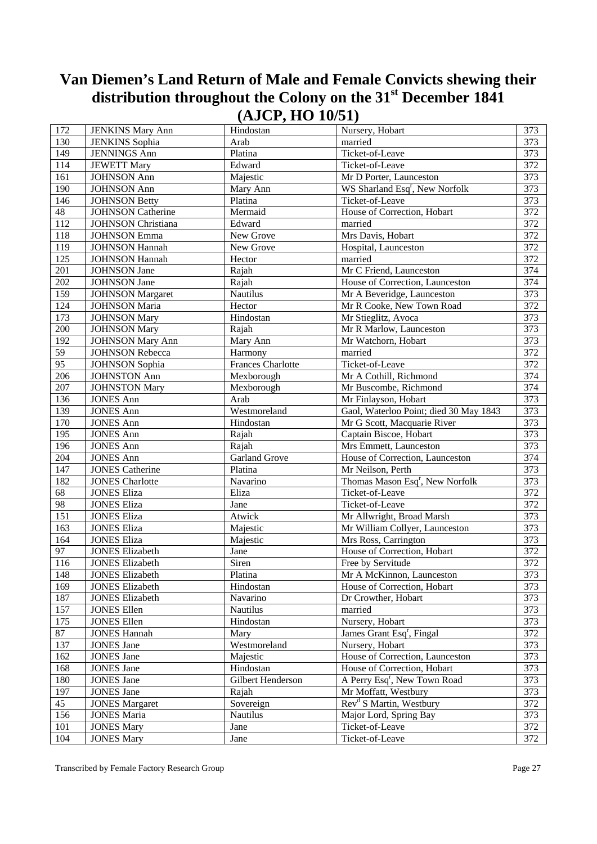| 172 | <b>JENKINS Mary Ann</b>                        | Hindostan                | Nursery, Hobart                             | 373              |
|-----|------------------------------------------------|--------------------------|---------------------------------------------|------------------|
| 130 | <b>JENKINS</b> Sophia                          | Arab                     | married                                     | 373              |
| 149 | <b>JENNINGS Ann</b>                            | Platina                  | Ticket-of-Leave                             | 373              |
| 114 | <b>JEWETT Mary</b>                             | Edward                   | Ticket-of-Leave                             | 372              |
| 161 | <b>JOHNSON Ann</b>                             | Majestic                 | Mr D Porter, Launceston                     | 373              |
| 190 | <b>JOHNSON Ann</b>                             | Mary Ann                 | WS Sharland Esq <sup>r</sup> , New Norfolk  | 373              |
| 146 | <b>JOHNSON Betty</b>                           | Platina                  | Ticket-of-Leave                             | 373              |
| 48  | <b>JOHNSON Catherine</b>                       | Mermaid                  | House of Correction, Hobart                 | 372              |
| 112 | <b>JOHNSON</b> Christiana                      | Edward                   | married                                     | $\overline{372}$ |
| 118 |                                                | New Grove                | Mrs Davis, Hobart                           | 372              |
| 119 | <b>JOHNSON</b> Emma                            | New Grove                |                                             | 372              |
| 125 | <b>JOHNSON Hannah</b><br><b>JOHNSON Hannah</b> | Hector                   | Hospital, Launceston<br>married             | 372              |
| 201 |                                                |                          | Mr C Friend, Launceston                     | 374              |
| 202 | <b>JOHNSON</b> Jane                            | Rajah                    | House of Correction, Launceston             | 374              |
|     | <b>JOHNSON</b> Jane                            | Rajah                    |                                             |                  |
| 159 | <b>JOHNSON</b> Margaret                        | Nautilus                 | Mr A Beveridge, Launceston                  | 373              |
| 124 | <b>JOHNSON</b> Maria                           | Hector                   | Mr R Cooke, New Town Road                   | $\overline{372}$ |
| 173 | <b>JOHNSON Mary</b>                            | Hindostan                | Mr Stieglitz, Avoca                         | 373              |
| 200 | <b>JOHNSON Mary</b>                            | Rajah                    | Mr R Marlow, Launceston                     | 373              |
| 192 | <b>JOHNSON Mary Ann</b>                        | Mary Ann                 | Mr Watchorn, Hobart                         | 373              |
| 59  | <b>JOHNSON Rebecca</b>                         | Harmony                  | married                                     | 372              |
| 95  | <b>JOHNSON</b> Sophia                          | <b>Frances Charlotte</b> | Ticket-of-Leave                             | 372              |
| 206 | <b>JOHNSTON Ann</b>                            | Mexborough               | Mr A Cothill, Richmond                      | 374              |
| 207 | <b>JOHNSTON Mary</b>                           | Mexborough               | Mr Buscombe, Richmond                       | 374              |
| 136 | <b>JONES Ann</b>                               | Arab                     | Mr Finlayson, Hobart                        | 373              |
| 139 | <b>JONES Ann</b>                               | Westmoreland             | Gaol, Waterloo Point; died 30 May 1843      | 373              |
| 170 | <b>JONES Ann</b>                               | Hindostan                | Mr G Scott, Macquarie River                 | 373              |
| 195 | <b>JONES Ann</b>                               | Rajah                    | Captain Biscoe, Hobart                      | 373              |
| 196 | <b>JONES Ann</b>                               | Rajah                    | Mrs Emmett, Launceston                      | 373              |
| 204 | <b>JONES Ann</b>                               | Garland Grove            | House of Correction, Launceston             | 374              |
| 147 | <b>JONES Catherine</b>                         | Platina                  | Mr Neilson, Perth                           | 373              |
| 182 | <b>JONES</b> Charlotte                         | Navarino                 | Thomas Mason Esq <sup>r</sup> , New Norfolk | 373              |
| 68  | <b>JONES Eliza</b>                             | Eliza                    | Ticket-of-Leave                             | 372              |
| 98  | <b>JONES Eliza</b>                             | Jane                     | Ticket-of-Leave                             | 372              |
| 151 | <b>JONES Eliza</b>                             | Atwick                   | Mr Allwright, Broad Marsh                   | 373              |
| 163 | <b>JONES Eliza</b>                             | Majestic                 | Mr William Collyer, Launceston              | 373              |
| 164 | <b>JONES Eliza</b>                             | Majestic                 | Mrs Ross, Carrington                        | 373              |
| 97  | <b>JONES Elizabeth</b>                         | Jane                     | House of Correction, Hobart                 | 372              |
| 116 | <b>JONES Elizabeth</b>                         | Siren                    | Free by Servitude                           | 372              |
| 148 | <b>JONES Elizabeth</b>                         | Platina                  | Mr A McKinnon, Launceston                   | 373              |
| 169 | <b>JONES Elizabeth</b>                         | Hindostan                | House of Correction, Hobart                 | 373              |
| 187 | <b>JONES Elizabeth</b>                         | Navarino                 | Dr Crowther, Hobart                         | 373              |
| 157 | <b>JONES Ellen</b>                             | Nautilus                 | married                                     | 373              |
| 175 | <b>JONES Ellen</b>                             | Hindostan                | Nursery, Hobart                             | 373              |
| 87  | <b>JONES Hannah</b>                            | Mary                     | James Grant Esq <sup>r</sup> , Fingal       | 372              |
| 137 | <b>JONES</b> Jane                              | Westmoreland             | Nursery, Hobart                             | 373              |
| 162 | <b>JONES</b> Jane                              | Majestic                 | House of Correction, Launceston             | 373              |
| 168 | <b>JONES Jane</b>                              | Hindostan                | House of Correction, Hobart                 | 373              |
| 180 | <b>JONES</b> Jane                              | Gilbert Henderson        | A Perry Esq <sup>r</sup> , New Town Road    | 373              |
| 197 | <b>JONES Jane</b>                              | Rajah                    | Mr Moffatt, Westbury                        | 373              |
| 45  | <b>JONES Margaret</b>                          | Sovereign                | Rev <sup>d</sup> S Martin, Westbury         | 372              |
| 156 | <b>JONES Maria</b>                             | Nautilus                 | Major Lord, Spring Bay                      | 373              |
| 101 | <b>JONES Mary</b>                              | Jane                     | Ticket-of-Leave                             | 372              |
| 104 | <b>JONES Mary</b>                              | Jane                     | Ticket-of-Leave                             | 372              |
|     |                                                |                          |                                             |                  |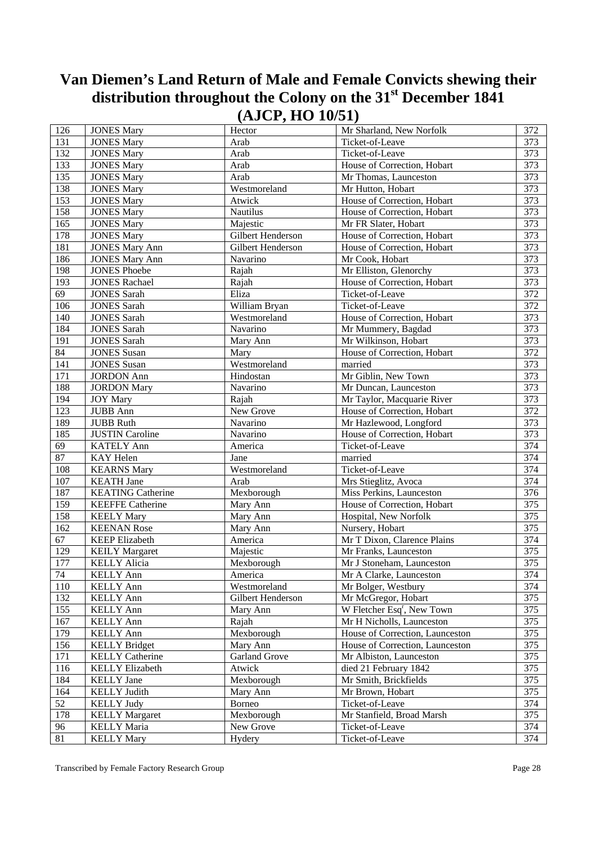| 126              | <b>JONES Mary</b>        | Hector               | Mr Sharland, New Norfolk               | 372              |
|------------------|--------------------------|----------------------|----------------------------------------|------------------|
| 131              | <b>JONES Mary</b>        | Arab                 | Ticket-of-Leave                        | 373              |
| 132              | <b>JONES Mary</b>        | Arab                 | Ticket-of-Leave                        | 373              |
| 133              |                          |                      |                                        | 373              |
|                  | <b>JONES Mary</b>        | Arab                 | House of Correction, Hobart            |                  |
| 135              | <b>JONES Mary</b>        | Arab                 | Mr Thomas, Launceston                  | 373              |
| 138              | <b>JONES Mary</b>        | Westmoreland         | Mr Hutton, Hobart                      | 373              |
| 153              | <b>JONES Mary</b>        | Atwick               | House of Correction, Hobart            | $\overline{373}$ |
| 158              | <b>JONES Mary</b>        | Nautilus             | House of Correction, Hobart            | 373              |
| 165              | <b>JONES Mary</b>        | Majestic             | Mr FR Slater, Hobart                   | 373              |
| 178              | <b>JONES Mary</b>        | Gilbert Henderson    | House of Correction, Hobart            | 373              |
| 181              | <b>JONES Mary Ann</b>    | Gilbert Henderson    | House of Correction, Hobart            | 373              |
| 186              | <b>JONES Mary Ann</b>    | Navarino             | Mr Cook, Hobart                        | 373              |
| 198              | <b>JONES</b> Phoebe      | Rajah                | Mr Elliston, Glenorchy                 | 373              |
| 193              | <b>JONES Rachael</b>     | Rajah                | House of Correction, Hobart            | $\overline{373}$ |
| 69               | <b>JONES Sarah</b>       | Eliza                | Ticket-of-Leave                        | 372              |
| 106              | <b>JONES Sarah</b>       | William Bryan        | Ticket-of-Leave                        | 372              |
| 140              | <b>JONES Sarah</b>       | Westmoreland         | House of Correction, Hobart            | 373              |
| 184              | <b>JONES Sarah</b>       | Navarino             | Mr Mummery, Bagdad                     | 373              |
| 191              | <b>JONES Sarah</b>       | Mary Ann             | Mr Wilkinson, Hobart                   | 373              |
| 84               | <b>JONES</b> Susan       | Mary                 | House of Correction, Hobart            | 372              |
| 141              | <b>JONES</b> Susan       | Westmoreland         | married                                | 373              |
| 171              | <b>JORDON</b> Ann        | Hindostan            | Mr Giblin, New Town                    | 373              |
| 188              | <b>JORDON Mary</b>       | Navarino             | Mr Duncan, Launceston                  | 373              |
| 194              | <b>JOY Mary</b>          | Rajah                | Mr Taylor, Macquarie River             | 373              |
| 123              | <b>JUBB</b> Ann          | New Grove            | House of Correction, Hobart            | 372              |
| 189              | <b>JUBB</b> Ruth         | Navarino             | Mr Hazlewood, Longford                 | 373              |
| 185              | <b>JUSTIN Caroline</b>   | Navarino             | House of Correction, Hobart            | 373              |
| 69               | <b>KATELY Ann</b>        | America              | Ticket-of-Leave                        | 374              |
| 87               | KAY Helen                | Jane                 | married                                | 374              |
| 108              |                          |                      |                                        | 374              |
|                  | <b>KEARNS Mary</b>       | Westmoreland         | Ticket-of-Leave                        |                  |
| 107              | <b>KEATH</b> Jane        | Arab                 | Mrs Stieglitz, Avoca                   | 374              |
| 187              | <b>KEATING Catherine</b> | Mexborough           | Miss Perkins, Launceston               | 376              |
| 159              | <b>KEEFFE Catherine</b>  | Mary Ann             | House of Correction, Hobart            | 375              |
| 158              | <b>KEELY Mary</b>        | Mary Ann             | Hospital, New Norfolk                  | 375              |
| 162              | <b>KEENAN Rose</b>       | Mary Ann             | Nursery, Hobart                        | 375              |
| 67               | <b>KEEP Elizabeth</b>    | America              | Mr T Dixon, Clarence Plains            | 374              |
| 129              | <b>KEILY Margaret</b>    | Majestic             | Mr Franks, Launceston                  | $\overline{375}$ |
| 177              | <b>KELLY Alicia</b>      | Mexborough           | Mr J Stoneham, Launceston              | 375              |
| 74               | KELLY Ann                | America              | Mr A Clarke, Launceston                | 374              |
| 110              | <b>KELLY Ann</b>         | Westmoreland         | Mr Bolger, Westbury                    | 374              |
| 132              | <b>KELLY Ann</b>         | Gilbert Henderson    | Mr McGregor, Hobart                    | 375              |
| 155              | <b>KELLY Ann</b>         | Mary Ann             | W Fletcher Esq <sup>r</sup> , New Town | 375              |
| 167              | <b>KELLY Ann</b>         | Rajah                | Mr H Nicholls, Launceston              | 375              |
| 179              | <b>KELLY Ann</b>         | Mexborough           | House of Correction, Launceston        | 375              |
| 156              | <b>KELLY Bridget</b>     | Mary Ann             | House of Correction, Launceston        | 375              |
| 171              | <b>KELLY Catherine</b>   | <b>Garland Grove</b> | Mr Albiston, Launceston                | 375              |
| 116              | <b>KELLY Elizabeth</b>   | Atwick               | died 21 February 1842                  | 375              |
| $18\overline{4}$ | <b>KELLY</b> Jane        | Mexborough           | Mr Smith, Brickfields                  | 375              |
| 164              | <b>KELLY Judith</b>      | Mary Ann             | Mr Brown, Hobart                       | 375              |
| 52               | <b>KELLY Judy</b>        | Borneo               | Ticket-of-Leave                        | 374              |
| 178              | <b>KELLY Margaret</b>    | Mexborough           | Mr Stanfield, Broad Marsh              | 375              |
| 96               | <b>KELLY Maria</b>       | New Grove            | Ticket-of-Leave                        | 374              |
| 81               | <b>KELLY Mary</b>        | Hydery               | Ticket-of-Leave                        | 374              |
|                  |                          |                      |                                        |                  |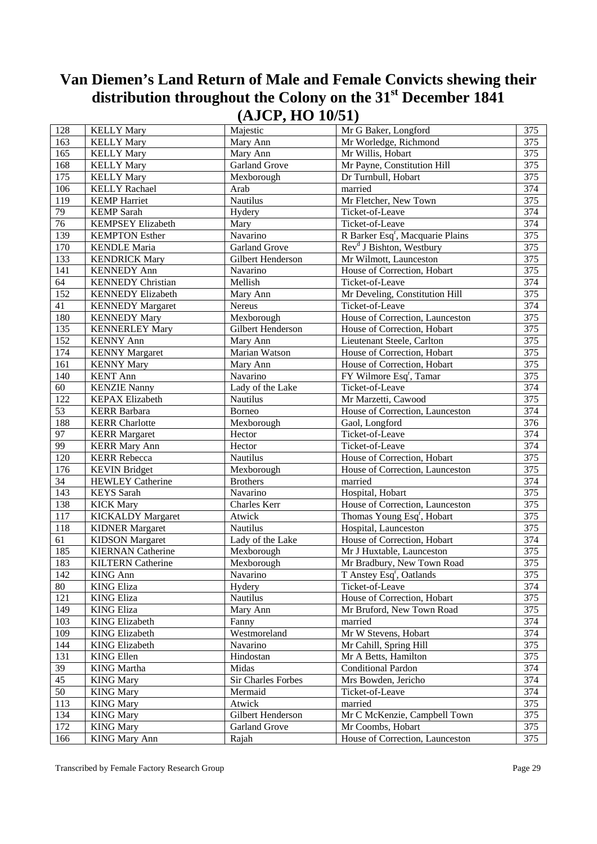| 128             | <b>KELLY Mary</b>        | Majestic                  | Mr G Baker, Longford                         | 375              |
|-----------------|--------------------------|---------------------------|----------------------------------------------|------------------|
| 163             | <b>KELLY Mary</b>        | Mary Ann                  | Mr Worledge, Richmond                        | 375              |
| 165             | <b>KELLY Mary</b>        | Mary Ann                  | Mr Willis, Hobart                            | 375              |
| 168             | <b>KELLY Mary</b>        | <b>Garland Grove</b>      | Mr Payne, Constitution Hill                  | 375              |
| 175             | <b>KELLY Mary</b>        | Mexborough                | Dr Turnbull, Hobart                          | 375              |
| 106             | <b>KELLY Rachael</b>     | Arab                      | married                                      | 374              |
| 119             | <b>KEMP</b> Harriet      | <b>Nautilus</b>           | Mr Fletcher, New Town                        | $\overline{375}$ |
| 79              | <b>KEMP</b> Sarah        | Hydery                    | Ticket-of-Leave                              | 374              |
| 76              | <b>KEMPSEY Elizabeth</b> | Mary                      | Ticket-of-Leave                              | $\overline{374}$ |
| 139             | <b>KEMPTON Esther</b>    | Navarino                  | R Barker Esq <sup>r</sup> , Macquarie Plains | 375              |
| 170             | <b>KENDLE</b> Maria      | <b>Garland Grove</b>      | Rev <sup>d</sup> J Bishton, Westbury         | 375              |
| 133             | <b>KENDRICK Mary</b>     | Gilbert Henderson         | Mr Wilmott, Launceston                       | 375              |
| 141             | <b>KENNEDY Ann</b>       | Navarino                  | House of Correction, Hobart                  | 375              |
| 64              | <b>KENNEDY Christian</b> | Mellish                   | Ticket-of-Leave                              | 374              |
| 152             | <b>KENNEDY Elizabeth</b> | Mary Ann                  | Mr Develing, Constitution Hill               | 375              |
| 41              | <b>KENNEDY Margaret</b>  | Nereus                    | Ticket-of-Leave                              | $\overline{374}$ |
| 180             | <b>KENNEDY Mary</b>      | Mexborough                | House of Correction, Launceston              | 375              |
| 135             | <b>KENNERLEY Mary</b>    | Gilbert Henderson         | House of Correction, Hobart                  | 375              |
| 152             | <b>KENNY Ann</b>         | Mary Ann                  | Lieutenant Steele, Carlton                   | 375              |
| 174             | <b>KENNY Margaret</b>    | Marian Watson             | House of Correction, Hobart                  | 375              |
| 161             | <b>KENNY Mary</b>        | Mary Ann                  | House of Correction, Hobart                  | 375              |
| 140             | <b>KENT Ann</b>          | Navarino                  | FY Wilmore Esq <sup>r</sup> , Tamar          | 375              |
| 60              | <b>KENZIE Nanny</b>      | Lady of the Lake          | Ticket-of-Leave                              | $\overline{374}$ |
| 122             | <b>KEPAX Elizabeth</b>   | <b>Nautilus</b>           | Mr Marzetti, Cawood                          | 375              |
| 53              | <b>KERR Barbara</b>      | Borneo                    | House of Correction, Launceston              | 374              |
| 188             | <b>KERR</b> Charlotte    | Mexborough                | Gaol, Longford                               | 376              |
| 97              | <b>KERR Margaret</b>     | Hector                    | Ticket-of-Leave                              | 374              |
| 99              | <b>KERR Mary Ann</b>     | Hector                    | Ticket-of-Leave                              | 374              |
| 120             | <b>KERR Rebecca</b>      | Nautilus                  | House of Correction, Hobart                  | 375              |
| 176             | <b>KEVIN Bridget</b>     | Mexborough                | House of Correction, Launceston              | 375              |
| 34              | <b>HEWLEY Catherine</b>  | <b>Brothers</b>           | married                                      | 374              |
| 143             | <b>KEYS</b> Sarah        | Navarino                  | Hospital, Hobart                             | 375              |
| 138             | <b>KICK Mary</b>         | Charles Kerr              | House of Correction, Launceston              | 375              |
| 117             | <b>KICKALDY Margaret</b> | Atwick                    | Thomas Young Esq <sup>r</sup> , Hobart       | 375              |
| 118             | <b>KIDNER Margaret</b>   | Nautilus                  | Hospital, Launceston                         | 375              |
| 61              | <b>KIDSON</b> Margaret   | Lady of the Lake          | House of Correction, Hobart                  | 374              |
| 185             | <b>KIERNAN</b> Catherine | Mexborough                | Mr J Huxtable, Launceston                    | $\overline{375}$ |
| 183             | <b>KILTERN Catherine</b> | Mexborough                | Mr Bradbury, New Town Road                   | 375              |
| 142             | <b>KING Ann</b>          | Navarino                  | T Anstey Esq <sup>r</sup> , Oatlands         | 375              |
| 80              | <b>KING Eliza</b>        | Hydery                    | Ticket-of-Leave                              | 374              |
| 121             | <b>KING Eliza</b>        | Nautilus                  | House of Correction, Hobart                  | 375              |
| 149             | <b>KING Eliza</b>        | Mary Ann                  | Mr Bruford, New Town Road                    | 375              |
| 103             | <b>KING Elizabeth</b>    | Fanny                     | married                                      | 374              |
| 109             | <b>KING Elizabeth</b>    | Westmoreland              | Mr W Stevens, Hobart                         | 374              |
| 144             | <b>KING Elizabeth</b>    | Navarino                  | Mr Cahill, Spring Hill                       | 375              |
| 131             | <b>KING Ellen</b>        | Hindostan                 | Mr A Betts, Hamilton                         | 375              |
| 39              | <b>KING</b> Martha       | Midas                     | Conditional Pardon                           | 374              |
| $\overline{45}$ | <b>KING Mary</b>         | <b>Sir Charles Forbes</b> | Mrs Bowden, Jericho                          | 374              |
| 50              | <b>KING Mary</b>         | Mermaid                   | Ticket-of-Leave                              | 374              |
| 113             | <b>KING Mary</b>         | Atwick                    | married                                      | 375              |
| 134             | <b>KING Mary</b>         | Gilbert Henderson         | Mr C McKenzie, Campbell Town                 | 375              |
| 172             | <b>KING Mary</b>         | Garland Grove             | Mr Coombs, Hobart                            | 375              |
| 166             | <b>KING Mary Ann</b>     | Rajah                     | House of Correction, Launceston              | 375              |
|                 |                          |                           |                                              |                  |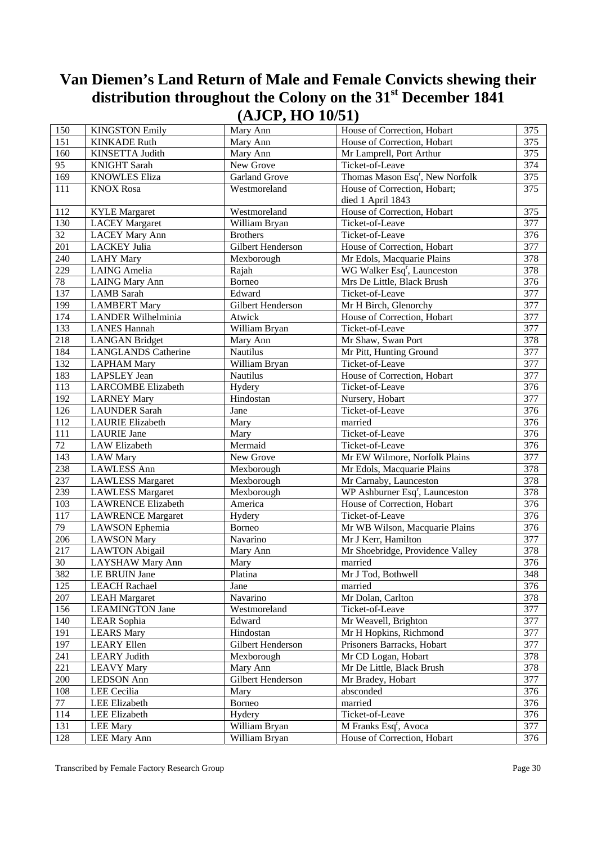| 150             | <b>KINGSTON Emily</b>      | Mary Ann             | House of Correction, Hobart                 | 375              |
|-----------------|----------------------------|----------------------|---------------------------------------------|------------------|
| 151             | <b>KINKADE Ruth</b>        | Mary Ann             | House of Correction, Hobart                 | 375              |
| 160             | KINSETTA Judith            | Mary Ann             | Mr Lamprell, Port Arthur                    | 375              |
| 95              | <b>KNIGHT Sarah</b>        | New Grove            | Ticket-of-Leave                             | 374              |
| 169             | <b>KNOWLES Eliza</b>       | <b>Garland Grove</b> | Thomas Mason Esq <sup>r</sup> , New Norfolk | 375              |
| 111             | <b>KNOX Rosa</b>           | Westmoreland         | House of Correction, Hobart;                | 375              |
|                 |                            |                      | died 1 April 1843                           |                  |
| 112             | <b>KYLE</b> Margaret       | Westmoreland         | House of Correction, Hobart                 | 375              |
| 130             | <b>LACEY Margaret</b>      | William Bryan        | Ticket-of-Leave                             | 377              |
| $\overline{32}$ | <b>LACEY Mary Ann</b>      | <b>Brothers</b>      | Ticket-of-Leave                             | $\overline{376}$ |
| 201             | <b>LACKEY Julia</b>        | Gilbert Henderson    | House of Correction, Hobart                 | 377              |
| 240             | <b>LAHY Mary</b>           |                      | Mr Edols, Macquarie Plains                  | 378              |
| 229             | <b>LAING</b> Amelia        | Mexborough           | WG Walker Esq <sup>r</sup> , Launceston     | 378              |
|                 |                            | Rajah                |                                             | 376              |
| 78              | <b>LAING Mary Ann</b>      | Borneo               | Mrs De Little, Black Brush                  |                  |
| 137             | <b>LAMB</b> Sarah          | Edward               | Ticket-of-Leave                             | $\overline{377}$ |
| 199             | <b>LAMBERT Mary</b>        | Gilbert Henderson    | Mr H Birch, Glenorchy                       | 377              |
| 174             | <b>LANDER Wilhelminia</b>  | Atwick               | House of Correction, Hobart                 | $\overline{377}$ |
| 133             | <b>LANES Hannah</b>        | William Bryan        | Ticket-of-Leave                             | 377              |
| 218             | <b>LANGAN Bridget</b>      | Mary Ann             | Mr Shaw, Swan Port                          | 378              |
| 184             | <b>LANGLANDS Catherine</b> | Nautilus             | Mr Pitt, Hunting Ground                     | 377              |
| 132             | <b>LAPHAM Mary</b>         | William Bryan        | Ticket-of-Leave                             | 377              |
| 183             | <b>LAPSLEY</b> Jean        | Nautilus             | House of Correction, Hobart                 | 377              |
| 113             | <b>LARCOMBE Elizabeth</b>  | Hydery               | Ticket-of-Leave                             | 376              |
| 192             | <b>LARNEY Mary</b>         | Hindostan            | Nursery, Hobart                             | $\overline{377}$ |
| 126             | <b>LAUNDER Sarah</b>       | Jane                 | Ticket-of-Leave                             | 376              |
| 112             | <b>LAURIE Elizabeth</b>    | Mary                 | married                                     | $\overline{376}$ |
| 111             | <b>LAURIE</b> Jane         | Mary                 | Ticket-of-Leave                             | 376              |
| $\overline{72}$ | LAW Elizabeth              | Mermaid              | Ticket-of-Leave                             | 376              |
| 143             | <b>LAW Mary</b>            | New Grove            | Mr EW Wilmore, Norfolk Plains               | 377              |
| 238             | <b>LAWLESS Ann</b>         | Mexborough           | Mr Edols, Macquarie Plains                  | 378              |
| 237             | <b>LAWLESS Margaret</b>    | Mexborough           | Mr Carnaby, Launceston                      | $\overline{378}$ |
| 239             | <b>LAWLESS Margaret</b>    | Mexborough           | WP Ashburner Esq <sup>r</sup> , Launceston  | 378              |
| 103             | <b>LAWRENCE Elizabeth</b>  | America              | House of Correction, Hobart                 | $\overline{376}$ |
| 117             | <b>LAWRENCE Margaret</b>   | Hydery               | Ticket-of-Leave                             | 376              |
| 79              | LAWSON Ephemia             | Borneo               | Mr WB Wilson, Macquarie Plains              | $\overline{376}$ |
| 206             | <b>LAWSON Mary</b>         | Navarino             | Mr J Kerr, Hamilton                         | 377              |
| 217             | <b>LAWTON Abigail</b>      | Mary Ann             | Mr Shoebridge, Providence Valley            | 378              |
| 30              | LAYSHAW Mary Ann           | Mary                 | married                                     | 376              |
| 382             | LE BRUIN Jane              | <b>Platina</b>       | Mr J Tod, Bothwell                          | 348              |
| 125             | <b>LEACH Rachael</b>       | Jane                 | married                                     | 376              |
| $207\,$         | <b>LEAH Margaret</b>       | Navarino             | Mr Dolan, Carlton                           | 378              |
| 156             | <b>LEAMINGTON Jane</b>     | Westmoreland         | Ticket-of-Leave                             | 377              |
| 140             | LEAR Sophia                | Edward               | Mr Weavell, Brighton                        | 377              |
| 191             | <b>LEARS Mary</b>          | Hindostan            | Mr H Hopkins, Richmond                      | 377              |
| 197             | <b>LEARY Ellen</b>         | Gilbert Henderson    | Prisoners Barracks, Hobart                  | 377              |
| 241             | <b>LEARY Judith</b>        | Mexborough           | Mr CD Logan, Hobart                         | 378              |
| 221             | <b>LEAVY Mary</b>          | Mary Ann             | Mr De Little, Black Brush                   | 378              |
| 200             | <b>LEDSON</b> Ann          | Gilbert Henderson    | Mr Bradey, Hobart                           | 377              |
| 108             | LEE Cecilia                | Mary                 | absconded                                   | 376              |
| 77              | LEE Elizabeth              | Borneo               | married                                     | 376              |
| 114             | LEE Elizabeth              | Hydery               | Ticket-of-Leave                             | 376              |
| 131             | <b>LEE Mary</b>            | William Bryan        | M Franks Esq <sup>r</sup> , Avoca           | 377              |
| 128             | <b>LEE Mary Ann</b>        | William Bryan        | House of Correction, Hobart                 | 376              |
|                 |                            |                      |                                             |                  |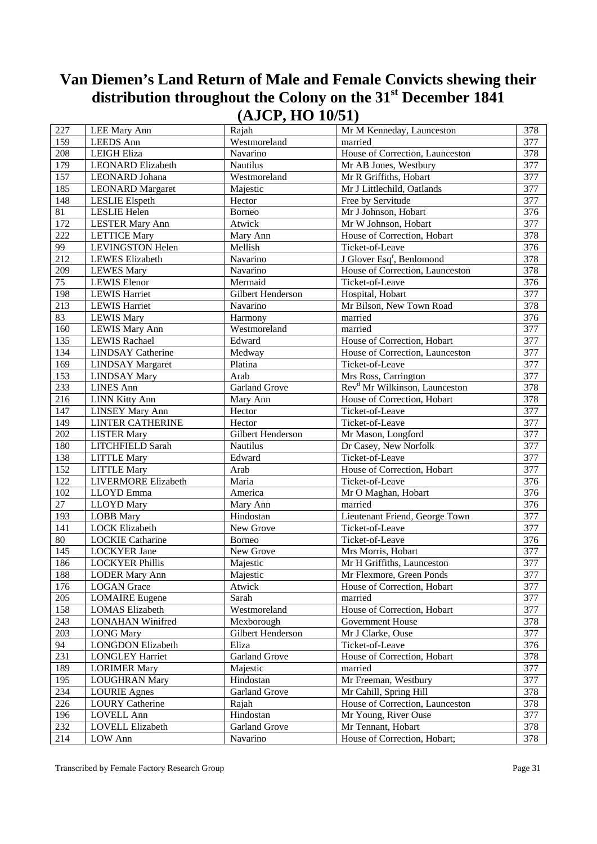| 227             | LEE Mary Ann             | Rajah                | Mr M Kenneday, Launceston                 | 378              |
|-----------------|--------------------------|----------------------|-------------------------------------------|------------------|
| 159             | <b>LEEDS</b> Ann         | Westmoreland         | married                                   | 377              |
| 208             | LEIGH Eliza              | Navarino             | House of Correction, Launceston           | 378              |
| 179             | <b>LEONARD Elizabeth</b> | Nautilus             | Mr AB Jones, Westbury                     | 377              |
| 157             | LEONARD Johana           | Westmoreland         | Mr R Griffiths, Hobart                    | 377              |
| 185             | <b>LEONARD</b> Margaret  | Majestic             | Mr J Littlechild, Oatlands                | $\overline{377}$ |
| 148             | <b>LESLIE</b> Elspeth    | Hector               | Free by Servitude                         | 377              |
| $\overline{81}$ | LESLIE Helen             | Borneo               | Mr J Johnson, Hobart                      | 376              |
| 172             | <b>LESTER Mary Ann</b>   | Atwick               | Mr W Johnson, Hobart                      | 377              |
| 222             | <b>LETTICE Mary</b>      | Mary Ann             | House of Correction, Hobart               | 378              |
| 99              | <b>LEVINGSTON Helen</b>  | Mellish              | Ticket-of-Leave                           | 376              |
| 212             | <b>LEWES</b> Elizabeth   | Navarino             | J Glover Esq <sup>r</sup> , Benlomond     | 378              |
| 209             | <b>LEWES Mary</b>        | Navarino             | House of Correction, Launceston           | 378              |
| $\overline{75}$ | <b>LEWIS</b> Elenor      | Mermaid              | Ticket-of-Leave                           | 376              |
| 198             | <b>LEWIS Harriet</b>     | Gilbert Henderson    | Hospital, Hobart                          | $\overline{377}$ |
| 213             | <b>LEWIS Harriet</b>     | Navarino             | Mr Bilson, New Town Road                  | 378              |
| 83              | <b>LEWIS Mary</b>        | Harmony              | married                                   | 376              |
| 160             | <b>LEWIS Mary Ann</b>    | Westmoreland         | married                                   | 377              |
| 135             | <b>LEWIS Rachael</b>     | Edward               | House of Correction, Hobart               | 377              |
| 134             | <b>LINDSAY</b> Catherine | Medway               | House of Correction, Launceston           | 377              |
| 169             | <b>LINDSAY Margaret</b>  | Platina              | Ticket-of-Leave                           | 377              |
| 153             | <b>LINDSAY Mary</b>      | Arab                 | Mrs Ross, Carrington                      | $\overline{377}$ |
| 233             | <b>LINES Ann</b>         | <b>Garland Grove</b> | Rev <sup>d</sup> Mr Wilkinson, Launceston | 378              |
| 216             | <b>LINN Kitty Ann</b>    | Mary Ann             | House of Correction, Hobart               | 378              |
| 147             | <b>LINSEY Mary Ann</b>   | Hector               | Ticket-of-Leave                           | 377              |
| 149             | LINTER CATHERINE         | Hector               | Ticket-of-Leave                           | 377              |
| 202             | <b>LISTER Mary</b>       | Gilbert Henderson    | Mr Mason, Longford                        | 377              |
| 180             | LITCHFIELD Sarah         | Nautilus             | Dr Casey, New Norfolk                     | 377              |
| 138             | <b>LITTLE Mary</b>       | Edward               | Ticket-of-Leave                           | $\overline{377}$ |
| 152             | <b>LITTLE Mary</b>       | Arab                 | House of Correction, Hobart               | 377              |
| 122             | LIVERMORE Elizabeth      | Maria                | Ticket-of-Leave                           | 376              |
| 102             | LLOYD Emma               | America              | Mr O Maghan, Hobart                       | 376              |
| 27              | <b>LLOYD</b> Mary        | Mary Ann             | married                                   | 376              |
| 193             | <b>LOBB</b> Mary         | Hindostan            | Lieutenant Friend, George Town            | 377              |
| 141             | <b>LOCK Elizabeth</b>    | New Grove            | Ticket-of-Leave                           | 377              |
| 80              | <b>LOCKIE Catharine</b>  | Borneo               | Ticket-of-Leave                           | 376              |
| 145             | <b>LOCKYER Jane</b>      | New Grove            | Mrs Morris, Hobart                        | 377              |
| 186             | <b>LOCKYER Phillis</b>   | Majestic             | Mr H Griffiths, Launceston                | 377              |
| 188             | <b>LODER Mary Ann</b>    | Majestic             | Mr Flexmore, Green Ponds                  | 377              |
| 176             | <b>LOGAN</b> Grace       | Atwick               | House of Correction, Hobart               | 377              |
| 205             | <b>LOMAIRE</b> Eugene    | Sarah                | married                                   | 377              |
| 158             | <b>LOMAS</b> Elizabeth   | Westmoreland         | House of Correction, Hobart               | 377              |
| 243             | <b>LONAHAN Winifred</b>  | Mexborough           | Government House                          | 378              |
| 203             | <b>LONG Mary</b>         | Gilbert Henderson    | Mr J Clarke, Ouse                         | 377              |
| 94              | <b>LONGDON Elizabeth</b> | Eliza                | Ticket-of-Leave                           | 376              |
| 231             | <b>LONGLEY Harriet</b>   | <b>Garland Grove</b> | House of Correction, Hobart               | 378              |
| 189             | <b>LORIMER Mary</b>      | Majestic             | married                                   | 377              |
| 195             | <b>LOUGHRAN Mary</b>     | Hindostan            | Mr Freeman, Westbury                      | 377              |
| 234             | <b>LOURIE Agnes</b>      | Garland Grove        | Mr Cahill, Spring Hill                    | 378              |
| 226             | <b>LOURY Catherine</b>   | Rajah                | House of Correction, Launceston           | 378              |
| 196             | <b>LOVELL Ann</b>        | Hindostan            | Mr Young, River Ouse                      | 377              |
| 232             | LOVELL Elizabeth         | Garland Grove        | Mr Tennant, Hobart                        | 378              |
| 214             | LOW Ann                  | Navarino             | House of Correction, Hobart;              | 378              |
|                 |                          |                      |                                           |                  |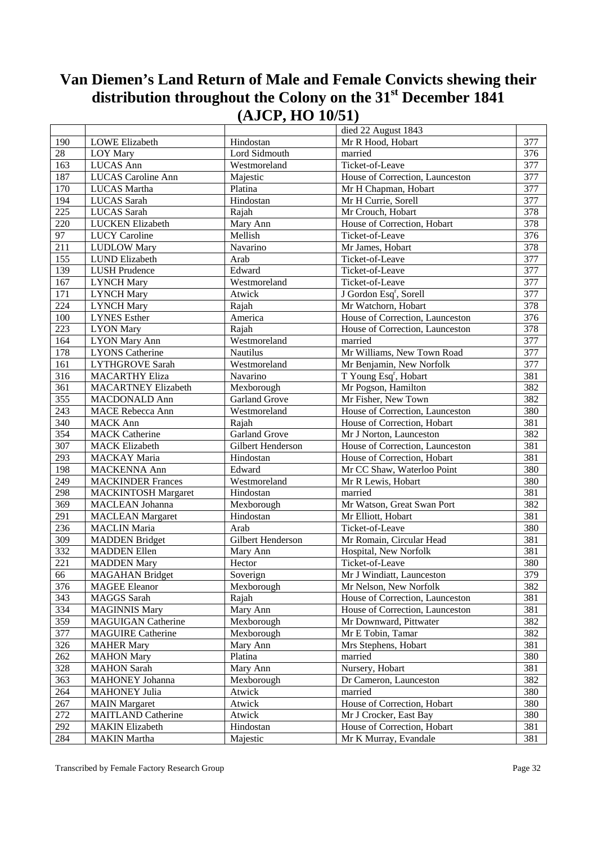|                  |                            |                      | died 22 August 1843                |                  |
|------------------|----------------------------|----------------------|------------------------------------|------------------|
| 190              | <b>LOWE</b> Elizabeth      | Hindostan            | Mr R Hood, Hobart                  | 377              |
| 28               | LOY Mary                   | Lord Sidmouth        | married                            | 376              |
| 163              | LUCAS Ann                  | Westmoreland         | Ticket-of-Leave                    | 377              |
| 187              | <b>LUCAS</b> Caroline Ann  | Majestic             | House of Correction, Launceston    | 377              |
| 170              | <b>LUCAS</b> Martha        | Platina              | Mr H Chapman, Hobart               | $\overline{377}$ |
| 194              | LUCAS Sarah                | Hindostan            | Mr H Currie, Sorell                | 377              |
| 225              | <b>LUCAS</b> Sarah         |                      | Mr Crouch, Hobart                  | 378              |
| 220              |                            | Rajah                | House of Correction, Hobart        | 378              |
|                  | <b>LUCKEN</b> Elizabeth    | Mary Ann             |                                    |                  |
| 97               | <b>LUCY Caroline</b>       | Mellish              | Ticket-of-Leave                    | 376              |
| 211              | <b>LUDLOW Mary</b>         | Navarino             | Mr James, Hobart                   | 378              |
| 155              | LUND Elizabeth             | Arab                 | Ticket-of-Leave                    | 377              |
| 139              | <b>LUSH Prudence</b>       | Edward               | Ticket-of-Leave                    | 377              |
| 167              | <b>LYNCH Mary</b>          | Westmoreland         | Ticket-of-Leave                    | 377              |
| 171              | <b>LYNCH Mary</b>          | Atwick               | J Gordon Esq <sup>r</sup> , Sorell | 377              |
| 224              | <b>LYNCH Mary</b>          | Rajah                | Mr Watchorn, Hobart                | 378              |
| 100              | <b>LYNES</b> Esther        | America              | House of Correction, Launceston    | 376              |
| 223              | <b>LYON</b> Mary           | Rajah                | House of Correction, Launceston    | 378              |
| 164              | <b>LYON Mary Ann</b>       | Westmoreland         | married                            | 377              |
| 178              | <b>LYONS</b> Catherine     | Nautilus             | Mr Williams, New Town Road         | 377              |
| 161              | <b>LYTHGROVE Sarah</b>     | Westmoreland         | Mr Benjamin, New Norfolk           | 377              |
| $\overline{316}$ | <b>MACARTHY Eliza</b>      | Navarino             | T Young Esq <sup>r</sup> , Hobart  | 381              |
| 361              | <b>MACARTNEY Elizabeth</b> | Mexborough           | Mr Pogson, Hamilton                | 382              |
| 355              | <b>MACDONALD Ann</b>       | <b>Garland Grove</b> | Mr Fisher, New Town                | 382              |
| 243              | <b>MACE Rebecca Ann</b>    | Westmoreland         | House of Correction, Launceston    | 380              |
| 340              | <b>MACK Ann</b>            | Rajah                | House of Correction, Hobart        | 381              |
| 354              | <b>MACK Catherine</b>      | <b>Garland Grove</b> | Mr J Norton, Launceston            | 382              |
| 307              | <b>MACK Elizabeth</b>      | Gilbert Henderson    | House of Correction, Launceston    | 381              |
| 293              | MACKAY Maria               | Hindostan            | House of Correction, Hobart        | 381              |
| 198              | MACKENNA Ann               | Edward               | Mr CC Shaw, Waterloo Point         | 380              |
| 249              | <b>MACKINDER Frances</b>   | Westmoreland         | Mr R Lewis, Hobart                 | 380              |
| 298              | <b>MACKINTOSH Margaret</b> | Hindostan            | married                            | 381              |
| 369              | <b>MACLEAN</b> Johanna     | Mexborough           | Mr Watson, Great Swan Port         | 382              |
| 291              | <b>MACLEAN Margaret</b>    | Hindostan            | Mr Elliott, Hobart                 | 381              |
| 236              | <b>MACLIN</b> Maria        | Arab                 | Ticket-of-Leave                    | 380              |
| 309              | <b>MADDEN</b> Bridget      | Gilbert Henderson    | Mr Romain, Circular Head           | 381              |
| 332              | <b>MADDEN</b> Ellen        | Mary Ann             | Hospital, New Norfolk              | 381              |
| 221              | <b>MADDEN Mary</b>         | Hector               | Ticket-of-Leave                    | 380              |
| 66               | <b>MAGAHAN</b> Bridget     | Soverign             | Mr J Windiatt, Launceston          | 379              |
| 376              | <b>MAGEE</b> Eleanor       | Mexborough           | Mr Nelson, New Norfolk             | 382              |
| 343              | MAGGS Sarah                | Rajah                | House of Correction, Launceston    | 381              |
| 334              | <b>MAGINNIS Mary</b>       | Mary Ann             | House of Correction, Launceston    | 381              |
| 359              | <b>MAGUIGAN Catherine</b>  | Mexborough           | Mr Downward, Pittwater             | 382              |
| 377              | <b>MAGUIRE Catherine</b>   | Mexborough           | Mr E Tobin, Tamar                  | 382              |
| 326              | <b>MAHER Mary</b>          | Mary Ann             | Mrs Stephens, Hobart               | 381              |
| 262              | <b>MAHON</b> Mary          | Platina              | married                            | 380              |
| 328              | <b>MAHON</b> Sarah         | Mary Ann             | Nursery, Hobart                    | 381              |
| 363              | MAHONEY Johanna            | Mexborough           | Dr Cameron, Launceston             | 382              |
|                  |                            |                      |                                    |                  |
| 264              | <b>MAHONEY Julia</b>       | Atwick               | married                            | 380              |
| 267              | <b>MAIN</b> Margaret       | Atwick               | House of Correction, Hobart        | 380              |
| 272              | <b>MAITLAND Catherine</b>  | Atwick               | Mr J Crocker, East Bay             | 380              |
| 292              | <b>MAKIN Elizabeth</b>     | Hindostan            | House of Correction, Hobart        | 381              |
| 284              | <b>MAKIN</b> Martha        | Majestic             | Mr K Murray, Evandale              | 381              |

Transcribed by Female Factory Research Group **Page 32**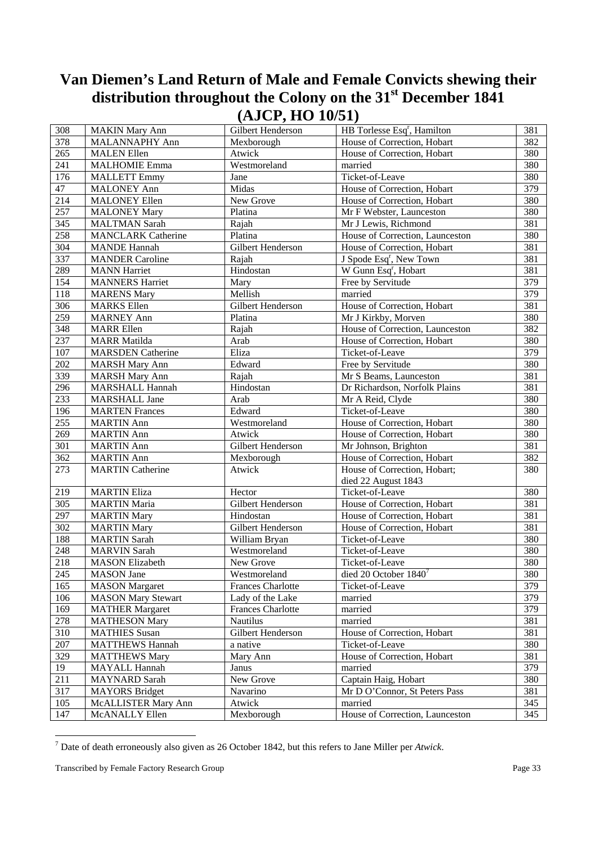| 308              | <b>MAKIN Mary Ann</b>     | Gilbert Henderson        | HB Torlesse Esq <sup>r</sup> , Hamilton | 381 |
|------------------|---------------------------|--------------------------|-----------------------------------------|-----|
| 378              | MALANNAPHY Ann            | Mexborough               | House of Correction, Hobart             | 382 |
| 265              | <b>MALEN</b> Ellen        | Atwick                   | House of Correction, Hobart             | 380 |
| 241              | <b>MALHOMIE Emma</b>      | Westmoreland             | married                                 | 380 |
| 176              | <b>MALLETT Emmy</b>       | Jane                     | Ticket-of-Leave                         | 380 |
| 47               | <b>MALONEY Ann</b>        | Midas                    | House of Correction, Hobart             | 379 |
| 214              | <b>MALONEY Ellen</b>      | New Grove                | House of Correction, Hobart             | 380 |
| 257              | <b>MALONEY Mary</b>       | Platina                  | Mr F Webster, Launceston                | 380 |
| $\overline{345}$ | <b>MALTMAN Sarah</b>      | Rajah                    | Mr J Lewis, Richmond                    | 381 |
| 258              | <b>MANCLARK Catherine</b> | Platina                  | House of Correction, Launceston         | 380 |
| 304              | <b>MANDE Hannah</b>       | Gilbert Henderson        | House of Correction, Hobart             | 381 |
| 337              | <b>MANDER Caroline</b>    | Rajah                    | J Spode Esq <sup>r</sup> , New Town     | 381 |
| 289              | <b>MANN</b> Harriet       | Hindostan                | W Gunn Esq <sup>r</sup> , Hobart        | 381 |
| 154              | <b>MANNERS Harriet</b>    | Mary                     | Free by Servitude                       | 379 |
| 118              | <b>MARENS Mary</b>        | Mellish                  | married                                 | 379 |
| 306              | <b>MARKS</b> Ellen        | Gilbert Henderson        | House of Correction, Hobart             | 381 |
| 259              | <b>MARNEY Ann</b>         | Platina                  | Mr J Kirkby, Morven                     | 380 |
| 348              | <b>MARR Ellen</b>         | Rajah                    | House of Correction, Launceston         | 382 |
| 237              | <b>MARR</b> Matilda       | Arab                     | House of Correction, Hobart             | 380 |
| 107              | <b>MARSDEN</b> Catherine  | Eliza                    | Ticket-of-Leave                         | 379 |
| $202\,$          | <b>MARSH Mary Ann</b>     | Edward                   | Free by Servitude                       | 380 |
| 339              | <b>MARSH Mary Ann</b>     | Rajah                    | Mr S Beams, Launceston                  | 381 |
| 296              | MARSHALL Hannah           | Hindostan                | Dr Richardson, Norfolk Plains           | 381 |
| 233              | <b>MARSHALL Jane</b>      | Arab                     | Mr A Reid, Clyde                        | 380 |
| 196              | <b>MARTEN Frances</b>     | Edward                   | Ticket-of-Leave                         | 380 |
| 255              | <b>MARTIN</b> Ann         | Westmoreland             | House of Correction, Hobart             | 380 |
| 269              | <b>MARTIN</b> Ann         | Atwick                   | House of Correction, Hobart             | 380 |
| 301              | <b>MARTIN</b> Ann         | Gilbert Henderson        | Mr Johnson, Brighton                    | 381 |
| 362              | <b>MARTIN</b> Ann         | Mexborough               | House of Correction, Hobart             | 382 |
| 273              | <b>MARTIN Catherine</b>   | Atwick                   | House of Correction, Hobart;            | 380 |
|                  |                           |                          | died 22 August 1843                     |     |
| 219              | <b>MARTIN Eliza</b>       | Hector                   | Ticket-of-Leave                         | 380 |
| 305              | <b>MARTIN Maria</b>       | Gilbert Henderson        | House of Correction, Hobart             | 381 |
| 297              | <b>MARTIN Mary</b>        | Hindostan                | House of Correction, Hobart             | 381 |
| 302              | <b>MARTIN Mary</b>        | Gilbert Henderson        | House of Correction, Hobart             | 381 |
| 188              | <b>MARTIN Sarah</b>       | William Bryan            | Ticket-of-Leave                         | 380 |
| 248              | <b>MARVIN Sarah</b>       | Westmoreland             | Ticket-of-Leave                         | 380 |
| 218              | <b>MASON Elizabeth</b>    | New Grove                | Ticket-of-Leave                         | 380 |
| 245              | <b>MASON</b> Jane         | Westmoreland             | died 20 October 1840 <sup>7</sup>       | 380 |
| 165              | <b>MASON</b> Margaret     | Frances Charlotte        | Ticket-of-Leave                         | 379 |
| 106              | <b>MASON Mary Stewart</b> | Lady of the Lake         | married                                 | 379 |
| 169              | <b>MATHER Margaret</b>    | <b>Frances Charlotte</b> | married                                 | 379 |
| 278              | <b>MATHESON Mary</b>      | Nautilus                 | married                                 | 381 |
| 310              | <b>MATHIES Susan</b>      | Gilbert Henderson        | House of Correction, Hobart             | 381 |
| 207              | <b>MATTHEWS Hannah</b>    | a native                 | Ticket-of-Leave                         | 380 |
| 329              | <b>MATTHEWS Mary</b>      | Mary Ann                 | House of Correction, Hobart             | 381 |
| 19               | MAYALL Hannah             | Janus                    | married                                 | 379 |
| 211              | <b>MAYNARD</b> Sarah      | New Grove                | Captain Haig, Hobart                    | 380 |
| 317              | <b>MAYORS</b> Bridget     | Navarino                 | Mr D O'Connor, St Peters Pass           | 381 |
| 105              | McALLISTER Mary Ann       | Atwick                   | married                                 | 345 |
| 147              | McANALLY Ellen            | Mexborough               | House of Correction, Launceston         | 345 |

 7 Date of death erroneously also given as 26 October 1842, but this refers to Jane Miller per *Atwick*.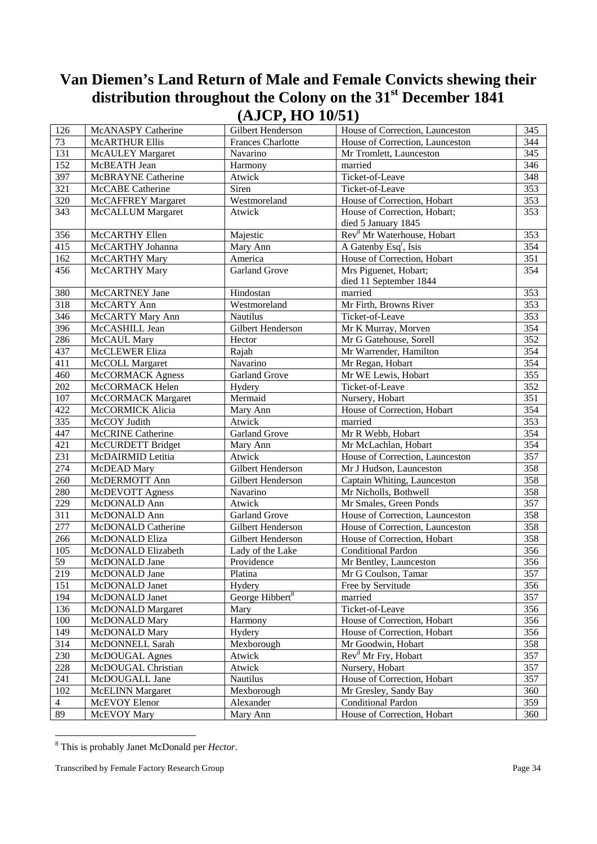| 126            | <b>McANASPY Catherine</b> | $($ --- -- $)$ -- -<br>Gilbert Henderson | — — — — — — — — —<br>House of Correction, Launceston | 345              |
|----------------|---------------------------|------------------------------------------|------------------------------------------------------|------------------|
| 73             | <b>McARTHUR Ellis</b>     | Frances Charlotte                        | House of Correction, Launceston                      | 344              |
| 131            | <b>McAULEY Margaret</b>   | Navarino                                 | Mr Tromlett, Launceston                              | 345              |
| 152            | McBEATH Jean              | Harmony                                  | married                                              | 346              |
| 397            | McBRAYNE Catherine        | Atwick                                   | Ticket-of-Leave                                      | 348              |
| 321            | McCABE Catherine          | Siren                                    | Ticket-of-Leave                                      | 353              |
| 320            | McCAFFREY Margaret        | Westmoreland                             | House of Correction, Hobart                          | 353              |
| 343            | <b>McCALLUM Margaret</b>  | Atwick                                   | House of Correction, Hobart;                         | 353              |
|                |                           |                                          | died 5 January 1845                                  |                  |
| 356            | McCARTHY Ellen            | Majestic                                 | Rev <sup>d</sup> Mr Waterhouse, Hobart               | 353              |
| 415            | McCARTHY Johanna          | Mary Ann                                 | A Gatenby Esq <sup>r</sup> , Isis                    | 354              |
| 162            | McCARTHY Mary             | America                                  | House of Correction, Hobart                          | 351              |
| 456            | McCARTHY Mary             | <b>Garland Grove</b>                     | Mrs Piguenet, Hobart;                                | 354              |
|                |                           |                                          | died 11 September 1844                               |                  |
| 380            | McCARTNEY Jane            | Hindostan                                | married                                              | 353              |
| 318            | McCARTY Ann               | Westmoreland                             | Mr Firth, Browns River                               | 353              |
| 346            | McCARTY Mary Ann          | Nautilus                                 | Ticket-of-Leave                                      | 353              |
| 396            | McCASHILL Jean            | Gilbert Henderson                        | Mr K Murray, Morven                                  | 354              |
| 286            | McCAUL Mary               | Hector                                   | Mr G Gatehouse, Sorell                               | $\overline{352}$ |
| 437            | McCLEWER Eliza            | Rajah                                    | Mr Warrender, Hamilton                               | 354              |
| 411            | McCOLL Margaret           | Navarino                                 | Mr Regan, Hobart                                     | 354              |
| 460            | McCORMACK Agness          | Garland Grove                            | Mr WE Lewis, Hobart                                  | 355              |
| 202            | McCORMACK Helen           | Hydery                                   | Ticket-of-Leave                                      | 352              |
| 107            | McCORMACK Margaret        | Mermaid                                  | Nursery, Hobart                                      | 351              |
| 422            | McCORMICK Alicia          | Mary Ann                                 | House of Correction, Hobart                          | 354              |
| 335            | McCOY Judith              | Atwick                                   | married                                              | 353              |
| 447            | <b>McCRINE Catherine</b>  | <b>Garland Grove</b>                     | Mr R Webb, Hobart                                    | 354              |
| 421            | McCURDETT Bridget         | Mary Ann                                 | Mr McLachlan, Hobart                                 | 354              |
| 231            | McDAIRMID Letitia         | Atwick                                   | House of Correction, Launceston                      | 357              |
| 274            | McDEAD Mary               | Gilbert Henderson                        | Mr J Hudson, Launceston                              | 358              |
| 260            | McDERMOTT Ann             | Gilbert Henderson                        | Captain Whiting, Launceston                          | 358              |
| 280            | McDEVOTT Agness           | Navarino                                 | Mr Nicholls, Bothwell                                | 358              |
| 229            | McDONALD Ann              | Atwick                                   | Mr Smales, Green Ponds                               | $\overline{357}$ |
| 311            | McDONALD Ann              | <b>Garland Grove</b>                     | House of Correction, Launceston                      | 358              |
| 277            | McDONALD Catherine        | Gilbert Henderson                        | House of Correction, Launceston                      | 358              |
| 266            | McDONALD Eliza            | Gilbert Henderson                        | House of Correction, Hobart                          | 358              |
| 105            | McDONALD Elizabeth        | Lady of the Lake                         | <b>Conditional Pardon</b>                            | 356              |
| 59             | McDONALD Jane             | Providence                               | Mr Bentley, Launceston                               | 356              |
| 219            | McDONALD Jane             | Platina                                  | Mr G Coulson, Tamar                                  | 357              |
| 151            | McDONALD Janet            | Hydery                                   | Free by Servitude                                    | 356              |
| 194            | McDONALD Janet            | George Hibbert <sup>8</sup>              | married                                              | 357              |
| 136            | <b>McDONALD</b> Margaret  | Mary                                     | Ticket-of-Leave                                      | 356              |
| 100            | McDONALD Mary             | Harmony                                  | House of Correction, Hobart                          | 356              |
| 149            | McDONALD Mary             | Hydery                                   | House of Correction, Hobart                          | 356              |
| 314            | McDONNELL Sarah           | Mexborough                               | Mr Goodwin, Hobart                                   | 358              |
| 230            | McDOUGAL Agnes            | Atwick                                   | Rev <sup>d</sup> Mr Fry, Hobart                      | 357              |
| 228            | McDOUGAL Christian        | Atwick                                   | Nursery, Hobart                                      | 357              |
| 241            | McDOUGALL Jane            | Nautilus                                 | House of Correction, Hobart                          | 357              |
| 102            | <b>McELINN</b> Margaret   | Mexborough                               | Mr Gresley, Sandy Bay                                | 360              |
| $\overline{4}$ | McEVOY Elenor             | Alexander                                | <b>Conditional Pardon</b>                            | 359              |
| 89             | McEVOY Mary               | Mary Ann                                 | House of Correction, Hobart                          | 360              |

 8 This is probably Janet McDonald per *Hector*.

Transcribed by Female Factory Research Group **Page 34**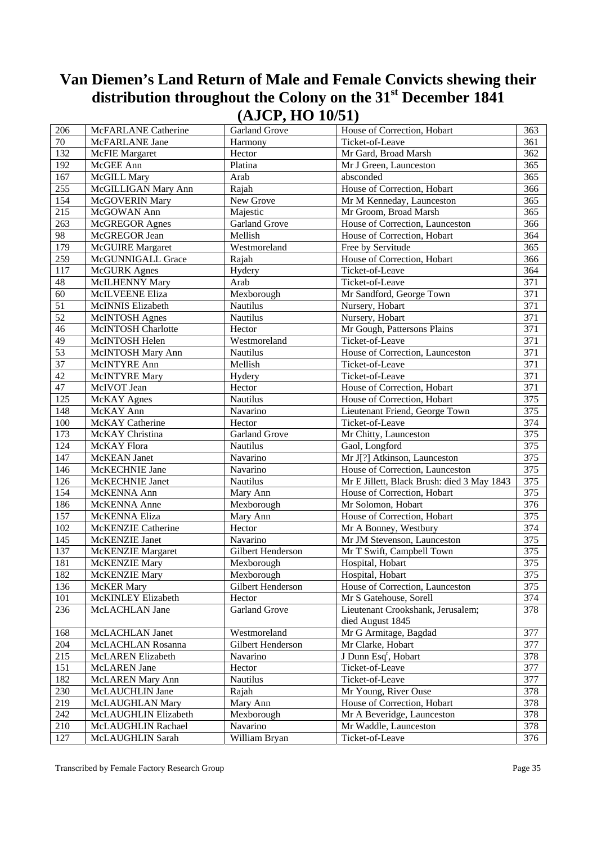| 206         | McFARLANE Catherine      | Garland Grove        | House of Correction, Hobart                | 363              |
|-------------|--------------------------|----------------------|--------------------------------------------|------------------|
| $70\,$      | McFARLANE Jane           | Harmony              | Ticket-of-Leave                            | 361              |
| 132         | <b>McFIE</b> Margaret    | Hector               | Mr Gard, Broad Marsh                       | 362              |
| 192         | McGEE Ann                | Platina              | Mr J Green, Launceston                     | 365              |
| 167         | McGILL Mary              | Arab                 | absconded                                  | 365              |
| 255         | McGILLIGAN Mary Ann      | Rajah                | House of Correction, Hobart                | 366              |
| 154         | McGOVERIN Mary           | New Grove            | Mr M Kenneday, Launceston                  | 365              |
| 215         | McGOWAN Ann              | Majestic             | Mr Groom, Broad Marsh                      | 365              |
| 263         | <b>McGREGOR Agnes</b>    | <b>Garland Grove</b> | House of Correction, Launceston            | 366              |
| 98          | McGREGOR Jean            | Mellish              | House of Correction, Hobart                | 364              |
| 179         | <b>McGUIRE</b> Margaret  | Westmoreland         | Free by Servitude                          | 365              |
| 259         | McGUNNIGALL Grace        | Rajah                | House of Correction, Hobart                | 366              |
| 117         | <b>McGURK</b> Agnes      | Hydery               | Ticket-of-Leave                            | 364              |
| $\sqrt{48}$ | McILHENNY Mary           | Arab                 | Ticket-of-Leave                            | 371              |
| 60          | McILVEENE Eliza          | Mexborough           | Mr Sandford, George Town                   | $\overline{371}$ |
| 51          | McINNIS Elizabeth        | Nautilus             | Nursery, Hobart                            | 371              |
| 52          | <b>McINTOSH</b> Agnes    | <b>Nautilus</b>      | Nursery, Hobart                            | 371              |
| 46          | McINTOSH Charlotte       | Hector               | Mr Gough, Pattersons Plains                | 371              |
| 49          | McINTOSH Helen           | Westmoreland         | Ticket-of-Leave                            | 371              |
| 53          | McINTOSH Mary Ann        | Nautilus             | House of Correction, Launceston            | 371              |
| 37          | McINTYRE Ann             | Mellish              | Ticket-of-Leave                            | 371              |
| 42          | McINTYRE Mary            | Hydery               | Ticket-of-Leave                            | 371              |
| 47          | McIVOT Jean              | Hector               | House of Correction, Hobart                | 371              |
| 125         | McKAY Agnes              | <b>Nautilus</b>      | House of Correction, Hobart                | 375              |
| 148         | McKAY Ann                | Navarino             | Lieutenant Friend, George Town             | 375              |
| 100         | McKAY Catherine          | Hector               | Ticket-of-Leave                            | 374              |
| 173         | McKAY Christina          | <b>Garland Grove</b> | Mr Chitty, Launceston                      | 375              |
| 124         | McKAY Flora              | Nautilus             | Gaol, Longford                             | 375              |
| 147         | McKEAN Janet             | Navarino             | Mr J[?] Atkinson, Launceston               | 375              |
| 146         | McKECHNIE Jane           | Navarino             | House of Correction, Launceston            | 375              |
| 126         | McKECHNIE Janet          | Nautilus             | Mr E Jillett, Black Brush: died 3 May 1843 | $\frac{375}{2}$  |
| 154         | McKENNA Ann              | Mary Ann             | House of Correction, Hobart                | 375              |
| 186         | McKENNA Anne             | Mexborough           | Mr Solomon, Hobart                         | 376              |
| 157         | McKENNA Eliza            | Mary Ann             | House of Correction, Hobart                | 375              |
| 102         | McKENZIE Catherine       | Hector               | Mr A Bonney, Westbury                      | 374              |
| 145         | McKENZIE Janet           | Navarino             | Mr JM Stevenson, Launceston                | 375              |
| 137         | <b>McKENZIE Margaret</b> | Gilbert Henderson    | Mr T Swift, Campbell Town                  | 375              |
| 181         | McKENZIE Mary            | Mexborough           | Hospital, Hobart                           | 375              |
| 182         | McKENZIE Mary            | Mexborough           | Hospital, Hobart                           | 375              |
| 136         | <b>McKER</b> Mary        | Gilbert Henderson    | House of Correction, Launceston            | 375              |
| 101         | McKINLEY Elizabeth       | Hector               | Mr S Gatehouse, Sorell                     | 374              |
| 236         | McLACHLAN Jane           | <b>Garland Grove</b> | Lieutenant Crookshank, Jerusalem;          | 378              |
|             |                          |                      | died August 1845                           |                  |
| 168         | McLACHLAN Janet          | Westmoreland         | Mr G Armitage, Bagdad                      | 377              |
| 204         | McLACHLAN Rosanna        | Gilbert Henderson    | Mr Clarke, Hobart                          | 377              |
| 215         | <b>McLAREN</b> Elizabeth | Navarino             | J Dunn Esq <sup>r</sup> , Hobart           | 378              |
| 151         | McLAREN Jane             | Hector               | Ticket-of-Leave                            | 377              |
| 182         | McLAREN Mary Ann         | Nautilus             | Ticket-of-Leave                            | 377              |
| 230         | McLAUCHLIN Jane          | Rajah                | Mr Young, River Ouse                       | 378              |
| 219         | McLAUGHLAN Mary          | Mary Ann             | House of Correction, Hobart                | 378              |
| 242         | McLAUGHLIN Elizabeth     | Mexborough           | Mr A Beveridge, Launceston                 | 378              |
| 210         | McLAUGHLIN Rachael       | Navarino             | Mr Waddle, Launceston                      | 378              |
| 127         | McLAUGHLIN Sarah         | William Bryan        | Ticket-of-Leave                            | 376              |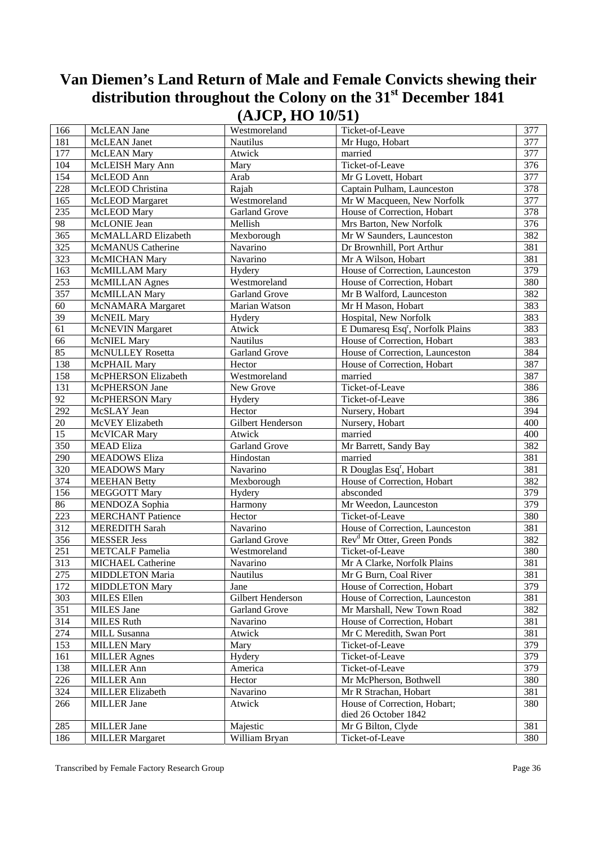| 166    | McLEAN Jane              | Westmoreland         | Ticket-of-Leave                              | 377 |
|--------|--------------------------|----------------------|----------------------------------------------|-----|
| 181    | McLEAN Janet             | Nautilus             | Mr Hugo, Hobart                              | 377 |
| 177    | <b>McLEAN</b> Mary       | Atwick               | married                                      | 377 |
| 104    | McLEISH Mary Ann         | Mary                 | Ticket-of-Leave                              | 376 |
| 154    | McLEOD Ann               | Arab                 | Mr G Lovett, Hobart                          | 377 |
| 228    | McLEOD Christina         | Rajah                | Captain Pulham, Launceston                   | 378 |
| 165    | McLEOD Margaret          | Westmoreland         | Mr W Macqueen, New Norfolk                   | 377 |
| 235    | McLEOD Mary              | <b>Garland Grove</b> | House of Correction, Hobart                  | 378 |
| 98     | McLONIE Jean             | Mellish              | Mrs Barton, New Norfolk                      | 376 |
| 365    | McMALLARD Elizabeth      | Mexborough           | Mr W Saunders, Launceston                    | 382 |
| 325    | <b>McMANUS</b> Catherine | Navarino             | Dr Brownhill, Port Arthur                    | 381 |
| 323    | McMICHAN Mary            | Navarino             | Mr A Wilson, Hobart                          | 381 |
| 163    | McMILLAM Mary            | Hydery               | House of Correction, Launceston              | 379 |
| 253    | <b>McMILLAN</b> Agnes    | Westmoreland         | House of Correction, Hobart                  | 380 |
| 357    | McMILLAN Mary            | Garland Grove        | Mr B Walford, Launceston                     | 382 |
| 60     | McNAMARA Margaret        | Marian Watson        | Mr H Mason, Hobart                           | 383 |
| 39     | <b>McNEIL Mary</b>       | Hydery               | Hospital, New Norfolk                        | 383 |
| 61     | <b>McNEVIN</b> Margaret  | Atwick               | E Dumaresq Esq <sup>r</sup> , Norfolk Plains | 383 |
| 66     | <b>McNIEL Mary</b>       | <b>Nautilus</b>      | House of Correction, Hobart                  | 383 |
| 85     | <b>McNULLEY Rosetta</b>  | <b>Garland Grove</b> | House of Correction, Launceston              | 384 |
| 138    | McPHAIL Mary             | Hector               | House of Correction, Hobart                  | 387 |
| 158    | McPHERSON Elizabeth      | Westmoreland         | married                                      | 387 |
| 131    | McPHERSON Jane           | New Grove            | Ticket-of-Leave                              | 386 |
| 92     | <b>McPHERSON Mary</b>    | Hydery               | Ticket-of-Leave                              | 386 |
| 292    | McSLAY Jean              | Hector               | Nursery, Hobart                              | 394 |
| $20\,$ | McVEY Elizabeth          | Gilbert Henderson    | Nursery, Hobart                              | 400 |
| 15     | McVICAR Mary             | Atwick               | married                                      | 400 |
| 350    | <b>MEAD Eliza</b>        | <b>Garland Grove</b> | Mr Barrett, Sandy Bay                        | 382 |
| 290    | <b>MEADOWS Eliza</b>     | Hindostan            | married                                      | 381 |
| 320    | <b>MEADOWS Mary</b>      | Navarino             | R Douglas Esq <sup>r</sup> , Hobart          | 381 |
| 374    | <b>MEEHAN Betty</b>      | Mexborough           | House of Correction, Hobart                  | 382 |
| 156    | <b>MEGGOTT Mary</b>      | Hydery               | absconded                                    | 379 |
| 86     | MENDOZA Sophia           | Harmony              | Mr Weedon, Launceston                        | 379 |
| 223    | <b>MERCHANT Patience</b> | Hector               | Ticket-of-Leave                              | 380 |
| 312    | <b>MEREDITH Sarah</b>    | Navarino             | House of Correction, Launceston              | 381 |
| 356    | <b>MESSER Jess</b>       | <b>Garland Grove</b> | Rev <sup>d</sup> Mr Otter, Green Ponds       | 382 |
| 251    | <b>METCALF Pamelia</b>   | Westmoreland         | Ticket-of-Leave                              | 380 |
| 313    | MICHAEL Catherine        | Navarino             | Mr A Clarke, Norfolk Plains                  | 381 |
| 275    | <b>MIDDLETON Maria</b>   | Nautilus             | Mr G Burn, Coal River                        | 381 |
| 172    | <b>MIDDLETON Mary</b>    | Jane                 | House of Correction, Hobart                  | 379 |
| 303    | <b>MILES</b> Ellen       | Gilbert Henderson    | House of Correction, Launceston              | 381 |
| 351    | MILES Jane               | <b>Garland Grove</b> | Mr Marshall, New Town Road                   | 382 |
| 314    | <b>MILES Ruth</b>        | Navarino             | House of Correction, Hobart                  | 381 |
| 274    | MILL Susanna             | Atwick               | Mr C Meredith, Swan Port                     | 381 |
| 153    | <b>MILLEN Mary</b>       | Mary                 | Ticket-of-Leave                              | 379 |
| 161    | <b>MILLER Agnes</b>      | Hydery               | Ticket-of-Leave                              | 379 |
| 138    | <b>MILLER Ann</b>        | America              | Ticket-of-Leave                              | 379 |
| 226    | <b>MILLER Ann</b>        | Hector               | Mr McPherson, Bothwell                       | 380 |
| 324    | <b>MILLER Elizabeth</b>  | Navarino             | Mr R Strachan, Hobart                        | 381 |
| 266    | <b>MILLER Jane</b>       | Atwick               | House of Correction, Hobart;                 | 380 |
|        |                          |                      | died 26 October 1842                         |     |
| 285    | <b>MILLER Jane</b>       | Majestic             | Mr G Bilton, Clyde                           | 381 |
| 186    | <b>MILLER Margaret</b>   | William Bryan        | Ticket-of-Leave                              | 380 |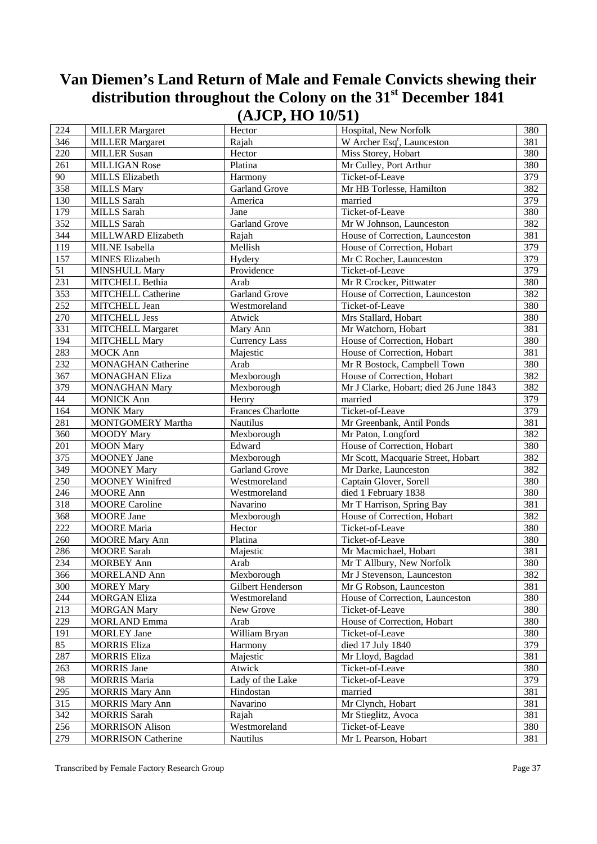| 224              | <b>MILLER Margaret</b>          | Hector                   | Hospital, New Norfolk                  | 380 |
|------------------|---------------------------------|--------------------------|----------------------------------------|-----|
| 346              | <b>MILLER Margaret</b>          | Rajah                    | W Archer Esq <sup>r</sup> , Launceston | 381 |
| 220              | <b>MILLER Susan</b>             | Hector                   | Miss Storey, Hobart                    | 380 |
| 261              | <b>MILLIGAN Rose</b>            | Platina                  | Mr Culley, Port Arthur                 | 380 |
| 90               | <b>MILLS Elizabeth</b>          | Harmony                  | Ticket-of-Leave                        | 379 |
| 358              | <b>MILLS Mary</b>               | <b>Garland Grove</b>     | Mr HB Torlesse, Hamilton               | 382 |
| 130              | <b>MILLS</b> Sarah              | America                  | married                                | 379 |
| 179              | <b>MILLS</b> Sarah              | Jane                     | Ticket-of-Leave                        | 380 |
| 352              | <b>MILLS</b> Sarah              | <b>Garland Grove</b>     | Mr W Johnson, Launceston               | 382 |
| 344              | MILLWARD Elizabeth              | Rajah                    | House of Correction, Launceston        | 381 |
| $11\overline{9}$ | MILNE Isabella                  | Mellish                  | House of Correction, Hobart            | 379 |
| 157              | <b>MINES Elizabeth</b>          | Hydery                   | Mr C Rocher, Launceston                | 379 |
| 51               | <b>MINSHULL Mary</b>            | Providence               | Ticket-of-Leave                        | 379 |
| 231              | MITCHELL Bethia                 | Arab                     | Mr R Crocker, Pittwater                | 380 |
| 353              | <b>MITCHELL Catherine</b>       | <b>Garland Grove</b>     | House of Correction, Launceston        | 382 |
| 252              | MITCHELL Jean                   | Westmoreland             | Ticket-of-Leave                        | 380 |
| 270              | <b>MITCHELL Jess</b>            | Atwick                   | Mrs Stallard, Hobart                   | 380 |
| 331              | <b>MITCHELL Margaret</b>        | Mary Ann                 | Mr Watchorn, Hobart                    | 381 |
| 194              | <b>MITCHELL Mary</b>            | <b>Currency Lass</b>     | House of Correction, Hobart            | 380 |
| 283              | <b>MOCK Ann</b>                 | Majestic                 | House of Correction, Hobart            | 381 |
| 232              | <b>MONAGHAN Catherine</b>       | Arab                     | Mr R Bostock, Campbell Town            | 380 |
| 367              | <b>MONAGHAN Eliza</b>           | Mexborough               | House of Correction, Hobart            | 382 |
| 379              | <b>MONAGHAN Mary</b>            | Mexborough               | Mr J Clarke, Hobart; died 26 June 1843 | 382 |
| $44\,$           | <b>MONICK Ann</b>               | Henry                    | married                                | 379 |
| 164              | <b>MONK Mary</b>                | <b>Frances Charlotte</b> | Ticket-of-Leave                        | 379 |
| 281              | MONTGOMERY Martha               | <b>Nautilus</b>          | Mr Greenbank, Antil Ponds              | 381 |
| 360              |                                 | Mexborough               | Mr Paton, Longford                     | 382 |
|                  | <b>MOODY</b> Mary               | Edward                   | House of Correction, Hobart            | 380 |
| 201<br>375       | <b>MOON</b> Mary<br>MOONEY Jane | Mexborough               |                                        | 382 |
| 349              |                                 | <b>Garland Grove</b>     | Mr Scott, Macquarie Street, Hobart     | 382 |
|                  | <b>MOONEY Mary</b>              |                          | Mr Darke, Launceston                   |     |
| 250              | <b>MOONEY Winifred</b>          | Westmoreland             | Captain Glover, Sorell                 | 380 |
| 246              | <b>MOORE</b> Ann                | Westmoreland             | died 1 February 1838                   | 380 |
| 318              | <b>MOORE</b> Caroline           | Navarino                 | Mr T Harrison, Spring Bay              | 381 |
| 368              | <b>MOORE</b> Jane               | Mexborough               | House of Correction, Hobart            | 382 |
| 222              | <b>MOORE</b> Maria              | Hector                   | Ticket-of-Leave                        | 380 |
| 260              | <b>MOORE</b> Mary Ann           | Platina                  | Ticket-of-Leave                        | 380 |
| 286              | <b>MOORE</b> Sarah              | Majestic                 | Mr Macmichael, Hobart                  | 381 |
| 234              | <b>MORBEY Ann</b>               | Arab                     | Mr T Allbury, New Norfolk              | 380 |
| 366              | <b>MORELAND Ann</b>             | Mexborough               | Mr J Stevenson, Launceston             | 382 |
| 300              | <b>MOREY Mary</b>               | Gilbert Henderson        | Mr G Robson, Launceston                | 381 |
| 244              | <b>MORGAN Eliza</b>             | Westmoreland             | House of Correction, Launceston        | 380 |
| 213              | <b>MORGAN Mary</b>              | New Grove                | Ticket-of-Leave                        | 380 |
| 229              | <b>MORLAND Emma</b>             | Arab                     | House of Correction, Hobart            | 380 |
| 191              | <b>MORLEY</b> Jane              | William Bryan            | Ticket-of-Leave                        | 380 |
| 85               | <b>MORRIS Eliza</b>             | Harmony                  | died 17 July 1840                      | 379 |
| 287              | <b>MORRIS Eliza</b>             | Majestic                 | Mr Lloyd, Bagdad                       | 381 |
| 263              | <b>MORRIS</b> Jane              | Atwick                   | Ticket-of-Leave                        | 380 |
| 98               | <b>MORRIS Maria</b>             | Lady of the Lake         | Ticket-of-Leave                        | 379 |
| 295              | <b>MORRIS Mary Ann</b>          | Hindostan                | married                                | 381 |
| 315              | <b>MORRIS Mary Ann</b>          | Navarino                 | Mr Clynch, Hobart                      | 381 |
| 342              | <b>MORRIS</b> Sarah             | Rajah                    | Mr Stieglitz, Avoca                    | 381 |
| 256              | <b>MORRISON Alison</b>          | Westmoreland             | Ticket-of-Leave                        | 380 |
| 279              | <b>MORRISON</b> Catherine       | Nautilus                 | Mr L Pearson, Hobart                   | 381 |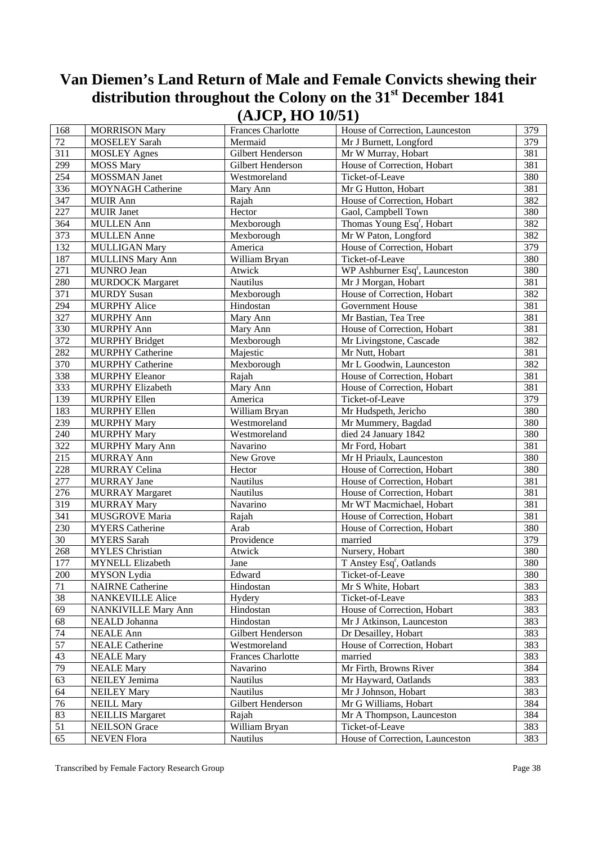| 72<br>Mermaid<br>379<br>MOSELEY Sarah<br>Mr J Burnett, Longford<br>311<br>381<br><b>MOSLEY Agnes</b><br>Gilbert Henderson<br>Mr W Murray, Hobart<br>299<br>381<br><b>MOSS Mary</b><br>Gilbert Henderson<br>House of Correction, Hobart<br>254<br>380<br>MOSSMAN Janet<br>Westmoreland<br>Ticket-of-Leave<br>336<br>381<br><b>MOYNAGH Catherine</b><br>Mary Ann<br>Mr G Hutton, Hobart<br>347<br>382<br>House of Correction, Hobart<br><b>MUIR Ann</b><br>Rajah<br>227<br>380<br>Hector<br>Gaol, Campbell Town<br><b>MUIR Janet</b><br>364<br>382<br>Mexborough<br>Thomas Young Esq <sup>r</sup> , Hobart<br><b>MULLEN Ann</b><br>373<br>382<br>Mr W Paton, Longford<br><b>MULLEN</b> Anne<br>Mexborough<br>132<br>379<br>House of Correction, Hobart<br><b>MULLIGAN Mary</b><br>America<br>187<br>380<br><b>MULLINS Mary Ann</b><br>William Bryan<br>Ticket-of-Leave<br>WP Ashburner Esq <sup>r</sup> , Launceston<br>271<br>380<br>MUNRO Jean<br>Atwick<br>280<br>381<br><b>MURDOCK Margaret</b><br>Mr J Morgan, Hobart<br>Nautilus<br>382<br>371<br><b>MURDY Susan</b><br>Mexborough<br>House of Correction, Hobart<br>294<br>381<br>Government House<br><b>MURPHY Alice</b><br>Hindostan<br>327<br>381<br><b>MURPHY Ann</b><br>Mr Bastian, Tea Tree<br>Mary Ann<br>381<br>330<br>House of Correction, Hobart<br><b>MURPHY Ann</b><br>Mary Ann<br>372<br><b>MURPHY Bridget</b><br>Mr Livingstone, Cascade<br>382<br>Mexborough<br>282<br>381<br><b>MURPHY Catherine</b><br>Majestic<br>Mr Nutt, Hobart<br>370<br>382<br><b>MURPHY Catherine</b><br>Mr L Goodwin, Launceston<br>Mexborough<br>338<br>381<br>House of Correction, Hobart<br><b>MURPHY Eleanor</b><br>Rajah<br>333<br>381<br><b>MURPHY Elizabeth</b><br>Mary Ann<br>House of Correction, Hobart<br>139<br>379<br><b>MURPHY Ellen</b><br>America<br>Ticket-of-Leave<br>183<br>380<br>William Bryan<br>Mr Hudspeth, Jericho<br><b>MURPHY Ellen</b><br>380<br>239<br><b>MURPHY Mary</b><br>Westmoreland<br>Mr Mummery, Bagdad<br>380<br>240<br>Westmoreland<br>died 24 January 1842<br><b>MURPHY Mary</b><br>322<br>381<br>Navarino<br><b>MURPHY Mary Ann</b><br>Mr Ford, Hobart<br>215<br>380<br><b>MURRAY Ann</b><br>New Grove<br>Mr H Priaulx, Launceston<br>228<br>380<br><b>MURRAY Celina</b><br>Hector<br>House of Correction, Hobart<br>277<br>381<br><b>MURRAY</b> Jane<br>Nautilus<br>House of Correction, Hobart<br>381<br>276<br><b>MURRAY Margaret</b><br>Nautilus<br>House of Correction, Hobart<br>319<br>381<br>Mr WT Macmichael, Hobart<br><b>MURRAY Mary</b><br>Navarino<br>341<br>381<br>MUSGROVE Maria<br>House of Correction, Hobart<br>Rajah<br>230<br>380<br><b>MYERS</b> Catherine<br>Arab<br>House of Correction, Hobart<br>30<br>Providence<br>married<br>379<br><b>MYERS</b> Sarah<br>268<br>Atwick<br>Nursery, Hobart<br>380<br><b>MYLES</b> Christian<br>177<br>380<br>T Anstey Esq <sup>r</sup> , Oatlands<br><b>MYNELL Elizabeth</b><br>Jane<br>200<br>MYSON Lydia<br>Edward<br>Ticket-of-Leave<br>380<br>71<br><b>NAIRNE Catherine</b><br>Hindostan<br>Mr S White, Hobart<br>383<br>$\overline{38}$<br>383<br><b>NANKEVILLE Alice</b><br>Hydery<br>Ticket-of-Leave<br>House of Correction, Hobart<br>69<br><b>NANKIVILLE Mary Ann</b><br>Hindostan<br>383<br>68<br>383<br>NEALD Johanna<br>Hindostan<br>Mr J Atkinson, Launceston<br>74<br>Gilbert Henderson<br><b>NEALE Ann</b><br>Dr Desailley, Hobart<br>383<br>57<br>Westmoreland<br>House of Correction, Hobart<br><b>NEALE Catherine</b><br>383<br>43<br><b>Frances Charlotte</b><br>married<br>383<br><b>NEALE Mary</b><br>79<br>Navarino<br>Mr Firth, Browns River<br>384<br><b>NEALE Mary</b><br>63<br>Nautilus<br>NEILEY Jemima<br>Mr Hayward, Oatlands<br>383<br><b>Nautilus</b><br>Mr J Johnson, Hobart<br>64<br><b>NEILEY Mary</b><br>383<br>76<br><b>NEILL Mary</b><br>Gilbert Henderson<br>Mr G Williams, Hobart<br>384<br>83<br><b>NEILLIS Margaret</b><br>Mr A Thompson, Launceston<br>Rajah<br>384<br>William Bryan<br>51<br>383<br><b>NEILSON</b> Grace<br>Ticket-of-Leave | 168 | <b>MORRISON Mary</b> | <b>Frances Charlotte</b> | House of Correction, Launceston | 379 |
|------------------------------------------------------------------------------------------------------------------------------------------------------------------------------------------------------------------------------------------------------------------------------------------------------------------------------------------------------------------------------------------------------------------------------------------------------------------------------------------------------------------------------------------------------------------------------------------------------------------------------------------------------------------------------------------------------------------------------------------------------------------------------------------------------------------------------------------------------------------------------------------------------------------------------------------------------------------------------------------------------------------------------------------------------------------------------------------------------------------------------------------------------------------------------------------------------------------------------------------------------------------------------------------------------------------------------------------------------------------------------------------------------------------------------------------------------------------------------------------------------------------------------------------------------------------------------------------------------------------------------------------------------------------------------------------------------------------------------------------------------------------------------------------------------------------------------------------------------------------------------------------------------------------------------------------------------------------------------------------------------------------------------------------------------------------------------------------------------------------------------------------------------------------------------------------------------------------------------------------------------------------------------------------------------------------------------------------------------------------------------------------------------------------------------------------------------------------------------------------------------------------------------------------------------------------------------------------------------------------------------------------------------------------------------------------------------------------------------------------------------------------------------------------------------------------------------------------------------------------------------------------------------------------------------------------------------------------------------------------------------------------------------------------------------------------------------------------------------------------------------------------------------------------------------------------------------------------------------------------------------------------------------------------------------------------------------------------------------------------------------------------------------------------------------------------------------------------------------------------------------------------------------------------------------------------------------------------------------------------------------------------------------------------------------------------------------------------------------------------------------------------------------------------------------------------------------------------------------------------------------------------------------------------------------------------------------------------------------------------------------------------------------------------|-----|----------------------|--------------------------|---------------------------------|-----|
|                                                                                                                                                                                                                                                                                                                                                                                                                                                                                                                                                                                                                                                                                                                                                                                                                                                                                                                                                                                                                                                                                                                                                                                                                                                                                                                                                                                                                                                                                                                                                                                                                                                                                                                                                                                                                                                                                                                                                                                                                                                                                                                                                                                                                                                                                                                                                                                                                                                                                                                                                                                                                                                                                                                                                                                                                                                                                                                                                                                                                                                                                                                                                                                                                                                                                                                                                                                                                                                                                                                                                                                                                                                                                                                                                                                                                                                                                                                                                                                                                                          |     |                      |                          |                                 |     |
|                                                                                                                                                                                                                                                                                                                                                                                                                                                                                                                                                                                                                                                                                                                                                                                                                                                                                                                                                                                                                                                                                                                                                                                                                                                                                                                                                                                                                                                                                                                                                                                                                                                                                                                                                                                                                                                                                                                                                                                                                                                                                                                                                                                                                                                                                                                                                                                                                                                                                                                                                                                                                                                                                                                                                                                                                                                                                                                                                                                                                                                                                                                                                                                                                                                                                                                                                                                                                                                                                                                                                                                                                                                                                                                                                                                                                                                                                                                                                                                                                                          |     |                      |                          |                                 |     |
|                                                                                                                                                                                                                                                                                                                                                                                                                                                                                                                                                                                                                                                                                                                                                                                                                                                                                                                                                                                                                                                                                                                                                                                                                                                                                                                                                                                                                                                                                                                                                                                                                                                                                                                                                                                                                                                                                                                                                                                                                                                                                                                                                                                                                                                                                                                                                                                                                                                                                                                                                                                                                                                                                                                                                                                                                                                                                                                                                                                                                                                                                                                                                                                                                                                                                                                                                                                                                                                                                                                                                                                                                                                                                                                                                                                                                                                                                                                                                                                                                                          |     |                      |                          |                                 |     |
|                                                                                                                                                                                                                                                                                                                                                                                                                                                                                                                                                                                                                                                                                                                                                                                                                                                                                                                                                                                                                                                                                                                                                                                                                                                                                                                                                                                                                                                                                                                                                                                                                                                                                                                                                                                                                                                                                                                                                                                                                                                                                                                                                                                                                                                                                                                                                                                                                                                                                                                                                                                                                                                                                                                                                                                                                                                                                                                                                                                                                                                                                                                                                                                                                                                                                                                                                                                                                                                                                                                                                                                                                                                                                                                                                                                                                                                                                                                                                                                                                                          |     |                      |                          |                                 |     |
|                                                                                                                                                                                                                                                                                                                                                                                                                                                                                                                                                                                                                                                                                                                                                                                                                                                                                                                                                                                                                                                                                                                                                                                                                                                                                                                                                                                                                                                                                                                                                                                                                                                                                                                                                                                                                                                                                                                                                                                                                                                                                                                                                                                                                                                                                                                                                                                                                                                                                                                                                                                                                                                                                                                                                                                                                                                                                                                                                                                                                                                                                                                                                                                                                                                                                                                                                                                                                                                                                                                                                                                                                                                                                                                                                                                                                                                                                                                                                                                                                                          |     |                      |                          |                                 |     |
|                                                                                                                                                                                                                                                                                                                                                                                                                                                                                                                                                                                                                                                                                                                                                                                                                                                                                                                                                                                                                                                                                                                                                                                                                                                                                                                                                                                                                                                                                                                                                                                                                                                                                                                                                                                                                                                                                                                                                                                                                                                                                                                                                                                                                                                                                                                                                                                                                                                                                                                                                                                                                                                                                                                                                                                                                                                                                                                                                                                                                                                                                                                                                                                                                                                                                                                                                                                                                                                                                                                                                                                                                                                                                                                                                                                                                                                                                                                                                                                                                                          |     |                      |                          |                                 |     |
|                                                                                                                                                                                                                                                                                                                                                                                                                                                                                                                                                                                                                                                                                                                                                                                                                                                                                                                                                                                                                                                                                                                                                                                                                                                                                                                                                                                                                                                                                                                                                                                                                                                                                                                                                                                                                                                                                                                                                                                                                                                                                                                                                                                                                                                                                                                                                                                                                                                                                                                                                                                                                                                                                                                                                                                                                                                                                                                                                                                                                                                                                                                                                                                                                                                                                                                                                                                                                                                                                                                                                                                                                                                                                                                                                                                                                                                                                                                                                                                                                                          |     |                      |                          |                                 |     |
|                                                                                                                                                                                                                                                                                                                                                                                                                                                                                                                                                                                                                                                                                                                                                                                                                                                                                                                                                                                                                                                                                                                                                                                                                                                                                                                                                                                                                                                                                                                                                                                                                                                                                                                                                                                                                                                                                                                                                                                                                                                                                                                                                                                                                                                                                                                                                                                                                                                                                                                                                                                                                                                                                                                                                                                                                                                                                                                                                                                                                                                                                                                                                                                                                                                                                                                                                                                                                                                                                                                                                                                                                                                                                                                                                                                                                                                                                                                                                                                                                                          |     |                      |                          |                                 |     |
|                                                                                                                                                                                                                                                                                                                                                                                                                                                                                                                                                                                                                                                                                                                                                                                                                                                                                                                                                                                                                                                                                                                                                                                                                                                                                                                                                                                                                                                                                                                                                                                                                                                                                                                                                                                                                                                                                                                                                                                                                                                                                                                                                                                                                                                                                                                                                                                                                                                                                                                                                                                                                                                                                                                                                                                                                                                                                                                                                                                                                                                                                                                                                                                                                                                                                                                                                                                                                                                                                                                                                                                                                                                                                                                                                                                                                                                                                                                                                                                                                                          |     |                      |                          |                                 |     |
|                                                                                                                                                                                                                                                                                                                                                                                                                                                                                                                                                                                                                                                                                                                                                                                                                                                                                                                                                                                                                                                                                                                                                                                                                                                                                                                                                                                                                                                                                                                                                                                                                                                                                                                                                                                                                                                                                                                                                                                                                                                                                                                                                                                                                                                                                                                                                                                                                                                                                                                                                                                                                                                                                                                                                                                                                                                                                                                                                                                                                                                                                                                                                                                                                                                                                                                                                                                                                                                                                                                                                                                                                                                                                                                                                                                                                                                                                                                                                                                                                                          |     |                      |                          |                                 |     |
|                                                                                                                                                                                                                                                                                                                                                                                                                                                                                                                                                                                                                                                                                                                                                                                                                                                                                                                                                                                                                                                                                                                                                                                                                                                                                                                                                                                                                                                                                                                                                                                                                                                                                                                                                                                                                                                                                                                                                                                                                                                                                                                                                                                                                                                                                                                                                                                                                                                                                                                                                                                                                                                                                                                                                                                                                                                                                                                                                                                                                                                                                                                                                                                                                                                                                                                                                                                                                                                                                                                                                                                                                                                                                                                                                                                                                                                                                                                                                                                                                                          |     |                      |                          |                                 |     |
|                                                                                                                                                                                                                                                                                                                                                                                                                                                                                                                                                                                                                                                                                                                                                                                                                                                                                                                                                                                                                                                                                                                                                                                                                                                                                                                                                                                                                                                                                                                                                                                                                                                                                                                                                                                                                                                                                                                                                                                                                                                                                                                                                                                                                                                                                                                                                                                                                                                                                                                                                                                                                                                                                                                                                                                                                                                                                                                                                                                                                                                                                                                                                                                                                                                                                                                                                                                                                                                                                                                                                                                                                                                                                                                                                                                                                                                                                                                                                                                                                                          |     |                      |                          |                                 |     |
|                                                                                                                                                                                                                                                                                                                                                                                                                                                                                                                                                                                                                                                                                                                                                                                                                                                                                                                                                                                                                                                                                                                                                                                                                                                                                                                                                                                                                                                                                                                                                                                                                                                                                                                                                                                                                                                                                                                                                                                                                                                                                                                                                                                                                                                                                                                                                                                                                                                                                                                                                                                                                                                                                                                                                                                                                                                                                                                                                                                                                                                                                                                                                                                                                                                                                                                                                                                                                                                                                                                                                                                                                                                                                                                                                                                                                                                                                                                                                                                                                                          |     |                      |                          |                                 |     |
|                                                                                                                                                                                                                                                                                                                                                                                                                                                                                                                                                                                                                                                                                                                                                                                                                                                                                                                                                                                                                                                                                                                                                                                                                                                                                                                                                                                                                                                                                                                                                                                                                                                                                                                                                                                                                                                                                                                                                                                                                                                                                                                                                                                                                                                                                                                                                                                                                                                                                                                                                                                                                                                                                                                                                                                                                                                                                                                                                                                                                                                                                                                                                                                                                                                                                                                                                                                                                                                                                                                                                                                                                                                                                                                                                                                                                                                                                                                                                                                                                                          |     |                      |                          |                                 |     |
|                                                                                                                                                                                                                                                                                                                                                                                                                                                                                                                                                                                                                                                                                                                                                                                                                                                                                                                                                                                                                                                                                                                                                                                                                                                                                                                                                                                                                                                                                                                                                                                                                                                                                                                                                                                                                                                                                                                                                                                                                                                                                                                                                                                                                                                                                                                                                                                                                                                                                                                                                                                                                                                                                                                                                                                                                                                                                                                                                                                                                                                                                                                                                                                                                                                                                                                                                                                                                                                                                                                                                                                                                                                                                                                                                                                                                                                                                                                                                                                                                                          |     |                      |                          |                                 |     |
|                                                                                                                                                                                                                                                                                                                                                                                                                                                                                                                                                                                                                                                                                                                                                                                                                                                                                                                                                                                                                                                                                                                                                                                                                                                                                                                                                                                                                                                                                                                                                                                                                                                                                                                                                                                                                                                                                                                                                                                                                                                                                                                                                                                                                                                                                                                                                                                                                                                                                                                                                                                                                                                                                                                                                                                                                                                                                                                                                                                                                                                                                                                                                                                                                                                                                                                                                                                                                                                                                                                                                                                                                                                                                                                                                                                                                                                                                                                                                                                                                                          |     |                      |                          |                                 |     |
|                                                                                                                                                                                                                                                                                                                                                                                                                                                                                                                                                                                                                                                                                                                                                                                                                                                                                                                                                                                                                                                                                                                                                                                                                                                                                                                                                                                                                                                                                                                                                                                                                                                                                                                                                                                                                                                                                                                                                                                                                                                                                                                                                                                                                                                                                                                                                                                                                                                                                                                                                                                                                                                                                                                                                                                                                                                                                                                                                                                                                                                                                                                                                                                                                                                                                                                                                                                                                                                                                                                                                                                                                                                                                                                                                                                                                                                                                                                                                                                                                                          |     |                      |                          |                                 |     |
|                                                                                                                                                                                                                                                                                                                                                                                                                                                                                                                                                                                                                                                                                                                                                                                                                                                                                                                                                                                                                                                                                                                                                                                                                                                                                                                                                                                                                                                                                                                                                                                                                                                                                                                                                                                                                                                                                                                                                                                                                                                                                                                                                                                                                                                                                                                                                                                                                                                                                                                                                                                                                                                                                                                                                                                                                                                                                                                                                                                                                                                                                                                                                                                                                                                                                                                                                                                                                                                                                                                                                                                                                                                                                                                                                                                                                                                                                                                                                                                                                                          |     |                      |                          |                                 |     |
|                                                                                                                                                                                                                                                                                                                                                                                                                                                                                                                                                                                                                                                                                                                                                                                                                                                                                                                                                                                                                                                                                                                                                                                                                                                                                                                                                                                                                                                                                                                                                                                                                                                                                                                                                                                                                                                                                                                                                                                                                                                                                                                                                                                                                                                                                                                                                                                                                                                                                                                                                                                                                                                                                                                                                                                                                                                                                                                                                                                                                                                                                                                                                                                                                                                                                                                                                                                                                                                                                                                                                                                                                                                                                                                                                                                                                                                                                                                                                                                                                                          |     |                      |                          |                                 |     |
|                                                                                                                                                                                                                                                                                                                                                                                                                                                                                                                                                                                                                                                                                                                                                                                                                                                                                                                                                                                                                                                                                                                                                                                                                                                                                                                                                                                                                                                                                                                                                                                                                                                                                                                                                                                                                                                                                                                                                                                                                                                                                                                                                                                                                                                                                                                                                                                                                                                                                                                                                                                                                                                                                                                                                                                                                                                                                                                                                                                                                                                                                                                                                                                                                                                                                                                                                                                                                                                                                                                                                                                                                                                                                                                                                                                                                                                                                                                                                                                                                                          |     |                      |                          |                                 |     |
|                                                                                                                                                                                                                                                                                                                                                                                                                                                                                                                                                                                                                                                                                                                                                                                                                                                                                                                                                                                                                                                                                                                                                                                                                                                                                                                                                                                                                                                                                                                                                                                                                                                                                                                                                                                                                                                                                                                                                                                                                                                                                                                                                                                                                                                                                                                                                                                                                                                                                                                                                                                                                                                                                                                                                                                                                                                                                                                                                                                                                                                                                                                                                                                                                                                                                                                                                                                                                                                                                                                                                                                                                                                                                                                                                                                                                                                                                                                                                                                                                                          |     |                      |                          |                                 |     |
|                                                                                                                                                                                                                                                                                                                                                                                                                                                                                                                                                                                                                                                                                                                                                                                                                                                                                                                                                                                                                                                                                                                                                                                                                                                                                                                                                                                                                                                                                                                                                                                                                                                                                                                                                                                                                                                                                                                                                                                                                                                                                                                                                                                                                                                                                                                                                                                                                                                                                                                                                                                                                                                                                                                                                                                                                                                                                                                                                                                                                                                                                                                                                                                                                                                                                                                                                                                                                                                                                                                                                                                                                                                                                                                                                                                                                                                                                                                                                                                                                                          |     |                      |                          |                                 |     |
|                                                                                                                                                                                                                                                                                                                                                                                                                                                                                                                                                                                                                                                                                                                                                                                                                                                                                                                                                                                                                                                                                                                                                                                                                                                                                                                                                                                                                                                                                                                                                                                                                                                                                                                                                                                                                                                                                                                                                                                                                                                                                                                                                                                                                                                                                                                                                                                                                                                                                                                                                                                                                                                                                                                                                                                                                                                                                                                                                                                                                                                                                                                                                                                                                                                                                                                                                                                                                                                                                                                                                                                                                                                                                                                                                                                                                                                                                                                                                                                                                                          |     |                      |                          |                                 |     |
|                                                                                                                                                                                                                                                                                                                                                                                                                                                                                                                                                                                                                                                                                                                                                                                                                                                                                                                                                                                                                                                                                                                                                                                                                                                                                                                                                                                                                                                                                                                                                                                                                                                                                                                                                                                                                                                                                                                                                                                                                                                                                                                                                                                                                                                                                                                                                                                                                                                                                                                                                                                                                                                                                                                                                                                                                                                                                                                                                                                                                                                                                                                                                                                                                                                                                                                                                                                                                                                                                                                                                                                                                                                                                                                                                                                                                                                                                                                                                                                                                                          |     |                      |                          |                                 |     |
|                                                                                                                                                                                                                                                                                                                                                                                                                                                                                                                                                                                                                                                                                                                                                                                                                                                                                                                                                                                                                                                                                                                                                                                                                                                                                                                                                                                                                                                                                                                                                                                                                                                                                                                                                                                                                                                                                                                                                                                                                                                                                                                                                                                                                                                                                                                                                                                                                                                                                                                                                                                                                                                                                                                                                                                                                                                                                                                                                                                                                                                                                                                                                                                                                                                                                                                                                                                                                                                                                                                                                                                                                                                                                                                                                                                                                                                                                                                                                                                                                                          |     |                      |                          |                                 |     |
|                                                                                                                                                                                                                                                                                                                                                                                                                                                                                                                                                                                                                                                                                                                                                                                                                                                                                                                                                                                                                                                                                                                                                                                                                                                                                                                                                                                                                                                                                                                                                                                                                                                                                                                                                                                                                                                                                                                                                                                                                                                                                                                                                                                                                                                                                                                                                                                                                                                                                                                                                                                                                                                                                                                                                                                                                                                                                                                                                                                                                                                                                                                                                                                                                                                                                                                                                                                                                                                                                                                                                                                                                                                                                                                                                                                                                                                                                                                                                                                                                                          |     |                      |                          |                                 |     |
|                                                                                                                                                                                                                                                                                                                                                                                                                                                                                                                                                                                                                                                                                                                                                                                                                                                                                                                                                                                                                                                                                                                                                                                                                                                                                                                                                                                                                                                                                                                                                                                                                                                                                                                                                                                                                                                                                                                                                                                                                                                                                                                                                                                                                                                                                                                                                                                                                                                                                                                                                                                                                                                                                                                                                                                                                                                                                                                                                                                                                                                                                                                                                                                                                                                                                                                                                                                                                                                                                                                                                                                                                                                                                                                                                                                                                                                                                                                                                                                                                                          |     |                      |                          |                                 |     |
|                                                                                                                                                                                                                                                                                                                                                                                                                                                                                                                                                                                                                                                                                                                                                                                                                                                                                                                                                                                                                                                                                                                                                                                                                                                                                                                                                                                                                                                                                                                                                                                                                                                                                                                                                                                                                                                                                                                                                                                                                                                                                                                                                                                                                                                                                                                                                                                                                                                                                                                                                                                                                                                                                                                                                                                                                                                                                                                                                                                                                                                                                                                                                                                                                                                                                                                                                                                                                                                                                                                                                                                                                                                                                                                                                                                                                                                                                                                                                                                                                                          |     |                      |                          |                                 |     |
|                                                                                                                                                                                                                                                                                                                                                                                                                                                                                                                                                                                                                                                                                                                                                                                                                                                                                                                                                                                                                                                                                                                                                                                                                                                                                                                                                                                                                                                                                                                                                                                                                                                                                                                                                                                                                                                                                                                                                                                                                                                                                                                                                                                                                                                                                                                                                                                                                                                                                                                                                                                                                                                                                                                                                                                                                                                                                                                                                                                                                                                                                                                                                                                                                                                                                                                                                                                                                                                                                                                                                                                                                                                                                                                                                                                                                                                                                                                                                                                                                                          |     |                      |                          |                                 |     |
|                                                                                                                                                                                                                                                                                                                                                                                                                                                                                                                                                                                                                                                                                                                                                                                                                                                                                                                                                                                                                                                                                                                                                                                                                                                                                                                                                                                                                                                                                                                                                                                                                                                                                                                                                                                                                                                                                                                                                                                                                                                                                                                                                                                                                                                                                                                                                                                                                                                                                                                                                                                                                                                                                                                                                                                                                                                                                                                                                                                                                                                                                                                                                                                                                                                                                                                                                                                                                                                                                                                                                                                                                                                                                                                                                                                                                                                                                                                                                                                                                                          |     |                      |                          |                                 |     |
|                                                                                                                                                                                                                                                                                                                                                                                                                                                                                                                                                                                                                                                                                                                                                                                                                                                                                                                                                                                                                                                                                                                                                                                                                                                                                                                                                                                                                                                                                                                                                                                                                                                                                                                                                                                                                                                                                                                                                                                                                                                                                                                                                                                                                                                                                                                                                                                                                                                                                                                                                                                                                                                                                                                                                                                                                                                                                                                                                                                                                                                                                                                                                                                                                                                                                                                                                                                                                                                                                                                                                                                                                                                                                                                                                                                                                                                                                                                                                                                                                                          |     |                      |                          |                                 |     |
|                                                                                                                                                                                                                                                                                                                                                                                                                                                                                                                                                                                                                                                                                                                                                                                                                                                                                                                                                                                                                                                                                                                                                                                                                                                                                                                                                                                                                                                                                                                                                                                                                                                                                                                                                                                                                                                                                                                                                                                                                                                                                                                                                                                                                                                                                                                                                                                                                                                                                                                                                                                                                                                                                                                                                                                                                                                                                                                                                                                                                                                                                                                                                                                                                                                                                                                                                                                                                                                                                                                                                                                                                                                                                                                                                                                                                                                                                                                                                                                                                                          |     |                      |                          |                                 |     |
|                                                                                                                                                                                                                                                                                                                                                                                                                                                                                                                                                                                                                                                                                                                                                                                                                                                                                                                                                                                                                                                                                                                                                                                                                                                                                                                                                                                                                                                                                                                                                                                                                                                                                                                                                                                                                                                                                                                                                                                                                                                                                                                                                                                                                                                                                                                                                                                                                                                                                                                                                                                                                                                                                                                                                                                                                                                                                                                                                                                                                                                                                                                                                                                                                                                                                                                                                                                                                                                                                                                                                                                                                                                                                                                                                                                                                                                                                                                                                                                                                                          |     |                      |                          |                                 |     |
|                                                                                                                                                                                                                                                                                                                                                                                                                                                                                                                                                                                                                                                                                                                                                                                                                                                                                                                                                                                                                                                                                                                                                                                                                                                                                                                                                                                                                                                                                                                                                                                                                                                                                                                                                                                                                                                                                                                                                                                                                                                                                                                                                                                                                                                                                                                                                                                                                                                                                                                                                                                                                                                                                                                                                                                                                                                                                                                                                                                                                                                                                                                                                                                                                                                                                                                                                                                                                                                                                                                                                                                                                                                                                                                                                                                                                                                                                                                                                                                                                                          |     |                      |                          |                                 |     |
|                                                                                                                                                                                                                                                                                                                                                                                                                                                                                                                                                                                                                                                                                                                                                                                                                                                                                                                                                                                                                                                                                                                                                                                                                                                                                                                                                                                                                                                                                                                                                                                                                                                                                                                                                                                                                                                                                                                                                                                                                                                                                                                                                                                                                                                                                                                                                                                                                                                                                                                                                                                                                                                                                                                                                                                                                                                                                                                                                                                                                                                                                                                                                                                                                                                                                                                                                                                                                                                                                                                                                                                                                                                                                                                                                                                                                                                                                                                                                                                                                                          |     |                      |                          |                                 |     |
|                                                                                                                                                                                                                                                                                                                                                                                                                                                                                                                                                                                                                                                                                                                                                                                                                                                                                                                                                                                                                                                                                                                                                                                                                                                                                                                                                                                                                                                                                                                                                                                                                                                                                                                                                                                                                                                                                                                                                                                                                                                                                                                                                                                                                                                                                                                                                                                                                                                                                                                                                                                                                                                                                                                                                                                                                                                                                                                                                                                                                                                                                                                                                                                                                                                                                                                                                                                                                                                                                                                                                                                                                                                                                                                                                                                                                                                                                                                                                                                                                                          |     |                      |                          |                                 |     |
|                                                                                                                                                                                                                                                                                                                                                                                                                                                                                                                                                                                                                                                                                                                                                                                                                                                                                                                                                                                                                                                                                                                                                                                                                                                                                                                                                                                                                                                                                                                                                                                                                                                                                                                                                                                                                                                                                                                                                                                                                                                                                                                                                                                                                                                                                                                                                                                                                                                                                                                                                                                                                                                                                                                                                                                                                                                                                                                                                                                                                                                                                                                                                                                                                                                                                                                                                                                                                                                                                                                                                                                                                                                                                                                                                                                                                                                                                                                                                                                                                                          |     |                      |                          |                                 |     |
|                                                                                                                                                                                                                                                                                                                                                                                                                                                                                                                                                                                                                                                                                                                                                                                                                                                                                                                                                                                                                                                                                                                                                                                                                                                                                                                                                                                                                                                                                                                                                                                                                                                                                                                                                                                                                                                                                                                                                                                                                                                                                                                                                                                                                                                                                                                                                                                                                                                                                                                                                                                                                                                                                                                                                                                                                                                                                                                                                                                                                                                                                                                                                                                                                                                                                                                                                                                                                                                                                                                                                                                                                                                                                                                                                                                                                                                                                                                                                                                                                                          |     |                      |                          |                                 |     |
|                                                                                                                                                                                                                                                                                                                                                                                                                                                                                                                                                                                                                                                                                                                                                                                                                                                                                                                                                                                                                                                                                                                                                                                                                                                                                                                                                                                                                                                                                                                                                                                                                                                                                                                                                                                                                                                                                                                                                                                                                                                                                                                                                                                                                                                                                                                                                                                                                                                                                                                                                                                                                                                                                                                                                                                                                                                                                                                                                                                                                                                                                                                                                                                                                                                                                                                                                                                                                                                                                                                                                                                                                                                                                                                                                                                                                                                                                                                                                                                                                                          |     |                      |                          |                                 |     |
|                                                                                                                                                                                                                                                                                                                                                                                                                                                                                                                                                                                                                                                                                                                                                                                                                                                                                                                                                                                                                                                                                                                                                                                                                                                                                                                                                                                                                                                                                                                                                                                                                                                                                                                                                                                                                                                                                                                                                                                                                                                                                                                                                                                                                                                                                                                                                                                                                                                                                                                                                                                                                                                                                                                                                                                                                                                                                                                                                                                                                                                                                                                                                                                                                                                                                                                                                                                                                                                                                                                                                                                                                                                                                                                                                                                                                                                                                                                                                                                                                                          |     |                      |                          |                                 |     |
|                                                                                                                                                                                                                                                                                                                                                                                                                                                                                                                                                                                                                                                                                                                                                                                                                                                                                                                                                                                                                                                                                                                                                                                                                                                                                                                                                                                                                                                                                                                                                                                                                                                                                                                                                                                                                                                                                                                                                                                                                                                                                                                                                                                                                                                                                                                                                                                                                                                                                                                                                                                                                                                                                                                                                                                                                                                                                                                                                                                                                                                                                                                                                                                                                                                                                                                                                                                                                                                                                                                                                                                                                                                                                                                                                                                                                                                                                                                                                                                                                                          |     |                      |                          |                                 |     |
|                                                                                                                                                                                                                                                                                                                                                                                                                                                                                                                                                                                                                                                                                                                                                                                                                                                                                                                                                                                                                                                                                                                                                                                                                                                                                                                                                                                                                                                                                                                                                                                                                                                                                                                                                                                                                                                                                                                                                                                                                                                                                                                                                                                                                                                                                                                                                                                                                                                                                                                                                                                                                                                                                                                                                                                                                                                                                                                                                                                                                                                                                                                                                                                                                                                                                                                                                                                                                                                                                                                                                                                                                                                                                                                                                                                                                                                                                                                                                                                                                                          |     |                      |                          |                                 |     |
|                                                                                                                                                                                                                                                                                                                                                                                                                                                                                                                                                                                                                                                                                                                                                                                                                                                                                                                                                                                                                                                                                                                                                                                                                                                                                                                                                                                                                                                                                                                                                                                                                                                                                                                                                                                                                                                                                                                                                                                                                                                                                                                                                                                                                                                                                                                                                                                                                                                                                                                                                                                                                                                                                                                                                                                                                                                                                                                                                                                                                                                                                                                                                                                                                                                                                                                                                                                                                                                                                                                                                                                                                                                                                                                                                                                                                                                                                                                                                                                                                                          |     |                      |                          |                                 |     |
|                                                                                                                                                                                                                                                                                                                                                                                                                                                                                                                                                                                                                                                                                                                                                                                                                                                                                                                                                                                                                                                                                                                                                                                                                                                                                                                                                                                                                                                                                                                                                                                                                                                                                                                                                                                                                                                                                                                                                                                                                                                                                                                                                                                                                                                                                                                                                                                                                                                                                                                                                                                                                                                                                                                                                                                                                                                                                                                                                                                                                                                                                                                                                                                                                                                                                                                                                                                                                                                                                                                                                                                                                                                                                                                                                                                                                                                                                                                                                                                                                                          |     |                      |                          |                                 |     |
|                                                                                                                                                                                                                                                                                                                                                                                                                                                                                                                                                                                                                                                                                                                                                                                                                                                                                                                                                                                                                                                                                                                                                                                                                                                                                                                                                                                                                                                                                                                                                                                                                                                                                                                                                                                                                                                                                                                                                                                                                                                                                                                                                                                                                                                                                                                                                                                                                                                                                                                                                                                                                                                                                                                                                                                                                                                                                                                                                                                                                                                                                                                                                                                                                                                                                                                                                                                                                                                                                                                                                                                                                                                                                                                                                                                                                                                                                                                                                                                                                                          |     |                      |                          |                                 |     |
|                                                                                                                                                                                                                                                                                                                                                                                                                                                                                                                                                                                                                                                                                                                                                                                                                                                                                                                                                                                                                                                                                                                                                                                                                                                                                                                                                                                                                                                                                                                                                                                                                                                                                                                                                                                                                                                                                                                                                                                                                                                                                                                                                                                                                                                                                                                                                                                                                                                                                                                                                                                                                                                                                                                                                                                                                                                                                                                                                                                                                                                                                                                                                                                                                                                                                                                                                                                                                                                                                                                                                                                                                                                                                                                                                                                                                                                                                                                                                                                                                                          |     |                      |                          |                                 |     |
|                                                                                                                                                                                                                                                                                                                                                                                                                                                                                                                                                                                                                                                                                                                                                                                                                                                                                                                                                                                                                                                                                                                                                                                                                                                                                                                                                                                                                                                                                                                                                                                                                                                                                                                                                                                                                                                                                                                                                                                                                                                                                                                                                                                                                                                                                                                                                                                                                                                                                                                                                                                                                                                                                                                                                                                                                                                                                                                                                                                                                                                                                                                                                                                                                                                                                                                                                                                                                                                                                                                                                                                                                                                                                                                                                                                                                                                                                                                                                                                                                                          |     |                      |                          |                                 |     |
|                                                                                                                                                                                                                                                                                                                                                                                                                                                                                                                                                                                                                                                                                                                                                                                                                                                                                                                                                                                                                                                                                                                                                                                                                                                                                                                                                                                                                                                                                                                                                                                                                                                                                                                                                                                                                                                                                                                                                                                                                                                                                                                                                                                                                                                                                                                                                                                                                                                                                                                                                                                                                                                                                                                                                                                                                                                                                                                                                                                                                                                                                                                                                                                                                                                                                                                                                                                                                                                                                                                                                                                                                                                                                                                                                                                                                                                                                                                                                                                                                                          |     |                      |                          |                                 |     |
|                                                                                                                                                                                                                                                                                                                                                                                                                                                                                                                                                                                                                                                                                                                                                                                                                                                                                                                                                                                                                                                                                                                                                                                                                                                                                                                                                                                                                                                                                                                                                                                                                                                                                                                                                                                                                                                                                                                                                                                                                                                                                                                                                                                                                                                                                                                                                                                                                                                                                                                                                                                                                                                                                                                                                                                                                                                                                                                                                                                                                                                                                                                                                                                                                                                                                                                                                                                                                                                                                                                                                                                                                                                                                                                                                                                                                                                                                                                                                                                                                                          |     |                      |                          |                                 |     |
|                                                                                                                                                                                                                                                                                                                                                                                                                                                                                                                                                                                                                                                                                                                                                                                                                                                                                                                                                                                                                                                                                                                                                                                                                                                                                                                                                                                                                                                                                                                                                                                                                                                                                                                                                                                                                                                                                                                                                                                                                                                                                                                                                                                                                                                                                                                                                                                                                                                                                                                                                                                                                                                                                                                                                                                                                                                                                                                                                                                                                                                                                                                                                                                                                                                                                                                                                                                                                                                                                                                                                                                                                                                                                                                                                                                                                                                                                                                                                                                                                                          |     |                      |                          |                                 |     |
|                                                                                                                                                                                                                                                                                                                                                                                                                                                                                                                                                                                                                                                                                                                                                                                                                                                                                                                                                                                                                                                                                                                                                                                                                                                                                                                                                                                                                                                                                                                                                                                                                                                                                                                                                                                                                                                                                                                                                                                                                                                                                                                                                                                                                                                                                                                                                                                                                                                                                                                                                                                                                                                                                                                                                                                                                                                                                                                                                                                                                                                                                                                                                                                                                                                                                                                                                                                                                                                                                                                                                                                                                                                                                                                                                                                                                                                                                                                                                                                                                                          |     |                      |                          |                                 |     |
|                                                                                                                                                                                                                                                                                                                                                                                                                                                                                                                                                                                                                                                                                                                                                                                                                                                                                                                                                                                                                                                                                                                                                                                                                                                                                                                                                                                                                                                                                                                                                                                                                                                                                                                                                                                                                                                                                                                                                                                                                                                                                                                                                                                                                                                                                                                                                                                                                                                                                                                                                                                                                                                                                                                                                                                                                                                                                                                                                                                                                                                                                                                                                                                                                                                                                                                                                                                                                                                                                                                                                                                                                                                                                                                                                                                                                                                                                                                                                                                                                                          | 65  | <b>NEVEN Flora</b>   | Nautilus                 | House of Correction, Launceston | 383 |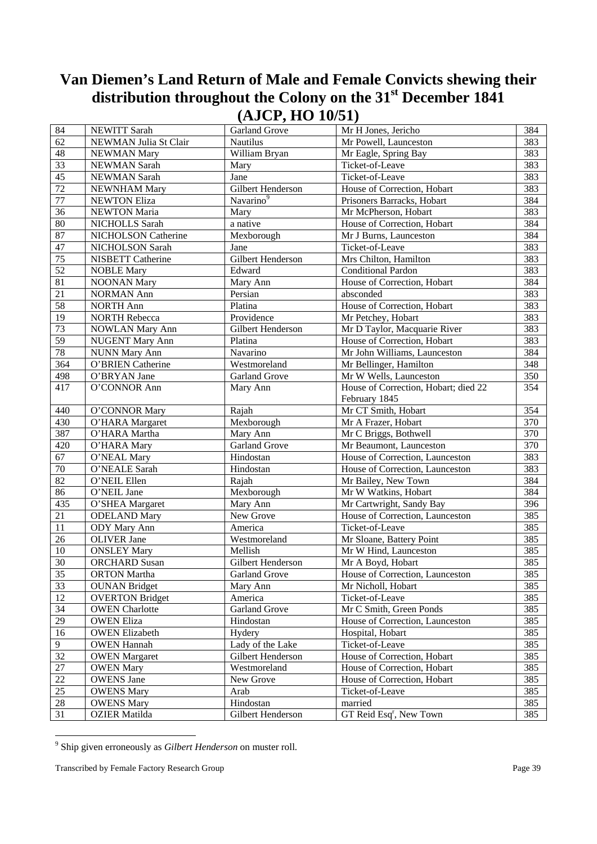| 84              | NEWITT Sarah           | Garland Grove         | Mr H Jones, Jericho                  | 384 |
|-----------------|------------------------|-----------------------|--------------------------------------|-----|
| 62              | NEWMAN Julia St Clair  | <b>Nautilus</b>       | Mr Powell, Launceston                | 383 |
| 48              | <b>NEWMAN Mary</b>     | William Bryan         | Mr Eagle, Spring Bay                 | 383 |
| 33              | <b>NEWMAN Sarah</b>    | Mary                  | Ticket-of-Leave                      | 383 |
| 45              | NEWMAN Sarah           | Jane                  | Ticket-of-Leave                      | 383 |
| $\overline{72}$ | NEWNHAM Mary           | Gilbert Henderson     | House of Correction, Hobart          | 383 |
| $77\,$          | <b>NEWTON Eliza</b>    | Navarino <sup>9</sup> | Prisoners Barracks, Hobart           | 384 |
| $\overline{36}$ | NEWTON Maria           | Mary                  | Mr McPherson, Hobart                 | 383 |
| $80\,$          | NICHOLLS Sarah         | a native              | House of Correction, Hobart          | 384 |
| 87              | NICHOLSON Catherine    | Mexborough            | Mr J Burns, Launceston               | 384 |
| 47              | NICHOLSON Sarah        | Jane                  | Ticket-of-Leave                      | 383 |
| 75              | NISBETT Catherine      | Gilbert Henderson     | Mrs Chilton, Hamilton                | 383 |
| 52              | <b>NOBLE Mary</b>      | Edward                | <b>Conditional Pardon</b>            | 383 |
| 81              | <b>NOONAN Mary</b>     | Mary Ann              | House of Correction, Hobart          | 384 |
| $\overline{21}$ | <b>NORMAN Ann</b>      | Persian               | absconded                            | 383 |
| 58              | <b>NORTH Ann</b>       | Platina               | House of Correction, Hobart          | 383 |
| 19              | <b>NORTH Rebecca</b>   | Providence            | Mr Petchey, Hobart                   | 383 |
| 73              | <b>NOWLAN Mary Ann</b> | Gilbert Henderson     | Mr D Taylor, Macquarie River         | 383 |
| 59              | NUGENT Mary Ann        | Platina               | House of Correction, Hobart          | 383 |
| $78\,$          | <b>NUNN Mary Ann</b>   | Navarino              | Mr John Williams, Launceston         | 384 |
| 364             | O'BRIEN Catherine      | Westmoreland          | Mr Bellinger, Hamilton               | 348 |
| 498             | O'BRYAN Jane           | <b>Garland Grove</b>  | Mr W Wells, Launceston               | 350 |
| 417             | O'CONNOR Ann           | Mary Ann              | House of Correction, Hobart; died 22 | 354 |
|                 |                        |                       | February 1845                        |     |
| 440             | O'CONNOR Mary          | Rajah                 | Mr CT Smith, Hobart                  | 354 |
| 430             | O'HARA Margaret        | Mexborough            | Mr A Frazer, Hobart                  | 370 |
| 387             | O'HARA Martha          | Mary Ann              | Mr C Briggs, Bothwell                | 370 |
| 420             | O'HARA Mary            | <b>Garland Grove</b>  | Mr Beaumont, Launceston              | 370 |
| 67              | O'NEAL Mary            | Hindostan             | House of Correction, Launceston      | 383 |
| $70\,$          | O'NEALE Sarah          | Hindostan             | House of Correction, Launceston      | 383 |
| 82              | O'NEIL Ellen           | Rajah                 | Mr Bailey, New Town                  | 384 |
| 86              | O'NEIL Jane            | Mexborough            | Mr W Watkins, Hobart                 | 384 |
| 435             | O'SHEA Margaret        | Mary Ann              | Mr Cartwright, Sandy Bay             | 396 |
| 21              | <b>ODELAND</b> Mary    | New Grove             | House of Correction, Launceston      | 385 |
| 11              | <b>ODY</b> Mary Ann    | America               | Ticket-of-Leave                      | 385 |
| 26              | <b>OLIVER</b> Jane     | Westmoreland          | Mr Sloane, Battery Point             | 385 |
| 10              | <b>ONSLEY Mary</b>     | Mellish               | Mr W Hind, Launceston                | 385 |
| 30              | <b>ORCHARD</b> Susan   | Gilbert Henderson     | Mr A Boyd, Hobart                    | 385 |
| 35              | <b>ORTON</b> Martha    | Garland Grove         | House of Correction, Launceston      | 385 |
| 33              | <b>OUNAN Bridget</b>   | Mary Ann              | Mr Nicholl, Hobart                   | 385 |
| 12              | <b>OVERTON Bridget</b> | America               | Ticket-of-Leave                      | 385 |
| 34              | <b>OWEN</b> Charlotte  | <b>Garland Grove</b>  | Mr C Smith, Green Ponds              | 385 |
| $\overline{29}$ | <b>OWEN Eliza</b>      | Hindostan             | House of Correction, Launceston      | 385 |
| 16              | <b>OWEN Elizabeth</b>  | Hydery                | Hospital, Hobart                     | 385 |
| 9               | <b>OWEN Hannah</b>     | Lady of the Lake      | Ticket-of-Leave                      | 385 |
| 32              | <b>OWEN</b> Margaret   | Gilbert Henderson     | House of Correction, Hobart          | 385 |
| $27\,$          | <b>OWEN Mary</b>       | Westmoreland          | House of Correction, Hobart          | 385 |
| 22              | <b>OWENS Jane</b>      | New Grove             | House of Correction, Hobart          | 385 |
| 25              | <b>OWENS Mary</b>      | Arab                  | Ticket-of-Leave                      | 385 |
| $28\,$          | <b>OWENS Mary</b>      | Hindostan             | married                              | 385 |
| 31              | <b>OZIER Matilda</b>   | Gilbert Henderson     | GT Reid Esq <sup>r</sup> , New Town  | 385 |

 9 Ship given erroneously as *Gilbert Henderson* on muster roll.

Transcribed by Female Factory Research Group **Page 39**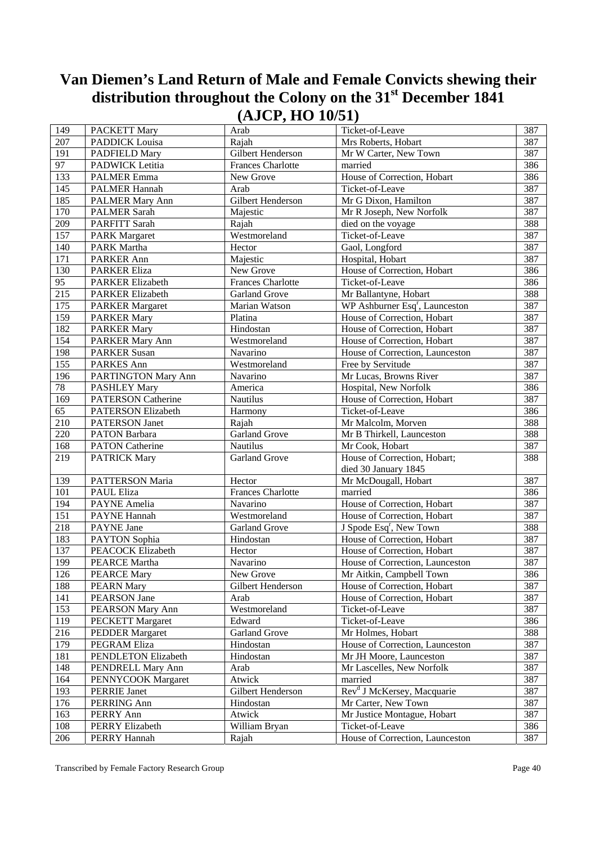| 149             |                                | $(2 - 2 - 7 - 7)$<br>Arab | Ticket-of-Leave                            | 387 |
|-----------------|--------------------------------|---------------------------|--------------------------------------------|-----|
| 207             | PACKETT Mary<br>PADDICK Louisa | Rajah                     | Mrs Roberts, Hobart                        | 387 |
|                 |                                |                           | Mr W Carter, New Town                      |     |
| 191             | PADFIELD Mary                  | Gilbert Henderson         |                                            | 387 |
| 97              | PADWICK Letitia                | <b>Frances Charlotte</b>  | married                                    | 386 |
| 133             | <b>PALMER Emma</b>             | New Grove                 | House of Correction, Hobart                | 386 |
| 145             | <b>PALMER Hannah</b>           | Arab                      | Ticket-of-Leave                            | 387 |
| 185             | PALMER Mary Ann                | Gilbert Henderson         | Mr G Dixon, Hamilton                       | 387 |
| 170             | <b>PALMER Sarah</b>            | Majestic                  | Mr R Joseph, New Norfolk                   | 387 |
| 209             | PARFITT Sarah                  | Rajah                     | died on the voyage                         | 388 |
| 157             | <b>PARK Margaret</b>           | Westmoreland              | Ticket-of-Leave                            | 387 |
| 140             | PARK Martha                    | Hector                    | Gaol, Longford                             | 387 |
| 171             | PARKER Ann                     | Majestic                  | Hospital, Hobart                           | 387 |
| 130             | <b>PARKER Eliza</b>            | New Grove                 | House of Correction, Hobart                | 386 |
| $\overline{95}$ | <b>PARKER Elizabeth</b>        | <b>Frances Charlotte</b>  | Ticket-of-Leave                            | 386 |
| 215             | <b>PARKER Elizabeth</b>        | <b>Garland Grove</b>      | Mr Ballantyne, Hobart                      | 388 |
| 175             | <b>PARKER Margaret</b>         | Marian Watson             | WP Ashburner Esq <sup>r</sup> , Launceston | 387 |
| 159             | <b>PARKER Mary</b>             | Platina                   | House of Correction, Hobart                | 387 |
| 182             | <b>PARKER Mary</b>             | Hindostan                 | House of Correction, Hobart                | 387 |
| 154             | PARKER Mary Ann                | Westmoreland              | House of Correction, Hobart                | 387 |
| 198             | <b>PARKER Susan</b>            | Navarino                  | House of Correction, Launceston            | 387 |
| 155             | PARKES Ann                     | Westmoreland              | Free by Servitude                          | 387 |
| 196             | PARTINGTON Mary Ann            | Navarino                  | Mr Lucas, Browns River                     | 387 |
| 78              | <b>PASHLEY Mary</b>            | America                   | Hospital, New Norfolk                      | 386 |
| 169             | <b>PATERSON Catherine</b>      | Nautilus                  | House of Correction, Hobart                | 387 |
| 65              | PATERSON Elizabeth             | Harmony                   | Ticket-of-Leave                            | 386 |
| 210             | <b>PATERSON</b> Janet          | Rajah                     | Mr Malcolm, Morven                         | 388 |
| 220             | PATON Barbara                  | <b>Garland Grove</b>      | Mr B Thirkell, Launceston                  | 388 |
| 168             | <b>PATON</b> Catherine         | Nautilus                  | Mr Cook, Hobart                            | 387 |
| 219             | <b>PATRICK Mary</b>            | <b>Garland Grove</b>      | House of Correction, Hobart;               | 388 |
|                 |                                |                           | died 30 January 1845                       |     |
| 139             | PATTERSON Maria                | Hector                    | Mr McDougall, Hobart                       | 387 |
| 101             | PAUL Eliza                     | Frances Charlotte         | married                                    | 386 |
| 194             | PAYNE Amelia                   | Navarino                  | House of Correction, Hobart                | 387 |
| 151             | PAYNE Hannah                   | Westmoreland              | House of Correction, Hobart                | 387 |
| 218             | PAYNE Jane                     | Garland Grove             | J Spode Esq <sup>r</sup> , New Town        | 388 |
|                 |                                |                           |                                            | 387 |
| 183             | PAYTON Sophia                  | Hindostan                 | House of Correction, Hobart                |     |
| 137             | PEACOCK Elizabeth              | Hector                    | House of Correction, Hobart                | 387 |
| 199             | PEARCE Martha                  | Navarino                  | House of Correction, Launceston            | 387 |
| 126             | <b>PEARCE Mary</b>             | New Grove                 | Mr Aitkin, Campbell Town                   | 386 |
| 188             | <b>PEARN Mary</b>              | Gilbert Henderson         | House of Correction, Hobart                | 387 |
| 141             | PEARSON Jane                   | Arab                      | House of Correction, Hobart                | 387 |
| 153             | PEARSON Mary Ann               | Westmoreland              | Ticket-of-Leave                            | 387 |
| 119             | PECKETT Margaret               | Edward                    | Ticket-of-Leave                            | 386 |
| 216             | <b>PEDDER Margaret</b>         | Garland Grove             | Mr Holmes, Hobart                          | 388 |
| 179             | PEGRAM Eliza                   | Hindostan                 | House of Correction, Launceston            | 387 |
| 181             | PENDLETON Elizabeth            | Hindostan                 | Mr JH Moore, Launceston                    | 387 |
| 148             | PENDRELL Mary Ann              | Arab                      | Mr Lascelles, New Norfolk                  | 387 |
| 164             | PENNYCOOK Margaret             | Atwick                    | married                                    | 387 |
| 193             | PERRIE Janet                   | Gilbert Henderson         | Rev <sup>d</sup> J McKersey, Macquarie     | 387 |
| 176             | PERRING Ann                    | Hindostan                 | Mr Carter, New Town                        | 387 |
| 163             | PERRY Ann                      | Atwick                    | Mr Justice Montague, Hobart                | 387 |
| 108             | PERRY Elizabeth                | William Bryan             | Ticket-of-Leave                            | 386 |
| 206             | PERRY Hannah                   | Rajah                     | House of Correction, Launceston            | 387 |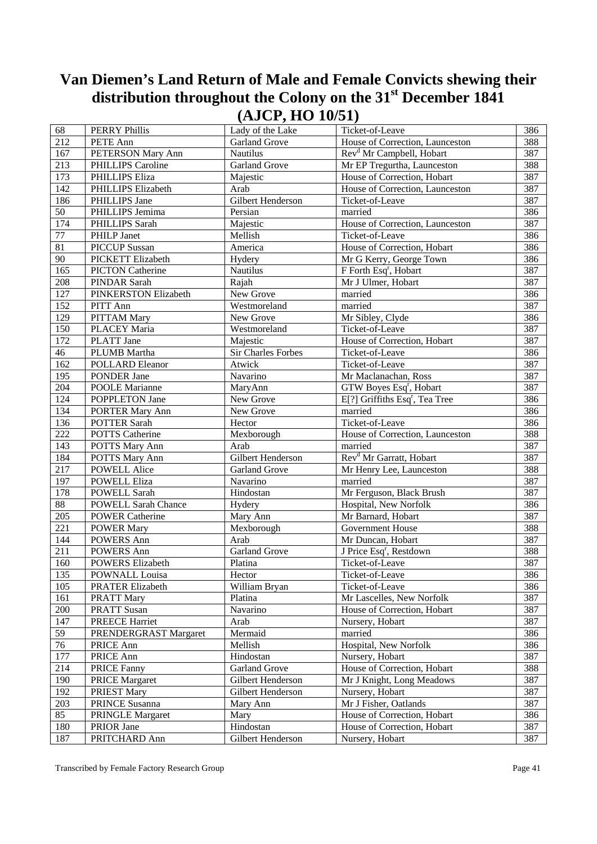|                 |                                              | $\sqrt{-1}$ $\sqrt{-1}$ $\sqrt{-1}$ | — — — — — — — — — — — —              |     |
|-----------------|----------------------------------------------|-------------------------------------|--------------------------------------|-----|
| 68              | <b>PERRY Phillis</b>                         | Lady of the Lake                    | Ticket-of-Leave                      | 386 |
| 212             | PETE Ann                                     | Garland Grove                       | House of Correction, Launceston      | 388 |
| 167             | PETERSON Mary Ann                            | Nautilus                            | Rev <sup>d</sup> Mr Campbell, Hobart | 387 |
| 213             | PHILLIPS Caroline                            | Garland Grove                       | Mr EP Tregurtha, Launceston          | 388 |
| 173             | PHILLIPS Eliza                               | Majestic                            | House of Correction, Hobart          | 387 |
| 142             | PHILLIPS Elizabeth                           | Arab                                | House of Correction, Launceston      | 387 |
| 186             | PHILLIPS Jane                                | Gilbert Henderson                   | Ticket-of-Leave                      | 387 |
| 50              | PHILLIPS Jemima                              | Persian                             | married                              | 386 |
| 174             | PHILLIPS Sarah                               | Majestic                            | House of Correction, Launceston      | 387 |
| $77\,$          | PHILP Janet                                  | Mellish                             | Ticket-of-Leave                      | 386 |
| 81              | <b>PICCUP</b> Sussan                         | America                             | House of Correction, Hobart          | 386 |
| 90              | PICKETT Elizabeth                            | Hydery                              | Mr G Kerry, George Town              | 386 |
| 165             | <b>PICTON Catherine</b>                      | Nautilus                            | F Forth Esq <sup>r</sup> , Hobart    | 387 |
| 208             | PINDAR Sarah                                 | Rajah                               | Mr J Ulmer, Hobart                   | 387 |
| 127             | PINKERSTON Elizabeth                         | New Grove                           | married                              | 386 |
| 152             | PITT Ann                                     | Westmoreland                        | married                              | 387 |
| 129             | PITTAM Mary                                  | New Grove                           | Mr Sibley, Clyde                     | 386 |
| 150             | PLACEY Maria                                 | Westmoreland                        | Ticket-of-Leave                      | 387 |
| 172             | PLATT Jane                                   | Majestic                            | House of Correction, Hobart          | 387 |
| 46              | PLUMB Martha                                 | Sir Charles Forbes                  | Ticket-of-Leave                      | 386 |
| 162             | <b>POLLARD</b> Eleanor                       | Atwick                              | Ticket-of-Leave                      | 387 |
| 195             | PONDER Jane                                  | Navarino                            | Mr Maclanachan, Ross                 | 387 |
| 204             | <b>POOLE Marianne</b>                        | MaryAnn                             | GTW Boyes Esq <sup>r</sup> , Hobart  | 387 |
| 124             | POPPLETON Jane                               | New Grove                           | $E[?]$ Griffiths $Esqr$ , Tea Tree   | 386 |
| 134             | <b>PORTER Mary Ann</b>                       | New Grove                           | married                              | 386 |
| 136             | POTTER Sarah                                 | Hector                              | Ticket-of-Leave                      | 386 |
| 222             | <b>POTTS</b> Catherine                       | Mexborough                          | House of Correction, Launceston      | 388 |
| 143             | POTTS Mary Ann                               | Arab                                | married                              | 387 |
| 184             | POTTS Mary Ann                               | Gilbert Henderson                   | Rev <sup>d</sup> Mr Garratt, Hobart  | 387 |
| 217             | POWELL Alice                                 | Garland Grove                       | Mr Henry Lee, Launceston             | 388 |
| 197             | <b>POWELL Eliza</b>                          | Navarino                            | married                              | 387 |
| 178             | POWELL Sarah                                 | Hindostan                           | Mr Ferguson, Black Brush             | 387 |
| $88\,$          | <b>POWELL Sarah Chance</b>                   | Hydery                              | Hospital, New Norfolk                | 386 |
| 205             | <b>POWER Catherine</b>                       | Mary Ann                            | Mr Barnard, Hobart                   | 387 |
| 221             | <b>POWER Mary</b>                            | Mexborough                          | Government House                     | 388 |
| 144             | POWERS Ann                                   | Arab                                | Mr Duncan, Hobart                    | 387 |
| 211             |                                              | <b>Garland Grove</b>                | J Price Esq <sup>r</sup> , Restdown  | 388 |
| 160             | <b>POWERS Ann</b><br><b>POWERS Elizabeth</b> | Platina                             | Ticket-of-Leave                      | 387 |
| 135             | POWNALL Louisa                               |                                     | Ticket-of-Leave                      | 386 |
| 105             |                                              | Hector<br>William Bryan             | Ticket-of-Leave                      | 386 |
|                 | PRATER Elizabeth                             |                                     |                                      |     |
| 161             | <b>PRATT Mary</b>                            | Platina                             | Mr Lascelles, New Norfolk            | 387 |
| 200             | <b>PRATT Susan</b>                           | Navarino                            | House of Correction, Hobart          | 387 |
| 147             | <b>PREECE Harriet</b>                        | Arab                                | Nursery, Hobart                      | 387 |
| 59              | PRENDERGRAST Margaret                        | Mermaid                             | married                              | 386 |
| $\overline{76}$ | PRICE Ann                                    | Mellish                             | Hospital, New Norfolk                | 386 |
| 177             | PRICE Ann                                    | Hindostan                           | Nursery, Hobart                      | 387 |
| 214             | <b>PRICE Fanny</b>                           | <b>Garland Grove</b>                | House of Correction, Hobart          | 388 |
| 190             | <b>PRICE Margaret</b>                        | Gilbert Henderson                   | Mr J Knight, Long Meadows            | 387 |
| 192             | PRIEST Mary                                  | Gilbert Henderson                   | Nursery, Hobart                      | 387 |
| 203             | PRINCE Susanna                               | Mary Ann                            | Mr J Fisher, Oatlands                | 387 |
| 85              | PRINGLE Margaret                             | Mary                                | House of Correction, Hobart          | 386 |
| 180             | PRIOR Jane                                   | Hindostan                           | House of Correction, Hobart          | 387 |
| 187             | PRITCHARD Ann                                | Gilbert Henderson                   | Nursery, Hobart                      | 387 |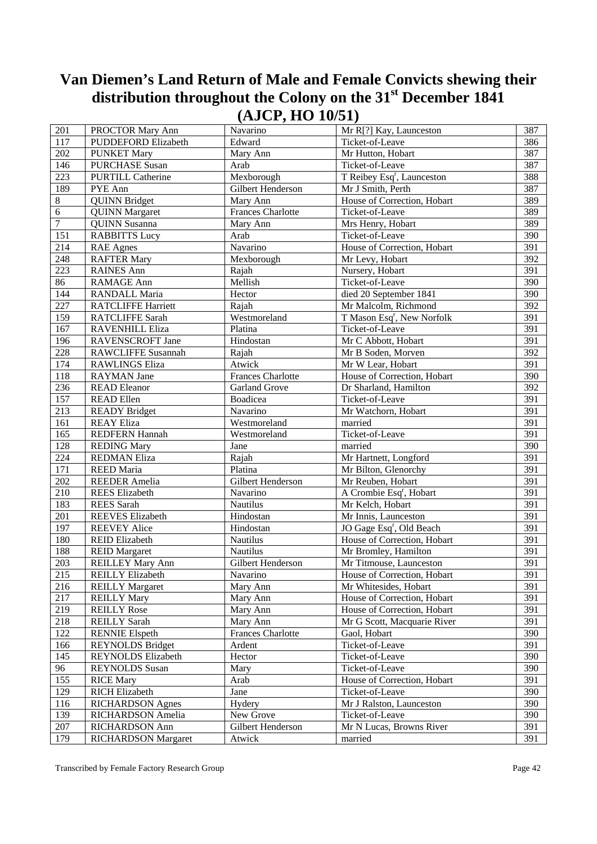| 201                              | PROCTOR Mary Ann           | Navarino                 | Mr R[?] Kay, Launceston                | 387 |
|----------------------------------|----------------------------|--------------------------|----------------------------------------|-----|
| 117                              | PUDDEFORD Elizabeth        | Edward                   | Ticket-of-Leave                        | 386 |
| 202                              | <b>PUNKET Mary</b>         | Mary Ann                 | Mr Hutton, Hobart                      | 387 |
| 146                              | <b>PURCHASE Susan</b>      | Arab                     | Ticket-of-Leave                        | 387 |
| 223                              | <b>PURTILL Catherine</b>   | Mexborough               | T Reibey Esq <sup>r</sup> , Launceston | 388 |
| 189                              | PYE Ann                    | Gilbert Henderson        | Mr J Smith, Perth                      | 387 |
|                                  |                            |                          |                                        |     |
| $8\,$                            | <b>QUINN Bridget</b>       | Mary Ann                 | House of Correction, Hobart            | 389 |
| $\overline{6}$<br>$\overline{7}$ | <b>QUINN</b> Margaret      | <b>Frances Charlotte</b> | Ticket-of-Leave                        | 389 |
|                                  | <b>QUINN</b> Susanna       | Mary Ann                 | Mrs Henry, Hobart                      | 389 |
| 151                              | <b>RABBITTS Lucy</b>       | Arab                     | Ticket-of-Leave                        | 390 |
| 214                              | <b>RAE</b> Agnes           | Navarino                 | House of Correction, Hobart            | 391 |
| 248                              | <b>RAFTER Mary</b>         | Mexborough               | Mr Levy, Hobart                        | 392 |
| 223                              | <b>RAINES Ann</b>          | Rajah                    | Nursery, Hobart                        | 391 |
| 86                               | RAMAGE Ann                 | Mellish                  | Ticket-of-Leave                        | 390 |
| 144                              | RANDALL Maria              | Hector                   | died 20 September 1841                 | 390 |
| 227                              | <b>RATCLIFFE Harriett</b>  | Rajah                    | Mr Malcolm, Richmond                   | 392 |
| 159                              | RATCLIFFE Sarah            | Westmoreland             | T Mason Esq <sup>r</sup> , New Norfolk | 391 |
| 167                              | RAVENHILL Eliza            | Platina                  | Ticket-of-Leave                        | 391 |
| 196                              | RAVENSCROFT Jane           | Hindostan                | Mr C Abbott, Hobart                    | 391 |
| 228                              | <b>RAWCLIFFE Susannah</b>  | Rajah                    | Mr B Soden, Morven                     | 392 |
| 174                              | <b>RAWLINGS Eliza</b>      | Atwick                   | Mr W Lear, Hobart                      | 391 |
| 118                              | <b>RAYMAN</b> Jane         | <b>Frances Charlotte</b> | House of Correction, Hobart            | 390 |
| 236                              | <b>READ Eleanor</b>        | <b>Garland Grove</b>     | Dr Sharland, Hamilton                  | 392 |
| 157                              | <b>READ Ellen</b>          | Boadicea                 | Ticket-of-Leave                        | 391 |
| 213                              | <b>READY Bridget</b>       | Navarino                 | Mr Watchorn, Hobart                    | 391 |
| 161                              | <b>REAY Eliza</b>          | Westmoreland             | married                                | 391 |
| 165                              | <b>REDFERN Hannah</b>      | Westmoreland             | Ticket-of-Leave                        | 391 |
| 128                              | <b>REDING Mary</b>         | Jane                     | $marrie\overline{d}$                   | 390 |
| 224                              | <b>REDMAN Eliza</b>        | Rajah                    | Mr Hartnett, Longford                  | 391 |
| 171                              | <b>REED</b> Maria          | Platina                  | Mr Bilton, Glenorchy                   | 391 |
| 202                              | <b>REEDER Amelia</b>       | Gilbert Henderson        | Mr Reuben, Hobart                      | 391 |
| 210                              | <b>REES</b> Elizabeth      | Navarino                 | A Crombie Esq <sup>r</sup> , Hobart    | 391 |
| 183                              | <b>REES</b> Sarah          | Nautilus                 | Mr Kelch, Hobart                       | 391 |
| 201                              | <b>REEVES Elizabeth</b>    | Hindostan                | Mr Innis, Launceston                   | 391 |
| 197                              | <b>REEVEY Alice</b>        | Hindostan                | JO Gage Esq <sup>r</sup> , Old Beach   | 391 |
| 180                              | <b>REID Elizabeth</b>      | Nautilus                 | House of Correction, Hobart            | 391 |
| 188                              | <b>REID Margaret</b>       | Nautilus                 | Mr Bromley, Hamilton                   | 391 |
| 203                              | <b>REILLEY Mary Ann</b>    | Gilbert Henderson        | Mr Titmouse, Launceston                | 391 |
| 215                              | <b>REILLY Elizabeth</b>    | Navarino                 | House of Correction, Hobart            | 391 |
| 216                              | <b>REILLY Margaret</b>     | Mary Ann                 | Mr Whitesides, Hobart                  | 391 |
| 217                              | <b>REILLY Mary</b>         |                          | House of Correction, Hobart            | 391 |
|                                  |                            | Mary Ann                 |                                        |     |
| 219                              | <b>REILLY Rose</b>         | Mary Ann                 | House of Correction, Hobart            | 391 |
| 218                              | <b>REILLY Sarah</b>        | Mary Ann                 | Mr G Scott, Macquarie River            | 391 |
| 122                              | <b>RENNIE Elspeth</b>      | <b>Frances Charlotte</b> | Gaol, Hobart                           | 390 |
| 166                              | <b>REYNOLDS</b> Bridget    | Ardent                   | Ticket-of-Leave                        | 391 |
| 145                              | REYNOLDS Elizabeth         | Hector                   | Ticket-of-Leave                        | 390 |
| 96                               | <b>REYNOLDS</b> Susan      | Mary                     | Ticket-of-Leave                        | 390 |
| 155                              | <b>RICE Mary</b>           | Arab                     | House of Correction, Hobart            | 391 |
| 129                              | RICH Elizabeth             | Jane                     | Ticket-of-Leave                        | 390 |
| 116                              | <b>RICHARDSON Agnes</b>    | Hydery                   | Mr J Ralston, Launceston               | 390 |
| 139                              | RICHARDSON Amelia          | New Grove                | Ticket-of-Leave                        | 390 |
| $207\,$                          | RICHARDSON Ann             | Gilbert Henderson        | Mr N Lucas, Browns River               | 391 |
| 179                              | <b>RICHARDSON Margaret</b> | Atwick                   | married                                | 391 |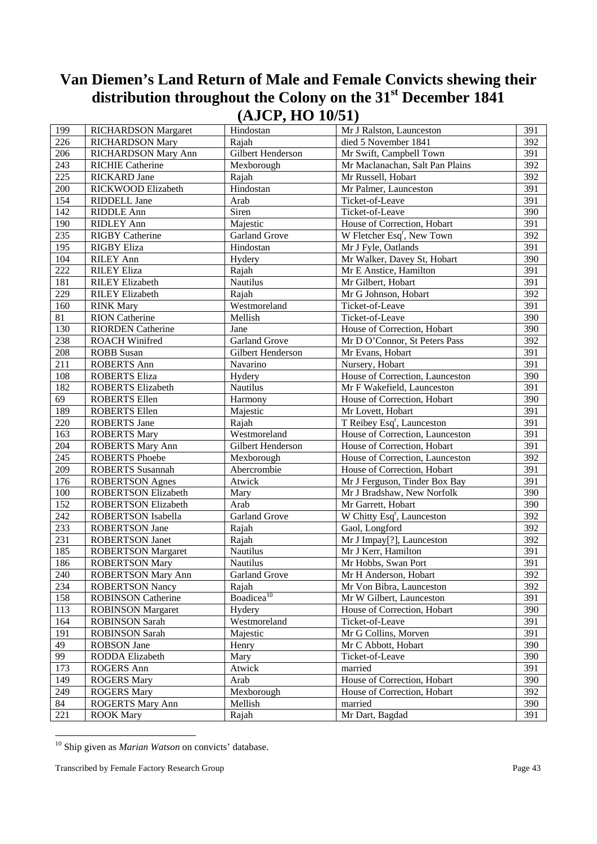| 199    | <b>RICHARDSON Margaret</b> | Hindostan              | Mr J Ralston, Launceston               | 391 |
|--------|----------------------------|------------------------|----------------------------------------|-----|
| 226    | <b>RICHARDSON Mary</b>     | Rajah                  | died 5 November 1841                   | 392 |
| 206    | RICHARDSON Mary Ann        | Gilbert Henderson      | Mr Swift, Campbell Town                | 391 |
| 243    | <b>RICHIE Catherine</b>    | Mexborough             | Mr Maclanachan, Salt Pan Plains        | 392 |
| 225    | <b>RICKARD</b> Jane        | Rajah                  | Mr Russell, Hobart                     | 392 |
| 200    | RICKWOOD Elizabeth         | Hindostan              | Mr Palmer, Launceston                  | 391 |
| 154    | RIDDELL Jane               | Arab                   | Ticket-of-Leave                        | 391 |
| 142    | RIDDLE Ann                 | Siren                  | Ticket-of-Leave                        | 390 |
| 190    | <b>RIDLEY Ann</b>          | Majestic               | House of Correction, Hobart            | 391 |
| 235    | <b>RIGBY Catherine</b>     | Garland Grove          | W Fletcher Esq <sup>r</sup> , New Town | 392 |
| 195    | <b>RIGBY Eliza</b>         | Hindostan              | Mr J Fyle, Oatlands                    | 391 |
| 104    | <b>RILEY Ann</b>           | Hydery                 | Mr Walker, Davey St, Hobart            | 390 |
| 222    | <b>RILEY Eliza</b>         | Rajah                  | Mr E Anstice, Hamilton                 | 391 |
| 181    | <b>RILEY Elizabeth</b>     | Nautilus               | Mr Gilbert, Hobart                     | 391 |
| 229    | <b>RILEY Elizabeth</b>     | Rajah                  | Mr G Johnson, Hobart                   | 392 |
| 160    | <b>RINK Mary</b>           | Westmoreland           | Ticket-of-Leave                        | 391 |
| $81\,$ | <b>RION</b> Catherine      | Mellish                | Ticket-of-Leave                        | 390 |
| 130    | <b>RIORDEN</b> Catherine   | Jane                   | House of Correction, Hobart            | 390 |
| 238    | <b>ROACH Winifred</b>      | <b>Garland Grove</b>   | Mr D O'Connor, St Peters Pass          | 392 |
| 208    | <b>ROBB</b> Susan          | Gilbert Henderson      | Mr Evans, Hobart                       | 391 |
| 211    | <b>ROBERTS Ann</b>         | Navarino               | Nursery, Hobart                        | 391 |
| 108    | <b>ROBERTS Eliza</b>       | Hydery                 | House of Correction, Launceston        | 390 |
| 182    | <b>ROBERTS Elizabeth</b>   | Nautilus               | Mr F Wakefield, Launceston             | 391 |
| 69     | ROBERTS Ellen              | Harmony                | House of Correction, Hobart            | 390 |
| 189    | <b>ROBERTS Ellen</b>       | Majestic               | Mr Lovett, Hobart                      | 391 |
| 220    | <b>ROBERTS</b> Jane        | Rajah                  | T Reibey Esq <sup>r</sup> , Launceston | 391 |
| 163    | <b>ROBERTS Mary</b>        | Westmoreland           | House of Correction, Launceston        | 391 |
| 204    | <b>ROBERTS Mary Ann</b>    | Gilbert Henderson      | House of Correction, Hobart            | 391 |
| 245    | <b>ROBERTS Phoebe</b>      | Mexborough             | House of Correction, Launceston        | 392 |
| 209    | <b>ROBERTS</b> Susannah    | Abercrombie            | House of Correction, Hobart            | 391 |
| 176    | <b>ROBERTSON Agnes</b>     | Atwick                 | Mr J Ferguson, Tinder Box Bay          | 391 |
| 100    | <b>ROBERTSON Elizabeth</b> | Mary                   | Mr J Bradshaw, New Norfolk             | 390 |
| 152    | <b>ROBERTSON Elizabeth</b> | Arab                   | Mr Garrett, Hobart                     | 390 |
| 242    | ROBERTSON Isabella         | <b>Garland Grove</b>   | W Chitty Esq <sup>r</sup> , Launceston | 392 |
| 233    | <b>ROBERTSON Jane</b>      | Rajah                  | Gaol, Longford                         | 392 |
| 231    | <b>ROBERTSON Janet</b>     | Rajah                  | Mr J Impay[?], Launceston              | 392 |
| 185    | <b>ROBERTSON Margaret</b>  | Nautilus               | Mr J Kerr, Hamilton                    | 391 |
| 186    | <b>ROBERTSON Mary</b>      | Nautilus               | Mr Hobbs, Swan Port                    | 391 |
| 240    | <b>ROBERTSON Mary Ann</b>  | Garland Grove          | Mr H Anderson, Hobart                  | 392 |
| 234    | <b>ROBERTSON Nancy</b>     | Rajah                  | Mr Von Bibra, Launceston               | 392 |
| 158    | <b>ROBINSON Catherine</b>  | Boadicea <sup>10</sup> | Mr W Gilbert, Launceston               | 391 |
| 113    | <b>ROBINSON</b> Margaret   | Hydery                 | House of Correction, Hobart            | 390 |
| 164    | <b>ROBINSON Sarah</b>      | Westmoreland           | Ticket-of-Leave                        | 391 |
| 191    | <b>ROBINSON Sarah</b>      | Majestic               | Mr G Collins, Morven                   | 391 |
| 49     | <b>ROBSON</b> Jane         | Henry                  | Mr C Abbott, Hobart                    | 390 |
| 99     | RODDA Elizabeth            | Mary                   | Ticket-of-Leave                        | 390 |
| 173    | ROGERS Ann                 | Atwick                 | married                                | 391 |
| 149    | <b>ROGERS Mary</b>         | Arab                   | House of Correction, Hobart            | 390 |
| 249    | <b>ROGERS Mary</b>         | Mexborough             | House of Correction, Hobart            | 392 |
| 84     | <b>ROGERTS Mary Ann</b>    | Mellish                | married                                | 390 |
| 221    | <b>ROOK Mary</b>           | Rajah                  | Mr Dart, Bagdad                        | 391 |

<sup>10</sup> Ship given as *Marian Watson* on convicts' database.

-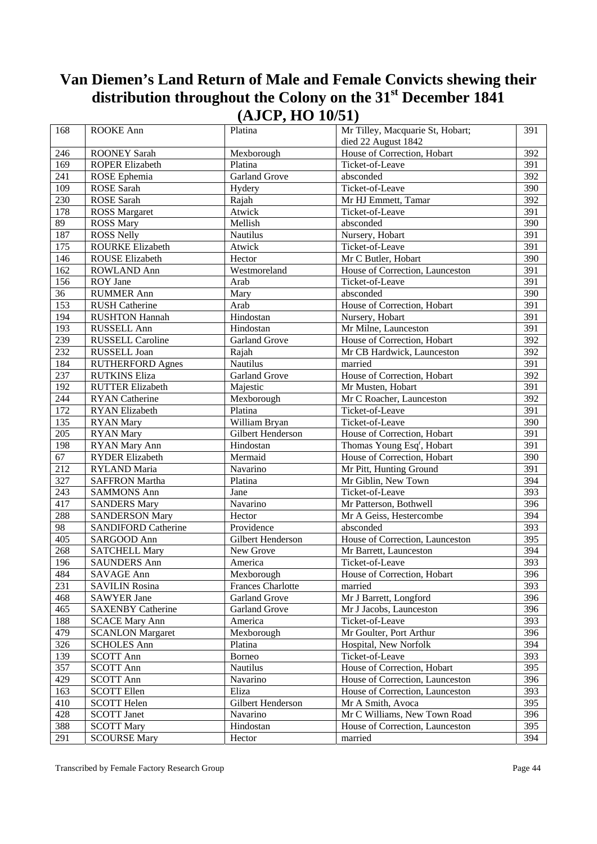| 168              | ROOKE Ann                           | Platina                                | Mr Tilley, Macquarie St, Hobart;       | 391              |
|------------------|-------------------------------------|----------------------------------------|----------------------------------------|------------------|
|                  |                                     |                                        | died 22 August 1842                    |                  |
| 246              | <b>ROONEY Sarah</b>                 | Mexborough                             | House of Correction, Hobart            | 392              |
| 169              | <b>ROPER Elizabeth</b>              | Platina                                | Ticket-of-Leave                        | 391              |
|                  |                                     | <b>Garland Grove</b>                   | absconded                              | 392              |
| 241              | ROSE Ephemia                        |                                        |                                        |                  |
| 109              | ROSE Sarah                          | Hydery                                 | Ticket-of-Leave                        | 390              |
| 230              | ROSE Sarah                          | Rajah                                  | Mr HJ Emmett, Tamar                    | 392              |
| 178              | <b>ROSS Margaret</b>                | Atwick                                 | Ticket-of-Leave                        | $\overline{391}$ |
| 89               | <b>ROSS Mary</b>                    | Mellish                                | absconded                              | 390              |
| 187              | <b>ROSS Nelly</b>                   | Nautilus                               | Nursery, Hobart                        | 391              |
| 175              | ROURKE Elizabeth                    | Atwick                                 | Ticket-of-Leave                        | 391              |
| 146              | <b>ROUSE Elizabeth</b>              | Hector                                 | Mr C Butler, Hobart                    | 390              |
| 162              | ROWLAND Ann                         | Westmoreland                           | House of Correction, Launceston        | 391              |
| 156              | ROY Jane                            | Arab                                   | Ticket-of-Leave                        | 391              |
| 36               | <b>RUMMER Ann</b>                   | Mary                                   | absconded                              | 390              |
| 153              | <b>RUSH Catherine</b>               | Arab                                   | House of Correction, Hobart            | 391              |
| 194              | <b>RUSHTON Hannah</b>               | Hindostan                              | Nursery, Hobart                        | 391              |
| 193              | RUSSELL Ann                         | Hindostan                              | Mr Milne, Launceston                   | 391              |
| 239              | <b>RUSSELL Caroline</b>             | <b>Garland Grove</b>                   | House of Correction, Hobart            | 392              |
| 232              | RUSSELL Joan                        | Rajah                                  | Mr CB Hardwick, Launceston             | 392              |
| 184              | <b>RUTHERFORD Agnes</b>             | <b>Nautilus</b>                        | married                                | 391              |
| 237              | <b>RUTKINS Eliza</b>                | <b>Garland Grove</b>                   | House of Correction, Hobart            | 392              |
| 192              | <b>RUTTER Elizabeth</b>             | Majestic                               | Mr Musten, Hobart                      | 391              |
| 244              | <b>RYAN</b> Catherine               | Mexborough                             | Mr C Roacher, Launceston               | 392              |
| 172              | RYAN Elizabeth                      | Platina                                | Ticket-of-Leave                        | $\overline{391}$ |
| 135              | <b>RYAN</b> Mary                    | William Bryan                          | Ticket-of-Leave                        | 390              |
| 205              | <b>RYAN</b> Mary                    | Gilbert Henderson                      | House of Correction, Hobart            | 391              |
| 198              | RYAN Mary Ann                       | Hindostan                              | Thomas Young Esq <sup>r</sup> , Hobart | 391              |
| 67               | <b>RYDER Elizabeth</b>              | Mermaid                                | House of Correction, Hobart            | 390              |
| 212              | RYLAND Maria                        | Navarino                               | Mr Pitt, Hunting Ground                | 391              |
| 327              | <b>SAFFRON Martha</b>               | Platina                                | Mr Giblin, New Town                    | 394              |
| 243              | <b>SAMMONS Ann</b>                  | Jane                                   | Ticket-of-Leave                        | 393              |
| 417              | <b>SANDERS Mary</b>                 | Navarino                               | Mr Patterson, Bothwell                 | 396              |
| 288              | <b>SANDERSON Mary</b>               | Hector                                 | Mr A Geiss, Hestercombe                | 394              |
| 98               | <b>SANDIFORD Catherine</b>          | Providence                             | absconded                              | 393              |
| $40\overline{5}$ | SARGOOD Ann                         | Gilbert Henderson                      | House of Correction, Launceston        | 395              |
| 268              | <b>SATCHELL Mary</b>                | New Grove                              | Mr Barrett, Launceston                 | 394              |
| 196              | <b>SAUNDERS Ann</b>                 | America                                | Ticket-of-Leave                        | 393              |
|                  |                                     |                                        |                                        |                  |
| 484<br>231       | SAVAGE Ann<br><b>SAVILIN Rosina</b> | Mexborough<br><b>Frances Charlotte</b> | House of Correction, Hobart<br>married | 396<br>393       |
| 468              | <b>SAWYER Jane</b>                  | <b>Garland Grove</b>                   | Mr J Barrett, Longford                 | 396              |
|                  | <b>SAXENBY Catherine</b>            |                                        |                                        |                  |
| 465              |                                     | <b>Garland Grove</b>                   | Mr J Jacobs, Launceston                | 396              |
| 188              | <b>SCACE Mary Ann</b>               | America                                | Ticket-of-Leave                        | 393              |
| 479              | <b>SCANLON Margaret</b>             | Mexborough                             | Mr Goulter, Port Arthur                | 396              |
| 326              | <b>SCHOLES Ann</b>                  | Platina                                | Hospital, New Norfolk                  | 394              |
| 139              | <b>SCOTT Ann</b>                    | Borneo                                 | Ticket-of-Leave                        | 393              |
| 357              | <b>SCOTT Ann</b>                    | Nautilus                               | House of Correction, Hobart            | 395              |
| 429              | <b>SCOTT Ann</b>                    | Navarino                               | House of Correction, Launceston        | 396              |
| 163              | <b>SCOTT Ellen</b>                  | Eliza                                  | House of Correction, Launceston        | 393              |
| 410              | <b>SCOTT Helen</b>                  | Gilbert Henderson                      | Mr A Smith, Avoca                      | 395              |
| 428              | <b>SCOTT Janet</b>                  | Navarino                               | Mr C Williams, New Town Road           | 396              |
| 388              | <b>SCOTT Mary</b>                   | Hindostan                              | House of Correction, Launceston        | 395              |
| 291              | <b>SCOURSE Mary</b>                 | Hector                                 | married                                | 394              |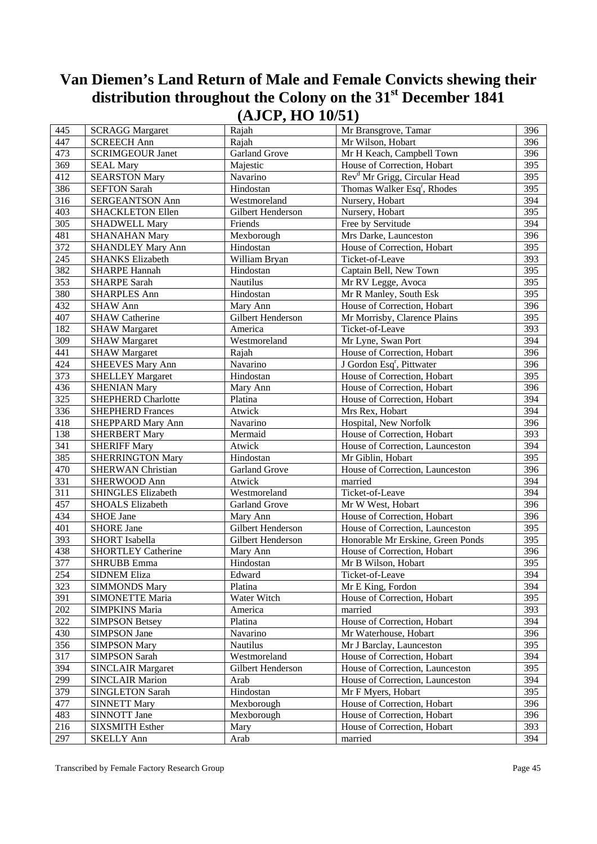|     |                           | $\left( -1 - 2 - 7 - 7 \right)$ |                                          |            |
|-----|---------------------------|---------------------------------|------------------------------------------|------------|
| 445 | <b>SCRAGG Margaret</b>    | Rajah                           | Mr Bransgrove, Tamar                     | 396        |
| 447 | <b>SCREECH Ann</b>        | Rajah                           | Mr Wilson, Hobart                        | 396        |
| 473 | <b>SCRIMGEOUR Janet</b>   | Garland Grove                   | Mr H Keach, Campbell Town                | 396        |
| 369 | <b>SEAL Mary</b>          | Majestic                        | House of Correction, Hobart              | 395        |
| 412 | <b>SEARSTON Mary</b>      | Navarino                        | Rev <sup>d</sup> Mr Grigg, Circular Head | 395        |
| 386 | <b>SEFTON Sarah</b>       | Hindostan                       | Thomas Walker Esq <sup>r</sup> , Rhodes  | 395        |
| 316 | SERGEANTSON Ann           | Westmoreland                    | Nursery, Hobart                          | 394        |
| 403 | <b>SHACKLETON Ellen</b>   | Gilbert Henderson               | Nursery, Hobart                          | 395        |
| 305 | <b>SHADWELL Mary</b>      | Friends                         | Free by Servitude                        | 394        |
| 481 | <b>SHANAHAN Mary</b>      | Mexborough                      | Mrs Darke, Launceston                    | 396        |
| 372 | <b>SHANDLEY Mary Ann</b>  | Hindostan                       | House of Correction, Hobart              | 395        |
| 245 | <b>SHANKS Elizabeth</b>   | William Bryan                   | Ticket-of-Leave                          | 393        |
| 382 | <b>SHARPE Hannah</b>      | Hindostan                       | Captain Bell, New Town                   | 395        |
| 353 | <b>SHARPE Sarah</b>       | Nautilus                        | Mr RV Legge, Avoca                       | 395        |
| 380 | <b>SHARPLES Ann</b>       | Hindostan                       | Mr R Manley, South Esk                   | 395        |
| 432 | <b>SHAW Ann</b>           | Mary Ann                        | House of Correction, Hobart              | 396        |
| 407 | <b>SHAW Catherine</b>     | Gilbert Henderson               | Mr Morrisby, Clarence Plains             | 395        |
| 182 | <b>SHAW Margaret</b>      | America                         | Ticket-of-Leave                          | 393        |
| 309 | <b>SHAW Margaret</b>      | Westmoreland                    | Mr Lyne, Swan Port                       | 394        |
| 441 | <b>SHAW Margaret</b>      | Rajah                           | House of Correction, Hobart              | 396        |
| 424 | <b>SHEEVES Mary Ann</b>   | Navarino                        | J Gordon Esq <sup>r</sup> , Pittwater    | 396        |
| 373 | <b>SHELLEY Margaret</b>   | Hindostan                       | House of Correction, Hobart              | 395        |
| 436 | <b>SHENIAN Mary</b>       | Mary Ann                        | House of Correction, Hobart              | 396        |
| 325 | <b>SHEPHERD Charlotte</b> | Platina                         | House of Correction, Hobart              | 394        |
| 336 | <b>SHEPHERD Frances</b>   |                                 |                                          | 394        |
|     |                           | Atwick                          | Mrs Rex, Hobart                          | 396        |
| 418 | SHEPPARD Mary Ann         | Navarino                        | Hospital, New Norfolk                    |            |
| 138 | <b>SHERBERT Mary</b>      | Mermaid                         | House of Correction, Hobart              | 393<br>394 |
| 341 | <b>SHERIFF Mary</b>       | Atwick                          | House of Correction, Launceston          |            |
| 385 | <b>SHERRINGTON Mary</b>   | Hindostan                       | Mr Giblin, Hobart                        | 395        |
| 470 | <b>SHERWAN Christian</b>  | <b>Garland Grove</b>            | House of Correction, Launceston          | 396        |
| 331 | SHERWOOD Ann              | Atwick                          | married                                  | 394        |
| 311 | SHINGLES Elizabeth        | Westmoreland                    | Ticket-of-Leave                          | 394        |
| 457 | <b>SHOALS Elizabeth</b>   | <b>Garland Grove</b>            | Mr W West, Hobart                        | 396        |
| 434 | SHOE Jane                 | Mary Ann                        | House of Correction, Hobart              | 396        |
| 401 | <b>SHORE Jane</b>         | Gilbert Henderson               | House of Correction, Launceston          | 395        |
| 393 | <b>SHORT</b> Isabella     | Gilbert Henderson               | Honorable Mr Erskine, Green Ponds        | 395        |
| 438 | <b>SHORTLEY Catherine</b> | Mary Ann                        | House of Correction, Hobart              | 396        |
| 377 | <b>SHRUBB</b> Emma        | Hindostan                       | Mr B Wilson, Hobart                      | 395        |
| 254 | <b>SIDNEM Eliza</b>       | Edward                          | Ticket-of-Leave                          | 394        |
| 323 | <b>SIMMONDS Mary</b>      | Platina                         | Mr E King, Fordon                        | 394        |
| 391 | <b>SIMONETTE Maria</b>    | Water Witch                     | House of Correction, Hobart              | 395        |
| 202 | <b>SIMPKINS Maria</b>     | America                         | married                                  | 393        |
| 322 | <b>SIMPSON Betsey</b>     | Platina                         | House of Correction, Hobart              | 394        |
| 430 | <b>SIMPSON Jane</b>       | Navarino                        | Mr Waterhouse, Hobart                    | 396        |
| 356 | <b>SIMPSON Mary</b>       | Nautilus                        | Mr J Barclay, Launceston                 | 395        |
| 317 | <b>SIMPSON Sarah</b>      | Westmoreland                    | House of Correction, Hobart              | 394        |
| 394 | <b>SINCLAIR Margaret</b>  | Gilbert Henderson               | House of Correction, Launceston          | 395        |
| 299 | <b>SINCLAIR Marion</b>    | Arab                            | House of Correction, Launceston          | 394        |
| 379 | <b>SINGLETON Sarah</b>    | Hindostan                       | Mr F Myers, Hobart                       | 395        |
| 477 | <b>SINNETT Mary</b>       | Mexborough                      | House of Correction, Hobart              | 396        |
| 483 | SINNOTT Jane              | Mexborough                      | House of Correction, Hobart              | 396        |
| 216 | <b>SIXSMITH Esther</b>    | Mary                            | House of Correction, Hobart              | 393        |
| 297 | <b>SKELLY Ann</b>         | Arab                            | married                                  | 394        |
|     |                           |                                 |                                          |            |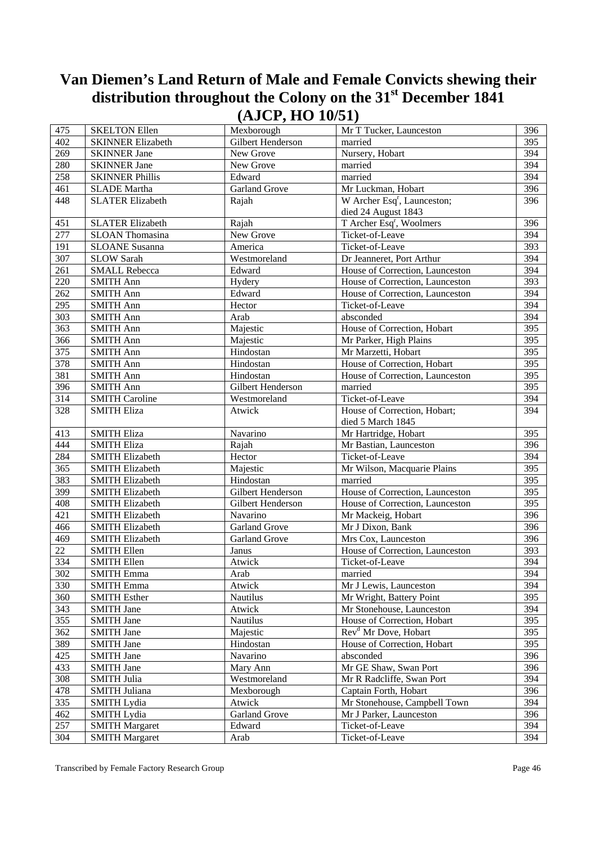| 475        | <b>SKELTON Ellen</b>     | $(-20 - 9) = -0.02$<br>Mexborough | Mr T Tucker, Launceston                 | 396 |
|------------|--------------------------|-----------------------------------|-----------------------------------------|-----|
| 402        | <b>SKINNER Elizabeth</b> | Gilbert Henderson                 | married                                 | 395 |
| 269        | <b>SKINNER Jane</b>      | New Grove                         | Nursery, Hobart                         | 394 |
| 280        | <b>SKINNER Jane</b>      | New Grove                         | married                                 | 394 |
| 258        | <b>SKINNER Phillis</b>   | Edward                            | married                                 | 394 |
| 461        | <b>SLADE</b> Martha      | <b>Garland Grove</b>              | Mr Luckman, Hobart                      | 396 |
| 448        | <b>SLATER Elizabeth</b>  | Rajah                             | W Archer Esq <sup>r</sup> , Launceston; | 396 |
|            |                          |                                   | died 24 August 1843                     |     |
|            | <b>SLATER Elizabeth</b>  |                                   | T Archer Esq <sup>r</sup> , Woolmers    | 396 |
| 451<br>277 | <b>SLOAN</b> Thomasina   | Rajah<br>New Grove                | Ticket-of-Leave                         | 394 |
| 191        | <b>SLOANE</b> Susanna    | America                           | Ticket-of-Leave                         | 393 |
| 307        |                          |                                   | Dr Jeanneret, Port Arthur               | 394 |
|            | <b>SLOW Sarah</b>        | Westmoreland                      |                                         |     |
| 261        | <b>SMALL Rebecca</b>     | Edward                            | House of Correction, Launceston         | 394 |
| 220        | <b>SMITH Ann</b>         | Hydery                            | House of Correction, Launceston         | 393 |
| 262        | <b>SMITH Ann</b>         | Edward                            | House of Correction, Launceston         | 394 |
| 295        | <b>SMITH Ann</b>         | Hector                            | Ticket-of-Leave                         | 394 |
| 303        | <b>SMITH Ann</b>         | Arab                              | absconded                               | 394 |
| 363        | <b>SMITH Ann</b>         | Majestic                          | House of Correction, Hobart             | 395 |
| 366        | <b>SMITH Ann</b>         | Majestic                          | Mr Parker, High Plains                  | 395 |
| 375        | <b>SMITH Ann</b>         | Hindostan                         | Mr Marzetti, Hobart                     | 395 |
| 378        | <b>SMITH Ann</b>         | Hindostan                         | House of Correction, Hobart             | 395 |
| 381        | <b>SMITH Ann</b>         | Hindostan                         | House of Correction, Launceston         | 395 |
| 396        | <b>SMITH Ann</b>         | Gilbert Henderson                 | married                                 | 395 |
| 314        | <b>SMITH Caroline</b>    | Westmoreland                      | Ticket-of-Leave                         | 394 |
| 328        | <b>SMITH Eliza</b>       | Atwick                            | House of Correction, Hobart;            | 394 |
|            |                          |                                   | died 5 March 1845                       |     |
| 413        | <b>SMITH Eliza</b>       | Navarino                          | Mr Hartridge, Hobart                    | 395 |
| 444        | <b>SMITH Eliza</b>       | Rajah                             | Mr Bastian, Launceston                  | 396 |
| 284        | <b>SMITH Elizabeth</b>   | Hector                            | Ticket-of-Leave                         | 394 |
| 365        | <b>SMITH Elizabeth</b>   | Majestic                          | Mr Wilson, Macquarie Plains             | 395 |
| 383        | <b>SMITH Elizabeth</b>   | Hindostan                         | married                                 | 395 |
| 399        | <b>SMITH Elizabeth</b>   | Gilbert Henderson                 | House of Correction, Launceston         | 395 |
| 408        | <b>SMITH Elizabeth</b>   | Gilbert Henderson                 | House of Correction, Launceston         | 395 |
| 421        | <b>SMITH Elizabeth</b>   | Navarino                          | Mr Mackeig, Hobart                      | 396 |
| 466        | <b>SMITH Elizabeth</b>   | <b>Garland Grove</b>              | Mr J Dixon, Bank                        | 396 |
| 469        | <b>SMITH Elizabeth</b>   | <b>Garland Grove</b>              | Mrs Cox, Launceston                     | 396 |
| 22         | <b>SMITH Ellen</b>       | Janus                             | House of Correction, Launceston         | 393 |
| 334        | <b>SMITH Ellen</b>       | Atwick                            | Ticket-of-Leave                         | 394 |
| 302        | <b>SMITH Emma</b>        | Arab                              | married                                 | 394 |
| 330        | <b>SMITH Emma</b>        | Atwick                            | Mr J Lewis, Launceston                  | 394 |
| 360        | <b>SMITH Esther</b>      | Nautilus                          | Mr Wright, Battery Point                | 395 |
| 343        | <b>SMITH Jane</b>        | Atwick                            | Mr Stonehouse, Launceston               | 394 |
| 355        | <b>SMITH Jane</b>        | Nautilus                          | House of Correction, Hobart             | 395 |
| 362        | <b>SMITH Jane</b>        | Majestic                          | Rev <sup>d</sup> Mr Dove, Hobart        | 395 |
| 389        | <b>SMITH Jane</b>        | Hindostan                         | House of Correction, Hobart             | 395 |
| 425        | <b>SMITH Jane</b>        | Navarino                          | absconded                               | 396 |
| 433        | <b>SMITH Jane</b>        | Mary Ann                          | Mr GE Shaw, Swan Port                   | 396 |
| 308        | <b>SMITH Julia</b>       | Westmoreland                      | Mr R Radcliffe, Swan Port               | 394 |
| 478        | SMITH Juliana            | Mexborough                        | Captain Forth, Hobart                   | 396 |
| 335        | <b>SMITH Lydia</b>       | Atwick                            | Mr Stonehouse, Campbell Town            | 394 |
| 462        | <b>SMITH Lydia</b>       | <b>Garland Grove</b>              | Mr J Parker, Launceston                 | 396 |
| 257        | <b>SMITH Margaret</b>    | Edward                            | Ticket-of-Leave                         | 394 |
| 304        | <b>SMITH Margaret</b>    | Arab                              | Ticket-of-Leave                         | 394 |
|            |                          |                                   |                                         |     |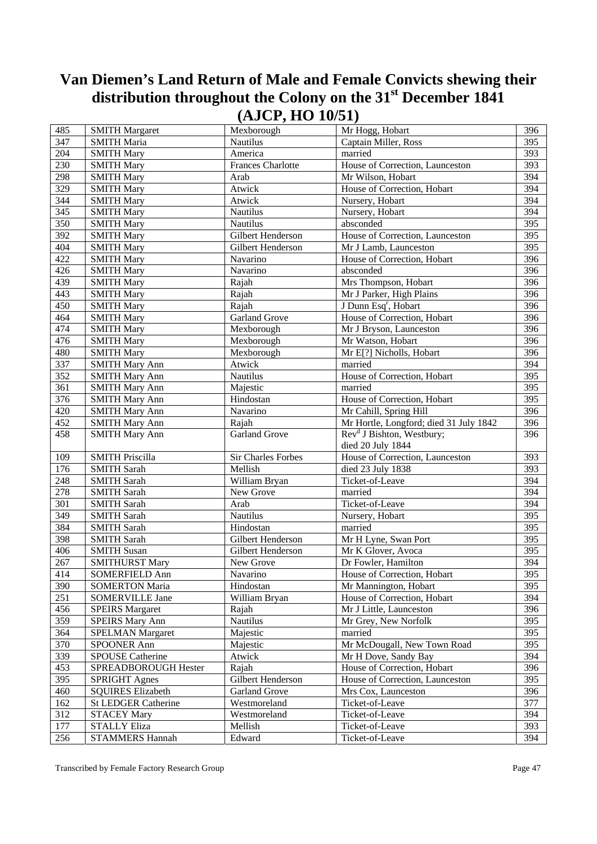| 485 | <b>SMITH Margaret</b>    | Mexborough               | Mr Hogg, Hobart                        | 396              |
|-----|--------------------------|--------------------------|----------------------------------------|------------------|
| 347 | <b>SMITH Maria</b>       | Nautilus                 | Captain Miller, Ross                   | 395              |
| 204 | <b>SMITH Mary</b>        | America                  | married                                | 393              |
| 230 | <b>SMITH Mary</b>        | <b>Frances Charlotte</b> | House of Correction, Launceston        | 393              |
| 298 | <b>SMITH Mary</b>        | Arab                     | Mr Wilson, Hobart                      | 394              |
| 329 | <b>SMITH Mary</b>        | Atwick                   | House of Correction, Hobart            | 394              |
| 344 | <b>SMITH Mary</b>        | Atwick                   | Nursery, Hobart                        | 394              |
| 345 | <b>SMITH Mary</b>        | Nautilus                 | Nursery, Hobart                        | 394              |
| 350 | <b>SMITH Mary</b>        | Nautilus                 | absconded                              | 395              |
| 392 | <b>SMITH Mary</b>        | Gilbert Henderson        | House of Correction, Launceston        | 395              |
| 404 | <b>SMITH Mary</b>        | Gilbert Henderson        | Mr J Lamb, Launceston                  | 395              |
| 422 | <b>SMITH Mary</b>        | Navarino                 | House of Correction, Hobart            | 396              |
| 426 | <b>SMITH Mary</b>        | Navarino                 | absconded                              | 396              |
| 439 | <b>SMITH Mary</b>        | Rajah                    | Mrs Thompson, Hobart                   | 396              |
| 443 | <b>SMITH Mary</b>        | Rajah                    | Mr J Parker, High Plains               | 396              |
| 450 | <b>SMITH Mary</b>        | Rajah                    | J Dunn Esq <sup>r</sup> , Hobart       | 396              |
| 464 | <b>SMITH Mary</b>        | Garland Grove            | House of Correction, Hobart            | 396              |
| 474 | <b>SMITH Mary</b>        | Mexborough               | Mr J Bryson, Launceston                | 396              |
| 476 | <b>SMITH Mary</b>        | Mexborough               | Mr Watson, Hobart                      | 396              |
| 480 | <b>SMITH Mary</b>        | Mexborough               | Mr E[?] Nicholls, Hobart               | 396              |
| 337 | <b>SMITH Mary Ann</b>    | Atwick                   | married                                | 394              |
| 352 | <b>SMITH Mary Ann</b>    | Nautilus                 | House of Correction, Hobart            | $\overline{395}$ |
| 361 | <b>SMITH Mary Ann</b>    | Majestic                 | married                                | $\overline{395}$ |
| 376 | <b>SMITH Mary Ann</b>    | Hindostan                | House of Correction, Hobart            | 395              |
| 420 | <b>SMITH Mary Ann</b>    | Navarino                 | Mr Cahill, Spring Hill                 | 396              |
| 452 | <b>SMITH Mary Ann</b>    | Rajah                    | Mr Hortle, Longford; died 31 July 1842 | 396              |
| 458 | <b>SMITH Mary Ann</b>    | <b>Garland Grove</b>     | Rev <sup>d</sup> J Bishton, Westbury;  | 396              |
|     |                          |                          | died 20 July 1844                      |                  |
| 109 | <b>SMITH Priscilla</b>   | Sir Charles Forbes       | House of Correction, Launceston        | 393              |
| 176 | <b>SMITH Sarah</b>       | Mellish                  | died 23 July 1838                      | 393              |
| 248 | <b>SMITH Sarah</b>       | William Bryan            | Ticket-of-Leave                        | 394              |
| 278 | <b>SMITH Sarah</b>       | New Grove                | married                                | 394              |
| 301 | <b>SMITH Sarah</b>       | Arab                     | Ticket-of-Leave                        | 394              |
| 349 | <b>SMITH Sarah</b>       | Nautilus                 | Nursery, Hobart                        | 395              |
| 384 | <b>SMITH Sarah</b>       | Hindostan                | married                                | 395              |
| 398 | <b>SMITH Sarah</b>       | Gilbert Henderson        | Mr H Lyne, Swan Port                   | 395              |
| 406 | <b>SMITH Susan</b>       | Gilbert Henderson        | Mr K Glover, Avoca                     | 395              |
| 267 | <b>SMITHURST Mary</b>    | New Grove                | Dr Fowler, Hamilton                    | 394              |
| 414 | <b>SOMERFIELD Ann</b>    | Navarino                 | House of Correction, Hobart            | 395              |
| 390 | <b>SOMERTON Maria</b>    | Hindostan                | Mr Mannington, Hobart                  | 395              |
| 251 | <b>SOMERVILLE Jane</b>   | William Bryan            | House of Correction, Hobart            | 394              |
| 456 | <b>SPEIRS</b> Margaret   | Rajah                    | Mr J Little, Launceston                | 396              |
| 359 | <b>SPEIRS Mary Ann</b>   | Nautilus                 | Mr Grey, New Norfolk                   | 395              |
| 364 | <b>SPELMAN Margaret</b>  | Majestic                 | married                                | 395              |
| 370 | <b>SPOONER Ann</b>       | Majestic                 | Mr McDougall, New Town Road            | 395              |
| 339 | <b>SPOUSE Catherine</b>  | Atwick                   | Mr H Dove, Sandy Bay                   | 394              |
| 453 | SPREADBOROUGH Hester     | Rajah                    | House of Correction, Hobart            | 396              |
| 395 | <b>SPRIGHT Agnes</b>     | Gilbert Henderson        | House of Correction, Launceston        | 395              |
| 460 | <b>SQUIRES Elizabeth</b> | Garland Grove            | Mrs Cox, Launceston                    | 396              |
| 162 | St LEDGER Catherine      | Westmoreland             | Ticket-of-Leave                        | 377              |
| 312 | <b>STACEY Mary</b>       | Westmoreland             | Ticket-of-Leave                        | 394              |
| 177 | <b>STALLY Eliza</b>      | Mellish                  | Ticket-of-Leave                        | 393              |
| 256 | <b>STAMMERS Hannah</b>   | Edward                   | Ticket-of-Leave                        | 394              |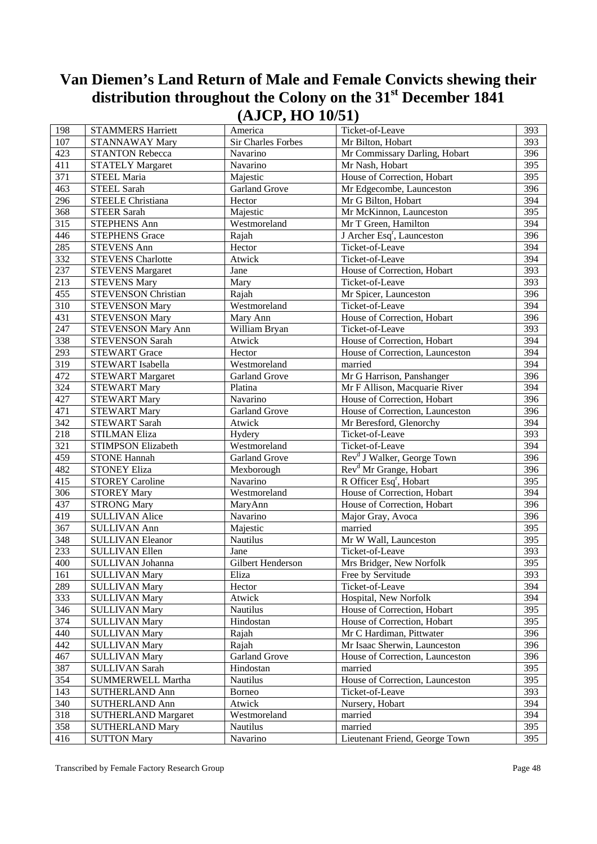| 198              | <b>STAMMERS Harriett</b>   | America              | Ticket-of-Leave                        | 393 |
|------------------|----------------------------|----------------------|----------------------------------------|-----|
| 107              | <b>STANNAWAY Mary</b>      | Sir Charles Forbes   | Mr Bilton, Hobart                      | 393 |
| 423              | <b>STANTON Rebecca</b>     | Navarino             | Mr Commissary Darling, Hobart          | 396 |
| 411              | <b>STATELY Margaret</b>    | Navarino             | Mr Nash, Hobart                        | 395 |
| 371              | STEEL Maria                | Majestic             | House of Correction, Hobart            | 395 |
| 463              | <b>STEEL Sarah</b>         | <b>Garland Grove</b> | Mr Edgecombe, Launceston               | 396 |
| 296              | <b>STEELE Christiana</b>   | Hector               | Mr G Bilton, Hobart                    | 394 |
| 368              | <b>STEER Sarah</b>         | Majestic             | Mr McKinnon, Launceston                | 395 |
| 315              | <b>STEPHENS Ann</b>        | Westmoreland         | Mr T Green, Hamilton                   | 394 |
| 446              | <b>STEPHENS Grace</b>      | Rajah                | J Archer Esq <sup>r</sup> , Launceston | 396 |
| 285              | <b>STEVENS Ann</b>         | Hector               | Ticket-of-Leave                        | 394 |
| 332              | <b>STEVENS Charlotte</b>   | Atwick               | Ticket-of-Leave                        | 394 |
| 237              | <b>STEVENS Margaret</b>    | Jane                 | House of Correction, Hobart            | 393 |
| $\overline{213}$ | <b>STEVENS Mary</b>        | Mary                 | Ticket-of-Leave                        | 393 |
| 455              | <b>STEVENSON Christian</b> | Rajah                | Mr Spicer, Launceston                  | 396 |
| 310              | <b>STEVENSON Mary</b>      | Westmoreland         | Ticket-of-Leave                        | 394 |
| 431              | <b>STEVENSON Mary</b>      | Mary Ann             | House of Correction, Hobart            | 396 |
| 247              | <b>STEVENSON Mary Ann</b>  | William Bryan        | Ticket-of-Leave                        | 393 |
| 338              | <b>STEVENSON Sarah</b>     | Atwick               | House of Correction, Hobart            | 394 |
| 293              | <b>STEWART Grace</b>       | Hector               | House of Correction, Launceston        | 394 |
| 319              | <b>STEWART</b> Isabella    | Westmoreland         | married                                | 394 |
| 472              | <b>STEWART Margaret</b>    | <b>Garland Grove</b> | Mr G Harrison, Panshanger              | 396 |
| 324              | <b>STEWART Mary</b>        | Platina              | Mr F Allison, Macquarie River          | 394 |
| 427              | <b>STEWART Mary</b>        | Navarino             | House of Correction, Hobart            | 396 |
| 471              | <b>STEWART Mary</b>        | <b>Garland Grove</b> | House of Correction, Launceston        | 396 |
| 342              | <b>STEWART Sarah</b>       | Atwick               | Mr Beresford, Glenorchy                | 394 |
| 218              | <b>STILMAN Eliza</b>       | Hydery               | Ticket-of-Leave                        | 393 |
| 321              | STIMPSON Elizabeth         | Westmoreland         | Ticket-of-Leave                        | 394 |
| 459              | <b>STONE Hannah</b>        | <b>Garland Grove</b> | Rev <sup>d</sup> J Walker, George Town | 396 |
| 482              | <b>STONEY Eliza</b>        | Mexborough           | Rev <sup>d</sup> Mr Grange, Hobart     | 396 |
| 415              | <b>STOREY Caroline</b>     | Navarino             | R Officer Esq <sup>r</sup> , Hobart    | 395 |
| 306              | <b>STOREY Mary</b>         | Westmoreland         | House of Correction, Hobart            | 394 |
| 437              | <b>STRONG Mary</b>         | MaryAnn              | House of Correction, Hobart            | 396 |
| 419              | <b>SULLIVAN Alice</b>      | Navarino             | Major Gray, Avoca                      | 396 |
| 367              | <b>SULLIVAN Ann</b>        | Majestic             | married                                | 395 |
| 348              | <b>SULLIVAN Eleanor</b>    | Nautilus             | Mr W Wall, Launceston                  | 395 |
| 233              | <b>SULLIVAN Ellen</b>      | Jane                 | Ticket-of-Leave                        | 393 |
| 400              | SULLIVAN Johanna           | Gilbert Henderson    | Mrs Bridger, New Norfolk               | 395 |
| 161              | <b>SULLIVAN Mary</b>       | Eliza                | Free by Servitude                      | 393 |
| 289              | <b>SULLIVAN Mary</b>       | Hector               | Ticket-of-Leave                        | 394 |
| 333              | <b>SULLIVAN Mary</b>       | Atwick               | Hospital, New Norfolk                  | 394 |
| 346              | <b>SULLIVAN Mary</b>       | Nautilus             | House of Correction, Hobart            | 395 |
| 374              | <b>SULLIVAN Mary</b>       | Hindostan            | House of Correction, Hobart            | 395 |
| 440              | <b>SULLIVAN Mary</b>       | Rajah                | Mr C Hardiman, Pittwater               | 396 |
| 442              | <b>SULLIVAN Mary</b>       | Rajah                | Mr Isaac Sherwin, Launceston           | 396 |
| 467              | <b>SULLIVAN Mary</b>       | <b>Garland Grove</b> | House of Correction, Launceston        | 396 |
| 387              | <b>SULLIVAN Sarah</b>      | Hindostan            | married                                | 395 |
| 354              | <b>SUMMERWELL Martha</b>   | Nautilus             | House of Correction, Launceston        | 395 |
| 143              | SUTHERLAND Ann             | Borneo               | Ticket-of-Leave                        | 393 |
| 340              | SUTHERLAND Ann             | Atwick               | Nursery, Hobart                        | 394 |
| 318              | <b>SUTHERLAND Margaret</b> | Westmoreland         | married                                | 394 |
| 358              | <b>SUTHERLAND Mary</b>     | Nautilus             | married                                | 395 |
| 416              | <b>SUTTON Mary</b>         | Navarino             | Lieutenant Friend, George Town         | 395 |
|                  |                            |                      |                                        |     |

Transcribed by Female Factory Research Group **Page 48**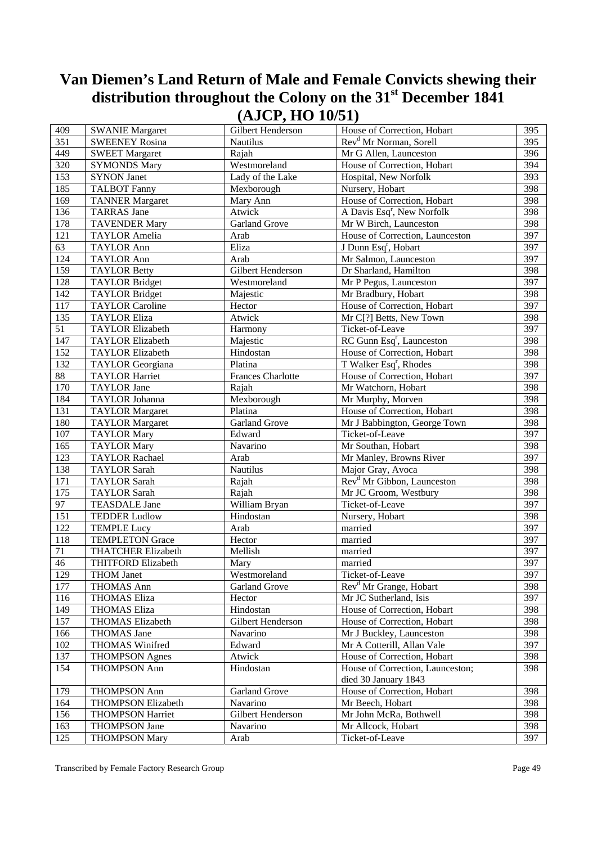| 409    | <b>SWANIE Margaret</b>    | Gilbert Henderson        | House of Correction, Hobart            | 395 |
|--------|---------------------------|--------------------------|----------------------------------------|-----|
| 351    | <b>SWEENEY Rosina</b>     | Nautilus                 | Rev <sup>d</sup> Mr Norman, Sorell     | 395 |
| 449    | <b>SWEET Margaret</b>     | Rajah                    | Mr G Allen, Launceston                 | 396 |
| 320    | <b>SYMONDS Mary</b>       | Westmoreland             | House of Correction, Hobart            | 394 |
| 153    | <b>SYNON Janet</b>        | Lady of the Lake         | Hospital, New Norfolk                  | 393 |
| 185    | <b>TALBOT Fanny</b>       | Mexborough               | Nursery, Hobart                        | 398 |
| 169    | <b>TANNER Margaret</b>    | Mary Ann                 | House of Correction, Hobart            | 398 |
| 136    | <b>TARRAS</b> Jane        | Atwick                   | A Davis Esq <sup>r</sup> , New Norfolk | 398 |
| 178    | <b>TAVENDER Mary</b>      | Garland Grove            | Mr W Birch, Launceston                 | 398 |
| 121    | <b>TAYLOR Amelia</b>      | Arab                     | House of Correction, Launceston        | 397 |
| 63     | <b>TAYLOR Ann</b>         | Eliza                    | J Dunn Esq <sup>r</sup> , Hobart       | 397 |
| 124    | <b>TAYLOR Ann</b>         | Arab                     | Mr Salmon, Launceston                  | 397 |
| 159    | <b>TAYLOR Betty</b>       | Gilbert Henderson        | Dr Sharland, Hamilton                  | 398 |
| 128    | <b>TAYLOR Bridget</b>     | Westmoreland             | Mr P Pegus, Launceston                 | 397 |
| 142    | <b>TAYLOR Bridget</b>     | Majestic                 | Mr Bradbury, Hobart                    | 398 |
| 117    | <b>TAYLOR Caroline</b>    | Hector                   | House of Correction, Hobart            | 397 |
| 135    | <b>TAYLOR Eliza</b>       | Atwick                   | Mr C[?] Betts, New Town                | 398 |
| 51     | <b>TAYLOR Elizabeth</b>   | Harmony                  | Ticket-of-Leave                        | 397 |
| 147    | <b>TAYLOR Elizabeth</b>   | Majestic                 | RC Gunn Esq <sup>r</sup> , Launceston  | 398 |
| 152    | <b>TAYLOR Elizabeth</b>   | Hindostan                | House of Correction, Hobart            | 398 |
| 132    | <b>TAYLOR</b> Georgiana   | Platina                  | T Walker Esq <sup>r</sup> , Rhodes     | 398 |
| 88     | <b>TAYLOR Harriet</b>     | <b>Frances Charlotte</b> | House of Correction, Hobart            | 397 |
| 170    | <b>TAYLOR Jane</b>        | Rajah                    | Mr Watchorn, Hobart                    | 398 |
| 184    | TAYLOR Johanna            | Mexborough               | Mr Murphy, Morven                      | 398 |
| 131    | <b>TAYLOR Margaret</b>    | Platina                  | House of Correction, Hobart            | 398 |
| 180    | <b>TAYLOR Margaret</b>    | <b>Garland Grove</b>     | Mr J Babbington, George Town           | 398 |
| 107    | <b>TAYLOR Mary</b>        | Edward                   | Ticket-of-Leave                        | 397 |
| 165    | <b>TAYLOR Mary</b>        | Navarino                 | Mr Southan, Hobart                     | 398 |
| 123    | <b>TAYLOR Rachael</b>     | Arab                     | Mr Manley, Browns River                | 397 |
| 138    | <b>TAYLOR Sarah</b>       | Nautilus                 | Major Gray, Avoca                      | 398 |
| 171    | <b>TAYLOR Sarah</b>       | Rajah                    | Rev <sup>d</sup> Mr Gibbon, Launceston | 398 |
| 175    | <b>TAYLOR Sarah</b>       | Rajah                    | Mr JC Groom, Westbury                  | 398 |
| 97     | <b>TEASDALE Jane</b>      | William Bryan            | Ticket-of-Leave                        | 397 |
| 151    | <b>TEDDER Ludlow</b>      | Hindostan                | Nursery, Hobart                        | 398 |
| 122    | <b>TEMPLE Lucy</b>        | Arab                     | married                                | 397 |
| 118    | <b>TEMPLETON Grace</b>    | Hector                   | married                                | 397 |
| $71\,$ | <b>THATCHER Elizabeth</b> | Mellish                  | married                                | 397 |
| 46     | THITFORD Elizabeth        | Mary                     | married                                | 397 |
| 129    | <b>THOM Janet</b>         | Westmoreland             | Ticket-of-Leave                        | 397 |
| 177    | <b>THOMAS Ann</b>         | <b>Garland Grove</b>     | Rev <sup>d</sup> Mr Grange, Hobart     | 398 |
| 116    | <b>THOMAS Eliza</b>       | Hector                   | Mr JC Sutherland, Isis                 | 397 |
| 149    | <b>THOMAS Eliza</b>       | Hindostan                | House of Correction, Hobart            | 398 |
| 157    | THOMAS Elizabeth          | Gilbert Henderson        | House of Correction, Hobart            | 398 |
| 166    | THOMAS Jane               | Navarino                 | Mr J Buckley, Launceston               | 398 |
| 102    | <b>THOMAS Winifred</b>    | Edward                   | Mr A Cotterill, Allan Vale             | 397 |
| 137    | <b>THOMPSON Agnes</b>     | Atwick                   | House of Correction, Hobart            | 398 |
| 154    | <b>THOMPSON Ann</b>       | Hindostan                | House of Correction, Launceston;       | 398 |
|        |                           |                          | died 30 January 1843                   |     |
| 179    | THOMPSON Ann              | Garland Grove            | House of Correction, Hobart            | 398 |
| 164    | THOMPSON Elizabeth        | Navarino                 | Mr Beech, Hobart                       | 398 |
| 156    | <b>THOMPSON Harriet</b>   | Gilbert Henderson        | Mr John McRa, Bothwell                 | 398 |
| 163    | <b>THOMPSON Jane</b>      | Navarino                 | Mr Allcock, Hobart                     | 398 |
| 125    | <b>THOMPSON Mary</b>      | Arab                     | Ticket-of-Leave                        | 397 |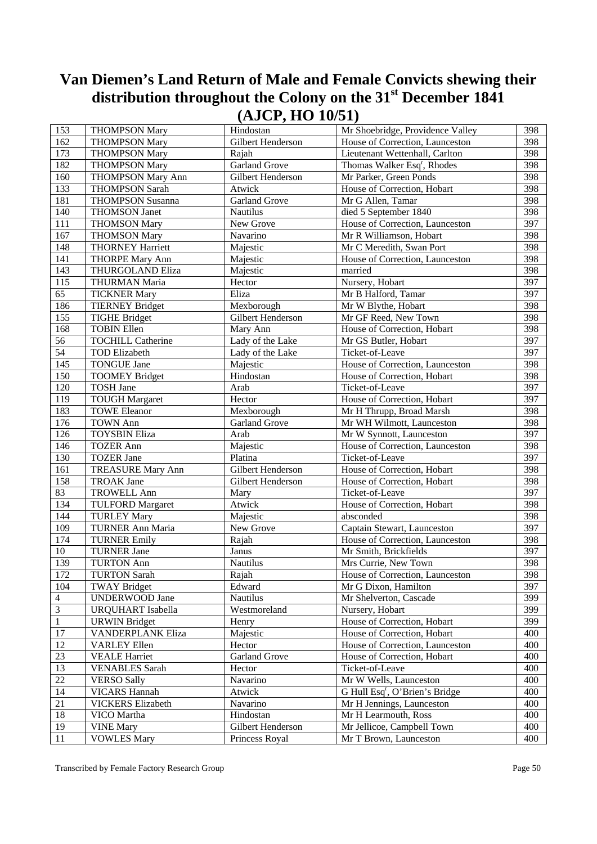| 153            | <b>THOMPSON Mary</b>     | Hindostan            | Mr Shoebridge, Providence Valley           | 398 |
|----------------|--------------------------|----------------------|--------------------------------------------|-----|
| 162            | <b>THOMPSON Mary</b>     | Gilbert Henderson    | House of Correction, Launceston            | 398 |
| 173            | <b>THOMPSON Mary</b>     | Rajah                | Lieutenant Wettenhall, Carlton             | 398 |
| 182            | <b>THOMPSON Mary</b>     | Garland Grove        | Thomas Walker Esq <sup>r</sup> , Rhodes    | 398 |
| 160            | <b>THOMPSON Mary Ann</b> | Gilbert Henderson    | Mr Parker, Green Ponds                     | 398 |
| 133            | <b>THOMPSON Sarah</b>    | Atwick               | House of Correction, Hobart                | 398 |
| 181            | <b>THOMPSON Susanna</b>  | Garland Grove        | Mr G Allen, Tamar                          | 398 |
| 140            | <b>THOMSON Janet</b>     | Nautilus             | died 5 September 1840                      | 398 |
| 111            | <b>THOMSON Mary</b>      | New Grove            | House of Correction, Launceston            | 397 |
| 167            | <b>THOMSON Mary</b>      | Navarino             | Mr R Williamson, Hobart                    | 398 |
| 148            | <b>THORNEY Harriett</b>  | Majestic             | Mr C Meredith, Swan Port                   | 398 |
| 141            | <b>THORPE Mary Ann</b>   | Majestic             | House of Correction, Launceston            | 398 |
| 143            | THURGOLAND Eliza         | Majestic             | married                                    | 398 |
| 115            | THURMAN Maria            | Hector               | Nursery, Hobart                            | 397 |
| 65             | <b>TICKNER Mary</b>      | Eliza                | Mr B Halford, Tamar                        | 397 |
| 186            | <b>TIERNEY Bridget</b>   | Mexborough           | Mr W Blythe, Hobart                        | 398 |
| 155            | <b>TIGHE Bridget</b>     | Gilbert Henderson    | Mr GF Reed, New Town                       | 398 |
| 168            | <b>TOBIN Ellen</b>       | Mary Ann             | House of Correction, Hobart                | 398 |
| 56             | <b>TOCHILL Catherine</b> | Lady of the Lake     | Mr GS Butler, Hobart                       | 397 |
| 54             | <b>TOD Elizabeth</b>     | Lady of the Lake     | Ticket-of-Leave                            | 397 |
| 145            | <b>TONGUE Jane</b>       | Majestic             | House of Correction, Launceston            | 398 |
| 150            | <b>TOOMEY Bridget</b>    | Hindostan            | House of Correction, Hobart                | 398 |
| 120            | <b>TOSH Jane</b>         | Arab                 | Ticket-of-Leave                            | 397 |
| 119            | <b>TOUGH Margaret</b>    | Hector               | House of Correction, Hobart                | 397 |
| 183            | <b>TOWE Eleanor</b>      | Mexborough           | Mr H Thrupp, Broad Marsh                   | 398 |
| 176            | <b>TOWN Ann</b>          | Garland Grove        | Mr WH Wilmott, Launceston                  | 398 |
| 126            | <b>TOYSBIN Eliza</b>     | Arab                 | Mr W Synnott, Launceston                   | 397 |
| 146            | <b>TOZER Ann</b>         | Majestic             | House of Correction, Launceston            | 398 |
| 130            | <b>TOZER Jane</b>        | Platina              | Ticket-of-Leave                            | 397 |
| 161            | <b>TREASURE Mary Ann</b> | Gilbert Henderson    | House of Correction, Hobart                | 398 |
| 158            | <b>TROAK Jane</b>        | Gilbert Henderson    | House of Correction, Hobart                | 398 |
| 83             | <b>TROWELL Ann</b>       | Mary                 | Ticket-of-Leave                            | 397 |
| 134            | <b>TULFORD Margaret</b>  | Atwick               | House of Correction, Hobart                | 398 |
| 144            | <b>TURLEY Mary</b>       | Majestic             | absconded                                  | 398 |
| 109            | TURNER Ann Maria         | New Grove            | Captain Stewart, Launceston                | 397 |
| 174            | <b>TURNER Emily</b>      | Rajah                | House of Correction, Launceston            | 398 |
| $10\,$         | <b>TURNER Jane</b>       | Janus                | Mr Smith, Brickfields                      | 397 |
| 139            | <b>TURTON Ann</b>        | Nautilus             | Mrs Currie, New Town                       | 398 |
| 172            | <b>TURTON Sarah</b>      | Rajah                | House of Correction, Launceston            | 398 |
| 104            | <b>TWAY Bridget</b>      | Edward               | Mr G Dixon, Hamilton                       | 397 |
| $\overline{4}$ | <b>UNDERWOOD Jane</b>    | Nautilus             | Mr Shelverton, Cascade                     | 399 |
| $\overline{3}$ | <b>URQUHART</b> Isabella | Westmoreland         | Nursery, Hobart                            | 399 |
| $\mathbf{1}$   | <b>URWIN</b> Bridget     | Henry                | House of Correction, Hobart                | 399 |
| 17             | VANDERPLANK Eliza        | Majestic             | House of Correction, Hobart                | 400 |
| 12             | <b>VARLEY Ellen</b>      | Hector               | House of Correction, Launceston            | 400 |
| 23             | <b>VEALE Harriet</b>     | <b>Garland Grove</b> | House of Correction, Hobart                | 400 |
| 13             | <b>VENABLES</b> Sarah    | Hector               | Ticket-of-Leave                            | 400 |
| 22             | <b>VERSO Sally</b>       | Navarino             | Mr W Wells, Launceston                     | 400 |
| 14             | <b>VICARS Hannah</b>     | Atwick               | G Hull Esq <sup>r</sup> , O'Brien's Bridge | 400 |
| 21             | <b>VICKERS Elizabeth</b> | Navarino             | Mr H Jennings, Launceston                  | 400 |
| 18             | VICO Martha              | Hindostan            | Mr H Learmouth, Ross                       | 400 |
| 19             | <b>VINE Mary</b>         | Gilbert Henderson    | Mr Jellicoe, Campbell Town                 | 400 |
| 11             | <b>VOWLES Mary</b>       | Princess Royal       | Mr T Brown, Launceston                     | 400 |

Transcribed by Female Factory Research Group **Page 50**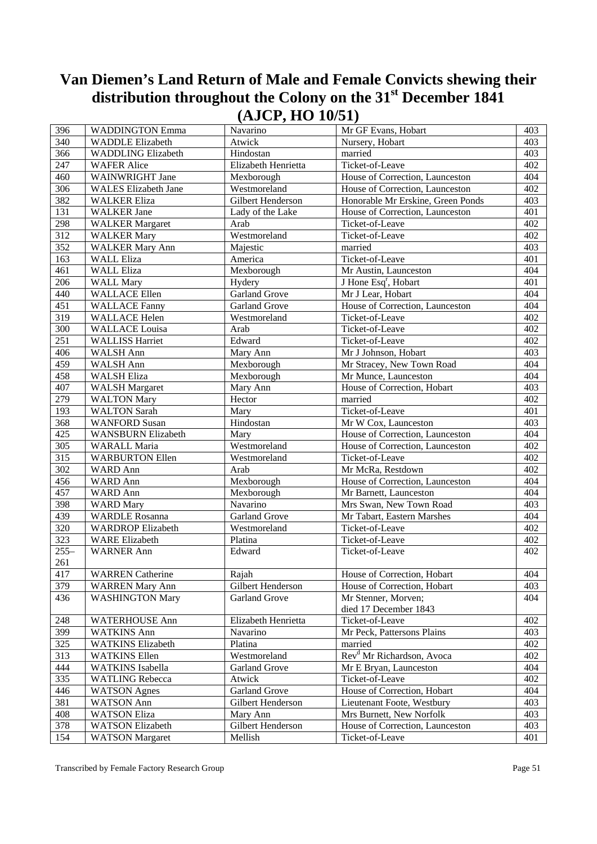| 396           | <b>WADDINGTON Emma</b>      | Navarino             | Mr GF Evans, Hobart                   | 403 |
|---------------|-----------------------------|----------------------|---------------------------------------|-----|
| 340           | <b>WADDLE Elizabeth</b>     | Atwick               | Nursery, Hobart                       | 403 |
| 366           | <b>WADDLING Elizabeth</b>   | Hindostan            | married                               | 403 |
| 247           | <b>WAFER Alice</b>          | Elizabeth Henrietta  | Ticket-of-Leave                       | 402 |
| 460           | WAINWRIGHT Jane             | Mexborough           | House of Correction, Launceston       | 404 |
| 306           | <b>WALES</b> Elizabeth Jane | Westmoreland         | House of Correction, Launceston       | 402 |
| 382           | <b>WALKER Eliza</b>         | Gilbert Henderson    | Honorable Mr Erskine, Green Ponds     | 403 |
| 131           | <b>WALKER</b> Jane          | Lady of the Lake     | House of Correction, Launceston       | 401 |
| 298           | <b>WALKER</b> Margaret      | Arab                 | Ticket-of-Leave                       | 402 |
| 312           | <b>WALKER Mary</b>          | Westmoreland         | Ticket-of-Leave                       | 402 |
| 352           | <b>WALKER Mary Ann</b>      | Majestic             | married                               | 403 |
| 163           | <b>WALL Eliza</b>           | America              | Ticket-of-Leave                       | 401 |
| 461           | <b>WALL Eliza</b>           | Mexborough           | Mr Austin, Launceston                 | 404 |
| 206           | <b>WALL Mary</b>            | Hydery               | J Hone Esq <sup>r</sup> , Hobart      | 401 |
| 440           | <b>WALLACE Ellen</b>        | <b>Garland Grove</b> | Mr J Lear, Hobart                     | 404 |
| 451           | <b>WALLACE Fanny</b>        | Garland Grove        | House of Correction, Launceston       | 404 |
| 319           | <b>WALLACE Helen</b>        | Westmoreland         | Ticket-of-Leave                       | 402 |
| 300           | <b>WALLACE</b> Louisa       | Arab                 | Ticket-of-Leave                       | 402 |
| 251           | <b>WALLISS Harriet</b>      | Edward               | Ticket-of-Leave                       | 402 |
| 406           | WALSH Ann                   | Mary Ann             | Mr J Johnson, Hobart                  | 403 |
| 459           | WALSH Ann                   | Mexborough           | Mr Stracey, New Town Road             | 404 |
| 458           | <b>WALSH Eliza</b>          | Mexborough           | Mr Munce, Launceston                  | 404 |
| 407           | <b>WALSH Margaret</b>       | Mary Ann             | House of Correction, Hobart           | 403 |
| 279           | <b>WALTON Mary</b>          | Hector               | married                               | 402 |
| 193           | <b>WALTON Sarah</b>         | Mary                 | Ticket-of-Leave                       | 401 |
| 368           | <b>WANFORD Susan</b>        | Hindostan            | Mr W Cox, Launceston                  | 403 |
| 425           | WANSBURN Elizabeth          | Mary                 | House of Correction, Launceston       | 404 |
| 305           | WARALL Maria                | Westmoreland         | House of Correction, Launceston       | 402 |
| 315           | <b>WARBURTON Ellen</b>      | Westmoreland         | Ticket-of-Leave                       | 402 |
| 302           | WARD Ann                    | Arab                 | Mr McRa, Restdown                     | 402 |
| 456           |                             | Mexborough           | House of Correction, Launceston       | 404 |
| 457           | WARD Ann                    |                      |                                       |     |
|               | WARD Ann                    | Mexborough           | Mr Barnett, Launceston                | 404 |
| 398           | <b>WARD</b> Mary            | Navarino             | Mrs Swan, New Town Road               | 403 |
| 439           | <b>WARDLE Rosanna</b>       | Garland Grove        | Mr Tabart, Eastern Marshes            | 404 |
| 320           | <b>WARDROP Elizabeth</b>    | Westmoreland         | Ticket-of-Leave                       | 402 |
| 323           | <b>WARE Elizabeth</b>       | Platina              | Ticket-of-Leave                       | 402 |
| $255-$<br>261 | <b>WARNER Ann</b>           | Edward               | Ticket-of-Leave                       | 402 |
| 417           | <b>WARREN</b> Catherine     | Rajah                | House of Correction, Hobart           | 404 |
| 379           | <b>WARREN Mary Ann</b>      | Gilbert Henderson    | House of Correction, Hobart           | 403 |
| 436           | <b>WASHINGTON Mary</b>      | <b>Garland Grove</b> | Mr Stenner, Morven;                   | 404 |
|               |                             |                      | died 17 December 1843                 |     |
| 248           | <b>WATERHOUSE Ann</b>       | Elizabeth Henrietta  | Ticket-of-Leave                       | 402 |
| 399           | <b>WATKINS Ann</b>          | Navarino             | Mr Peck, Pattersons Plains            | 403 |
| 325           | <b>WATKINS Elizabeth</b>    | Platina              | married                               | 402 |
| 313           | <b>WATKINS Ellen</b>        | Westmoreland         | Rev <sup>d</sup> Mr Richardson, Avoca | 402 |
| 444           | <b>WATKINS</b> Isabella     | <b>Garland Grove</b> | Mr E Bryan, Launceston                | 404 |
| 335           | <b>WATLING Rebecca</b>      | Atwick               | Ticket-of-Leave                       | 402 |
| 446           | <b>WATSON</b> Agnes         | <b>Garland Grove</b> | House of Correction, Hobart           | 404 |
| 381           | <b>WATSON Ann</b>           | Gilbert Henderson    | Lieutenant Foote, Westbury            | 403 |
| 408           | <b>WATSON Eliza</b>         | Mary Ann             | Mrs Burnett, New Norfolk              | 403 |
| 378           | <b>WATSON Elizabeth</b>     | Gilbert Henderson    | House of Correction, Launceston       | 403 |
| 154           | <b>WATSON</b> Margaret      | Mellish              | Ticket-of-Leave                       | 401 |
|               |                             |                      |                                       |     |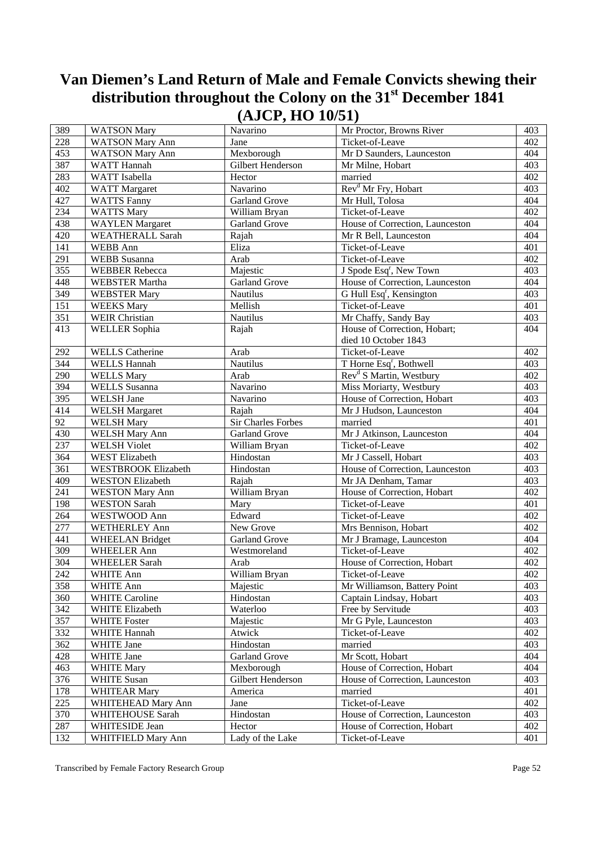| 389              | <b>WATSON Mary</b>      | Navarino                  | Mr Proctor, Browns River             | 403 |
|------------------|-------------------------|---------------------------|--------------------------------------|-----|
| 228              | <b>WATSON Mary Ann</b>  | Jane                      | Ticket-of-Leave                      | 402 |
| 453              | <b>WATSON Mary Ann</b>  | Mexborough                | Mr D Saunders, Launceston            | 404 |
| 387              | WATT Hannah             | Gilbert Henderson         | Mr Milne, Hobart                     | 403 |
| 283              | WATT Isabella           | Hector                    | married                              | 402 |
| $40\overline{2}$ | <b>WATT</b> Margaret    | Navarino                  | Rev <sup>d</sup> Mr Fry, Hobart      | 403 |
| 427              | <b>WATTS Fanny</b>      | <b>Garland Grove</b>      | Mr Hull, Tolosa                      | 404 |
| 234              | <b>WATTS Mary</b>       | William Bryan             | Ticket-of-Leave                      | 402 |
| 438              | <b>WAYLEN</b> Margaret  | <b>Garland Grove</b>      | House of Correction, Launceston      | 404 |
| 420              | <b>WEATHERALL Sarah</b> | Rajah                     | Mr R Bell, Launceston                | 404 |
| 141              | WEBB Ann                | Eliza                     | Ticket-of-Leave                      | 401 |
| 291              | <b>WEBB</b> Susanna     | Arab                      | Ticket-of-Leave                      | 402 |
| 355              | <b>WEBBER Rebecca</b>   | Majestic                  | J Spode Esq <sup>r</sup> , New Town  | 403 |
| 448              | <b>WEBSTER Martha</b>   | Garland Grove             | House of Correction, Launceston      | 404 |
| 349              | <b>WEBSTER Mary</b>     | Nautilus                  | G Hull Esq <sup>r</sup> , Kensington | 403 |
| 151              | <b>WEEKS Mary</b>       | Mellish                   | Ticket-of-Leave                      | 401 |
| 351              | <b>WEIR Christian</b>   | Nautilus                  | Mr Chaffy, Sandy Bay                 | 403 |
| 413              | <b>WELLER</b> Sophia    | Rajah                     | House of Correction, Hobart;         | 404 |
|                  |                         |                           | died 10 October 1843                 |     |
| 292              | <b>WELLS</b> Catherine  | Arab                      | Ticket-of-Leave                      | 402 |
| 344              | <b>WELLS Hannah</b>     | Nautilus                  | T Horne Esq <sup>r</sup> , Bothwell  | 403 |
| 290              | <b>WELLS Mary</b>       | Arab                      | Rev <sup>d</sup> S Martin, Westbury  | 402 |
| 394              | <b>WELLS</b> Susanna    | Navarino                  | Miss Moriarty, Westbury              | 403 |
| 395              | WELSH Jane              | Navarino                  | House of Correction, Hobart          | 403 |
| 414              | <b>WELSH Margaret</b>   | Rajah                     | Mr J Hudson, Launceston              | 404 |
| 92               | <b>WELSH Mary</b>       | <b>Sir Charles Forbes</b> | married                              | 401 |
| 430              | <b>WELSH Mary Ann</b>   | Garland Grove             | Mr J Atkinson, Launceston            | 404 |
| 237              | <b>WELSH Violet</b>     | William Bryan             | Ticket-of-Leave                      | 402 |
| 364              | WEST Elizabeth          | Hindostan                 | Mr J Cassell, Hobart                 | 403 |
| 361              | WESTBROOK Elizabeth     | Hindostan                 | House of Correction, Launceston      | 403 |
| 409              | <b>WESTON Elizabeth</b> | Rajah                     | Mr JA Denham, Tamar                  | 403 |
| $\overline{241}$ | <b>WESTON Mary Ann</b>  | William Bryan             | House of Correction, Hobart          | 402 |
| 198              | <b>WESTON Sarah</b>     | Mary                      | Ticket-of-Leave                      | 401 |
| 264              | WESTWOOD Ann            | Edward                    | Ticket-of-Leave                      | 402 |
| 277              | <b>WETHERLEY Ann</b>    | New Grove                 | Mrs Bennison, Hobart                 | 402 |
| 441              | <b>WHEELAN Bridget</b>  | Garland Grove             | Mr J Bramage, Launceston             | 404 |
| 309              | <b>WHEELER Ann</b>      | Westmoreland              | Ticket-of-Leave                      | 402 |
| 304              | <b>WHEELER Sarah</b>    | Arab                      | House of Correction, Hobart          | 402 |
| 242              | WHITE Ann               | William Bryan             | Ticket-of-Leave                      | 402 |
| 358              | WHITE Ann               | Majestic                  | Mr Williamson, Battery Point         | 403 |
| 360              | <b>WHITE Caroline</b>   | Hindostan                 | Captain Lindsay, Hobart              | 403 |
| 342              | WHITE Elizabeth         | Waterloo                  | Free by Servitude                    | 403 |
| 357              | <b>WHITE Foster</b>     | Majestic                  | Mr G Pyle, Launceston                | 403 |
| 332              | WHITE Hannah            | Atwick                    | Ticket-of-Leave                      | 402 |
| 362              | WHITE Jane              | Hindostan                 | married                              | 403 |
| 428              | WHITE Jane              | <b>Garland Grove</b>      | Mr Scott, Hobart                     | 404 |
| 463              | <b>WHITE Mary</b>       | Mexborough                | House of Correction, Hobart          | 404 |
| 376              | <b>WHITE Susan</b>      | Gilbert Henderson         | House of Correction, Launceston      | 403 |
| 178              | <b>WHITEAR Mary</b>     | America                   | married                              | 401 |
| $\overline{225}$ | WHITEHEAD Mary Ann      | Jane                      | Ticket-of-Leave                      | 402 |
| 370              | WHITEHOUSE Sarah        | Hindostan                 | House of Correction, Launceston      | 403 |
| 287              | WHITESIDE Jean          | Hector                    | House of Correction, Hobart          | 402 |
| 132              | WHITFIELD Mary Ann      | Lady of the Lake          | Ticket-of-Leave                      | 401 |
|                  |                         |                           |                                      |     |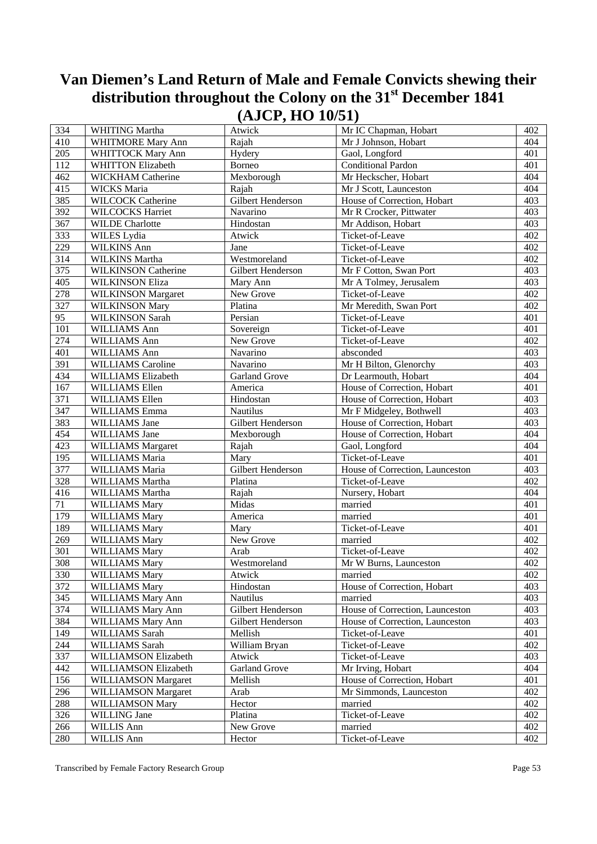| 334 | WHITING Martha             | Atwick               | Mr IC Chapman, Hobart           | 402 |
|-----|----------------------------|----------------------|---------------------------------|-----|
| 410 | <b>WHITMORE Mary Ann</b>   | Rajah                | Mr J Johnson, Hobart            | 404 |
| 205 | WHITTOCK Mary Ann          | Hydery               | Gaol, Longford                  | 401 |
| 112 | <b>WHITTON Elizabeth</b>   | Borneo               | <b>Conditional Pardon</b>       | 401 |
| 462 | WICKHAM Catherine          | Mexborough           | Mr Heckscher, Hobart            | 404 |
| 415 | <b>WICKS</b> Maria         | Rajah                | Mr J Scott, Launceston          | 404 |
| 385 | <b>WILCOCK Catherine</b>   | Gilbert Henderson    | House of Correction, Hobart     | 403 |
| 392 | <b>WILCOCKS Harriet</b>    | Navarino             | Mr R Crocker, Pittwater         | 403 |
| 367 | <b>WILDE</b> Charlotte     | Hindostan            | Mr Addison, Hobart              | 403 |
| 333 | WILES Lydia                | Atwick               | Ticket-of-Leave                 | 402 |
| 229 | WILKINS Ann                | Jane                 | Ticket-of-Leave                 | 402 |
| 314 | WILKINS Martha             | Westmoreland         | Ticket-of-Leave                 | 402 |
| 375 | <b>WILKINSON Catherine</b> | Gilbert Henderson    | Mr F Cotton, Swan Port          | 403 |
| 405 | <b>WILKINSON Eliza</b>     | Mary Ann             | Mr A Tolmey, Jerusalem          | 403 |
| 278 | <b>WILKINSON Margaret</b>  | New Grove            | Ticket-of-Leave                 | 402 |
| 327 | <b>WILKINSON Mary</b>      | Platina              | Mr Meredith, Swan Port          | 402 |
| 95  | <b>WILKINSON Sarah</b>     | Persian              | Ticket-of-Leave                 | 401 |
| 101 | WILLIAMS Ann               | Sovereign            | Ticket-of-Leave                 | 401 |
| 274 | WILLIAMS Ann               | New Grove            | Ticket-of-Leave                 | 402 |
| 401 | WILLIAMS Ann               | Navarino             | absconded                       | 403 |
| 391 | <b>WILLIAMS</b> Caroline   | Navarino             | Mr H Bilton, Glenorchy          | 403 |
| 434 | WILLIAMS Elizabeth         | <b>Garland Grove</b> | Dr Learmouth, Hobart            | 404 |
| 167 | WILLIAMS Ellen             | America              | House of Correction, Hobart     | 401 |
| 371 | WILLIAMS Ellen             | Hindostan            | House of Correction, Hobart     | 403 |
| 347 | WILLIAMS Emma              | Nautilus             | Mr F Midgeley, Bothwell         | 403 |
| 383 | WILLIAMS Jane              | Gilbert Henderson    | House of Correction, Hobart     | 403 |
| 454 | WILLIAMS Jane              | Mexborough           | House of Correction, Hobart     | 404 |
| 423 | WILLIAMS Margaret          | Rajah                | Gaol, Longford                  | 404 |
| 195 | WILLIAMS Maria             | Mary                 | Ticket-of-Leave                 | 401 |
| 377 | WILLIAMS Maria             | Gilbert Henderson    | House of Correction, Launceston | 403 |
| 328 | WILLIAMS Martha            | Platina              | Ticket-of-Leave                 | 402 |
| 416 | WILLIAMS Martha            | Rajah                | Nursery, Hobart                 | 404 |
| 71  | <b>WILLIAMS Mary</b>       | Midas                | married                         | 401 |
| 179 | <b>WILLIAMS Mary</b>       | America              | married                         | 401 |
| 189 | <b>WILLIAMS Mary</b>       | Mary                 | Ticket-of-Leave                 | 401 |
| 269 | <b>WILLIAMS Mary</b>       | New Grove            | married                         | 402 |
| 301 | <b>WILLIAMS Mary</b>       | Arab                 | Ticket-of-Leave                 | 402 |
| 308 | <b>WILLIAMS Mary</b>       | Westmoreland         | Mr W Burns, Launceston          | 402 |
| 330 | <b>WILLIAMS Mary</b>       | Atwick               | married                         | 402 |
| 372 | <b>WILLIAMS Mary</b>       | Hindostan            | House of Correction, Hobart     | 403 |
| 345 | WILLIAMS Mary Ann          | Nautilus             | married                         | 403 |
| 374 | WILLIAMS Mary Ann          | Gilbert Henderson    | House of Correction, Launceston | 403 |
| 384 | WILLIAMS Mary Ann          | Gilbert Henderson    | House of Correction, Launceston | 403 |
| 149 | WILLIAMS Sarah             | Mellish              | Ticket-of-Leave                 | 401 |
| 244 | WILLIAMS Sarah             | William Bryan        | Ticket-of-Leave                 | 402 |
| 337 | WILLIAMSON Elizabeth       | Atwick               | Ticket-of-Leave                 | 403 |
| 442 | WILLIAMSON Elizabeth       | Garland Grove        | Mr Irving, Hobart               | 404 |
| 156 | <b>WILLIAMSON Margaret</b> | Mellish              | House of Correction, Hobart     | 401 |
| 296 | <b>WILLIAMSON Margaret</b> | Arab                 | Mr Simmonds, Launceston         | 402 |
| 288 | WILLIAMSON Mary            | Hector               | married                         | 402 |
| 326 | WILLING Jane               | Platina              | Ticket-of-Leave                 | 402 |
| 266 | WILLIS Ann                 | New Grove            | married                         | 402 |
| 280 | WILLIS Ann                 | Hector               | Ticket-of-Leave                 | 402 |
|     |                            |                      |                                 |     |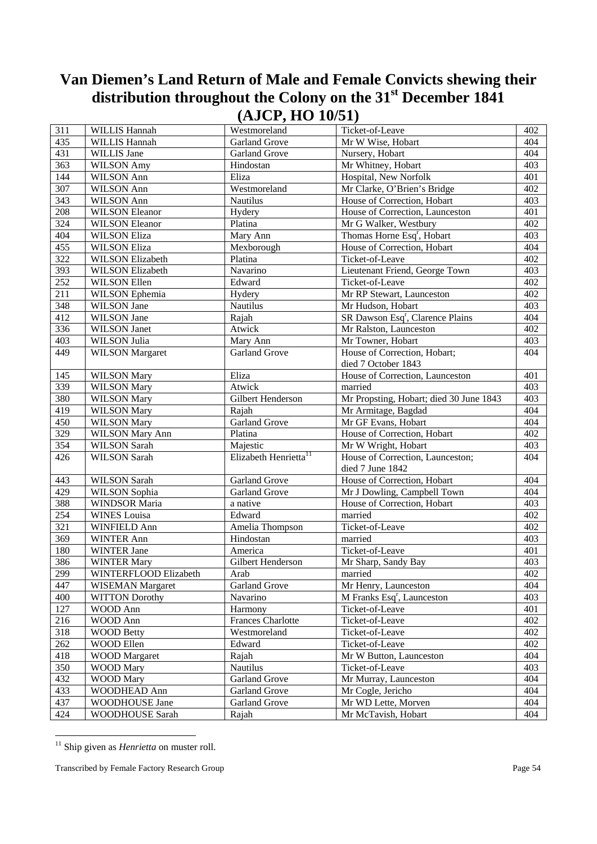| 311 | <b>WILLIS Hannah</b>    | Westmoreland                      | Ticket-of-Leave                              | 402 |
|-----|-------------------------|-----------------------------------|----------------------------------------------|-----|
| 435 | WILLIS Hannah           | <b>Garland Grove</b>              | Mr W Wise, Hobart                            | 404 |
| 431 | WILLIS Jane             | <b>Garland Grove</b>              | Nursery, Hobart                              | 404 |
| 363 | <b>WILSON Amy</b>       | Hindostan                         | Mr Whitney, Hobart                           | 403 |
| 144 | <b>WILSON Ann</b>       | Eliza                             | Hospital, New Norfolk                        | 401 |
| 307 | WILSON Ann              | Westmoreland                      | Mr Clarke, O'Brien's Bridge                  | 402 |
| 343 | WILSON Ann              | <b>Nautilus</b>                   | House of Correction, Hobart                  | 403 |
| 208 | <b>WILSON Eleanor</b>   | Hydery                            | House of Correction, Launceston              | 401 |
| 324 | <b>WILSON Eleanor</b>   | Platina                           | Mr G Walker, Westbury                        | 402 |
| 404 | <b>WILSON Eliza</b>     | Mary Ann                          | Thomas Horne Esq <sup>r</sup> , Hobart       | 403 |
| 455 | <b>WILSON Eliza</b>     | Mexborough                        | House of Correction, Hobart                  | 404 |
| 322 | <b>WILSON Elizabeth</b> | Platina                           | Ticket-of-Leave                              | 402 |
| 393 | <b>WILSON Elizabeth</b> | Navarino                          | Lieutenant Friend, George Town               | 403 |
| 252 | <b>WILSON Ellen</b>     | Edward                            | Ticket-of-Leave                              | 402 |
| 211 | WILSON Ephemia          | Hydery                            | Mr RP Stewart, Launceston                    | 402 |
| 348 | WILSON Jane             | Nautilus                          | Mr Hudson, Hobart                            | 403 |
| 412 | WILSON Jane             | Rajah                             | SR Dawson Esq <sup>r</sup> , Clarence Plains | 404 |
| 336 | WILSON Janet            | Atwick                            | Mr Ralston, Launceston                       | 402 |
| 403 | WILSON Julia            | Mary Ann                          | Mr Towner, Hobart                            | 403 |
| 449 | <b>WILSON</b> Margaret  | Garland Grove                     | House of Correction, Hobart;                 | 404 |
|     |                         |                                   | died 7 October 1843                          |     |
| 145 | <b>WILSON Mary</b>      | Eliza                             | House of Correction, Launceston              | 401 |
| 339 | <b>WILSON Mary</b>      | Atwick                            | married                                      | 403 |
| 380 | <b>WILSON Mary</b>      | Gilbert Henderson                 | Mr Propsting, Hobart; died 30 June 1843      | 403 |
| 419 | <b>WILSON Mary</b>      | Rajah                             | Mr Armitage, Bagdad                          | 404 |
| 450 | <b>WILSON Mary</b>      | <b>Garland Grove</b>              | Mr GF Evans, Hobart                          | 404 |
| 329 | <b>WILSON Mary Ann</b>  | Platina                           | House of Correction, Hobart                  | 402 |
| 354 | <b>WILSON Sarah</b>     | Majestic                          | Mr W Wright, Hobart                          | 403 |
| 426 | <b>WILSON Sarah</b>     | Elizabeth Henrietta <sup>11</sup> | House of Correction, Launceston;             | 404 |
|     |                         |                                   | died 7 June 1842                             |     |
| 443 | <b>WILSON Sarah</b>     | <b>Garland Grove</b>              | House of Correction, Hobart                  | 404 |
| 429 | WILSON Sophia           | <b>Garland Grove</b>              | Mr J Dowling, Campbell Town                  | 404 |
| 388 | <b>WINDSOR Maria</b>    | a native                          | House of Correction, Hobart                  | 403 |
| 254 | <b>WINES</b> Louisa     | Edward                            | married                                      | 402 |
| 321 | WINFIELD Ann            | Amelia Thompson                   | Ticket-of-Leave                              | 402 |
| 369 | WINTER Ann              | Hindostan                         | married                                      | 403 |
| 180 | <b>WINTER Jane</b>      | America                           | Ticket-of-Leave                              | 401 |
| 386 | <b>WINTER Mary</b>      | Gilbert Henderson                 | Mr Sharp, Sandy Bay                          | 403 |
| 299 | WINTERFLOOD Elizabeth   | Arab                              | married                                      | 402 |
| 447 | WISEMAN Margaret        | Garland Grove                     | Mr Henry, Launceston                         | 404 |
| 400 | <b>WITTON Dorothy</b>   | Navarino                          | M Franks Esq <sup>r</sup> , Launceston       | 403 |
| 127 | WOOD Ann                | Harmony                           | Ticket-of-Leave                              | 401 |
| 216 | WOOD Ann                | <b>Frances Charlotte</b>          | Ticket-of-Leave                              | 402 |
| 318 | <b>WOOD Betty</b>       | Westmoreland                      | Ticket-of-Leave                              | 402 |
| 262 | WOOD Ellen              | Edward                            | Ticket-of-Leave                              | 402 |
| 418 | <b>WOOD</b> Margaret    | Rajah                             | Mr W Button, Launceston                      | 404 |
| 350 | <b>WOOD Mary</b>        | Nautilus                          | Ticket-of-Leave                              | 403 |
| 432 | <b>WOOD Mary</b>        | <b>Garland Grove</b>              | Mr Murray, Launceston                        | 404 |
| 433 | WOODHEAD Ann            | <b>Garland Grove</b>              | Mr Cogle, Jericho                            | 404 |
| 437 | WOODHOUSE Jane          | <b>Garland Grove</b>              | Mr WD Lette, Morven                          | 404 |
| 424 | WOODHOUSE Sarah         | Rajah                             | Mr McTavish, Hobart                          | 404 |

<sup>&</sup>lt;sup>11</sup> Ship given as *Henrietta* on muster roll.

-

Transcribed by Female Factory Research Group **Page 54**